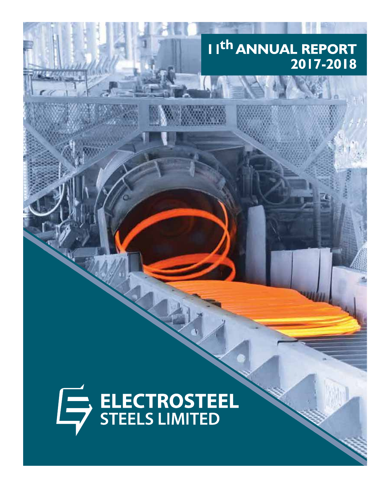# I I<sup>th</sup> ANNUAL REPORT 2017-2018

# ELECTROSTEEL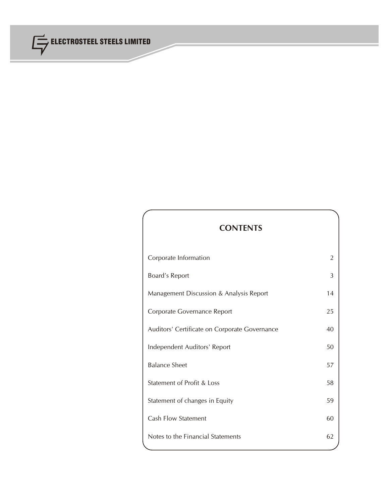

# **CONTENTS**

| Corporate Information                         | 2  |
|-----------------------------------------------|----|
| Board's Report                                | 3  |
| Management Discussion & Analysis Report       | 14 |
| Corporate Governance Report                   | 25 |
| Auditors' Certificate on Corporate Governance | 40 |
| Independent Auditors' Report                  | 50 |
| <b>Balance Sheet</b>                          | 57 |
| Statement of Profit & Loss                    | 58 |
| Statement of changes in Equity                | 59 |
| <b>Cash Flow Statement</b>                    | 60 |
| Notes to the Financial Statements             | 62 |
|                                               |    |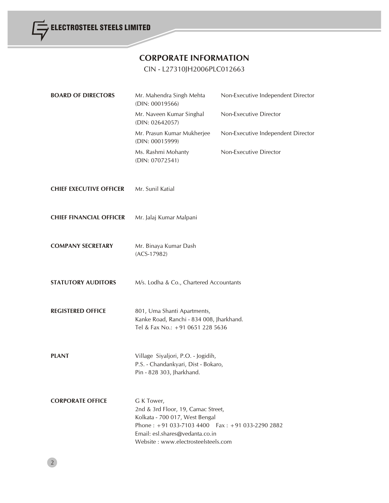

# **CORPORATE INFORMATION**

# CIN - L27310JH2006PLC012663

| <b>BOARD OF DIRECTORS</b>      | Mr. Mahendra Singh Mehta<br>(DIN: 00019566)                                                                                                                                                                     | Non-Executive Independent Director |
|--------------------------------|-----------------------------------------------------------------------------------------------------------------------------------------------------------------------------------------------------------------|------------------------------------|
|                                | Mr. Naveen Kumar Singhal<br>(DIN: 02642057)                                                                                                                                                                     | Non-Executive Director             |
|                                | Mr. Prasun Kumar Mukherjee<br>(DIN: 00015999)                                                                                                                                                                   | Non-Executive Independent Director |
|                                | Ms. Rashmi Mohanty<br>(DIN: 07072541)                                                                                                                                                                           | Non-Executive Director             |
| <b>CHIEF EXECUTIVE OFFICER</b> | Mr. Sunil Katial                                                                                                                                                                                                |                                    |
| <b>CHIEF FINANCIAL OFFICER</b> | Mr. Jalaj Kumar Malpani                                                                                                                                                                                         |                                    |
| <b>COMPANY SECRETARY</b>       | Mr. Binaya Kumar Dash<br>$(ACS-17982)$                                                                                                                                                                          |                                    |
| <b>STATUTORY AUDITORS</b>      | M/s. Lodha & Co., Chartered Accountants                                                                                                                                                                         |                                    |
| <b>REGISTERED OFFICE</b>       | 801, Uma Shanti Apartments,<br>Kanke Road, Ranchi - 834 008, Jharkhand.<br>Tel & Fax No.: +91 0651 228 5636                                                                                                     |                                    |
| <b>PLANT</b>                   | Village Siyaljori, P.O. - Jogidih,<br>P.S. - Chandankyari, Dist - Bokaro,<br>Pin - 828 303, Jharkhand.                                                                                                          |                                    |
| <b>CORPORATE OFFICE</b>        | G K Tower,<br>2nd & 3rd Floor, 19, Camac Street,<br>Kolkata - 700 017, West Bengal<br>Phone: $+91033-71034400$ Fax: $+91033-22902882$<br>Email: esl.shares@vedanta.co.in<br>Website: www.electrosteelsteels.com |                                    |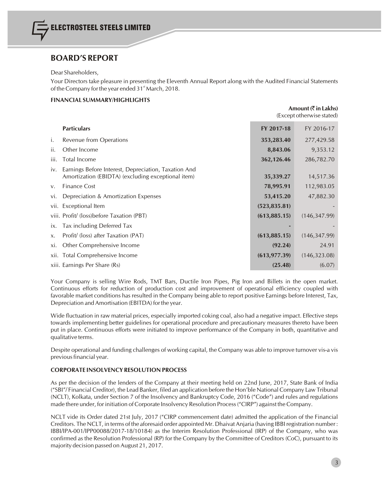## **BOARD'S REPORT**

#### Dear Shareholders,

Your Directors take pleasure in presenting the Eleventh Annual Report along with the Audited Financial Statements of the Company for the year ended  $31<sup>st</sup>$  March, 2018.

#### **FINANCIAL SUMMARY/HIGHLIGHTS**

|      |                                                                                                            |               | Amount $(\overline{\zeta})$ in Lakhs)<br>(Except otherwise stated) |
|------|------------------------------------------------------------------------------------------------------------|---------------|--------------------------------------------------------------------|
|      | <b>Particulars</b>                                                                                         | FY 2017-18    | FY 2016-17                                                         |
| i.   | Revenue from Operations                                                                                    | 353,283.40    | 277,429.58                                                         |
| ii.  | Other Income                                                                                               | 8,843.06      | 9,353.12                                                           |
| iii. | Total Income                                                                                               | 362,126.46    | 286,782.70                                                         |
| iv.  | Earnings Before Interest, Depreciation, Taxation And<br>Amortization (EBIDTA) (excluding exceptional item) | 35,339.27     | 14,517.36                                                          |
| V.   | <b>Finance Cost</b>                                                                                        | 78,995.91     | 112,983.05                                                         |
| vi.  | Depreciation & Amortization Expenses                                                                       | 53,415.20     | 47,882.30                                                          |
|      | vii. Exceptional Item                                                                                      | (523, 835.81) |                                                                    |
|      | viii. Profit/ (loss)before Taxation (PBT)                                                                  | (613, 885.15) | (146, 347.99)                                                      |
|      | ix. Tax including Deferred Tax                                                                             |               |                                                                    |
| X.   | Profit/ (loss) after Taxation (PAT)                                                                        | (613, 885.15) | (146, 347.99)                                                      |
| xi.  | Other Comprehensive Income                                                                                 | (92.24)       | 24.91                                                              |
|      | xii. Total Comprehensive Income                                                                            | (613, 977.39) | (146, 323.08)                                                      |
|      | xiii. Earnings Per Share (Rs)                                                                              | (25.48)       | (6.07)                                                             |
|      |                                                                                                            |               |                                                                    |

Your Company is selling Wire Rods, TMT Bars, Ductile Iron Pipes, Pig Iron and Billets in the open market. Continuous efforts for reduction of production cost and improvement of operational efficiency coupled with favorable market conditions has resulted in the Company being able to report positive Earnings before Interest, Tax, Depreciation andAmortisation (EBITDA) for the year.

Wide fluctuation in raw material prices, especially imported coking coal, also had a negative impact. Effective steps towards implementing better guidelines for operational procedure and precautionary measures thereto have been put in place. Continuous efforts were initiated to improve performance of the Company in both, quantitative and qualitative terms.

Despite operational and funding challenges of working capital, the Company was able to improve turnover vis-a vis previous financial year.

#### **CORPORATE INSOLVENCY RESOLUTION PROCESS**

As per the decision of the lenders of the Company at their meeting held on 22nd June, 2017, State Bank of India ("SBI"/ Financial Creditor), the Lead Banker, filed an application before the Hon'ble National Company Law Tribunal (NCLT), Kolkata, under Section 7 of the Insolvency and Bankruptcy Code, 2016 ("Code") and rules and regulations made there under, for initiation of Corporate Insolvency Resolution Process("CIRP") against the Company.

NCLT vide its Order dated 21st July, 2017 ("CIRP commencement date) admitted the application of the Financial Creditors. The NCLT, in terms of the aforesaid order appointed Mr. Dhaivat Anjaria (having IBBI registration number : IBBI/IPA-001/IPP00088/2017-18/10184) as the Interim Resolution Professional (IRP) of the Company, who was confirmed as the Resolution Professional (RP) for the Company by the Committee of Creditors (CoC), pursuant to its majority decision passed on August 21, 2017.

3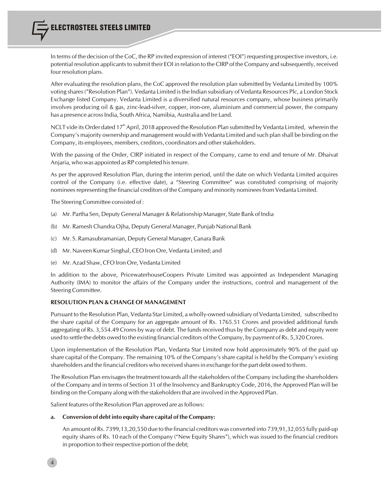In terms of the decision of the CoC, the RP invited expression of interest ("EOI") requesting prospective investors, i.e. potential resolution applicantsto submit their EOI in relation to the CIRP of the Company and subsequently, received four resolution plans.

After evaluating the resolution plans, the CoC approved the resolution plan submitted by Vedanta Limited by 100% voting shares("Resolution Plan"). Vedanta Limited isthe Indian subsidiary of Vedanta Resources Plc, a London Stock Exchange listed Company. Vedanta Limited is a diversified natural resources company, whose business primarily involves producing oil & gas, zinc-lead-silver, copper, iron-ore, aluminium and commercial power, the company has a presence across India, South Africa, Namibia, Australia and Ire Land.

NCLT vide its Order dated 17<sup>th</sup> April, 2018 approved the Resolution Plan submitted by Vedanta Limited, wherein the Company's majority ownership and management would with Vedanta Limited and such plan shall be binding on the Company, its employees, members, creditors, coordinators and other stakeholders.

With the passing of the Order, CIRP initiated in respect of the Company, came to end and tenure of Mr. Dhaivat Anjaria, who was appointed as RP completed histenure.

As per the approved Resolution Plan, during the interim period, until the date on which Vedanta Limited acquires control of the Company (i.e. effective date), a "Steering Committee" was constituted comprising of majority nominees representing the financial creditors of the Company and minority nominees from Vedanta Limited.

The Steering Committee consisted of :

- (a) Mr. Partha Sen, Deputy General Manager & Relationship Manager, State Bank of India
- (b) Mr. RameshChandra Ojha, Deputy General Manager, Punjab National Bank
- (c) Mr. S. Ramasubramanian, Deputy General Manager,Canara Bank
- (d) Mr. Naveen Kumar Singhal, CEO Iron Ore, Vedanta Limited; and
- (e) Mr. Azad Shaw, CFO Iron Ore,Vedanta Limited

In addition to the above, PricewaterhouseCoopers Private Limited was appointed as Independent Managing Authority (IMA) to monitor the affairs of the Company under the instructions, control and management of the Steering Committee.

#### **RESOLUTION PLAN & CHANGE OF MANAGEMENT**

Pursuant to the Resolution Plan, Vedanta Star Limited, a wholly-owned subsidiary of Vedanta Limited, subscribed to the share capital of the Company for an aggregate amount of Rs. 1765.51 Crores and provided additional funds aggregating of Rs. 3,554.49 Crores by way of debt. The funds received thus by the Company as debt and equity were used to settle the debts owed to the existing financial creditors of the Company, by payment of Rs. 5,320 Crores.

Upon implementation of the Resolution Plan, Vedanta Star Limited now hold approximately 90% of the paid up share capital of the Company. The remaining 10% of the Company's share capital is held by the Company's existing shareholders and the financial creditors who received sharesin exchange for the part debt owed to them.

The Resolution Plan envisagesthe treatment towards all the stakeholders of the Company including the shareholders of the Company and in terms of Section 31 of the Insolvency and Bankruptcy Code, 2016, the Approved Plan will be binding on the Company along with the stakeholdersthat are involved in the Approved Plan.

Salient features of the Resolution Plan approved are as follows:

4

#### **a. Conversion of debt into equity share capital of theCompany:**

An amount of Rs. 7399,13,20,550 due to the financial creditors was converted into 739,91,32,055 fully paid-up equity shares of Rs. 10 each of the Company ("New Equity Shares"), which was issued to the financial creditors in proportion to their respective portion of the debt;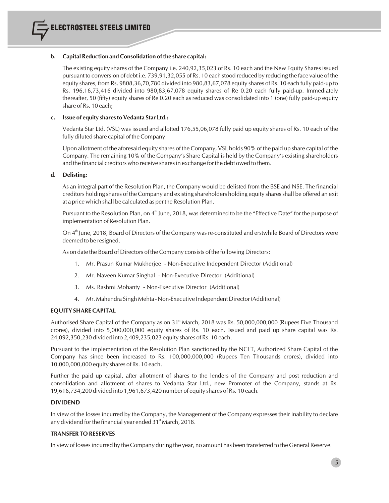#### **b. Capital Reduction and Consolidation ofthe share capital:**

The existing equity shares of the Company i.e. 240,92,35,023 of Rs. 10 each and the New Equity Shares issued pursuant to conversion of debt i.e. 739,91,32,055 of Rs. 10 each stood reduced by reducing the face value of the equity shares, from Rs. 9808,36,70,780 divided into 980,83,67,078 equity shares of Rs. 10 each fully paid-up to Rs. 196,16,73,416 divided into 980,83,67,078 equity shares of Re 0.20 each fully paid-up. Immediately thereafter, 50 (fifty) equity shares of Re 0.20 each as reduced was consolidated into 1 (one) fully paid-up equity share of Rs. 10 each;

#### **c. Issue of equity sharestoVedanta Star Ltd.:**

Vedanta Star Ltd. (VSL) was issued and allotted 176,55,06,078 fully paid up equity shares of Rs. 10 each of the fully diluted share capital of the Company.

Upon allotment of the aforesaid equity shares of the Company, VSL holds 90% of the paid up share capital of the Company. The remaining 10% of the Company's Share Capital is held by the Company's existing shareholders and the financial creditors who receive shares in exchange for the debt owed to them.

#### **d. Delisting:**

As an integral part of the Resolution Plan, the Company would be delisted from the BSE and NSE. The financial creditors holding shares of the Company and existing shareholders holding equity sharesshall be offered an exit at a price which shall be calculated as perthe Resolution Plan.

Pursuant to the Resolution Plan, on 4<sup>th</sup> June, 2018, was determined to be the "Effective Date" for the purpose of implementation of Resolution Plan.

On 4<sup>th</sup> June, 2018, Board of Directors of the Company was re-constituted and erstwhile Board of Directors were deemed to be resigned.

As on date the Board of Directors of the Company consists of the following Directors:

- 1. Mr. Prasun Kumar Mukherjee Non-Executive Independent Director (Additional)
- 2. Mr. Naveen Kumar Singhal Non-Executive Director (Additional)
- 3. Ms. Rashmi Mohanty Non-Executive Director (Additional)
- 4. Mr. Mahendra Singh Mehta Non-Executive Independent Director (Additional)

#### **EQUITY SHARE CAPITAL**

Authorised Share Capital of the Company as on 31<sup>st</sup> March, 2018 was Rs. 50,000,000,000 (Rupees Five Thousand crores), divided into 5,000,000,000 equity shares of Rs. 10 each. Issued and paid up share capital was Rs. 24,092,350,230 divided into 2,409,235,023 equity shares of Rs. 10 each.

Pursuant to the implementation of the Resolution Plan sanctioned by the NCLT, Authorized Share Capital of the Company has since been increased to Rs. 100,000,000,000 (Rupees Ten Thousands crores), divided into 10,000,000,000 equity shares of Rs. 10 each.

Further the paid up capital, after allotment of shares to the lenders of the Company and post reduction and consolidation and allotment of shares to Vedanta Star Ltd., new Promoter of the Company, stands at Rs. 19,616,734,200 divided into 1,961,673,420 number of equity shares of Rs. 10 each.

#### **DIVIDEND**

In view of the losses incurred by the Company, the Management of the Company expresses their inability to declare any dividend for the financial year ended  $31<sup>st</sup>$  March, 2018.

#### **TRANSFER TO RESERVES**

In view of lossesincurred by the Company during the year, no amount has been transferred to the General Reserve.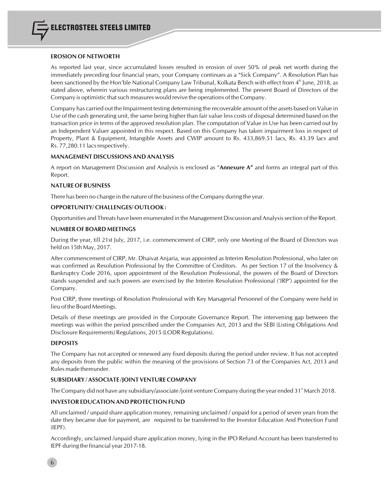#### **EROSION OF NETWORTH**

As reported last year, since accumulated losses resulted in erosion of over 50% of peak net worth during the immediately preceding four financial years, your Company continues as a "Sick Company". A Resolution Plan has been sanctioned by the Hon'ble National Company Law Tribunal, Kolkata Bench with effect from  $4^{\text{th}}$  June, 2018, as stated above, wherein various restructuring plans are being implemented. The present Board of Directors of the Company is optimistic that such measures would revive the operations of the Company.

Company has carried out the Impairment testing determining the recoverable amount of the assets based on Value in Use of the cash generating unit, the same being higher than fair value less costs of disposal determined based on the transaction price in terms of the approved resolution plan. The computation of Value in Use has been carried out by an Independent Valuer appointed in this respect. Based on this Company has taken impairment loss in respect of Property, Plant & Equipment, Intangible Assets and CWIP amount to Rs. 433,869.51 lacs, Rs. 43.39 lacs and Rs. 77,280.11 lacs respectively.

#### **MANAGEMENT DISCUSSIONS AND ANALYSIS**

A report on Management Discussion and Analysis is enclosed as "**Annexure A"** and forms an integral part of this Report.

#### **NATURE OF BUSINESS**

There has been no change in the nature of the business of the Company during the year.

#### **OPPORTUNITY/ CHALLENGES/ OUTLOOK :**

Opportunities and Threats have been enumerated in the Management Discussion and Analysis section of the Report.

#### **NUMBER OF BOARD MEETINGS**

During the year, till 21st July, 2017, i.e. commencement of CIRP, only one Meeting of the Board of Directors was held on 15th May, 2017.

After commencement of CIRP, Mr. Dhaivat Anjaria, was appointed as Interim Resolution Professional, who later on was confirmed as Resolution Professional by the Committee of Creditors. As per Section 17 of the Insolvency & Bankruptcy Code 2016, upon appointment of the Resolution Professional, the powers of the Board of Directors stands suspended and such powers are exercised by the Interim Resolution Professional ('IRP') appointed for the Company.

Post CIRP, three meetings of Resolution Professional with Key Managerial Personnel of the Company were held in lieu of the Board Meetings.

Details of these meetings are provided in the Corporate Governance Report. The intervening gap between the meetings was within the period prescribed under the Companies Act, 2013 and the SEBI (Listing Obligations And Disclosure Requirements) Regulations, 2015 (LODR Regulations).

#### **DEPOSITS**

The Company has not accepted or renewed any fixed deposits during the period under review. It has not accepted any deposits from the public within the meaning of the provisions of Section 73 of the Companies Act, 2013 and Rules made thereunder.

#### **SUBSIDIARY / ASSOCIATE /JOINT VENTURE COMPANY**

The Company did not have any subsidiary/associate/joint venture Company during the year ended 31<sup>st</sup> March 2018.

#### **INVESTOR EDUCATION AND PROTECTION FUND**

All unclaimed / unpaid share application money, remaining unclaimed / unpaid for a period of seven years from the date they became due for payment, are required to be transferred to the Investor Education And Protection Fund (IEPF).

Accordingly, unclaimed /unpaid share application money, lying in the IPO Refund Account has been transferred to IEPF during the financial year 2017-18.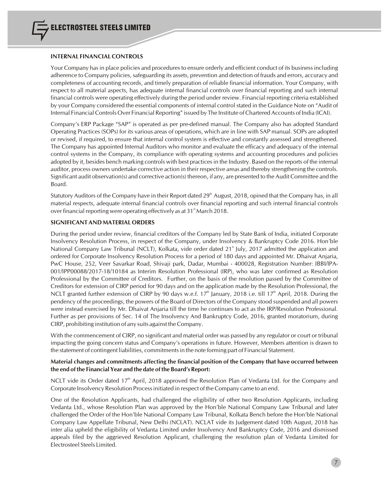#### **INTERNAL FINANCIAL CONTROLS**

Your Company has in place policies and procedures to ensure orderly and efficient conduct of its business including adherence to Company policies, safeguarding its assets, prevention and detection of frauds and errors, accuracy and completeness of accounting records, and timely preparation of reliable financial information. Your Company, with respect to all material aspects, has adequate internal financial controls over financial reporting and such internal financial controls were operating effectively during the period under review. Financial reporting criteria established by your Company considered the essential components of internal control stated in the Guidance Note on "Audit of Internal Financial Controls Over Financial Reporting" issued by The Institute of Chartered Accounts of India (ICAI).

Company's ERP Package "SAP" is operated as per pre-defined manual. The Company also has adopted Standard Operating Practices (SOPs) for its various areas of operations, which are in line with SAP manual. SOPs are adopted or revised, if required, to ensure that internal control system is effective and constantly assessed and strengthened. The Company has appointed Internal Auditors who monitor and evaluate the efficacy and adequacy of the internal control systems in the Company, its compliance with operating systems and accounting procedures and policies adopted by it, besides bench marking controls with best practices in the Industry. Based on the reports of the internal auditor, process owners undertake corrective action in their respective areas and thereby strengthening the controls. Significant audit observation(s) and corrective action(s) thereon, if any, are presented to the Audit Committee and the Board.

Statutory Auditors of the Company have in their Report dated  $29<sup>th</sup>$  August, 2018, opined that the Company has, in all material respects, adequate internal financial controls over financial reporting and such internal financial controls over financial reporting were operating effectively as at  $31<sup>st</sup>$  March 2018.

#### **SIGNIFICANT AND MATERIAL ORDERS**

During the period under review, financial creditors of the Company led by State Bank of India, initiated Corporate Insolvency Resolution Process, in respect of the Company, under Insolvency & Bankruptcy Code 2016. Hon'ble National Company Law Tribunal (NCLT), Kolkata, vide order dated 21<sup>st</sup> July, 2017 admitted the application and ordered for Corporate Insolvency Resolution Process for a period of 180 days and appointed Mr. Dhaivat Anjaria, PwC House, 252, Veer Savarkar Road, Shivaji park, Dadar, Mumbai - 400028, Registration Number: IBBI/IPA-001/IPP00088/2017-18/10184 as Interim Resolution Professional (IRP), who was later confirmed as Resolution Professional by the Committee of Creditors. Further, on the basis of the resolution passed by the Committee of Creditors for extension of CIRP period for 90 days and on the application made by the Resolution Professional, the NCLT granted further extension of CIRP by 90 days w.e.f.  $17<sup>th</sup>$  January, 2018 i.e. till  $17<sup>th</sup>$  April, 2018. During the pendency of the proceedings, the powers of the Board of Directors of the Company stood suspended and all powers were instead exercised by Mr. Dhaivat Anjaria till the time he continues to act as the IRP/Resolution Professional. Further as per provisions of Sec. 14 of The Insolvency And Bankruptcy Code, 2016, granted moratorium, during CIRP, prohibiting institution of any suits against the Company.

With the commencement of CIRP, no significant and material order was passed by any regulator or court or tribunal impacting the going concern status and Company's operations in future. However, Members attention is drawn to the statement of contingent liabilities, commitmentsin the note forming part of Financial Statement.

#### **Material changes and commitments affecting the financial position of the Company that have occurred between the end ofthe Financial Year and the date of the Board's Report:**

NCLT vide its Order dated  $17<sup>th</sup>$  April, 2018 approved the Resolution Plan of Vedanta Ltd. for the Company and Corporate Insolvency Resolution Processinitiated in respect of the Company came to an end.

One of the Resolution Applicants, had challenged the eligibility of other two Resolution Applicants, including Vedanta Ltd., whose Resolution Plan was approved by the Hon'ble National Company Law Tribunal and later challenged the Order of the Hon'ble National Company Law Tribunal, Kolkata Bench before the Hon'ble National Company Law Appellate Tribunal, New Delhi (NCLAT). NCLAT vide its Judgement dated 10th August, 2018 has inter alia upheld the eligibility of Vedanta Limited under Insolvency And Bankruptcy Code, 2016 and dismissed appeals filed by the aggrieved Resolution Applicant, challenging the resolution plan of Vedanta Limited for Electrosteel Steels Limited.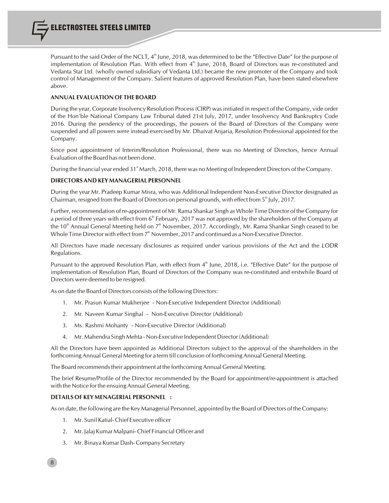Pursuant to the said Order of the NCLT,  $4^{\text{th}}$  June, 2018, was determined to be the "Effective Date" for the purpose of implementation of Resolution Plan. With effect from  $4<sup>th</sup>$  June, 2018, Board of Directors was re-constituted and Vedanta Star Ltd. (wholly owned subsidiary of Vedanta Ltd.) became the new promoter of the Company and took control of Management of the Company. Salient features of approved Resolution Plan, have been stated elsewhere above.

#### **ANNUAL EVALUATION OF THE BOARD**

During the year, Corporate Insolvency Resolution Process(CIRP) wasinitiated in respect of the Company, vide order of the Hon'ble National Company Law Tribunal dated 21st July, 2017, under Insolvency And Bankruptcy Code 2016. During the pendency of the proceedings, the powers of the Board of Directors of the Company were suspended and all powers were instead exercised by Mr. Dhaivat Anjaria, Resolution Professional appointed for the Company.

Since post appointment of Interim/Resolution Professional, there was no Meeting of Directors, hence Annual Evaluation of the Board has not been done.

During the financial year ended 31<sup>st</sup> March, 2018, there was no Meeting of Independent Directors of the Company.

#### **DIRECTORS AND KEY MANAGERIAL PERSONNEL**

During the year Mr. Pradeep Kumar Misra, who was Additional Independent Non-Executive Director designated as Chairman, resigned from the Board of Directors on personal grounds, with effect from  $5<sup>th</sup>$  July, 2017.

Further, recommendation of re-appointment of Mr. Rama Shankar Singh as Whole Time Director of the Company for a period of three years with effect from 6<sup>th</sup> February, 2017 was not approved by the shareholders of the Company at the 10<sup>th</sup> Annual General Meeting held on  $7<sup>th</sup>$  November, 2017. Accordingly, Mr. Rama Shankar Singh ceased to be Whole Time Director with effect from  $7<sup>th</sup>$  November, 2017 and continued as a Non-Executive Director.

All Directors have made necessary disclosures as required under various provisions of the Act and the LODR Regulations.

Pursuant to the approved Resolution Plan, with effect from 4<sup>th</sup> June, 2018, i.e. "Effective Date" for the purpose of implementation of Resolution Plan, Board of Directors of the Company was re-constituted and erstwhile Board of Directors were deemed to be resigned.

As on date the Board of Directors consists of the following Directors:

- 1. Mr. Prasun Kumar Mukherjee Non-Executive Independent Director (Additional)
- 2. Mr. Naveen Kumar Singhal Non-Executive Director (Additional)
- 3. Ms. Rashmi Mohanty Non-Executive Director (Additional)
- 4. Mr. Mahendra Singh Mehta Non-Executive Independent Director (Additional)

All the Directors have been appointed as Additional Directors subject to the approval of the shareholders in the forthcoming Annual General Meeting for a term till conclusion of forthcoming Annual General Meeting.

The Board recommends their appointment at the forthcoming Annual General Meeting.

The brief Resume/Profile of the Director recommended by the Board for appointment/re-appointment is attached with the Notice for the ensuing Annual General Meeting.

#### **DETAILS OF KEY MENAGERIAL PERSONNEL :**

8

As on date, the following are the Key Managerial Personnel, appointed by the Board of Directors of the Company:

- 1. Mr. Sunil Katial- Chief Executive officer
- 2. Mr. Jalaj Kumar Malpani- Chief Financial Officer and
- 3. Mr. Binaya Kumar Dash- Company Secretary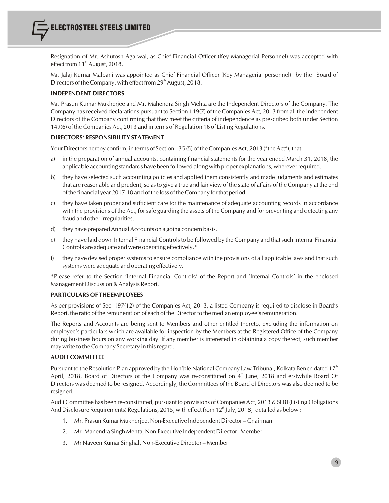Resignation of Mr. Ashutosh Agarwal, as Chief Financial Officer (Key Managerial Personnel) was accepted with effect from  $11<sup>th</sup>$  August, 2018.

Mr. Jalaj Kumar Malpani was appointed as Chief Financial Officer (Key Managerial personnel) by the Board of Directors of the Company, with effect from 29<sup>th</sup> August, 2018.

#### **INDEPENDENT DIRECTORS**

Mr. Prasun Kumar Mukherjee and Mr. Mahendra Singh Mehta are the Independent Directors of the Company. The Company hasreceived declarations pursuant to Section 149(7) of the Companies Act, 2013 from all the Independent Directors of the Company confirming that they meet the criteria of independence as prescribed both under Section 149(6) of the Companies Act, 2013 and in terms of Regulation 16 of Listing Regulations.

#### **DIRECTORS' RESPONSIBILITY STATEMENT**

Your Directors hereby confirm, in terms of Section 135 (5) of the Companies Act, 2013 ("the Act"), that:

- a) in the preparation of annual accounts, containing financial statements for the year ended March 31, 2018, the applicable accounting standards have been followed along with proper explanations, wherever required.
- b) they have selected such accounting policies and applied them consistently and made judgments and estimates that are reasonable and prudent, so as to give a true and fair view of the state of affairs of the Company at the end of the financial year 2017-18 and of the loss of the Company for that period.
- c) they have taken proper and sufficient care for the maintenance of adequate accounting records in accordance with the provisions of the Act, for safe guarding the assets of the Company and for preventing and detecting any fraud and other irregularities.
- d) they have prepared Annual Accounts on a going concern basis.
- e) they have laid down Internal Financial Controls to be followed by the Company and that such Internal Financial Controls are adequate and were operating effectively.\*
- $\mathfrak f$  they have devised proper systems to ensure compliance with the provisions of all applicable laws and that such systems were adequate and operating effectively.

\*Please refer to the Section 'Internal Financial Controls' of the Report and 'Internal Controls' in the enclosed Management Discussion & Analysis Report.

#### **PARTICULARS OF THE EMPLOYEES**

As per provisions of Sec. 197(12) of the Companies Act, 2013, a listed Company is required to disclose in Board's Report, the ratio of the remuneration of each of the Director to the median employee's remuneration.

The Reports and Accounts are being sent to Members and other entitled thereto, excluding the information on employee's particulars which are available for inspection by the Members at the Registered Office of the Company during business hours on any working day. If any member is interested in obtaining a copy thereof, such member may write to the Company Secretary in thisregard.

#### **AUDIT COMMITTEE**

Pursuant to the Resolution Plan approved by the Hon'ble National Company Law Tribunal, Kolkata Bench dated 17<sup>th</sup> April, 2018, Board of Directors of the Company was re-constituted on  $4<sup>th</sup>$  June, 2018 and erstwhile Board Of Directors was deemed to be resigned. Accordingly, the Committees of the Board of Directors was also deemed to be resigned.

Audit Committee has been re-constituted, pursuant to provisions of Companies Act, 2013 & SEBI (Listing Obligations And Disclosure Requirements) Regulations, 2015, with effect from  $12^{\text{th}}$  July, 2018, detailed as below :

- 1. Mr. Prasun Kumar Mukherjee, Non-Executive Independent Director Chairman
- 2. Mr. Mahendra Singh Mehta, Non-Executive Independent Director Member
- 3. Mr Naveen Kumar Singhal, Non-Executive Director Member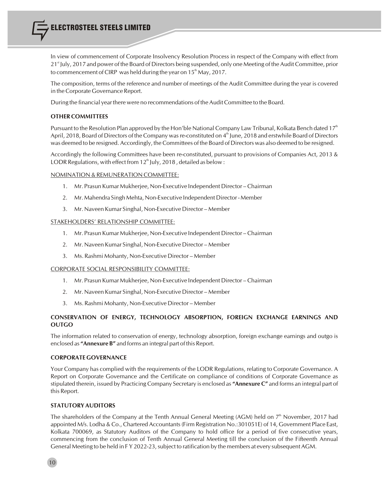In view of commencement of Corporate Insolvency Resolution Process in respect of the Company with effect from 21<sup><sup>st</sup> July, 2017 and power of the Board of Directors being suspended, only one Meeting of the Audit Committee, prior</sup> to commencement of CIRP was held during the year on  $15<sup>th</sup>$  May, 2017.

The composition, terms of the reference and number of meetings of the Audit Committee during the year is covered in the Corporate Governance Report.

During the financial yearthere were no recommendations of the Audit Committee to the Board.

#### **OTHER COMMITTEES**

Pursuant to the Resolution Plan approved by the Hon'ble National Company Law Tribunal, Kolkata Bench dated  $17<sup>th</sup>$ April, 2018, Board of Directors of the Company was re-constituted on  $4<sup>th</sup>$  June, 2018 and erstwhile Board of Directors was deemed to be resigned. Accordingly, the Committees of the Board of Directors was also deemed to be resigned.

Accordingly the following Committees have been re-constituted, pursuant to provisions of Companies Act, 2013 & LODR Regulations, with effect from  $12<sup>th</sup>$  July, 2018, detailed as below :

#### NOMINATION & REMUNERATION COMMITTEE:

- 1. Mr. Prasun Kumar Mukherjee, Non-Executive Independent Director –Chairman
- 2. Mr. Mahendra Singh Mehta, Non-Executive Independent Director Member
- 3. Mr. Naveen Kumar Singhal, Non-Executive Director Member

#### STAKEHOLDERS' RELATIONSHIP COMMITTEE:

- 1. Mr. Prasun Kumar Mukherjee, Non-Executive Independent Director Chairman
- 2. Mr. Naveen Kumar Singhal, Non-Executive Director Member
- 3. Ms. Rashmi Mohanty, Non-Executive Director Member

#### CORPORATE SOCIAL RESPONSIBILITY COMMITTEE:

- 1. Mr. Prasun Kumar Mukherjee, Non-Executive Independent Director –Chairman
- 2. Mr. Naveen Kumar Singhal, Non-Executive Director Member
- 3. Ms. Rashmi Mohanty, Non-Executive Director Member

#### **CONSERVATION OF ENERGY, TECHNOLOGY ABSORPTION, FOREIGN EXCHANGE EARNINGS AND OUTGO**

The information related to conservation of energy, technology absorption, foreign exchange earnings and outgo is enclosed as **"Annexure B"** and forms an integral part of this Report.

#### **CORPORATE GOVERNANCE**

Your Company has complied with the requirements of the LODR Regulations, relating to Corporate Governance. A Report on Corporate Governance and the Certificate on compliance of conditions of Corporate Governance as stipulated therein, issued by Practicing Company Secretary is enclosed as **"Annexure C"** and forms an integral part of this Report.

#### **STATUTORY AUDITORS**

The shareholders of the Company at the Tenth Annual General Meeting (AGM) held on  $7<sup>th</sup>$  November, 2017 had appointed M/s. Lodha & Co., Chartered Accountants (Firm Registration No.:301051E) of 14, Government Place East, Kolkata 700069, as Statutory Auditors of the Company to hold office for a period of five consecutive years, commencing from the conclusion of Tenth Annual General Meeting till the conclusion of the Fifteenth Annual General Meeting to be held in FY 2022-23, subject to ratification by the members at every subsequent AGM.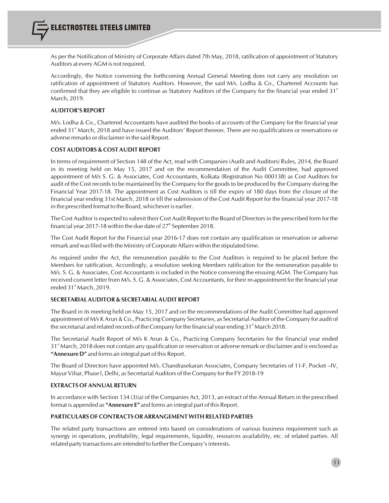As per the Notification of Ministry of Corporate Affairs dated 7th May, 2018, ratification of appointment of Statutory Auditors at every AGM is not required.

Accordingly, the Notice convening the forthcoming Annual General Meeting does not carry any resolution on ratification of appointment of Statutory Auditors. However, the said M/s. Lodha & Co., Chartered Accounts has<br>confirmed that they are eligible to continue as Statutory Auditors of the Company for the financial year ended March, 2019.

#### **AUDITOR'S REPORT**

M/s. Lodha & Co., Chartered Accountants have audited the books of accounts of the Company for the financial year ended 31<sup><sup>\*</sup></sup> March, 2018 and have issued the Auditors' Report thereon. There are no qualifications or reservations or adverse remarks or disclaimer in the said Report.

#### **COSTAUDITORS & COSTAUDIT REPORT**

In terms of requirement of Section 148 of the Act, read with Companies (Audit and Auditors) Rules, 2014, the Board in its meeting held on May 15, 2017 and on the recommendation of the Audit Committee, had approved appointment of M/s S. G. & Associates, Cost Accountants, Kolkata (Registration No 000138) as Cost Auditors for audit of the Cost records to be maintained by the Company for the goods to be produced by the Company during the Financial Year 2017-18. The appointment as Cost Auditors is till the expiry of 180 days from the closure of the financial year ending 31st March, 2018 or till the submission of the Cost Audit Report for the financial year 2017-18 in the prescribed format to the Board, whichever is earlier.

The Cost Auditor is expected to submit their Cost Audit Report to the Board of Directorsin the prescribed form for the financial year 2017-18 within the due date of  $27<sup>th</sup>$  September 2018.

The Cost Audit Report for the Financial year 2016-17 does not contain any qualification or reservation or adverse remark and wasfiled with the Ministry of Corporate Affairs within the stipulated time.

As required under the Act, the remuneration payable to the Cost Auditors is required to be placed before the Members for ratification. Accordingly, a resolution seeking Members ratification for the remuneration payable to M/s. S. G. & Associates, Cost Accountants is included in the Notice convening the ensuing AGM. The Company has received consent letter from M/s. S. G. & Associates, Cost Accountants, for their re-appointment for the financial year ended 31<sup>st</sup> March, 2019.

#### **SECRETARIAL AUDITOR & SECRETARIAL AUDIT REPORT**

The Board in its meeting held on May 15, 2017 and on the recommendations of the Audit Committee had approved appointment of M/s K Arun & Co., Practicing Company Secretaries, as Secretarial Auditor of the Company for audit of the secretarial and related records of the Company for the financial year ending  $31<sup>*</sup>$  March 2018.

The Secretarial Audit Report of M/s K Arun & Co., Practicing Company Secretaries for the financial year ended 31<sup><sup>\*</sup></sup> March, 2018 does not contain any qualification or reservation or adverse remark or disclaimer and is enclosed as **"Annexure D"** and forms an integral part of this Report.

The Board of Directors have appointed M/s. Chandrasekaran Associates, Company Secretaries of 11-F, Pocket –IV, Mayur Vihar, Phase I, Delhi, as Secretarial Auditors of the Company for the FY 2018-19

#### **EXTRACTS OFANNUAL RETURN**

In accordance with Section 134 (3)(a) of the Companies Act, 2013, an extract of the Annual Return in the prescribed format is appended as **"Annexure E"** and forms an integral part of this Report.

#### **PARTICULARS OFCONTRACTS ORARRANGEMENT WITH RELATED PARTIES**

The related party transactions are entered into based on considerations of various business requirement such as synergy in operations, profitability, legal requirements, liquidity, resources availability, etc. of related parties. All related party transactions are intended to further the Company's interests.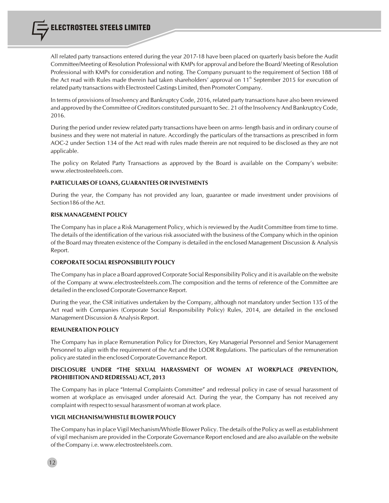All related party transactions entered during the year 2017-18 have been placed on quarterly basis before the Audit Committee/Meeting of Resolution Professional with KMPs for approval and before the Board/ Meeting of Resolution Professional with KMPs for consideration and noting. The Company pursuant to the requirement of Section 188 of the Act read with Rules made therein had taken shareholders' approval on 11<sup>th</sup> September 2015 for execution of related party transactions with Electrosteel Castings Limited, then Promoter Company.

In terms of provisions of Insolvency and Bankruptcy Code, 2016, related party transactions have also been reviewed and approved by the Committee of Creditors constituted pursuant to Sec. 21 of the Insolvency And Bankruptcy Code, 2016.

During the period under review related party transactions have been on arms- length basis and in ordinary course of business and they were not material in nature. Accordingly the particulars of the transactions as prescribed in form AOC-2 under Section 134 of the Act read with rules made therein are not required to be disclosed as they are not applicable.

The policy on Related Party Transactions as approved by the Board is available on the Company's website: www.electrosteelsteels.com.

#### **PARTICULARS OF LOANS, GUARANTEES OR INVESTMENTS**

During the year, the Company has not provided any loan, guarantee or made investment under provisions of Section186 of the Act.

#### **RISK MANAGEMENT POLICY**

The Company has in place a Risk Management Policy, which is reviewed by the Audit Committee from time to time. The details of the identification of the various risk associated with the business of the Company which in the opinion of the Board may threaten existence of the Company is detailed in the enclosed Management Discussion & Analysis Report.

#### **CORPORATE SOCIAL RESPONSIBILITY POLICY**

The Company hasin place a Board approved Corporate Social Responsibility Policy and it is available on the website of the Company at www.electrosteelsteels.com.The composition and the terms of reference of the Committee are detailed in the enclosed Corporate Governance Report.

During the year, the CSR initiatives undertaken by the Company, although not mandatory under Section 135 of the Act read with Companies (Corporate Social Responsibility Policy) Rules, 2014, are detailed in the enclosed Management Discussion & Analysis Report.

#### **REMUNERATION POLICY**

The Company has in place Remuneration Policy for Directors, Key Managerial Personnel and Senior Management Personnel to align with the requirement of the Act and the LODR Regulations. The particulars of the remuneration policy are stated in the enclosed Corporate Governance Report.

#### **DISCLOSURE UNDER "THE SEXUAL HARASSMENT OF WOMEN AT WORKPLACE (PREVENTION, PROHIBITION AND REDRESSAL) ACT, 2013**

The Company has in place "Internal Complaints Committee" and redressal policy in case of sexual harassment of women at workplace as envisaged under aforesaid Act. During the year, the Company has not received any complaint with respect to sexual harassment of woman at work place.

#### **VIGIL MECHANISM/WHISTLE BLOWER POLICY**

The Company hasin place Vigil Mechanism/Whistle Blower Policy. The details of the Policy as well as establishment of vigil mechanism are provided in the Corporate Governance Report enclosed and are also available on the website of the Company i.e. www.electrosteelsteels.com.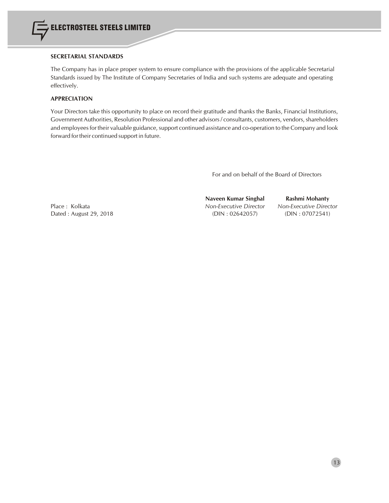

#### **SECRETARIAL STANDARDS**

The Company has in place proper system to ensure compliance with the provisions of the applicable Secretarial Standards issued by The Institute of Company Secretaries of India and such systems are adequate and operating effectively.

#### **APPRECIATION**

Your Directors take this opportunity to place on record their gratitude and thanks the Banks, Financial Institutions, Government Authorities, Resolution Professional and other advisors / consultants, customers, vendors, shareholders and employees for their valuable guidance, support continued assistance and co-operation to the Company and look forward for their continued support in future.

For and on behalf of the Board of Directors

Place : Kolkata *Non-Executive Director Non-Executive Director* Dated : August 29, 2018 (DIN : 02642057) (DIN : 07072541)

**Naveen Kumar Singhal Rashmi Mohanty**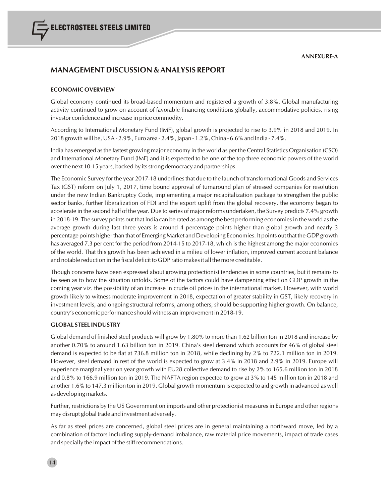## **MANAGEMENT DISCUSSION & ANALYSIS REPORT**

#### **ECONOMIC OVERVIEW**

Global economy continued its broad-based momentum and registered a growth of 3.8%. Global manufacturing activity continued to grow on account of favorable financing conditions globally, accommodative policies, rising investor confidence and increase in price commodity.

According to International Monetary Fund (IMF), global growth is projected to rise to 3.9% in 2018 and 2019. In 2018 growth will be, USA - 2.9%, Euro area - 2.4%, Japan - 1.2%, China - 6.6% and India - 7.4%.

India has emerged asthe fastest growing major economy in the world as per the Central Statistics Organisation (CSO) and International Monetary Fund (IMF) and it is expected to be one of the top three economic powers of the world over the next 10-15 years, backed by its strong democracy and partnerships.

The Economic Survey for the year 2017-18 underlines that due to the launch of transformational Goods and Services Tax (GST) reform on July 1, 2017, time bound approval of turnaround plan of stressed companies for resolution under the new Indian Bankruptcy Code, implementing a major recapitalization package to strengthen the public sector banks, further liberalization of FDI and the export uplift from the global recovery, the economy began to accelerate in the second half of the year. Due to series of major reforms undertaken, the Survey predicts 7.4% growth in 2018-19. The survey points out that India can be rated as among the best performing economiesin the world asthe average growth during last three years is around 4 percentage points higher than global growth and nearly 3 percentage points higher than that of Emerging Market and Developing Economies. It points out that the GDP growth has averaged 7.3 per cent for the period from 2014-15 to 2017-18, which is the highest among the major economies of the world. That this growth has been achieved in a milieu of lower inflation, improved current account balance and notable reduction in the fiscal deficit to GDP ratio makesit all the more creditable.

Though concerns have been expressed about growing protectionist tendencies in some countries, but it remains to be seen as to how the situation unfolds. Some of the factors could have dampening effect on GDP growth in the coming year viz. the possibility of an increase in crude oil prices in the international market. However, with world growth likely to witness moderate improvement in 2018, expectation of greater stability in GST, likely recovery in investment levels, and ongoing structural reforms, among others, should be supporting higher growth. On balance, country's economic performance should witness an improvement in 2018-19.

#### **GLOBAL STEEL INDUSTRY**

Global demand of finished steel products will grow by 1.80% to more than 1.62 billion ton in 2018 and increase by another 0.70% to around 1.63 billion ton in 2019. China's steel demand which accounts for 46% of global steel demand is expected to be flat at 736.8 million ton in 2018, while declining by 2% to 722.1 million ton in 2019. However, steel demand in rest of the world is expected to grow at 3.4% in 2018 and 2.9% in 2019. Europe will experience marginal year on year growth with EU28 collective demand to rise by 2% to 165.6 million ton in 2018 and 0.8% to 166.9 million ton in 2019. The NAFTA region expected to grow at 3% to 145 million ton in 2018 and another 1.6% to 147.3 million ton in 2019. Global growth momentum is expected to aid growth in advanced as well as developing markets.

Further, restrictions by the US Government on imports and other protectionist measures in Europe and other regions may disrupt global trade and investment adversely.

As far as steel prices are concerned, global steel prices are in general maintaining a northward move, led by a combination of factors including supply-demand imbalance, raw material price movements, impact of trade cases and specially the impact of the stiff recommendations.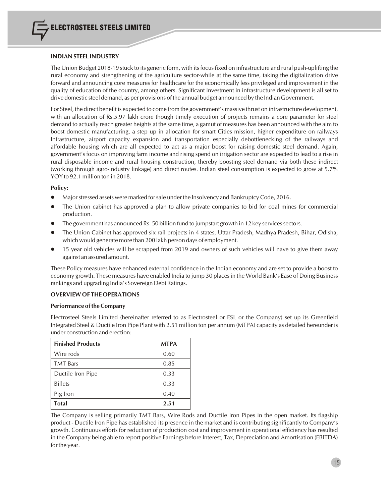#### **INDIAN STEEL INDUSTRY**

The Union Budget 2018-19 stuck to its generic form, with itsfocusfixed on infrastructure and rural push-uplifting the rural economy and strengthening of the agriculture sector-while at the same time, taking the digitalization drive forward and announcing core measures for healthcare for the economically less privileged and improvement in the quality of education of the country, among others. Significant investment in infrastructure development is all set to drive domestic steel demand, as per provisions of the annual budget announced by the Indian Government.

For Steel, the direct benefit is expected to come from the government's massive thrust on infrastructure development, with an allocation of Rs.5.97 lakh crore though timely execution of projects remains a core parameter for steel demand to actually reach greater heights at the same time, a gamut of measures has been announced with the aim to boost domestic manufacturing, a step up in allocation for smart Cities mission, higher expenditure on railways Infrastructure, airport capacity expansion and transportation especially debottlenecking of the railways and affordable housing which are all expected to act as a major boost for raising domestic steel demand. Again, government's focus on improving farm income and rising spend on irrigation sector are expected to lead to a rise in rural disposable income and rural housing construction, thereby boosting steel demand via both these indirect (working through agro-industry linkage) and direct routes. Indian steel consumption is expected to grow at 5.7% YOY to 92.1 million ton in 2018.

#### **Policy:**

- **ID Major stressed assets were marked for sale under the Insolvency and Bankruptcy Code, 2016.**
- The Union cabinet has approved a plan to allow private companies to bid for coal mines for commercial production.
- The government has announced Rs. 50 billion fund to jumpstart growth in 12 key services sectors.
- l The Union Cabinet has approved six rail projects in 4 states, Uttar Pradesh, Madhya Pradesh, Bihar, Odisha, which would generate more than 200 lakh person days of employment.
- 15 year old vehicles will be scrapped from 2019 and owners of such vehicles will have to give them away against an assured amount.

These Policy measures have enhanced external confidence in the Indian economy and are set to provide a boost to economy growth. These measures have enabled India to jump 30 placesin the World Bank's Ease of Doing Business rankings and upgrading India's Sovereign Debt Ratings.

#### **OVERVIEWOF THE OPERATIONS**

#### **Performance of the Company**

Electrosteel Steels Limited (hereinafter referred to as Electrosteel or ESL or the Company) set up its Greenfield Integrated Steel & Ductile Iron Pipe Plant with 2.51 million ton per annum (MTPA) capacity as detailed hereunder is under construction and erection:

| <b>Finished Products</b> | <b>MTPA</b> |
|--------------------------|-------------|
| Wire rods                | 0.60        |
| <b>TMT</b> Bars          | 0.85        |
| Ductile Iron Pipe        | 0.33        |
| <b>Billets</b>           | 0.33        |
| Pig Iron                 | 0.40        |
| <b>Total</b>             | 2.51        |

The Company is selling primarily TMT Bars, Wire Rods and Ductile Iron Pipes in the open market. Its flagship product - Ductile Iron Pipe has established its presence in the market and is contributing significantly to Company's growth. Continuous efforts for reduction of production cost and improvement in operational efficiency has resulted in the Company being able to report positive Earnings before Interest, Tax, Depreciation and Amortisation (EBITDA) for the year.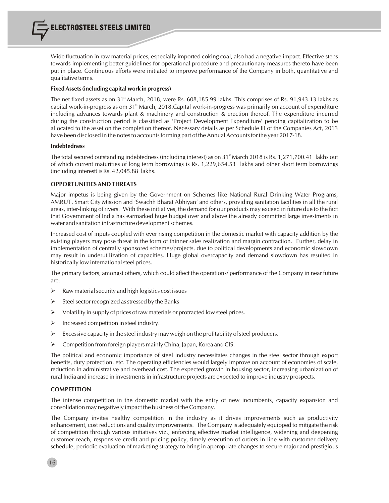Wide fluctuation in raw material prices, especially imported coking coal, also had a negative impact. Effective steps towards implementing better guidelines for operational procedure and precautionary measures thereto have been put in place. Continuous efforts were initiated to improve performance of the Company in both, quantitative and qualitative terms.

#### **Fixed Assets(including capital work in progress)**

The net fixed assets as on 31<sup>st</sup> March, 2018, were Rs. 608,185.99 lakhs. This comprises of Rs. 91,943.13 lakhs as capital work-in-progress as om 31<sup><sup>\*</sup></sup> March, 2018.Capital work-in-progress was primarily on account of expenditure including advances towards plant & machinery and construction & erection thereof. The expenditure incurred during the construction period is classified as 'Project Development Expenditure' pending capitalization to be allocated to the asset on the completion thereof. Necessary details as per Schedule III of the Companies Act, 2013 have been disclosed in the notes to accounts forming part of the Annual Accounts for the year 2017-18.

#### **Indebtedness**

The total secured outstanding indebtedness (including interest) as on 31<sup>st</sup> March 2018 is Rs. 1,271,700.41 lakhs out of which current maturities of long term borrowings is Rs. 1,229,654.53 lakhs and other short term borrowings (including interest) is Rs. 42,045.88 lakhs.

#### **OPPORTUNITIES AND THREATS**

Major impetus is being given by the Government on Schemes like National Rural Drinking Water Programs, AMRUT, Smart City Mission and 'Swachh Bharat Abhiyan' and others, providing sanitation facilities in all the rural areas, inter-linking of rivers. With these initiatives, the demand for our products may exceed in future due to the fact that Government of India has earmarked huge budget over and above the already committed large investments in water and sanitation infrastructure development schemes.

Increased cost of inputs coupled with ever rising competition in the domestic market with capacity addition by the existing players may pose threat in the form of thinner sales realization and margin contraction. Further, delay in implementation of centrally sponsored schemes/projects, due to political developments and economic slowdown may result in underutilization of capacities. Huge global overcapacity and demand slowdown has resulted in historically low international steel prices.

The primary factors, amongst others, which could affect the operations/ performance of the Company in near future are:

- $\triangleright$  Raw material security and high logistics cost issues
- $\triangleright$  Steel sector recognized as stressed by the Banks
- $\triangleright$  Volatility in supply of prices of raw materials or protracted low steel prices.
- $\triangleright$  Increased competition in steel industry.
- $\triangleright$  Excessive capacity in the steel industry may weigh on the profitability of steel producers.
- $\triangleright$  Competition from foreign players mainly China, Japan, Korea and CIS.

The political and economic importance of steel industry necessitates changes in the steel sector through export benefits, duty protection, etc. The operating efficiencies would largely improve on account of economies of scale, reduction in administrative and overhead cost. The expected growth in housing sector, increasing urbanization of rural India and increase in investmentsin infrastructure projects are expected to improve industry prospects.

#### **COMPETITION**

The intense competition in the domestic market with the entry of new incumbents, capacity expansion and consolidation may negatively impact the business of the Company.

The Company invites healthy competition in the industry as it drives improvements such as productivity enhancement, cost reductions and quality improvements. The Company is adequately equipped to mitigate the risk of competition through various initiatives viz., enforcing effective market intelligence, widening and deepening customer reach, responsive credit and pricing policy, timely execution of orders in line with customer delivery schedule, periodic evaluation of marketing strategy to bring in appropriate changes to secure major and prestigious

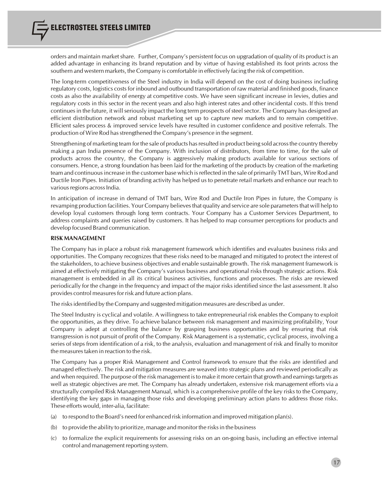orders and maintain market share. Further, Company's persistent focus on upgradation of quality of its product is an added advantage in enhancing its brand reputation and by virtue of having established its foot prints across the southern and western markets, the Company is comfortable in effectively facing the risk of competition.

The long-term competitiveness of the Steel industry in India will depend on the cost of doing business including regulatory costs, logistics costs for inbound and outbound transportation of raw material and finished goods, finance costs as also the availability of energy at competitive costs. We have seen significant increase in levies, duties and regulatory costs in this sector in the recent years and also high interest rates and other incidental costs. If this trend continues in the future, it will seriously impact the long term prospects of steel sector. The Company has designed an efficient distribution network and robust marketing set up to capture new markets and to remain competitive. Efficient sales process & improved service levels have resulted in customer confidence and positive referrals. The production of Wire Rod has strengthened the Company's presence in the segment.

Strengthening of marketing team for the sale of products has resulted in product being sold across the country thereby making a pan India presence of the Company. With inclusion of distributors, from time to time, for the sale of products across the country, the Company is aggressively making products available for various sections of consumers. Hence, a strong foundation has been laid for the marketing of the products by creation of the marketing team and continuousincrease in the customer base which isreflected in the sale of primarily TMT bars, Wire Rod and Ductile Iron Pipes. Initiation of branding activity has helped us to penetrate retail markets and enhance our reach to various regions across India.

In anticipation of increase in demand of TMT bars, Wire Rod and Ductile Iron Pipes in future, the Company is revamping production facilities. Your Company believesthat quality and service are sole parametersthat will help to develop loyal customers through long term contracts. Your Company has a Customer Services Department, to address complaints and queries raised by customers. It has helped to map consumer perceptions for products and develop focused Brand communication.

#### **RISK MANAGEMENT**

The Company has in place a robust risk management framework which identifies and evaluates business risks and opportunities. The Company recognizes that these risks need to be managed and mitigated to protect the interest of the stakeholders, to achieve business objectives and enable sustainable growth. The risk management framework is aimed at effectively mitigating the Company's various business and operational risks through strategic actions. Risk management is embedded in all its critical business activities, functions and processes. The risks are reviewed periodically for the change in the frequency and impact of the major risks identified since the last assessment. It also provides control measures for risk and future action plans.

The risksidentified by the Company and suggested mitigation measures are described as under.

The Steel Industry is cyclical and volatile. A willingness to take entrepreneurial risk enables the Company to exploit the opportunities, as they drive. To achieve balance between risk management and maximizing profitability, Your Company is adept at controlling the balance by grasping business opportunities and by ensuring that risk transgression is not pursuit of profit of the Company. Risk Management is a systematic, cyclical process, involving a series of steps from identification of a risk, to the analysis, evaluation and management of risk and finally to monitor the measures taken in reaction to the risk.

The Company has a proper Risk Management and Control framework to ensure that the risks are identified and managed effectively. The risk and mitigation measures are weaved into strategic plans and reviewed periodically as and when required. The purpose of the risk management is to make it more certain that growth and earnings targets as well as strategic objectives are met. The Company has already undertaken, extensive risk management efforts via a structurally compiled Risk Management Manual, which is a comprehensive profile of the key risks to the Company, identifying the key gaps in managing those risks and developing preliminary action plans to address those risks. These efforts would, inter-alia, facilitate:

- (a) to respond to the Board's need for enhanced risk information and improved mitigation plan(s).
- (b) to provide the ability to prioritize, manage and monitor the risksin the business
- (c) to formalize the explicit requirements for assessing risks on an on-going basis, including an effective internal control and management reporting system.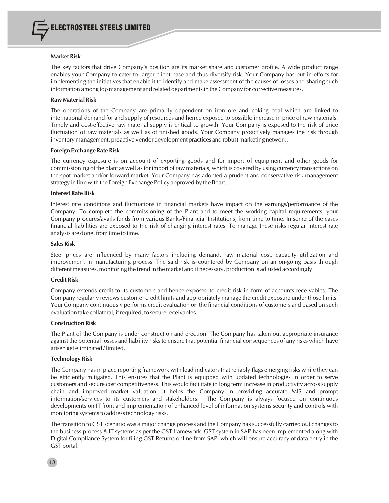

#### **Market Risk**

The key factors that drive Company's position are its market share and customer profile. A wide product range enables your Company to cater to larger client base and thus diversify risk. Your Company has put in efforts for implementing the initiatives that enable it to identify and make assessment of the causes of losses and sharing such information among top management and related departmentsin the Company for corrective measures.

#### **Raw Material Risk**

The operations of the Company are primarily dependent on iron ore and coking coal which are linked to international demand for and supply of resources and hence exposed to possible increase in price of raw materials. Timely and cost-effective raw material supply is critical to growth. Your Company is exposed to the risk of price fluctuation of raw materials as well as of finished goods. Your Company proactively manages the risk through inventory management, proactive vendor development practices and robust marketing network.

#### **Foreign Exchange Rate Risk**

The currency exposure is on account of exporting goods and for import of equipment and other goods for commissioning of the plant as well as for import of raw materials, which is covered by using currency transactions on the spot market and/or forward market. Your Company has adopted a prudent and conservative risk management strategy in line with the Foreign Exchange Policy approved by the Board.

#### **Interest Rate Risk**

Interest rate conditions and fluctuations in financial markets have impact on the earnings/performance of the Company. To complete the commissioning of the Plant and to meet the working capital requirements, your Company procures/avails funds from various Banks/Financial Institutions, from time to time. In some of the cases financial liabilities are exposed to the risk of changing interest rates. To manage these risks regular interest rate analysis are done, from time to time.

#### **Sales Risk**

Steel prices are influenced by many factors including demand, raw material cost, capacity utilization and improvement in manufacturing process. The said risk is countered by Company on an on-going basis through different measures, monitoring the trend in the market and if necessary, production is adjusted accordingly.

#### **Credit Risk**

Company extends credit to its customers and hence exposed to credit risk in form of accounts receivables. The Company regularly reviews customer credit limits and appropriately manage the credit exposure under those limits. Your Company continuously performs credit evaluation on the financial conditions of customers and based on such evaluation take collateral, if required, to secure receivables.

#### **Construction Risk**

The Plant of the Company is under construction and erection. The Company has taken out appropriate insurance against the potential losses and liability risks to ensure that potential financial consequences of any risks which have arisen get eliminated / limited.

#### **Technology Risk**

The Company has in place reporting framework with lead indicators that reliably flags emerging risks while they can be efficiently mitigated. This ensures that the Plant is equipped with updated technologies in order to serve customers and secure cost competitiveness. This would facilitate in long term increase in productivity across supply chain and improved market valuation. It helps the Company in providing accurate MIS and prompt information/services to its customers and stakeholders. The Company is always focused on continuous developments on IT front and implementation of enhanced level of information systems security and controls with monitoring systems to address technology risks.

The transition to GST scenario was a major change process and the Company hassuccessfully carried out changesto the business process & IT systems as per the GST framework. GST system in SAP has been implemented along with Digital Compliance System for filing GST Returns online from SAP, which will ensure accuracy of data entry in the GST portal.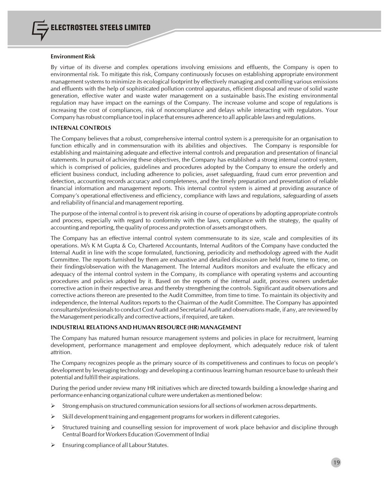#### **Environment Risk**

By virtue of its diverse and complex operations involving emissions and effluents, the Company is open to environmental risk. To mitigate this risk, Company continuously focuses on establishing appropriate environment management systems to minimize its ecological footprint by effectively managing and controlling various emissions and effluents with the help of sophisticated pollution control apparatus, efficient disposal and reuse of solid waste generation, effective water and waste water management on a sustainable basis.The existing environmental regulation may have impact on the earnings of the Company. The increase volume and scope of regulations is increasing the cost of compliances, risk of noncompliance and delays while interacting with regulators. Your Company hasrobust compliance tool in place that ensures adherence to all applicable laws and regulations.

#### **INTERNAL CONTROLS**

The Company believes that a robust, comprehensive internal control system is a prerequisite for an organisation to function ethically and in commensuration with its abilities and objectives. The Company is responsible for establishing and maintaining adequate and effective internal controls and preparation and presentation of financial statements. In pursuit of achieving these objectives, the Company has established a strong internal control system, which is comprised of policies, guidelines and procedures adopted by the Company to ensure the orderly and efficient business conduct, including adherence to policies, asset safeguarding, fraud cum error prevention and detection, accounting records accuracy and completeness, and the timely preparation and presentation of reliable financial information and management reports. This internal control system is aimed at providing assurance of Company's operational effectiveness and efficiency, compliance with laws and regulations, safeguarding of assets and reliability of financial and management reporting.

The purpose of the internal control is to prevent risk arising in course of operations by adopting appropriate controls and process, especially with regard to conformity with the laws, compliance with the strategy, the quality of accounting and reporting, the quality of process and protection of assets amongst others.

The Company has an effective internal control system commensurate to its size, scale and complexities of its operations. M/s K M Gupta & Co, Chartered Accountants, Internal Auditors of the Company have conducted the Internal Audit in line with the scope formulated, functioning, periodicity and methodology agreed with the Audit Committee. The reports furnished by them are exhaustive and detailed discussion are held from, time to time, on their findings/observation with the Management. The Internal Auditors monitors and evaluate the efficacy and adequacy of the internal control system in the Company, its compliance with operating systems and accounting procedures and policies adopted by it. Based on the reports of the internal audit, process owners undertake corrective action in their respective areas and thereby strengthening the controls. Significant audit observations and corrective actions thereon are presented to the Audit Committee, from time to time. To maintain its objectivity and independence, the Internal Auditors reports to the Chairman of the Audit Committee. The Company has appointed consultants/professionalsto conduct Cost Audit and Secretarial Audit and observations made, if any, are reviewed by the Management periodically and corrective actions, if required, are taken.

#### **INDUSTRIAL RELATIONS AND HUMAN RESOURCE (HR) MANAGEMENT**

The Company has matured human resource management systems and policies in place for recruitment, learning development, performance management and employee deployment, which adequately reduce risk of talent attrition.

The Company recognizes people as the primary source of its competitiveness and continues to focus on people's development by leveraging technology and developing a continuous learning human resource base to unleash their potential and fulfill their aspirations.

During the period under review many HR initiatives which are directed towards building a knowledge sharing and performance enhancing organizational culture were undertaken as mentioned below:

- $\triangleright$  Strong emphasis on structured communication sessions for all sections of workmen across departments.
- $\triangleright$  Skill development training and engagement programs for workers in different categories.
- $\triangleright$  Structured training and counselling session for improvement of work place behavior and discipline through Central Board for Workers Education (Government of India)
- Ø Ensuring compliance of all Labour Statutes.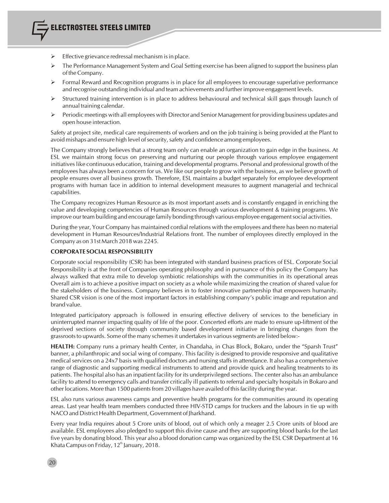- Effective grievance redressal mechanism is in place.
- $\triangleright$  The Performance Management System and Goal Setting exercise has been aligned to support the business plan of the Company.
- Formal Reward and Recognition programs is in place for all employees to encourage superlative performance and recognise outstanding individual and team achievements and further improve engagement levels.
- Ø Structured training intervention is in place to address behavioural and technical skill gaps through launch of annual training calendar.
- $\triangleright$  Periodic meetings with all employees with Director and Senior Management for providing business updates and open house interaction.

Safety at project site, medical care requirements of workers and on the job training is being provided at the Plant to avoid mishaps and ensure high level of security, safety and confidence among employees.

The Company strongly believes that a strong team only can enable an organization to gain edge in the business. At ESL we maintain strong focus on preserving and nurturing our people through various employee engagement initiativeslike continuous education, training and developmental programs. Personal and professional growth of the employees has always been a concern for us. We like our people to grow with the business, as we believe growth of people ensures over all business growth. Therefore, ESL maintains a budget separately for employee development programs with human face in addition to internal development measures to augment managerial and technical capabilities.

The Company recognizes Human Resource as its most important assets and is constantly engaged in enriching the value and developing competencies of Human Resources through various development & training programs. We improve our team building and encourage family bonding through various employee engagementsocial activities.

During the year, Your Company has maintained cordial relations with the employees and there has been no material development in Human Resources/Industrial Relations front. The number of employees directly employed in the Company as on 31st March 2018 was 2245.

#### **CORPORATE SOCIAL RESPONSIBILITY**

Corporate social responsibility (CSR) has been integrated with standard business practices of ESL. Corporate Social Responsibility is at the front of Companies operating philosophy and in pursuance of this policy the Company has always walked that extra mile to develop symbiotic relationships with the communities in its operational areas Overall aim is to achieve a positive impact on society as a whole while maximizing the creation of shared value for the stakeholders of the business. Company believes in to foster innovative partnership that empowers humanity. Shared CSR vision is one of the most important factors in establishing company's public image and reputation and brand value.

Integrated participatory approach is followed in ensuring effective delivery of services to the beneficiary in uninterrupted manner impacting quality of life of the poor. Concerted efforts are made to ensure up-liftment of the deprived sections of society through community based development initiative in bringing changes from the grassroots to upwards. Some of the many schemes it undertakes in various segments are listed below:-

**HEALTH:** Company runs a primary health Center, in Chandaha, in Chas Block, Bokaro, under the "Sparsh Trust" banner, a philanthropic and social wing of company. This facility is designed to provide responsive and qualitative medical services on a 24x7 basis with qualified doctors and nursing staffs in attendance. It also has a comprehensive range of diagnostic and supporting medical instruments to attend and provide quick and healing treatments to its patients. The hospital also has an inpatient facility for its underprivileged sections. The center also has an ambulance facility to attend to emergency calls and transfer critically ill patients to referral and specialty hospitals in Bokaro and other locations. More than 1500 patients from 20 villages have availed of this facility during the year.

ESL also runs various awareness camps and preventive health programs for the communities around its operating areas. Last year health team members conducted three HIV-STD camps for truckers and the labours in tie up with NACO and District Health Department, Government of Jharkhand.

Every year India requires about 5 Crore units of blood, out of which only a meager 2.5 Crore units of blood are available. ESL employees also pledged to support this divine cause and they are supporting blood banks for the last five years by donating blood. This year also a blood donation camp was organized by the ESL CSR Department at 16 Khata Campus on Friday,  $12<sup>th</sup>$  January, 2018.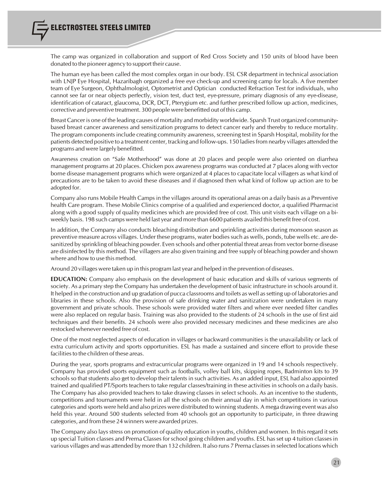The camp was organized in collaboration and support of Red Cross Society and 150 units of blood have been donated to the pioneer agency to support their cause.

The human eye has been called the most complex organ in our body. ESL CSR department in technical association with LNJP Eye Hospital, Hazaribagh organized a free eye check-up and screening camp for locals. A five member team of Eye Surgeon, Ophthalmologist, Optometrist and Optician conducted Refraction Test for individuals, who cannot see far or near objects perfectly, vision test, duct test, eye-pressure, primary diagnosis of any eye-disease, identification of cataract, glaucoma, DCR, DCT, Pterygium etc. and further prescribed follow up action, medicines, corrective and preventive treatment. 300 people were benefitted out of this camp.

Breast Cancer is one of the leading causes of mortality and morbidity worldwide. Sparsh Trust organized communitybased breast cancer awareness and sensitization programs to detect cancer early and thereby to reduce mortality. The program components include creating community awareness, screening test in Sparsh Hospital, mobility for the patients detected positive to a treatment center, tracking and follow-ups. 150 ladies from nearby villages attended the programs and were largely benefitted.

Awareness creation on "Safe Motherhood" was done at 20 places and people were also oriented on diarrhea management programs at 20 places. Chicken pox awareness programs was conducted at 7 places along with vector borne disease management programs which were organized at 4 places to capacitate local villagers as what kind of precautions are to be taken to avoid these diseases and if diagnosed then what kind of follow up action are to be adopted for.

Company also runs Mobile Health Camps in the villages around its operational areas on a daily basis as a Preventive health Care program. These Mobile Clinics comprise of a qualified and experienced doctor, a qualified Pharmacist along with a good supply of quality medicines which are provided free of cost. This unit visits each village on a biweekly basis. 198 such camps were held last year and more than 6600 patients availed this benefit free of cost.

In addition, the Company also conducts bleaching distribution and sprinkling activities during monsoon season as preventive measure across villages. Under these programs, water bodiessuch as wells, ponds, tube wells etc. are desanitized by sprinkling of bleaching powder. Even schools and other potential threat areas from vector borne disease are disinfected by this method. The villagers are also given training and free supply of bleaching powder and shown where and how to use this method.

Around 20 villages were taken up in this program last year and helped in the prevention of diseases.

**EDUCATION:** Company also emphasis on the development of basic education and skills of various segments of society. As a primary step the Company has undertaken the development of basic infrastructure in schools around it. It helped in the construction and up gradation of pucca classrooms and toilets as well assetting up of laboratories and libraries in these schools. Also the provision of safe drinking water and sanitization were undertaken in many government and private schools. These schools were provided water filters and where ever needed filter candles were also replaced on regular basis. Training was also provided to the students of 24 schools in the use of first aid techniques and their benefits. 24 schools were also provided necessary medicines and these medicines are also restocked whenever needed free of cost.

One of the most neglected aspects of education in villages or backward communities is the unavailability or lack of extra curriculum activity and sports opportunities. ESL has made a sustained and sincere effort to provide these facilities to the children of these areas.

During the year, sports programs and extracurricular programs were organized in 19 and 14 schools respectively. Company has provided sports equipment such as footballs, volley ball kits, skipping ropes, Badminton kits to 39 schools so that students also get to develop their talents in such activities. As an added input, ESL had also appointed trained and qualified PT/Sports teachers to take regular classes/training in these activities in schools on a daily basis. The Company has also provided teachers to take drawing classes in select schools. As an incentive to the students, competitions and tournaments were held in all the schools on their annual day in which competitions in various categories and sports were held and also prizes were distributed to winning students. A mega drawing event was also held this year. Around 500 students selected from 40 schools got an opportunity to participate, in three drawing categories, and from these 24 winners were awarded prizes.

The Company also lays stress on promotion of quality education in youths, children and women. In this regard it sets up special Tuition classes and Prerna Classes for school going children and youths. ESL has set up 4 tuition classes in various villages and was attended by more than 132 children. It also runs 7 Prerna classesin selected locations which

21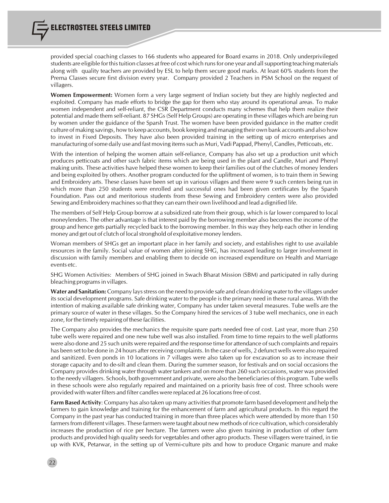provided special coaching classes to 166 students who appeared for Board exams in 2018. Only underprivileged students are eligible for thistuition classes at free of cost which runsfor one year and allsupporting teaching materials along with quality teachers are provided by ESL to help them secure good marks. At least 60% students from the Prerna Classes secure first division every year. Company provided 2 Teachers in PSM School on the request of villagers.

**Women Empowerment:** Women form a very large segment of Indian society but they are highly neglected and exploited. Company has made efforts to bridge the gap for them who stay around its operational areas. To make women independent and self-reliant, the CSR Department conducts many schemes that help them realize their potential and made them self-reliant. 87 SHGs(Self Help Groups) are operating in these villages which are being run by women under the guidance of the Sparsh Trust. The women have been provided guidance in the matter credit culture of making savings, how to keep accounts, book keeping and managing their own bank accounts and also how to invest in Fixed Deposits. They have also been provided training in the setting up of micro enterprises and manufacturing ofsome daily use and fast moving itemssuch as Muri, Vadi Pappad, Phenyl, Candles, Petticoats, etc.

With the intention of helping the women attain self-reliance, Company has also set up a production unit which produces petticoats and other such fabric items which are being used in the plant and Candle, Muri and Phenyl making units. These activities have helped these women to keep their families out of the clutches of money lenders and being exploited by others. Another program conducted for the upliftment of women, is to train them in Sewing and Embroidery arts. These classes have been set up in various villages and there were 9 such centers being run in which more than 250 students were enrolled and successful ones had been given certificates by the Sparsh Foundation. Pass out and meritorious students from these Sewing and Embroidery centers were also provided Sewing and Embroidery machines so that they can earn their own livelihood and lead a dignified life.

The members of Self Help Group borrow at a subsidized rate from their group, which is far lower compared to local moneylenders. The other advantage is that interest paid by the borrowing member also becomes the income of the group and hence gets partially recycled back to the borrowing member. In this way they help each other in lending money and get out of clutch of local stronghold of exploitative money lenders.

Woman members of SHGs get an important place in her family and society, and establishes right to use available resources in the family. Social value of women after joining SHG, has increased leading to larger involvement in discussion with family members and enabling them to decide on increased expenditure on Health and Marriage events etc.

SHG Women Activities: Members of SHG joined in Swach Bharat Mission (SBM) and participated in rally during bleaching programs in villages.

**Water and Sanitation:** Company lays stress on the need to provide safe and clean drinking water to the villages under its social development programs. Safe drinking water to the people is the primary need in these rural areas. With the intention of making available safe drinking water, Company has under taken several measures. Tube wells are the primary source of water in these villages. So the Company hired the services of 3 tube well mechanics, one in each zone, for the timely repairing of these facilities.

The Company also provides the mechanics the requisite spare parts needed free of cost. Last year, more than 250 tube wells were repaired and one new tube well was also installed. From time to time repairs to the well platforms were also done and 25 such units were repaired and the response time for attendance ofsuch complaints and repairs has been set to be done in 24 hours after receiving complaints. In the case of wells, 2 defunct wells were also repaired and sanitized. Even ponds in 10 locations in 7 villages were also taken up for excavation so as to increase their storage capacity and to de-silt and clean them. During the summer season, for festivals and on social occasions the Company provides drinking water through water tankers and on more than 260 such occasions, water was provided to the needy villagers. Schools, both government and private, were also the beneficiaries of this program. Tube wells in these schools were also regularly repaired and maintained on a priority basis free of cost. Three schools were provided with waterfilters and filter candles were replaced at 26 locationsfree of cost.

**Farm Based Activity**: Company has also taken up many activitiesthat promote farm based development and help the farmers to gain knowledge and training for the enhancement of farm and agricultural products. In this regard the Company in the past year has conducted training in more than three places which were attended by more than 150 farmersfrom different villages. These farmers were taught about new methods of rice cultivation, which considerably increases the production of rice per hectare. The farmers were also given training in production of other farm products and provided high quality seeds for vegetables and other agro products. These villagers were trained, in tie up with KVK, Petarwar, in the setting up of Vermi-culture pits and how to produce Organic manure and make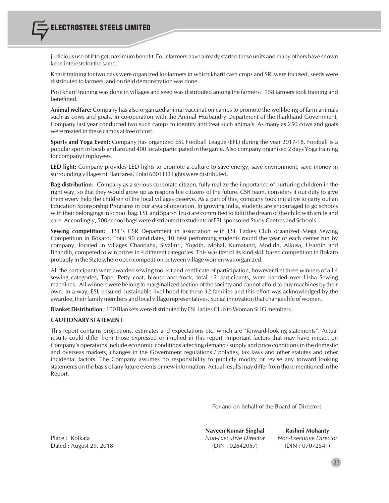judicious use of it to get maximum benefit. Four farmers have already started these units and many others have shown keen interests for the same.

Kharif training for two days were organized for farmers in which kharif cash crops and SRI were focused, seeds were distributed to farmers, and on field demonstration was done.

Post kharif training was done in villages and seed was distributed among the farmers. 158 farmers took training and benefitted.

**Animal welfare:** Company has also organized animal vaccination camps to promote the well-being of farm animals such as cows and goats. In co-operation with the Animal Husbandry Department of the Jharkhand Government, Company last year conducted two such camps to identify and treat such animals. As many as 250 cows and goats were treated in these camps at free of cost.

**Sports and Yoga Event:** Company has organized ESL Football League (EFL) during the year 2017-18. Football is a popularsport in locals and around 400 locals participated in the game. Also company organised 2 days Yoga training for company Employees.

**LED light:** Company provides LED lights to promote a culture to save energy, save environment, save money in surrounding villages of Plant area. Total 600 LED lights were distributed.

**Bag distribution**: Company as a serious corporate citizen, fully realize the importance of nurturing children in the right way, so that they would grow up as responsible citizens of the future. CSR team, considers it our duty to give them every help the children of the local villages deserve. As a part of this, company took initiative to carry out an Education Sponsorship Programs in our area of operation. In growing India, students are encouraged to go schools with their belongingsin school bag. ESL and Sparsh Trust are committed to fulfil the dream of the child with smile and care.Accordingly, 500 school bags were distributed to students of ESL sponsored Study Centres and Schools.

**Sewing competition:** ESL's CSR Department in association with ESL Ladies Club organized Mega Sewing Competition in Bokaro. Total 90 candidates, 10 best performing students round the year of each center run by company, located in villages Chandaha, Siyaljuri, Yogdih, Mohal, Kumatand, Modidh, Alkusa, Usardih and Bhandih, competed to win prizes in 4 different categories. This was first of its kind skill based competition in Bokaro probably in the State where open competition between village women was organized.

All the participants were awarded sewing tool kit and certificate of participation, however first three winners of all 4 sewing categories, Tape, Petty coat, blouse and frock, total 12 participants, were handed over Usha Sewing machines. All winners were belong to marginalized section of the society and cannot afford to buy machines by their own. In a way, ESL ensured sustainable livelihood for these 12 families and this effort was acknowledged by the awardee, their family members and local village representatives. Social innovation that changeslife of women.

**Blanket Distribution** : 100 Blankets were distributed by ESL ladies Club to Woman SHG members.

#### **CAUTIONARY STATEMENT**

This report contains projections, estimates and expectations etc. which are "forward-looking statements". Actual results could differ from those expressed or implied in this report. Important factors that may have impact on Company's operations include economic conditions affecting demand / supply and price conditions in the domestic and overseas markets, changes in the Government regulations / policies, tax laws and other statutes and other incidental factors. The Company assumes no responsibility to publicly modify or revise any forward looking statements on the basis of any future events or new information. Actual results may differ from those mentioned in the Report.

For and on behalf of the Board of Directors

Dated : August 29, 2018 (DIN : 02642057) (DIN : 07072541)

**Naveen Kumar Singhal Rashmi Mohanty** Place : Kolkata *Non-Executive Director Non-Executive Director*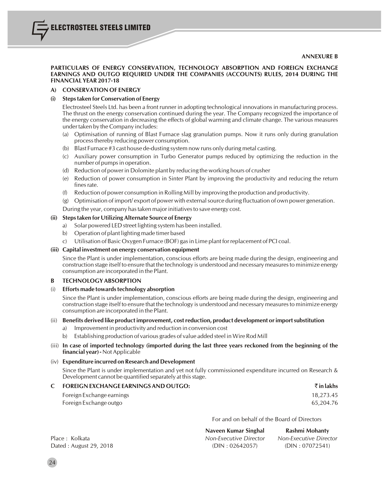#### **PARTICULARS OF ENERGY CONSERVATION, TECHNOLOGY ABSORPTION AND FOREIGN EXCHANGE EARNINGS AND OUTGO REQUIRED UNDER THE COMPANIES (ACCOUNTS) RULES, 2014 DURING THE FINANCIAL YEAR 2017-18**

#### **A) CONSERVATION OF ENERGY**

ELECTROSTEEL STEELS LIMITED

#### **(i) Stepstaken for Conservation of Energy**

Electrosteel Steels Ltd. has been a front runner in adopting technological innovations in manufacturing process. The thrust on the energy conservation continued during the year. The Company recognized the importance of the energy conservation in decreasing the effects of global warming and climate change. The various measures under taken by the Company includes:

- (a) Optimisation of running of Blast Furnace slag granulation pumps. Now it runs only during granulation processthereby reducing power consumption.
- (b) Blast Furnace #3 cast house de-dusting system now runs only during metal casting.
- (c) Auxiliary power consumption in Turbo Generator pumps reduced by optimizing the reduction in the number of pumps in operation.
- (d) Reduction of power in Dolomite plant by reducing the working hours of crusher
- (e) Reduction of power consumption in Sinter Plant by improving the productivity and reducing the return fines rate.
- (f) Reduction of power consumption in Rolling Mill by improving the production and productivity.
- (g) Optimisation of import/ export of power with externalsource during fluctuation of own power generation.
- During the year, company has taken major initiatives to save energy cost.

#### **(ii) Stepstaken for Utilizing Alternate Source of Energy**

- a) Solar powered LED street lighting system has been installed.
- b) Operation of plant lighting made timer based
- c) Utilisation of Basic Oxygen Furnace (BOF) gasin Lime plant for replacement of PCI coal.

#### **(iii) Capital investment on energy conservation equipment**

Since the Plant is under implementation, conscious efforts are being made during the design, engineering and construction stage itself to ensure that the technology is understood and necessary measuresto minimize energy consumption are incorporated in the Plant.

#### **B TECHNOLOGY ABSORPTION**

(i) **Efforts made towardstechnology absorption**

Since the Plant is under implementation, conscious efforts are being made during the design, engineering and construction stage itself to ensure that the technology is understood and necessary measuresto minimize energy consumption are incorporated in the Plant.

#### (ii) **Benefits derived like product improvement, costreduction, product development orimportsubstitution**

- a) Improvement in productivity and reduction in conversion cost
- b) Establishing production of various grades of value added steel in Wire Rod Mill
- (iii) In case of imported technology (imported during the last three years reckoned from the beginning of the **financial year) -** Not Applicable

#### (iv) **Expenditure incurred on Research and Development**

Since the Plant is under implementation and yet not fully commissioned expenditure incurred on Research & Development cannot be quantified separately at this stage.

#### **C FOREIGN EXCHANGE EARNINGS AND OUTGO:** ` **in lakhs**

| Foreign Exchange earnings | 18,273.45 |
|---------------------------|-----------|
| Foreign Exchange outgo    | 65.204.76 |

For and on behalf of the Board of Directors

|                         | Naveen Kumar Singhal   | Rashmi Mohanty         |
|-------------------------|------------------------|------------------------|
| Place : Kolkata         | Non-Executive Director | Non-Executive Director |
| Dated : August 29, 2018 | (DIN: 02642057)        | (DIN: 07072541)        |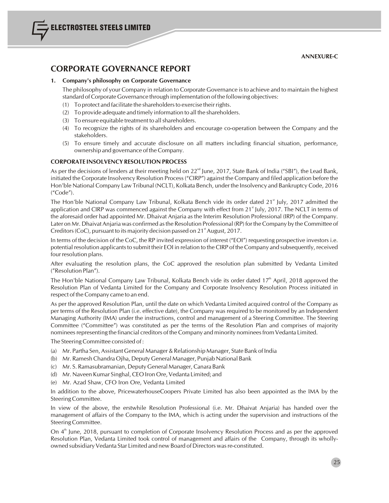**ANNEXURE-C**

## **CORPORATE GOVERNANCE REPORT**

#### **1. Company's philosophy on Corporate Governance**

The philosophy of your Company in relation to Corporate Governance is to achieve and to maintain the highest standard of Corporate Governance through implementation of the following objectives:

- (1) To protect and facilitate the shareholdersto exercise their rights.
- (2) To provide adequate and timely information to all the shareholders.
- (3) To ensure equitable treatment to all shareholders.
- (4) To recognize the rights of its shareholders and encourage co-operation between the Company and the stakeholders.
- (5) To ensure timely and accurate disclosure on all matters including financial situation, performance, ownership and governance of the Company.

#### **CORPORATE INSOLVENCY RESOLUTION PROCESS**

As per the decisions of lenders at their meeting held on  $22^{nd}$  June, 2017, State Bank of India ("SBI"), the Lead Bank, initiated the Corporate Insolvency Resolution Process ("CIRP") against the Company and filed application before the Hon'ble National Company Law Tribunal (NCLT), Kolkata Bench, under the Insolvency and Bankruptcy Code, 2016 ("Code").

The Hon'ble National Company Law Tribunal, Kolkata Bench vide its order dated 21<sup>st</sup> July, 2017 admitted the application and CIRP was commenced against the Company with effect from  $21<sup>*</sup>$  July, 2017. The NCLT in terms of the aforesaid order had appointed Mr. Dhaivat Anjaria as the Interim Resolution Professional (IRP) of the Company. Later on Mr. Dhaivat Anjaria was confirmed asthe Resolution Professional (RP) for the Company by the Committee of Creditors (CoC), pursuant to its majority decision passed on  $21<sup>st</sup>$  August, 2017.

In terms of the decision of the CoC, the RP invited expression of interest ("EOI") requesting prospective investors i.e. potential resolution applicants to submit their EOI in relation to the CIRP of the Company and subsequently, received four resolution plans.

After evaluating the resolution plans, the CoC approved the resolution plan submitted by Vedanta Limited ("Resolution Plan").

The Hon'ble National Company Law Tribunal, Kolkata Bench vide its order dated  $17<sup>th</sup>$  April, 2018 approved the Resolution Plan of Vedanta Limited for the Company and Corporate Insolvency Resolution Process initiated in respect of the Company came to an end.

As per the approved Resolution Plan, until the date on which Vedanta Limited acquired control of the Company as per terms of the Resolution Plan (i.e. effective date), the Company was required to be monitored by an Independent Managing Authority (IMA) under the instructions, control and management of a Steering Committee. The Steering Committee ("Committee") was constituted as per the terms of the Resolution Plan and comprises of majority nominees representing the financial creditors of the Company and minority nominees from Vedanta Limited.

The Steering Committee consisted of :

- (a) Mr. Partha Sen, Assistant General Manager & Relationship Manager, State Bank of India
- (b) Mr. RameshChandra Ojha, Deputy General Manager, Punjab National Bank
- (c) Mr. S. Ramasubramanian, Deputy General Manager,Canara Bank
- (d) Mr. Naveen Kumar Singhal, CEO Iron Ore, Vedanta Limited; and
- (e) Mr. Azad Shaw, CFO Iron Ore, Vedanta Limited

In addition to the above, PricewaterhouseCoopers Private Limited has also been appointed as the IMA by the Steering Committee.

In view of the above, the erstwhile Resolution Professional (i.e. Mr. Dhaivat Anjaria) has handed over the management of affairs of the Company to the IMA, which is acting under the supervision and instructions of the Steering Committee.

On 4<sup>th</sup> June, 2018, pursuant to completion of Corporate Insolvency Resolution Process and as per the approved Resolution Plan, Vedanta Limited took control of management and affairs of the Company, through its whollyowned subsidiary Vedanta Star Limited and new Board of Directors wasre-constituted.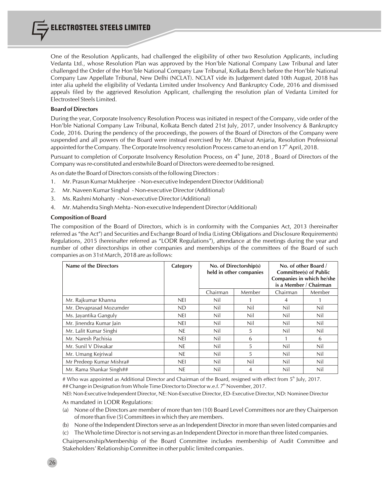One of the Resolution Applicants, had challenged the eligibility of other two Resolution Applicants, including Vedanta Ltd., whose Resolution Plan was approved by the Hon'ble National Company Law Tribunal and later challenged the Order of the Hon'ble National Company Law Tribunal, Kolkata Bench before the Hon'ble National Company Law Appellate Tribunal, New Delhi (NCLAT). NCLAT vide its Judgement dated 10th August, 2018 has inter alia upheld the eligibility of Vedanta Limited under Insolvency And Bankruptcy Code, 2016 and dismissed appeals filed by the aggrieved Resolution Applicant, challenging the resolution plan of Vedanta Limited for Electrosteel Steels Limited.

#### **Board of Directors**

During the year, Corporate Insolvency Resolution Process was initiated in respect of the Company, vide order of the Hon'ble National Company Law Tribunal, Kolkata Bench dated 21st July, 2017, under Insolvency & Bankruptcy Code, 2016. During the pendency of the proceedings, the powers of the Board of Directors of the Company were suspended and all powers of the Board were instead exercised by Mr. Dhaivat Anjaria, Resolution Professional appointed for the Company. The Corporate Insolvency resolution Process came to an end on  $17<sup>th</sup>$  April, 2018.

Pursuant to completion of Corporate Insolvency Resolution Process, on 4<sup>th</sup> June, 2018, Board of Directors of the Company was re-constituted and erstwhile Board of Directors were deemed to be resigned.

As on date the Board of Directors consists of the following Directors:

- 1. Mr. Prasun Kumar Mukherjee Non-executive Independent Director (Additional)
- 2. Mr. Naveen Kumar Singhal Non-executive Director (Additional)
- 3. Ms. Rashmi Mohanty Non-executive Director (Additional)
- 4. Mr. Mahendra Singh Mehta Non-executive Independent Director (Additional)

#### **Composition of Board**

The composition of the Board of Directors, which is in conformity with the Companies Act, 2013 (hereinafter referred as "the Act") and Securities and Exchange Board of India (Listing Obligations and Disclosure Requirements) Regulations, 2015 (hereinafter referred as "LODR Regulations"), attendance at the meetings during the year and number of other directorships in other companies and memberships of the committees of the Board of such companies as on 31st March, 2018 are as follows:

| <b>Name of the Directors</b> | Category   | No. of Directorship(s)<br>held in other companies |        |          | No. of other Board /<br><b>Committee(s) of Public</b><br>Companies in which he/she<br>is a Member / Chairman |
|------------------------------|------------|---------------------------------------------------|--------|----------|--------------------------------------------------------------------------------------------------------------|
|                              |            | Chairman                                          | Member | Chairman | Member                                                                                                       |
| Mr. Rajkumar Khanna          | <b>NEI</b> | Nil                                               |        | 4        |                                                                                                              |
| Mr. Devaprasad Mozumder      | <b>ND</b>  | Nil                                               | Nil    | Nil      | Nil                                                                                                          |
| Ms. Jayantika Ganguly        | <b>NEI</b> | Nil                                               | Nil    | Nil      | Nil                                                                                                          |
| Mr. Jinendra Kumar Jain      | nei        | Nil                                               | Nil    | Nil      | Nil                                                                                                          |
| Mr. Lalit Kumar Singhi       | <b>NE</b>  | Nil                                               | 5      | Nil      | Nil                                                                                                          |
| Mr. Naresh Pachisia          | nei        | Nil                                               | 6      |          | 6                                                                                                            |
| Mr. Sunil V Diwakar          | NE.        | Nil                                               | 5      | Nil      | Nil                                                                                                          |
| Mr. Umang Kejriwal           | NE.        | Nil                                               | 5      | Nil      | Nil                                                                                                          |
| Mr Predeep Kumar Mishra#     | <b>NEI</b> | Nil                                               | Nil    | Nil      | Nil                                                                                                          |
| Mr. Rama Shankar Singh##     | NE.        | Nil                                               | 4      | Nil      | Nil                                                                                                          |

# Who was appointed as Additional Director and Chairman of the Board, resigned with effect from  $5<sup>th</sup>$  July, 2017. ## Change in Designation from Whole Time Director to Director w.e.f. 7<sup>th</sup> November, 2017.

NEI: Non-Executive Independent Director, NE: Non-Executive Director, ED- Executive Director, ND: Nominee Director As mandated in LODR Regulations:

(a) None of the Directors are member of more than ten (10) Board Level Committees nor are they Chairperson of more than five (5) Committeesin which they are members.

(b) None of the Independent Directorsserve as an Independent Directorin more than seven listed companies and

(c) The Whole time Director is notserving as an Independent Director in more than three listed companies.

Chairpersonship/Membership of the Board Committee includes membership of Audit Committee and Stakeholders' Relationship Committee in other public limited companies.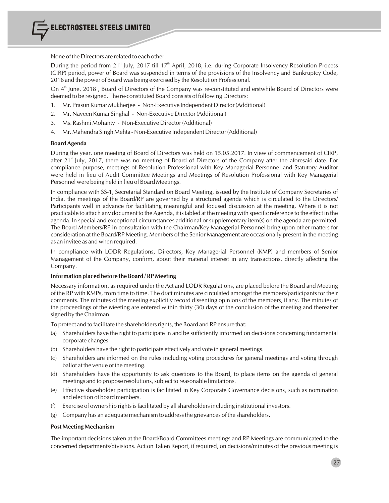None of the Directors are related to each other.

During the period from 21<sup>st</sup> July, 2017 till 17<sup>th</sup> April, 2018, i.e. during Corporate Insolvency Resolution Process (CIRP) period, power of Board was suspended in terms of the provisions of the Insolvency and Bankruptcy Code, 2016 and the power of Board was being exercised by the Resolution Professional.

On 4<sup>th</sup> June, 2018, Board of Directors of the Company was re-constituted and erstwhile Board of Directors were deemed to be resigned. The re-constituted Board consists of following Directors:

- 1. Mr. Prasun Kumar Mukherjee Non-Executive Independent Director (Additional)
- 2. Mr. Naveen Kumar Singhal Non-Executive Director (Additional)
- 3. Ms. Rashmi Mohanty Non-Executive Director (Additional)
- 4. Mr. Mahendra Singh Mehta Non-Executive Independent Director (Additional)

#### **Board Agenda**

During the year, one meeting of Board of Directors was held on 15.05.2017. In view of commencement of CIRP, after 21<sup><sup>\*</sup></sup> July, 2017, there was no meeting of Board of Directors of the Company after the aforesaid date. For compliance purpose, meetings of Resolution Professional with Key Managerial Personnel and Statutory Auditor were held in lieu of Audit Committee Meetings and Meetings of Resolution Professional with Key Managerial Personnel were being held in lieu of Board Meetings.

In compliance with SS-1, Secretarial Standard on Board Meeting, issued by the Institute of Company Secretaries of India, the meetings of the Board/RP are governed by a structured agenda which is circulated to the Directors/ Participants well in advance for facilitating meaningful and focused discussion at the meeting. Where it is not practicable to attach any document to the Agenda, it istabled at the meeting with specific reference to the effect in the agenda. In special and exceptional circumstances additional or supplementary item(s) on the agenda are permitted. The Board Members/RP in consultation with the Chairman/Key Managerial Personnel bring upon other matters for consideration at the Board/RP Meeting. Members of the Senior Management are occasionally present in the meeting as an invitee as and when required.

In compliance with LODR Regulations, Directors, Key Managerial Personnel (KMP) and members of Senior Management of the Company, confirm, about their material interest in any transactions, directly affecting the Company.

#### **Information placed before the Board / RP Meeting**

Necessary information, as required under the Act and LODR Regulations, are placed before the Board and Meeting of the RP with KMPs, from time to time. The draft minutes are circulated amongst the members/participants for their comments. The minutes of the meeting explicitly record dissenting opinions of the members, if any. The minutes of the proceedings of the Meeting are entered within thirty (30) days of the conclusion of the meeting and thereafter signed by the Chairman.

To protect and to facilitate the shareholders rights, the Board and RP ensure that:

- (a) Shareholders have the right to participate in and be sufficiently informed on decisions concerning fundamental corporate changes.
- (b) Shareholders have the right to participate effectively and vote in general meetings.
- (c) Shareholders are informed on the rules including voting procedures for general meetings and voting through ballot at the venue of the meeting.
- (d) Shareholders have the opportunity to ask questions to the Board, to place items on the agenda of general meetings and to propose resolutions, subject to reasonable limitations.
- (e) Effective shareholder participation is facilitated in Key Corporate Governance decisions, such as nomination and election of board members.
- $(f)$  Exercise of ownership rights is facilitated by all shareholders including institutional investors.
- (g) Company has an adequate mechanism to addressthe grievances of the shareholders**.**

#### **Post Meeting Mechanism**

The important decisions taken at the Board/Board Committees meetings and RP Meetings are communicated to the concerned departments/divisions. Action Taken Report, if required, on decisions/minutes of the previous meeting is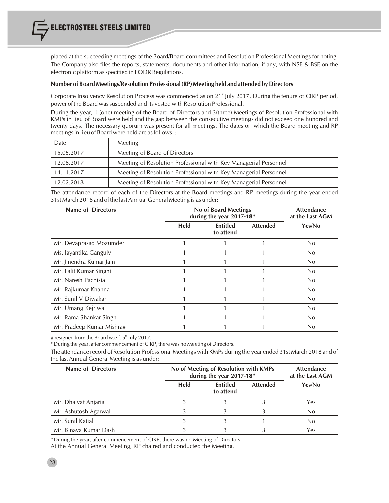placed at the succeeding meetings of the Board/Board committees and Resolution Professional Meetings for noting. The Company also files the reports, statements, documents and other information, if any, with NSE & BSE on the electronic platform as specified in LODR Regulations.

#### **Number of Board Meetings/Resolution Professional (RP) Meeting held and attended by Directors**

Corporate Insolvency Resolution Process was commenced as on 21<sup>st</sup> July 2017. During the tenure of CIRP period, power of the Board was suspended and its vested with Resolution Professional.

During the year, 1 (one) meeting of the Board of Directors and 3(three) Meetings of Resolution Professional with KMPs in lieu of Board were held and the gap between the consecutive meetings did not exceed one hundred and twenty days. The necessary quorum was present for all meetings. The dates on which the Board meeting and RP meetings in lieu of Board were held are as follows :

| Date       | <b>Meeting</b>                                                   |
|------------|------------------------------------------------------------------|
| 15.05.2017 | Meeting of Board of Directors                                    |
| 12.08.2017 | Meeting of Resolution Professional with Key Managerial Personnel |
| 14.11.2017 | Meeting of Resolution Professional with Key Managerial Personnel |
| 12.02.2018 | Meeting of Resolution Professional with Key Managerial Personnel |

The attendance record of each of the Directors at the Board meetings and RP meetings during the year ended 31st March 2018 and of the lastAnnual General Meeting is as under:

| Name of Directors         | No of Board Meetings<br>during the year 2017-18* |                              |                 | <b>Attendance</b><br>at the Last AGM |
|---------------------------|--------------------------------------------------|------------------------------|-----------------|--------------------------------------|
|                           | Held                                             | <b>Entitled</b><br>to attend | <b>Attended</b> | Yes/No                               |
| Mr. Devaprasad Mozumder   |                                                  |                              |                 | N <sub>0</sub>                       |
| Ms. Jayantika Ganguly     |                                                  |                              |                 | No                                   |
| Mr. Jinendra Kumar Jain   |                                                  |                              |                 | N <sub>0</sub>                       |
| Mr. Lalit Kumar Singhi    |                                                  |                              |                 | N <sub>0</sub>                       |
| Mr. Naresh Pachisia       |                                                  |                              |                 | N <sub>0</sub>                       |
| Mr. Rajkumar Khanna       |                                                  |                              |                 | No                                   |
| Mr. Sunil V Diwakar       |                                                  |                              |                 | No                                   |
| Mr. Umang Kejriwal        |                                                  |                              |                 | N <sub>0</sub>                       |
| Mr. Rama Shankar Singh    |                                                  |                              |                 | No                                   |
| Mr. Pradeep Kumar Mishra# |                                                  |                              |                 | No                                   |

# resigned from the Board w.e.f.  $5<sup>th</sup>$  July 2017.

\*During the year, after commencement of CIRP, there was no Meeting of Directors.

The attendance record of Resolution Professional Meetings with KMPs during the year ended 31st March 2018 and of the last Annual General Meeting is as under:

| Name of Directors     | No of Meeting of Resolution with KMPs<br>during the year 2017-18* |                              |                 | <b>Attendance</b><br>at the Last AGM |
|-----------------------|-------------------------------------------------------------------|------------------------------|-----------------|--------------------------------------|
|                       | <b>Held</b>                                                       | <b>Entitled</b><br>to attend | <b>Attended</b> | Yes/No                               |
| Mr. Dhaivat Anjaria   |                                                                   |                              |                 | Yes                                  |
| Mr. Ashutosh Agarwal  |                                                                   |                              |                 | N <sub>0</sub>                       |
| Mr. Sunil Katial      |                                                                   |                              |                 | N <sub>0</sub>                       |
| Mr. Binaya Kumar Dash |                                                                   |                              |                 | Yes                                  |

\*During the year, after commencement of CIRP, there was no Meeting of Directors. At the Annual General Meeting, RP chaired and conducted the Meeting.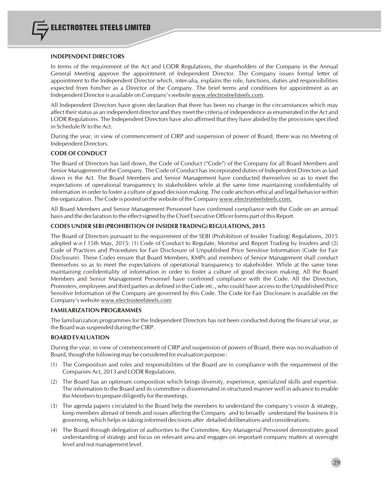#### **INDEPENDENT DIRECTORS**

In terms of the requirement of the Act and LODR Regulations, the shareholders of the Company in the Annual General Meeting approve the appointment of Independent Director. The Company issues formal letter of appointment to the Independent Director which, inter-alia, explains the role, functions, duties and responsibilities expected from him/her as a Director of the Company. The brief terms and conditions for appointment as an Independent Director is available on Company's website www.electrosteelsteels.com.

All Independent Directors have given declaration that there has been no change in the circumstances which may affect their status as an independent director and they meet the criteria of independence as enumerated in the Act and LODR Regulations. The Independent Directors have also affirmed that they have abided by the provisions specified in Schedule IV to the Act.

During the year, in view of commencement of CIRP and suspension of power of Board, there was no Meeting of Independent Directors.

#### **CODE OFCONDUCT**

The Board of Directors has laid down, the Code of Conduct ("Code") of the Company for all Board Members and Senior Management of the Company. The Code of Conduct has incorporated duties of Independent Directors as laid down in the Act. The Board Members and Senior Management have conducted themselves so as to meet the expectations of operational transparency to stakeholders while at the same time maintaining confidentiality of information in order to foster a culture of good decision making. The code anchors ethical and legal behavior within the organization. The Code is posted on the website of the Company www.electrosteelsteels.com.

All Board Members and Senior Management Personnel have confirmed compliance with the Code on an annual basis and the declaration to the effect signed by the Chief Executive Officer forms part of this Report.

#### **CODES UNDER SEBI (PROHIBITION OF INSIDER TRADING) REGULATIONS, 2015**

The Board of Directors pursuant to the requirement of the SEBI (Prohibition of Insider Trading) Regulations, 2015 adopted w.e.f 15th May, 2015: (1) Code of Conduct to Regulate, Monitor and Report Trading by Insiders and (2) Code of Practices and Procedures for Fair Disclosure of Unpublished Price Sensitive Information (Code for Fair Disclosure). These Codes ensure that Board Members, KMPs and members of Senior Management shall conduct themselves so as to meet the expectations of operational transparency to stakeholder. While at the same time maintaining confidentiality of information in order to foster a culture of good decision making. All the Board Members and Senior Management Personnel have confirmed compliance with the Code. All the Directors, Promoters, employees and third parties as defined in the Code etc., who could have access to the Unpublished Price Sensitive Information of the Company are governed by this Code. The Code for Fair Disclosure is available on the Company's website www.electrosteelsteels.com

#### **FAMILARIZATION PROGRAMMES**

The familiarization programmes for the Independent Directors has not been conducted during the financial year, as the Board was suspended during the CIRP.

#### **BOARD EVALUATION**

During the year, in view of commencement of CIRP and suspension of powers of Board, there was no evaluation of Board, though the following may be considered for evaluation purpose :

- (1) The Composition and roles and responsibilities of the Board are in compliance with the requirement of the CompaniesAct, 2013 and LODR Regulations.
- (2) The Board has an optimum composition which brings diversity, experience, specialized skills and expertise. The information to the Board and its committee is disseminated in structured manner well in advance to enable the Membersto prepare diligently for the meetings.
- (3) The agenda papers circulated to the Board help the members to understand the company's vision & strategy, keep members abreast of trends and issues affecting the Company and to broadly understand the business it is governing, which helpsin taking informed decisions after detailed deliberations and considerations.
- (4) The Board through delegation of authorities to the Committee, Key Managerial Personnel demonstrates good understanding of strategy and focus on relevant area and engages on important company matters at oversight level and not management level.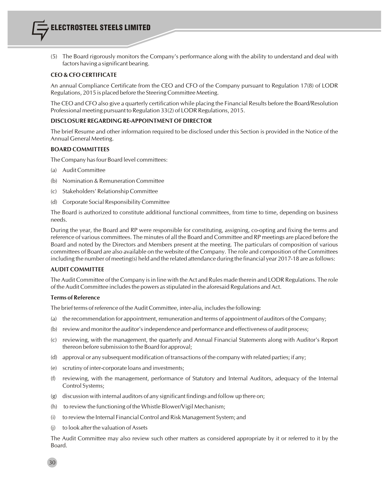

(5) The Board rigorously monitors the Company's performance along with the ability to understand and deal with factors having a significant bearing.

#### **CEO & CFO CERTIFICATE**

An annual Compliance Certificate from the CEO and CFO of the Company pursuant to Regulation 17(8) of LODR Regulations, 2015 is placed before the Steering Committee Meeting.

The CEO and CFO also give a quarterly certification while placing the Financial Results before the Board/Resolution Professional meeting pursuant to Regulation 33(2) of LODR Regulations, 2015.

#### **DISCLOSURE REGARDING RE-APPOINTMENT OF DIRECTOR**

The brief Resume and other information required to be disclosed under this Section is provided in the Notice of the Annual General Meeting.

#### **BOARD COMMITTEES**

The Company has four Board level committees:

- (a) Audit Committee
- (b) Nomination & Remuneration Committee
- (c) Stakeholders' Relationship Committee
- (d) Corporate Social Responsibility Committee

The Board is authorized to constitute additional functional committees, from time to time, depending on business needs.

During the year, the Board and RP were responsible for constituting, assigning, co-opting and fixing the terms and reference of various committees. The minutes of all the Board and Committee and RP meetings are placed before the Board and noted by the Directors and Members present at the meeting. The particulars of composition of various committees of Board are also available on the website of the Company. The role and composition of the Committees including the number of meeting(s) held and the related attendance during the financial year 2017-18 are asfollows:

#### **AUDIT COMMITTEE**

The Audit Committee of the Company isin line with the Act and Rules made therein and LODR Regulations. The role of the Audit Committee includes the powers as stipulated in the aforesaid Regulations and Act.

#### **Terms of Reference**

The brief terms of reference of the Audit Committee, inter-alia, includesthe following:

- (a) the recommendation for appointment, remuneration and terms of appointment of auditors of the Company;
- (b) review and monitor the auditor'sindependence and performance and effectiveness of audit process;
- (c) reviewing, with the management, the quarterly and Annual Financial Statements along with Auditor's Report thereon before submission to the Board for approval;
- (d) approval or any subsequent modification of transactions of the company with related parties; if any;
- (e) scrutiny of inter-corporate loans and investments;
- (f) reviewing, with the management, performance of Statutory and Internal Auditors, adequacy of the Internal Control Systems;
- (g) discussion with internal auditors of any significant findings and follow up there on;
- (h) to review the functioning of the Whistle Blower/Vigil Mechanism;
- (i) to review the Internal FinancialControl and Risk Management System; and
- (j) to look afterthe valuation of Assets

The Audit Committee may also review such other matters as considered appropriate by it or referred to it by the Board.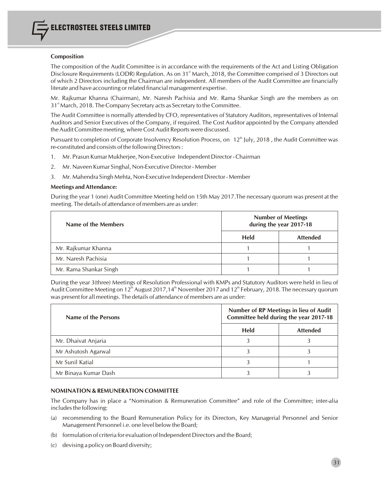#### **Composition**

The composition of the Audit Committee is in accordance with the requirements of the Act and Listing Obligation Disclosure Requirements (LODR) Regulation. As on 31<sup>st</sup> March, 2018, the Committee comprised of 3 Directors out of which 2 Directors including the Chairman are independent. All members of the Audit Committee are financially literate and have accounting orrelated financial management expertise.

Mr. Rajkumar Khanna (Chairman), Mr. Naresh Pachisia and Mr. Rama Shankar Singh are the members as on 31<sup>st</sup> March, 2018. The Company Secretary acts as Secretary to the Committee.

The Audit Committee is normally attended by CFO, representatives of Statutory Auditors, representatives of Internal Auditors and Senior Executives of the Company, if required. The Cost Auditor appointed by the Company attended the Audit Committee meeting, where Cost Audit Reports were discussed.

Pursuant to completion of Corporate Insolvency Resolution Process, on 12<sup>th</sup> July, 2018, the Audit Committee was re-constituted and consists of the following Directors:

- 1. Mr. Prasun Kumar Mukherjee, Non-Executive Independent Director Chairman
- 2. Mr. Naveen Kumar Singhal, Non-Executive Director Member
- 3. Mr. Mahendra Singh Mehta, Non-Executive Independent Director Member

#### **Meetings and Attendance:**

During the year 1 (one) Audit Committee Meeting held on 15th May 2017.The necessary quorum was present at the meeting. The details of attendance of members are as under:

| Name of the Members    | <b>Number of Meetings</b><br>during the year 2017-18 |                 |  |
|------------------------|------------------------------------------------------|-----------------|--|
|                        | <b>Held</b>                                          | <b>Attended</b> |  |
| Mr. Rajkumar Khanna    |                                                      |                 |  |
| Mr. Naresh Pachisia    |                                                      |                 |  |
| Mr. Rama Shankar Singh |                                                      |                 |  |

During the year 3(three) Meetings of Resolution Professional with KMPs and Statutory Auditors were held in lieu of Audit Committee Meeting on 12<sup>th</sup> August 2017,14<sup>th</sup> November 2017 and 12<sup>th</sup> February, 2018. The necessary quorum was present for all meetings. The details of attendance of members are as under:

| Name of the Persons  | Number of RP Meetings in lieu of Audit<br>Committee held during the year 2017-18 |                 |  |
|----------------------|----------------------------------------------------------------------------------|-----------------|--|
|                      | Held                                                                             | <b>Attended</b> |  |
| Mr. Dhaivat Anjaria  |                                                                                  |                 |  |
| Mr Ashutosh Agarwal  |                                                                                  |                 |  |
| Mr Sunil Katial      |                                                                                  |                 |  |
| Mr Binaya Kumar Dash |                                                                                  |                 |  |

#### **NOMINATION & REMUNERATION COMMITTEE**

The Company has in place a "Nomination & Remuneration Committee" and role of the Committee; inter-alia includes the following:

- (a) recommending to the Board Remuneration Policy for its Directors, Key Managerial Personnel and Senior Management Personnel i.e. one level below the Board;
- (b) formulation of criteria for evaluation of Independent Directors and the Board;
- (c) devising a policy on Board diversity;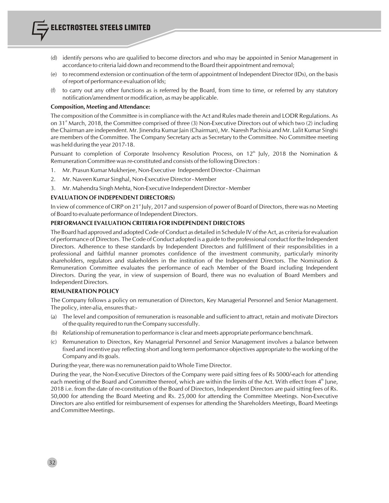- (d) identify persons who are qualified to become directors and who may be appointed in Senior Management in accordance to criteria laid down and recommend to the Board their appointment and removal;
- (e) to recommend extension or continuation of the term of appointment of Independent Director (IDs), on the basis ofreport of performance evaluation of Ids;
- (f) to carry out any other functions as is referred by the Board, from time to time, or referred by any statutory notification/amendment or modification, as may be applicable.

#### **Composition, Meeting and Attendance:**

The composition of the Committee is in compliance with the Act and Rules made therein and LODR Regulations. As on 31<sup><sup>st</sup> March, 2018, the Committee comprised of three (3) Non-Executive Directors out of which two (2) including</sup> the Chairman are independent. Mr. Jinendra Kumar Jain (Chairman), Mr. Naresh Pachisia and Mr. Lalit Kumar Singhi are members of the Committee. The Company Secretary acts as Secretary to the Committee. No Committee meeting was held during the year 2017-18.

Pursuant to completion of Corporate Insolvency Resolution Process, on  $12<sup>th</sup>$  July, 2018 the Nomination & Remuneration Committee was re-constituted and consists of the following Directors:

- 1. Mr. Prasun Kumar Mukherjee, Non-Executive Independent Director Chairman
- 2. Mr. Naveen Kumar Singhal, Non-Executive Director Member
- 3. Mr. Mahendra Singh Mehta, Non-Executive Independent Director Member

#### **EVALUATION OF INDEPENDENT DIRECTOR(S)**

In view of commence of CIRP on 21<sup>st</sup> July, 2017 and suspension of power of Board of Directors, there was no Meeting of Board to evaluate performance of Independent Directors.

#### **PERFORMANCE EVALUATION CRITERIA FOR INDEPENDENT DIRECTORS**

The Board had approved and adopted Code of Conduct as detailed in Schedule IV of the Act, as criteria for evaluation of performance of Directors. The Code of Conduct adopted is a guide to the professional conduct for the Independent Directors. Adherence to these standards by Independent Directors and fulfillment of their responsibilities in a professional and faithful manner promotes confidence of the investment community, particularly minority shareholders, regulators and stakeholders in the institution of the Independent Directors. The Nomination & Remuneration Committee evaluates the performance of each Member of the Board including Independent Directors. During the year, in view of suspension of Board, there was no evaluation of Board Members and Independent Directors.

#### **REMUNERATION POLICY**

The Company follows a policy on remuneration of Directors, Key Managerial Personnel and Senior Management. The policy, inter-alia, ensures that:-

- (a) The level and composition of remuneration is reasonable and sufficient to attract, retain and motivate Directors of the quality required to run the Company successfully.
- (b) Relationship of remuneration to performance is clear and meets appropriate performance benchmark.
- (c) Remuneration to Directors, Key Managerial Personnel and Senior Management involves a balance between fixed and incentive pay reflecting short and long term performance objectives appropriate to the working of the Company and its goals.

During the year, there was no remuneration paid to Whole Time Director.

During the year, the Non-Executive Directors of the Company were paid sitting fees of Rs 5000/-each for attending each meeting of the Board and Committee thereof, which are within the limits of the Act. With effect from  $4<sup>m</sup>$  June, 2018 i.e. from the date of re-constitution of the Board of Directors, Independent Directors are paid sitting fees of Rs. 50,000 for attending the Board Meeting and Rs. 25,000 for attending the Committee Meetings. Non-Executive Directors are also entitled for reimbursement of expenses for attending the Shareholders Meetings, Board Meetings and Committee Meetings.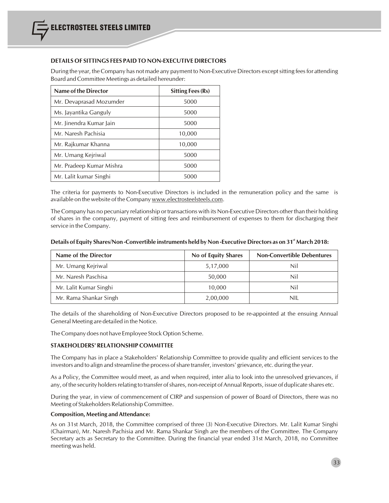#### **DETAILS OF SITTINGS FEES PAID TO NON-EXECUTIVE DIRECTORS**

During the year, the Company has not made any payment to Non-Executive Directors exceptsitting feesfor attending Board and Committee Meetings as detailed hereunder:

| Name of the Director     | <b>Sitting Fees (Rs)</b> |  |
|--------------------------|--------------------------|--|
| Mr. Devaprasad Mozumder  | 5000                     |  |
| Ms. Jayantika Ganguly    | 5000                     |  |
| Mr. Jinendra Kumar Jain  | 5000                     |  |
| Mr. Naresh Pachisia      | 10,000                   |  |
| Mr. Rajkumar Khanna      | 10,000                   |  |
| Mr. Umang Kejriwal       | 5000                     |  |
| Mr. Pradeep Kumar Mishra | 5000                     |  |
| Mr. Lalit kumar Singhi   | 5000                     |  |

The criteria for payments to Non-Executive Directors is included in the remuneration policy and the same is available on the website of the Company www.electrosteelsteels.com.

The Company has no pecuniary relationship or transactions with its Non-Executive Directors other than their holding of shares in the company, payment of sitting fees and reimbursement of expenses to them for discharging their service in the Company.

| Details of Equity Shares/Non-Convertible instruments held by Non-Executive Directors as on 31 <sup>st</sup> March 2018: |  |
|-------------------------------------------------------------------------------------------------------------------------|--|
|                                                                                                                         |  |

| Name of the Director   | No of Equity Shares | <b>Non-Convertible Debentures</b> |
|------------------------|---------------------|-----------------------------------|
| Mr. Umang Kejriwal     | 5,17,000            | Nil                               |
| Mr. Naresh Paschisa    | 50,000              | Nil                               |
| Mr. Lalit Kumar Singhi | 10,000              | Nil                               |
| Mr. Rama Shankar Singh | 2,00,000            | nil                               |

The details of the shareholding of Non-Executive Directors proposed to be re-appointed at the ensuing Annual General Meeting are detailed in the Notice.

The Company does not have Employee Stock Option Scheme.

#### **STAKEHOLDERS' RELATIONSHIP COMMITTEE**

The Company has in place a Stakeholders' Relationship Committee to provide quality and efficient services to the investors and to align and streamline the process ofshare transfer, investors' grievance, etc. during the year.

As a Policy, the Committee would meet, as and when required, inter alia to look into the unresolved grievances, if any, of the security holders relating to transfer of shares, non-receipt of Annual Reports, issue of duplicate shares etc.

During the year, in view of commencement of CIRP and suspension of power of Board of Directors, there was no Meeting of Stakeholders Relationship Committee.

#### **Composition, Meeting and Attendance:**

As on 31st March, 2018, the Committee comprised of three (3) Non-Executive Directors. Mr. Lalit Kumar Singhi (Chairman), Mr. Naresh Pachisia and Mr. Rama Shankar Singh are the members of the Committee. The Company Secretary acts as Secretary to the Committee. During the financial year ended 31st March, 2018, no Committee meeting was held.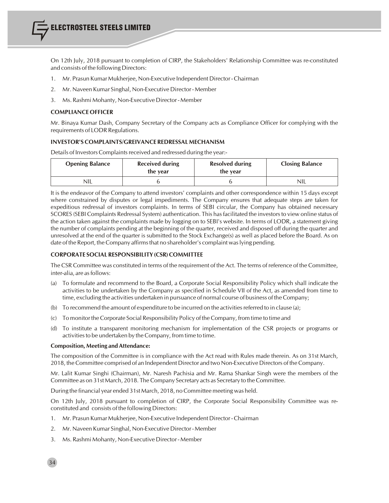On 12th July, 2018 pursuant to completion of CIRP, the Stakeholders' Relationship Committee was re-constituted and consists of the following Directors:

- 1. Mr. Prasun Kumar Mukherjee, Non-Executive Independent Director Chairman
- 2. Mr. Naveen Kumar Singhal, Non-Executive Director Member
- 3. Ms. Rashmi Mohanty, Non-Executive Director Member

#### **COMPLIANCE OFFICER**

Mr. Binaya Kumar Dash, Company Secretary of the Company acts as Compliance Officer for complying with the requirements of LODR Regulations.

#### **INVESTOR'S COMPLAINTS/GREIVANCE REDRESSAL MECHANISM**

Details of Investors Complaints received and redressed during the year:-

| <b>Opening Balance</b> | <b>Received during</b><br>the year | <b>Resolved during</b><br>the year | <b>Closing Balance</b> |
|------------------------|------------------------------------|------------------------------------|------------------------|
| NIL                    |                                    |                                    | <b>NIL</b>             |

It is the endeavor of the Company to attend investors' complaints and other correspondence within 15 days except where constrained by disputes or legal impediments. The Company ensures that adequate steps are taken for expeditious redressal of investors complaints. In terms of SEBI circular, the Company has obtained necessary SCORES (SEBI Complaints Redressal System) authentication. This hasfacilitated the investorsto view online status of the action taken against the complaints made by logging on to SEBI's website. In terms of LODR, a statement giving the number of complaints pending at the beginning of the quarter, received and disposed off during the quarter and unresolved at the end of the quarter is submitted to the Stock Exchange(s) as well as placed before the Board. As on date of the Report, the Company affirms that no shareholder's complaint was lying pending.

#### **CORPORATE SOCIAL RESPONSIBILITY (CSR) COMMITTEE**

The CSR Committee was constituted in terms of the requirement of the Act. The terms of reference of the Committee, inter-alia, are as follows:

- (a) To formulate and recommend to the Board, a Corporate Social Responsibility Policy which shall indicate the activities to be undertaken by the Company as specified in Schedule VII of the Act, as amended from time to time, excluding the activities undertaken in pursuance of normal course of business of the Company;
- (b) To recommend the amount of expenditure to be incurred on the activities referred to in clause (a);
- (c) To monitor the Corporate Social Responsibility Policy of the Company, from time to time and
- (d) To institute a transparent monitoring mechanism for implementation of the CSR projects or programs or activities to be undertaken by the Company, from time to time.

#### **Composition, Meeting and Attendance:**

The composition of the Committee is in compliance with the Act read with Rules made therein. As on 31st March, 2018, the Committee comprised of an Independent Director and two Non-Executive Directors of the Company.

Mr. Lalit Kumar Singhi (Chairman), Mr. Naresh Pachisia and Mr. Rama Shankar Singh were the members of the Committee as on 31st March, 2018. The Company Secretary acts as Secretary to the Committee.

During the financial year ended 31st March, 2018, no Committee meeting was held.

On 12th July, 2018 pursuant to completion of CIRP, the Corporate Social Responsibility Committee was reconstituted and consists of the following Directors:

- 1. Mr. Prasun Kumar Mukherjee, Non-Executive Independent Director Chairman
- 2. Mr. Naveen Kumar Singhal, Non-Executive Director Member
- 3. Ms. Rashmi Mohanty, Non-Executive Director Member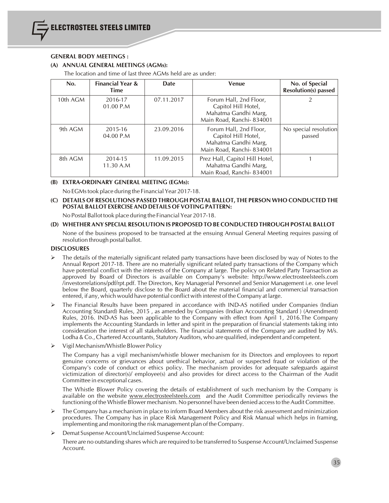#### **GENERAL BODY MEETINGS :**

#### **(A) ANNUAL GENERAL MEETINGS (AGMs):**

The location and time of last three AGMs held are as under:

| No.      | <b>Financial Year &amp;</b><br>Time | <b>Date</b> | <b>Venue</b>                                                                                      | No. of Special<br><b>Resolution(s)</b> passed |
|----------|-------------------------------------|-------------|---------------------------------------------------------------------------------------------------|-----------------------------------------------|
| 10th AGM | 2016-17<br>01.00 P.M                | 07.11.2017  | Forum Hall, 2nd Floor,<br>Capitol Hill Hotel,<br>Mahatma Gandhi Marg,<br>Main Road, Ranchi-834001 |                                               |
| 9th AGM  | 2015-16<br>04.00 P.M                | 23.09.2016  | Forum Hall, 2nd Floor,<br>Capitol Hill Hotel,<br>Mahatma Gandhi Marg,<br>Main Road, Ranchi-834001 | No special resolution<br>passed               |
| 8th AGM  | 2014-15<br>11.30 A.M                | 11.09.2015  | Prez Hall, Capitol Hill Hotel,<br>Mahatma Gandhi Marg,<br>Main Road, Ranchi-834001                |                                               |

#### **(B) EXTRA-ORDINARY GENERAL MEETING (EGMs):**

No EGMs took place during the Financial Year 2017-18.

#### **(C) DETAILS OF RESOLUTIONS PASSED THROUGH POSTAL BALLOT, THE PERSON WHO CONDUCTED THE POSTAL BALLOT EXERCISE AND DETAILS OFVOTING PATTERN:**

No Postal Ballot took place during the Financial Year 2017-18.

#### **(D) WHETHER ANY SPECIAL RESOLUTION IS PROPOSED TO BE CONDUCTED THROUGH POSTAL BALLOT**

None of the business proposed to be transacted at the ensuing Annual General Meeting requires passing of resolution through postal ballot.

#### **DISCLOSURES**

- The details of the materially significant related party transactions have been disclosed by way of Notes to the Annual Report 2017-18. There are no materially significant related party transactions of the Company which have potential conflict with the interests of the Company at large. The policy on Related Party Transaction as approved by Board of Directors is available on Company's website: http://www.electrosteelsteels.com /investorrelations/pdf/rpt.pdf. The Directors, Key Managerial Personnel and Senior Management i.e. one level below the Board, quarterly disclose to the Board about the material financial and commercial transaction entered, if any, which would have potential conflict with interest of the Company at large.
- Ø The Financial Results have been prepared in accordance with IND-AS notified under Companies (Indian Accounting Standard) Rules, 2015 , as amended by Companies (Indian Accounting Standard ) (Amendment) Rules, 2016. IND-AS has been applicable to the Company with effect from April 1, 2016.The Company implements the Accounting Standards in letter and spirit in the preparation of financial statements taking into consideration the interest of all stakeholders. The financial statements of the Company are audited by M/s. Lodha & Co., Chartered Accountants, Statutory Auditors, who are qualified, independent and competent.
- $\triangleright$  Vigil Mechanism/Whistle Blower Policy

The Company has a vigil mechanism/whistle blower mechanism for its Directors and employees to report genuine concerns or grievances about unethical behavior, actual or suspected fraud or violation of the Company's code of conduct or ethics policy. The mechanism provides for adequate safeguards against victimization of director(s)/ employee(s) and also provides for direct access to the Chairman of the Audit Committee in exceptional cases.

The Whistle Blower Policy covering the details of establishment of such mechanism by the Company is available on the website www.electrosteelsteels.com and the Audit Committee periodically reviews the functioning of the Whistle Blower mechanism. No personnel have been denied accessto the Audit Committee.

- The Company has a mechanism in place to inform Board Members about the risk assessment and minimization procedures. The Company has in place Risk Management Policy and Risk Manual which helps in framing, implementing and monitoring the risk management plan of the Company.
- Ø Demat Suspense Account/Unclaimed Suspense Account:

There are no outstanding shares which are required to be transferred to Suspense Account/Unclaimed Suspense Account.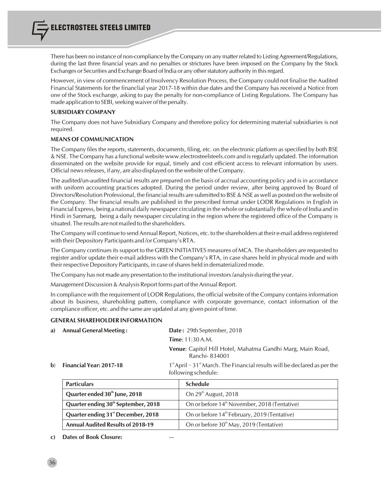ELECTROSTEEL STEELS LIMITED

There has been no instance of non-compliance by the Company on any matter related to Listing Agreement/Regulations, during the last three financial years and no penalties or strictures have been imposed on the Company by the Stock Exchanges or Securities and Exchange Board of India or any otherstatutory authority in thisregard.

However, in view of commencement of Insolvency Resolution Process, the Company could not finalise the Audited Financial Statements for the financlial year 2017-18 within due dates and the Company has received a Notice from one of the Stock exchange, asking to pay the penalty for non-compliance of Listing Regulations. The Company has made application to SEBI, seeking waiver of the penalty.

# **SUBSIDIARY COMPANY**

The Company does not have Subsidiary Company and therefore policy for determining material subsidiaries is not required.

# **MEANS OFCOMMUNICATION**

The Company files the reports, statements, documents, filing, etc. on the electronic platform as specified by both BSE & NSE. The Company has a functional website www.electrosteelsteels.com and isregularly updated. The information disseminated on the website provide for equal, timely and cost efficient access to relevant information by users. Official news releases, if any, are also displayed on the website of the Company.

The audited/un-audited financial results are prepared on the basis of accrual accounting policy and is in accordance with uniform accounting practices adopted. During the period under review, after being approved by Board of Directors/Resolution Professional, the financial results are submitted to BSE & NSE as well as posted on the website of the Company. The financial results are published in the prescribed format under LODR Regulations in English in Financial Express, being a national daily newspaper circulating in the whole orsubstantially the whole of India and in Hindi in Sanmarg, being a daily newspaper circulating in the region where the registered office of the Company is situated. The results are not mailed to the shareholders.

The Company will continue to send Annual Report, Notices, etc. to the shareholders at their e-mail address registered with their Depository Participants and /or Company's RTA.

The Company continues its support to the GREEN INITIATIVES measures of MCA. The shareholders are requested to register and/or update their e-mail address with the Company's RTA, in case shares held in physical mode and with their respective Depository Participants, in case ofshares held in dematerialized mode.

The Company has not made any presentation to the institutional investors/analysis during the year.

Management Discussion & Analysis Report forms part of the Annual Report.

In compliance with the requirement of LODR Regulations, the official website of the Company contains information about its business, shareholding pattern, compliance with corporate governance, contact information of the compliance officer, etc. and the same are updated at any given point of time.

# **GENERAL SHAREHOLDER INFORMATION**

| a) Annual General Meeting:           | <b>Date:</b> 29th September, 2018                                                       |
|--------------------------------------|-----------------------------------------------------------------------------------------|
|                                      | <b>Time</b> : $11:30 A.M.$                                                              |
|                                      | <b>Venue:</b> Capitol Hill Hotel, Mahatma Gandhi Marg, Main Road,<br>Ranchi-834001      |
| $\mathbf{b}$ Financial Year: 2017-18 | $1st$ April – 31 <sup>st</sup> March. The Financial results will be declared as per the |

following schedule:

| <b>Particulars</b>                              | <b>Schedule</b>                                          |  |  |
|-------------------------------------------------|----------------------------------------------------------|--|--|
| Quarter ended 30 <sup>th</sup> June, 2018       | On 29 <sup>th</sup> August, 2018                         |  |  |
| Quarter ending 30 <sup>th</sup> September, 2018 | On or before 14 <sup>th</sup> November, 2018 (Tentative) |  |  |
| Quarter ending 31 <sup>st</sup> December, 2018  | On or before 14 <sup>th</sup> February, 2019 (Tentative) |  |  |
| <b>Annual Audited Results of 2018-19</b>        | On or before 30 <sup>th</sup> May, 2019 (Tentative)      |  |  |

# **c) Dates of Book Closure:** —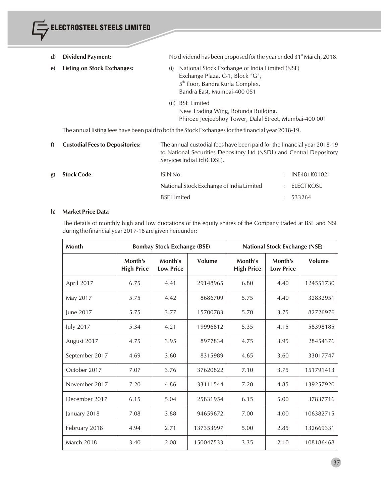ELECTROSTEEL STEELS LIMITED d) Dividend Payment: No dividend has been proposed for the year ended 31<sup>st</sup> March, 2018. **e) Listing on Stock Exchanges:** (i) National Stock Exchange of India Limited (NSE) Exchange Plaza, C-1, Block "G", 5<sup>th</sup> floor, Bandra Kurla Complex, Bandra East, Mumbai-400 051 (ii) BSE Limited New Trading Wing, Rotunda Building, Phiroze Jeejeebhoy Tower, Dalal Street, Mumbai-400 001 The annual listing fees have been paid to both the Stock Exchangesfor the financial year 2018-19. **f) Custodial Feesto Depositories:** The annual custodial fees have been paid for the financial year 2018-19 to National Securities Depository Ltd (NSDL) and Central Depository Services India Ltd (CDSL). **g)** Stock Code: ISIN No. : INE481K01021 National Stock Exchange of India Limited : ELECTROSL

# **h) Market Price Data**

The details of monthly high and low quotations of the equity shares of the Company traded at BSE and NSE during the financial year 2017-18 are given hereunder:

BSE Limited : 533264

| Month             |                              | <b>Bombay Stock Exchange (BSE)</b> |           | <b>National Stock Exchange (NSE)</b> |                             |           |
|-------------------|------------------------------|------------------------------------|-----------|--------------------------------------|-----------------------------|-----------|
|                   | Month's<br><b>High Price</b> | Month's<br><b>Low Price</b>        | Volume    | Month's<br><b>High Price</b>         | Month's<br><b>Low Price</b> | Volume    |
| April 2017        | 6.75                         | 4.41                               | 29148965  | 6.80                                 | 4.40                        | 124551730 |
| May 2017          | 5.75                         | 4.42                               | 8686709   | 5.75                                 | 4.40                        | 32832951  |
| June 2017         | 5.75                         | 3.77                               | 15700783  | 5.70                                 | 3.75                        | 82726976  |
| July 2017         | 5.34                         | 4.21                               | 19996812  | 5.35                                 | 4.15                        | 58398185  |
| August 2017       | 4.75                         | 3.95                               | 8977834   | 4.75                                 | 3.95                        | 28454376  |
| September 2017    | 4.69                         | 3.60                               | 8315989   | 4.65                                 | 3.60                        | 33017747  |
| October 2017      | 7.07                         | 3.76                               | 37620822  | 7.10                                 | 3.75                        | 151791413 |
| November 2017     | 7.20                         | 4.86                               | 33111544  | 7.20                                 | 4.85                        | 139257920 |
| December 2017     | 6.15                         | 5.04                               | 25831954  | 6.15                                 | 5.00                        | 37837716  |
| January 2018      | 7.08                         | 3.88                               | 94659672  | 7.00                                 | 4.00                        | 106382715 |
| February 2018     | 4.94                         | 2.71                               | 137353997 | 5.00                                 | 2.85                        | 132669331 |
| <b>March 2018</b> | 3.40                         | 2.08                               | 150047533 | 3.35                                 | 2.10                        | 108186468 |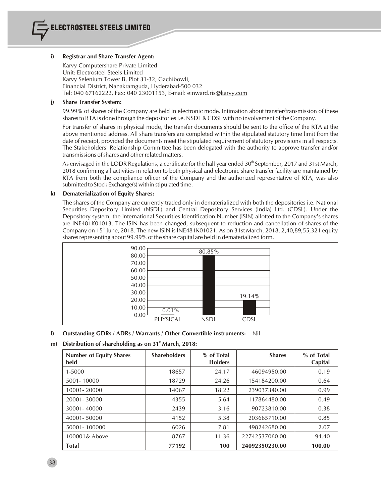# **i) Registrar and Share Transfer Agent:**

Karvy Computershare Private Limited Unit: Electrosteel Steels Limited Karvy Selenium Tower B, Plot 31-32, Gachibowli, Financial District, Nanakramguda, Hyderabad-500 032 Tel: 040 67162222, Fax: 040 23001153, E-mail: einward.ris@karvy.com

# **j) Share Transfer System:**

99.99% of shares of the Company are held in electronic mode. Intimation about transfer/transmission of these sharesto RTA is done through the depositoriesi.e. NSDL & CDSL with no involvement of the Company.

For transfer of shares in physical mode, the transfer documents should be sent to the office of the RTA at the above mentioned address. All share transfers are completed within the stipulated statutory time limit from the date of receipt, provided the documents meet the stipulated requirement of statutory provisions in all respects. The Stakeholders' Relationship Committee has been delegated with the authority to approve transfer and/or transmissions of shares and other related matters.

As envisaged in the LODR Regulations, a certificate for the half year ended  $30<sup>th</sup>$  September, 2017 and 31st March, 2018 confirming all activities in relation to both physical and electronic share transfer facility are maintained by RTA from both the compliance officer of the Company and the authorized representative of RTA, was also submitted to Stock Exchange(s) within stipulated time.

# **k) Dematerialization of Equity Shares:**

The shares of the Company are currently traded only in dematerialized with both the depositories i.e. National Securities Depository Limited (NSDL) and Central Depository Services (India) Ltd. (CDSL). Under the Depository system, the International Securities Identification Number (ISIN) allotted to the Company's shares are INE481K01013. The ISIN has been changed, subsequent to reduction and cancellation of shares of the Company on 15<sup>th</sup> June, 2018. The new ISIN is INE481K01021. As on 31st March, 2018, 2,40,89,55,321 equity shares representing about 99.99% of the share capital are held in dematerialized form.



# **l) Outstanding GDRs / ADRs / Warrants / Other Convertible instruments:** Nil

# **st m) Distribution of shareholding as on 31 March, 2018:**

| <b>Number of Equity Shares</b><br>held | <b>Shareholders</b> | % of Total<br><b>Holders</b> | <b>Shares</b>  | % of Total<br>Capital |
|----------------------------------------|---------------------|------------------------------|----------------|-----------------------|
| 1-5000                                 | 18657               | 24.17                        | 46094950.00    | 0.19                  |
| 5001-10000                             | 18729               | 24.26                        | 154184200.00   | 0.64                  |
| 10001-20000                            | 14067               | 18.22                        | 239037340.00   | 0.99                  |
| 20001-30000                            | 4355                | 5.64                         | 117864480.00   | 0.49                  |
| 30001-40000                            | 2439                | 3.16                         | 90723810.00    | 0.38                  |
| 40001-50000                            | 4152                | 5.38                         | 203665710.00   | 0.85                  |
| 50001-100000                           | 6026                | 7.81                         | 498242680.00   | 2.07                  |
| 100001& Above                          | 8767                | 11.36                        | 22742537060.00 | 94.40                 |
| <b>Total</b>                           | 77192               | 100                          | 24092350230.00 | 100.00                |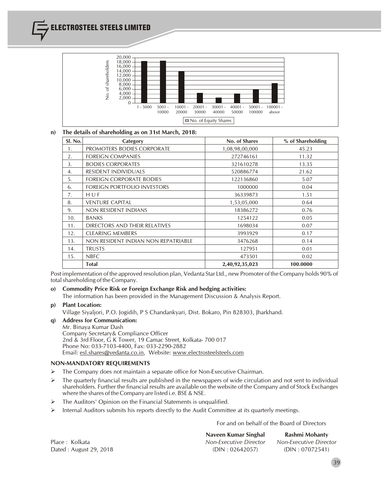

# **n) The details of shareholding as on 31st March, 2018:**

| Sl. No. | Category                            | No. of Shares  | % of Shareholding |
|---------|-------------------------------------|----------------|-------------------|
| 1.      | PROMOTERS BODIES CORPORATE          | 1,08,98,00,000 | 45.23             |
| 2.      | <b>FOREIGN COMPANIES</b>            | 272746161      | 11.32             |
| 3.      | <b>BODIES CORPORATES</b>            | 321610278      | 13.35             |
| 4.      | <b>RESIDENT INDIVIDUALS</b>         | 520886774      | 21.62             |
| .5.     | <b>FOREIGN CORPORATE BODIES</b>     | 122136860      | 5.07              |
| 6.      | FOREIGN PORTFOLIO INVESTORS         | 1000000        | 0.04              |
| 7.      | HUF                                 | 36339873       | 1.51              |
| 8.      | <b>VENTURE CAPITAL</b>              | 1,53,05,000    | 0.64              |
| 9.      | NON RESIDENT INDIANS                | 18386272       | 0.76              |
| 10.     | <b>BANKS</b>                        | 1254122        | 0.05              |
| 11.     | DIRECTORS AND THEIR RELATIVES       | 1698034        | 0.07              |
| 12.     | <b>CLEARING MEMBERS</b>             | 3993929        | 0.17              |
| 13.     | NON RESIDENT INDIAN NON REPATRIABLE | 3476268        | 0.14              |
| 14.     | <b>TRUSTS</b>                       | 127951         | 0.01              |
| 15.     | <b>NBFC</b>                         | 473501         | 0.02              |
|         | <b>Total</b>                        | 2,40,92,35,023 | 100.0000          |

Post implementation of the approved resolution plan, Vedanta Star Ltd., new Promoter of the Company holds 90% of total shareholding of the Company.

**o) Commodity Price Risk or Foreign Exchange Risk and hedging activities:**

The information has been provided in the Management Discussion & Analysis Report.

### **p) Plant Location:**

Village Siyaljori, P.O. Jogidih, P S Chandankyari, Dist. Bokaro, Pin 828303, Jharkhand.

**q) Address for Communication:** Mr. Binaya Kumar Dash Company Secretary& Compliance Officer 2nd & 3rd Floor, G K Tower, 19 Camac Street, Kolkata- 700 017 Phone No: 033-7103-4400, Fax: 033-2290-2882 Email: esl.shares@vedanta.co.in, Website: www.electrosteelsteels.com

# **NON-MANDATORY REQUIREMENTS**

- $\triangleright$  The Company does not maintain a separate office for Non-Executive Chairman.
- $\triangleright$  The quarterly financial results are published in the newspapers of wide circulation and not sent to individual shareholders. Further the financial results are available on the website of the Company and of Stock Exchanges where the shares of the Company are listed i.e. BSE & NSE.
- $\triangleright$  The Auditors' Opinion on the Financial Statements is unqualified.
- $\triangleright$  Internal Auditors submits his reports directly to the Audit Committee at its quarterly meetings.

For and on behalf of the Board of Directors

**Naveen Kumar Singhal Rashmi Mohanty** Place : Kolkata *Non-Executive Director Non-Executive Director* Dated : August 29, 2018 (DIN : 02642057) (DIN : 07072541)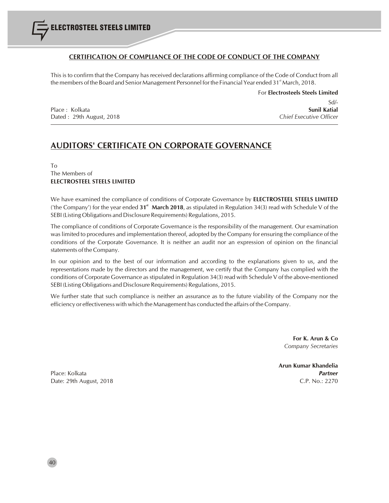# **CERTIFICATION OF COMPLIANCE OF THE CODE OF CONDUCT OF THE COMPANY**

This is to confirm that the Company has received declarations affirming compliance of the Code of Conduct from all the members of the Board and Senior Management Personnel for the Financial Year ended 31<sup>st</sup> March, 2018.

For **Electrosteels Steels Limited** Sd/- Place : Kolkata **Sunil Katial**

# Dated : 29th August, 2018 *Chief Executive Officer*

# **AUDITORS' CERTIFICATE ON CORPORATE GOVERNANCE**

To The Members of **ELECTROSTEEL STEELS LIMITED**

We have examined the compliance of conditions of Corporate Governance by **ELECTROSTEEL STEELS LIMITED st** ('the Company') for the year ended **31 March 2018**, as stipulated in Regulation 34(3) read with Schedule V of the SEBI (Listing Obligations and Disclosure Requirements) Regulations, 2015.

The compliance of conditions of Corporate Governance is the responsibility of the management. Our examination was limited to procedures and implementation thereof, adopted by the Company for ensuring the compliance of the conditions of the Corporate Governance. It is neither an audit nor an expression of opinion on the financial statements of the Company.

In our opinion and to the best of our information and according to the explanations given to us, and the representations made by the directors and the management, we certify that the Company has complied with the conditions of Corporate Governance asstipulated in Regulation 34(3) read with Schedule V of the above-mentioned SEBI (Listing Obligations and Disclosure Requirements) Regulations, 2015.

We further state that such compliance is neither an assurance as to the future viability of the Company nor the efficiency or effectiveness with which the Management has conducted the affairs of the Company.

> **For K. Arun & Co** *Company Secretaries*

**Arun Kumar Khandelia**

Place: Kolkata *Partner* Date: 29th August, 2018 C.P. No.: 2270

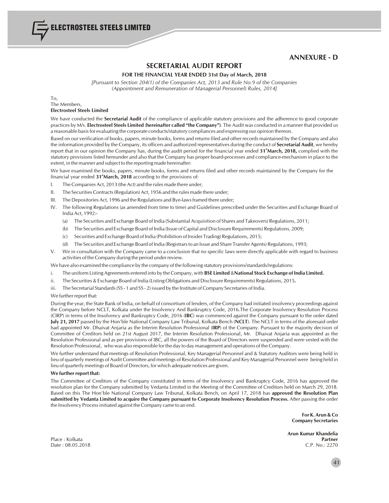# **ANNEXURE - D**

# **SECRETARIAL AUDIT REPORT**

#### **FOR THE FINANCIAL YEAR ENDED 31st Day of March, 2018**

*[Pursuant to Section 204(1) of the Companies Act, 2013 and Rule No.9 of the Companies (Appointment and Remuneration of Managerial Personnel) Rules, 2014]*

To, The Members,

## **Electrosteel Steels Limited**

ELECTROSTEEL STEELS LIMITED

We have conducted the **Secretarial Audit** of the compliance of applicable statutory provisions and the adherence to good corporate practices by M/s. **Electrosteel Steels Limited** (**hereinafter called "the Company")**. The Audit was conducted in a manner that provided us a reasonable basisfor evaluating the corporate conducts/statutory compliances and expressing our opinion thereon.

Based on our verification of books, papers, minute books, forms and returnsfiled and other records maintained by the Company and also the information provided by the Company, its officers and authorized representatives during the conduct of **Secretarial Audit**, we hereby report that in our opinion the Company has, during the audit period for the financial year ended 31<sup>s</sup>March, 2018, complied with the statutory provisions listed hereunder and also that the Company has proper board-processes and compliance-mechanism in place to the extent, in the manner and subject to the reporting made hereinafter:

We have examined the books, papers, minute books, forms and returns filed and other records maintained by the Company for the financial year ended 31<sup>st</sup>March, 2018 according to the provisions of:

- I. The Companies Act, 2013 (the Act) and the rules made there under;
- II. The Securities Contracts(Regulation) Act, 1956 and the rules made there under;
- III. The Depositories Act, 1996 and the Regulations and Bye-lawsframed there under;
- IV. The following Regulations (as amended from time to time) and Guidelines prescribed under the Securities and Exchange Board of India Act, 1992:-
	- (a) The Securities and Exchange Board of India (Substantial Acquisition of Shares and Takeovers) Regulations, 2011;
	- (b) The Securities and Exchange Board of India (Issue of Capital and Disclosure Requirements) Regulations, 2009;
	- (c) Securities and Exchange Board of India (Prohibition of Insider Trading) Regulations, 2015;
	- (d) The Securities and Exchange Board of India (Registrarsto an Issue and Share Transfer Agents) Regulations, 1993;
- V. We in consultation with the Company came to a conclusion that no specific laws were directly applicable with regard to business activities of the Company during the period under review.

We have also examined the compliance by the company of the following statutory provisions/standards/regulations:

- i. The uniform Listing Agreements entered into by the Company, with **BSE Limited** &**National Stock Exchange ofIndia Limited.**
- ii. The Securities & Exchange Board of India (Listing Obligations and Disclosure Requirements) Regulations, 2015**.**
- iii. The Secretarial Standards (SS 1 and SS 2) issued by the Institute of Company Secretaries of India.

#### We further report that:

During the year, the State Bank of India, on behalf of consortium of lenders, of the Company had initiated insolvency proceedings against the Company before NCLT, Kolkata under the Insolvency And Bankruptcy Code, 2016.The Corporate Insolvency Resolution Process (CIRP) in terms of the Insolvency and Bankruptcy Code, 2016 (**IBC**) was commenced against the Company pursuant to the order dated **July 21, 2017** passed by the Hon'ble National Company Law Tribunal, Kolkata Bench (**NCLT**). The NCLT in terms of the aforesaid order had appointed Mr. Dhaivat Anjaria as the Interim Resolution Professional (**IRP**) of the Company. Pursuant to the majority decision of Committee of Creditors held on 21st August 2017, the Interim Resolution Professional, Mr. Dhaivat Anjaria was appointed as the Resolution Professional and as per provisions of IBC, all the powers of the Board of Directors were suspended and were vested with the Resolution Professional, who was also responsible for the day to day management and operations of the Company.

We further understand that meetings of Resolution Professional, Key Managerial Personnel and & Statutory Auditors were being held in lieu of quarterly meetings of Audit Committee and meetings of Resolution Professional and Key Managerial Personnel were being held in lieu of quarterly meetings of Board of Directors, for which adequate notices are given.

#### **We** further report that:

The Committee of Creditors of the Company constituted in terms of the Insolvency and Bankruptcy Code, 2016 has approved the resolution plan for the Company submitted by Vedanta Limited in the Meeting of the Committee of Creditors held on March 29, 2018. Based on this The Hon'ble National Company Law Tribunal, Kolkata Bench, on April 17, 2018 has **approved the Resolution Plan** submitted by Vedanta Limited to acquire the Company pursuant to Corporate Insolvency Resolution Process. After passing the order the Insolvency Processinitiated against the Company came to an end.

> **For K. Arun & Co Company Secretaries**

**Arun Kumar Khandelia** Place : Kolkata **Partner** Date : 08.05.2018 C.P. No.: 2270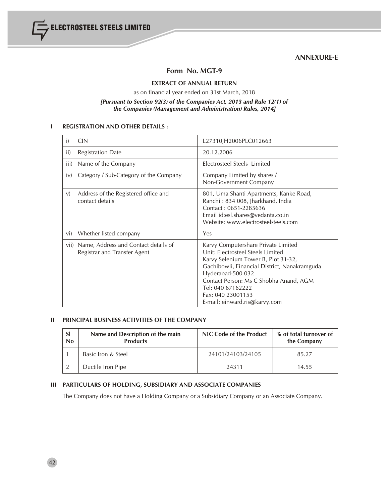ELECTROSTEEL STEELS LIMITED

# **ANNEXURE-E**

# **Form No. MGT-9**

# **EXTRACT OF ANNUAL RETURN**

as on financial year ended on 31st March, 2018

# *[Pursuant to Section 92(3) of the Companies Act, 2013 and Rule 12(1) of the Companies (Management and Administration) Rules, 2014]*

# **I REGISTRATION AND OTHER DETAILS :**

| i)   | CIN                                                                       | L27310JH2006PLC012663                                                                                                                                                                                                                                                                                     |
|------|---------------------------------------------------------------------------|-----------------------------------------------------------------------------------------------------------------------------------------------------------------------------------------------------------------------------------------------------------------------------------------------------------|
| ii)  | <b>Registration Date</b>                                                  | 20.12.2006                                                                                                                                                                                                                                                                                                |
| iii) | Name of the Company                                                       | Electrosteel Steels Limited                                                                                                                                                                                                                                                                               |
| iv)  | Category / Sub-Category of the Company                                    | Company Limited by shares /<br>Non-Government Company                                                                                                                                                                                                                                                     |
| V)   | Address of the Registered office and<br>contact details                   | 801, Uma Shanti Apartments, Kanke Road,<br>Ranchi: 834 008, Jharkhand, India<br>Contact: 0651-2285636<br>Email id:esl.shares@vedanta.co.in<br>Website: www.electrosteelsteels.com                                                                                                                         |
| vi)  | Whether listed company                                                    | Yes                                                                                                                                                                                                                                                                                                       |
|      | vii) Name, Address and Contact details of<br>Registrar and Transfer Agent | Karvy Computershare Private Limited<br>Unit: Electrosteel Steels Limited<br>Karvy Selenium Tower B, Plot 31-32,<br>Gachibowli, Financial District, Nanakramguda<br>Hyderabad-500 032<br>Contact Person: Ms C Shobha Anand, AGM<br>Tel: 040 67162222<br>Fax: 040 23001153<br>E-mail: einward.ris@karvy.com |

# **II PRINCIPAL BUSINESS ACTIVITIES OF THE COMPANY**

| <sub>SI</sub><br>No | Name and Description of the main<br><b>Products</b> | NIC Code of the Product | % of total turnover of<br>the Company |  |
|---------------------|-----------------------------------------------------|-------------------------|---------------------------------------|--|
|                     | Basic Iron & Steel                                  | 24101/24103/24105       | 85.27                                 |  |
|                     | Ductile Iron Pipe                                   | 24311                   | 14.55                                 |  |

# **III PARTICULARS OF HOLDING, SUBSIDIARY AND ASSOCIATE COMPANIES**

The Company does not have a Holding Company or a Subsidiary Company or an Associate Company.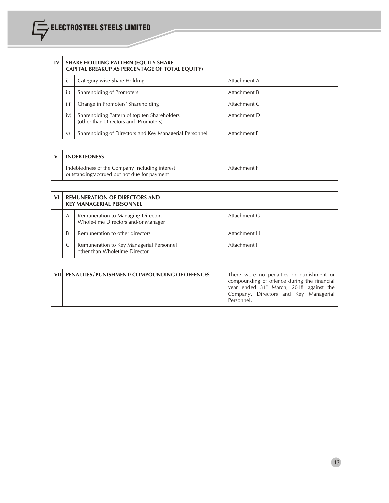| $\mathbf{I}$ |                                           | <b>SHARE HOLDING PATTERN (EQUITY SHARE)</b><br>CAPITAL BREAKUP AS PERCENTAGE OF TOTAL EQUITY) |              |  |  |
|--------------|-------------------------------------------|-----------------------------------------------------------------------------------------------|--------------|--|--|
|              |                                           | Category-wise Share Holding                                                                   | Attachment A |  |  |
|              | ii)                                       | Shareholding of Promoters                                                                     | Attachment B |  |  |
|              | iii)<br>Change in Promoters' Shareholding |                                                                                               | Attachment C |  |  |
|              | iv)                                       | Shareholding Pattern of top ten Shareholders<br>(other than Directors and Promoters)          | Attachment D |  |  |
|              | V)                                        | Shareholding of Directors and Key Managerial Personnel                                        | Attachment E |  |  |

| <b>INDEBTEDNESS</b>                                                                           |              |
|-----------------------------------------------------------------------------------------------|--------------|
| Indebtedness of the Company including interest<br>outstanding/accrued but not due for payment | Attachment F |

| VI |                                                                                            | <b>REMUNERATION OF DIRECTORS AND</b><br><b>KEY MANAGERIAL PERSONNEL</b>   |              |
|----|--------------------------------------------------------------------------------------------|---------------------------------------------------------------------------|--------------|
|    | Remuneration to Managing Director,<br>$\mathcal{A}$<br>Whole-time Directors and/or Manager |                                                                           | Attachment G |
|    | Remuneration to other directors<br>B                                                       |                                                                           | Attachment H |
|    |                                                                                            | Remuneration to Key Managerial Personnel<br>other than Wholetime Director | Attachment I |

| VII   PENALTIES / PUNISHMENT / COMPOUNDING OF OFFENCES | There were no penalties or punishment or<br>compounding of offence during the financial<br>year ended 31 <sup>st</sup> March, 2018 against the<br>Company, Directors and Key Managerial<br>Personnel. |
|--------------------------------------------------------|-------------------------------------------------------------------------------------------------------------------------------------------------------------------------------------------------------|
|--------------------------------------------------------|-------------------------------------------------------------------------------------------------------------------------------------------------------------------------------------------------------|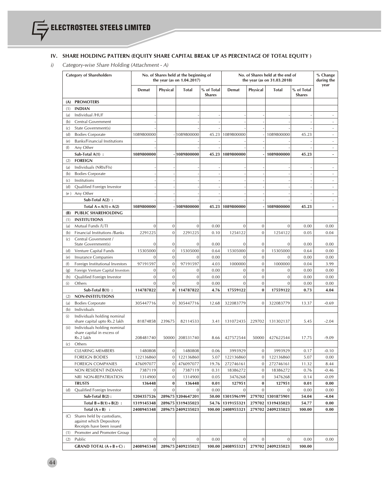# **IV. SHARE HOLDING PATTERN (EQUITY SHARE CAPITAL BREAK UP AS PERCENTAGE OF TOTAL EQUITY )**

*i) Category-wise Share Holding (Attachment - A)*

| <b>Category of Shareholders</b> |                                                                                     |                  |                | No. of Shares held at the beginning of<br>the year (as on $1.04.2017$ ) |                             |                   |              | No. of Shares held at the end of<br>the year (as on 31.03.2018) |                             | % Change<br>during the   |
|---------------------------------|-------------------------------------------------------------------------------------|------------------|----------------|-------------------------------------------------------------------------|-----------------------------|-------------------|--------------|-----------------------------------------------------------------|-----------------------------|--------------------------|
|                                 |                                                                                     | Demat            | Physical       | Total                                                                   | % of Total<br><b>Shares</b> | Demat             | Physical     | Total                                                           | % of Total<br><b>Shares</b> | year                     |
| (A)                             | <b>PROMOTERS</b>                                                                    |                  |                |                                                                         |                             |                   |              |                                                                 |                             |                          |
| (1)                             | <b>INDIAN</b>                                                                       |                  |                |                                                                         |                             |                   |              |                                                                 |                             |                          |
| (a)                             | Individual /HUF                                                                     |                  |                |                                                                         |                             |                   |              |                                                                 |                             |                          |
| (b)                             | Central Government                                                                  |                  |                |                                                                         |                             |                   |              |                                                                 |                             |                          |
| $\left( c\right)$               | State Government(s)                                                                 |                  |                |                                                                         |                             |                   |              |                                                                 |                             |                          |
| (d)                             | <b>Bodies Corporate</b>                                                             | 1089800000       |                | 1089800000                                                              | 45.23                       | 1089800000        |              | 1089800000                                                      | 45.23                       | $\overline{\phantom{a}}$ |
| (e)                             | <b>Banks/Financial Institutions</b>                                                 |                  |                |                                                                         |                             |                   |              |                                                                 |                             | ×.                       |
| (f)                             | Any Other                                                                           |                  |                |                                                                         |                             |                   |              |                                                                 |                             | $\sim$                   |
|                                 | Sub-Total $A(1)$ :                                                                  | 1089800000       |                | $-1089800000$                                                           | 45.23                       | 1089800000        |              | 1089800000                                                      | 45.23                       | ÷.                       |
| (2)                             | <b>FOREIGN</b>                                                                      |                  |                |                                                                         |                             |                   |              |                                                                 |                             |                          |
| (a)                             | Individuals (NRIs/FIs)                                                              |                  |                |                                                                         |                             |                   |              |                                                                 |                             | ÷                        |
| (b)                             | <b>Bodies Corporate</b>                                                             |                  |                |                                                                         |                             |                   |              |                                                                 |                             | $\overline{\phantom{a}}$ |
| $\left( c\right)$               | Institutions                                                                        |                  |                |                                                                         |                             |                   |              |                                                                 | ÷,                          | $\overline{\phantom{a}}$ |
| (d)                             | Qualified Foreign Investor                                                          |                  |                |                                                                         |                             |                   |              |                                                                 | ÷,                          | $\omega$                 |
|                                 |                                                                                     |                  |                |                                                                         |                             |                   |              |                                                                 |                             |                          |
| (e)                             | Any Other                                                                           |                  |                |                                                                         |                             |                   |              |                                                                 |                             | $\sim$                   |
|                                 | Sub-Total $A(2)$ :                                                                  |                  |                |                                                                         |                             |                   |              |                                                                 |                             | ÷.                       |
|                                 | Total $A = A(1) + A(2)$                                                             | 1089800000       |                | 1089800000                                                              | 45.23                       | 1089800000        |              | 1089800000                                                      | 45.23                       | $\overline{\phantom{a}}$ |
| (B)                             | <b>PUBLIC SHAREHOLDING</b>                                                          |                  |                |                                                                         |                             |                   |              |                                                                 |                             |                          |
| (1)                             | <b>INSTITUTIONS</b>                                                                 |                  |                |                                                                         |                             |                   |              |                                                                 |                             |                          |
| (a)                             | Mutual Funds /UTI                                                                   | $\mathbf{0}$     | $\mathbf{0}$   | $\mathbf{0}$                                                            | 0.00                        | $\mathbf{0}$      | $\mathbf{0}$ | $\mathbf{0}$                                                    | 0.00                        | 0.00                     |
| (b)                             | Financial Institutions / Banks                                                      | 2291225          | $\mathbf{0}$   | 2291225                                                                 | 0.10                        | 1254122           | $\mathbf{0}$ | 1254122                                                         | 0.05                        | 0.04                     |
| $\left( c\right)$               | Central Government /<br>State Government(s)                                         | $\mathbf{0}$     | 0              | $\mathbf{0}$                                                            | 0.00                        | $\mathbf{0}$      | $\mathbf{0}$ | $\mathbf{0}$                                                    | 0.00                        | 0.00                     |
| (d)                             | Venture Capital Funds                                                               | 15305000         | $\mathbf{0}$   | 15305000                                                                | 0.64                        | 15305000          | $\mathbf 0$  | 15305000                                                        | 0.64                        | 0.00                     |
| (e)                             | Insurance Companies                                                                 | $\boldsymbol{0}$ | $\mathbf{0}$   | $\mathbf 0$                                                             | 0.00                        | $\mathbf{0}$      | $\mathbf{0}$ | $\mathbf{0}$                                                    | 0.00                        | 0.00                     |
| (f)                             | Foreign Institutional Investors                                                     | 97191597         | $\mathbf{0}$   | 97191597                                                                | 4.03                        | 1000000           | $\mathbf{0}$ | 1000000                                                         | 0.04                        | 3.99                     |
| (g)                             | Foreign Venture Capital Investors                                                   | $\boldsymbol{0}$ | $\mathbf{0}$   | $\mathbf 0$                                                             | 0.00                        | $\mathbf{0}$      | $\mathbf 0$  | $\mathbf{0}$                                                    | 0.00                        | 0.00                     |
| (h)                             | Qualified Foreign Investor                                                          | $\mathbf{0}$     | $\mathbf{0}$   | $\mathbf{0}$                                                            | 0.00                        | $\mathbf{0}$      | $\mathbf{0}$ | $\mathbf{0}$                                                    | 0.00                        | 0.00                     |
| (i)                             | Others                                                                              | $\mathbf{0}$     | $\mathbf{0}$   | $\mathbf{0}$                                                            | 0.00                        | $\mathbf{0}$      | $\mathbf 0$  | $\mathbf{0}$                                                    | 0.00                        | 0.00                     |
|                                 | Sub-Total $B(1)$ :                                                                  | 114787822        | $\bf{0}$       | 114787822                                                               | 4.76                        | 17559122          | $\bf{0}$     | 17559122                                                        | 0.73                        | 4.04                     |
| (2)                             | NON-INSTITUTIONS                                                                    |                  |                |                                                                         |                             |                   |              |                                                                 |                             |                          |
| (a)                             | <b>Bodies Corporate</b>                                                             | 305447716        | $\mathbf{0}$   | 305447716                                                               | 12.68                       | 322083779         | $\mathbf{0}$ | 322083779                                                       | 13.37                       | $-0.69$                  |
| (b)                             | Individuals                                                                         |                  |                |                                                                         |                             |                   |              |                                                                 |                             |                          |
| (i)                             | Individuals holding nominal<br>share capital upto Rs.2 lakh                         | 81874858         | 239675         | 82114533                                                                | 3.41                        | 131072435         | 229702       | 131302137                                                       | 5.45                        | $-2.04$                  |
| (ii)                            | Individuals holding nominal<br>share capital in excess of                           |                  |                |                                                                         |                             |                   |              |                                                                 |                             |                          |
|                                 | Rs.2 lakh                                                                           | 208481740        | 50000          | 208531740                                                               | 8.66                        | 427572544         | 50000        | 427622544                                                       | 17.75                       | $-9.09$                  |
| (c)                             | Others                                                                              |                  |                |                                                                         |                             |                   |              |                                                                 |                             |                          |
|                                 | <b>CLEARING MEMBERS</b>                                                             | 1480808          | $\mathbf 0$    | 1480808                                                                 | 0.06                        | 3993929           | $\mathbf{0}$ | 3993929                                                         | 0.17                        | $-0.10$                  |
|                                 | <b>FOREIGN BODIES</b>                                                               | 122136860        | $\overline{0}$ | 122136860                                                               | 5.07                        | 122136860         | 0            | 122136860                                                       | 5.07                        | 0.00                     |
|                                 | <b>FOREIGN COMPANIES</b>                                                            | 476097077        | $\mathbf 0$    | 476097077                                                               | 19.76                       | 272746161         | $\mathbf 0$  | 272746161                                                       | 11.32                       | 8.44                     |
|                                 | NON RESIDENT INDIANS                                                                | 7387119          | $\mathbf 0$    | 7387119                                                                 | 0.31                        | 18386272          | $\mathbf 0$  | 18386272                                                        | 0.76                        | $-0.46$                  |
|                                 | NRI NON-REPATRIATION                                                                | 1314900          | $\mathbf 0$    | 1314900                                                                 | 0.05                        | 3476268           | $\mathbf{0}$ | 3476268                                                         | 0.14                        | $-0.09$                  |
|                                 | <b>TRUSTS</b>                                                                       | 136448           | $\bf{0}$       | 136448                                                                  | 0.01                        | 127951            | $\bf{0}$     | 127951                                                          | 0.01                        | 0.00                     |
| (d)                             | Qualified Foreign Investor                                                          | $\mathbf{0}$     | $\mathbf{0}$   | $\Omega$                                                                | 0.00                        | $\mathbf{0}$      | $\mathbf{0}$ | $\mathbf{0}$                                                    | 0.00                        | 0.00                     |
|                                 | Sub-Total $B(2)$ :                                                                  | 1204357526       |                | 289675 1204647201                                                       | 50.00                       | 1301596199        |              | 279702 1301875901                                               | 54.04                       | $-4.04$                  |
|                                 | Total $B = B(1) + B(2)$ :                                                           | 1319145348       |                | 289675 1319435023                                                       | 54.76                       | 1319155321        | 279702       | 1319435023                                                      | 54.77                       | 0.00                     |
|                                 | Total $(A + B)$ :                                                                   | 2408945348       |                | 289675 2409235023                                                       | 100.00                      | 2408955321        |              | 279702 2409235023                                               | 100.00                      | 0.00                     |
| (C)                             | Shares held by custodians,<br>against which Depository<br>Receipts have been issued |                  |                |                                                                         |                             |                   |              |                                                                 |                             |                          |
| (1)                             | Promoter and Promoter Group                                                         |                  |                |                                                                         |                             |                   |              |                                                                 |                             |                          |
| (2)                             | Public                                                                              | $\mathbf{0}$     | $\mathbf{0}$   | $\overline{0}$                                                          | 0.00                        | $\mathbf{0}$      | $\mathbf{0}$ | $\mathbf{0}$                                                    | 0.00                        | 0.00                     |
|                                 |                                                                                     |                  |                |                                                                         |                             |                   |              |                                                                 |                             |                          |
|                                 | GRAND TOTAL $(A + B + C)$ :                                                         | 2408945348       |                | 289675 2409235023                                                       |                             | 100.00 2408955321 |              | 279702 2409235023                                               | 100.00                      |                          |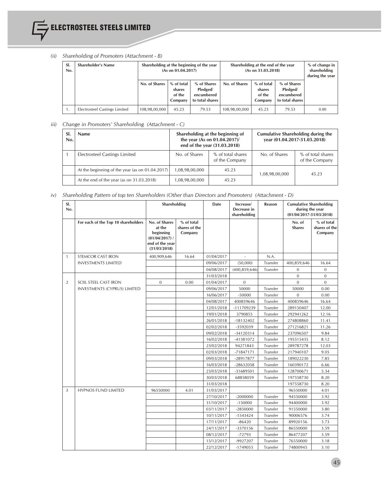

# *(ii) Shareholding of Promoters (Attachment - B)*

| SI.<br>No. | Shareholder's Name            | Shareholding at the beginning of the year<br>(As on 01.04.2017) |                                           |                                                          | Shareholding at the end of the year<br>(As on 31.03.2018) |                                           | % of change in<br>shareholding<br>during the year        |      |
|------------|-------------------------------|-----------------------------------------------------------------|-------------------------------------------|----------------------------------------------------------|-----------------------------------------------------------|-------------------------------------------|----------------------------------------------------------|------|
|            |                               | No. of Shares                                                   | % of total<br>shares<br>of the<br>Company | % of Shares<br>Pledged/<br>encumbered<br>to total shares | No. of Shares                                             | % of total<br>shares<br>of the<br>Company | % of Shares<br>Pledged/<br>encumbered<br>to total shares |      |
| т.         | Electrosteel Castings Limited | 108,98,00,000                                                   | 45.23                                     | 79.53                                                    | 108,98,00,000                                             | 45.23                                     | 79.53                                                    | 0.00 |

# *iii) Change in Promoters' Shareholding (Attachment - C)*

| No. | <b>Name</b>                                     | Shareholding at the beginning of<br>the year (As on 01.04.2017)/<br>end of the year (31.03.2018) |                                     | <b>Cumulative Shareholding during the</b><br>year (01.04.2017-31.03.2018) |                                     |  |
|-----|-------------------------------------------------|--------------------------------------------------------------------------------------------------|-------------------------------------|---------------------------------------------------------------------------|-------------------------------------|--|
|     | Electrosteel Castings Limited                   | No. of Shares                                                                                    | % of total shares<br>of the Company | No. of Shares                                                             | % of total shares<br>of the Company |  |
|     | At the beginning of the year (as on 01.04.2017) | 1,08,98,00,000                                                                                   | 45.23                               | 1,08,98,00,000                                                            | 45.23                               |  |
|     | At the end of the year (as on 31.03.2018)       | 1,08,98,00,000                                                                                   | 45.23                               |                                                                           |                                     |  |

# *iv) Shareholding Pattern of top ten Shareholders (Other than Directors and Promoters) (Attachment - D)*

| SI.<br>No.     |                                     | Shareholding                                                                                |                                        | Date       | Increase/<br>Decrease in<br>shareholding | Reason   | <b>Cumulative Shareholding</b><br>during the year<br>$(01/04/2017 - 31/03/2018)$ |                                        |
|----------------|-------------------------------------|---------------------------------------------------------------------------------------------|----------------------------------------|------------|------------------------------------------|----------|----------------------------------------------------------------------------------|----------------------------------------|
|                | For each of the Top 10 shareholders | No. of Shares<br>at the<br>beginning<br>$(01/04/2017)$ /<br>end of the year<br>(31/03/2018) | % of total<br>shares of the<br>Company |            |                                          |          | No. of<br><b>Shares</b>                                                          | % of total<br>shares of the<br>Company |
| $\mathbf{1}$   | <b>STEMCOR CAST IRON</b>            | 400,909,646                                                                                 | 16.64                                  | 01/04/2017 |                                          | N.A.     |                                                                                  |                                        |
|                | <b>INVESTMENTS LIMITED</b>          |                                                                                             |                                        | 09/06/2017 | (50,000)                                 | Transfer | 400,859,646                                                                      | 16.64                                  |
|                |                                     |                                                                                             |                                        | 04/08/2017 | (400, 859, 646)                          | Transfer | $\mathbf{0}$                                                                     | $\mathbf{0}$                           |
|                |                                     |                                                                                             |                                        | 31/03/2018 |                                          |          | $\overline{0}$                                                                   | $\mathbf{0}$                           |
| 2              | SCIIL STEEL CAST IRON               | $\mathbf{0}$                                                                                | 0.00                                   | 01/04/2017 | $\boldsymbol{0}$                         |          | $\mathbf{0}$                                                                     | $\mathbf{0}$                           |
|                | INVESTMENTS (CYPRUS) LIMITED        |                                                                                             |                                        | 09/06/2017 | 50000                                    | Transfer | 50000                                                                            | 0.00                                   |
|                |                                     |                                                                                             |                                        | 16/06/2017 | $-50000$                                 | Transfer | $\Omega$                                                                         | 0.00                                   |
|                |                                     |                                                                                             |                                        | 04/08/2017 | 400859646                                | Transfer | 400859646                                                                        | 16.64                                  |
|                |                                     |                                                                                             |                                        | 12/01/2018 | -111709239                               | Transfer | 289150407                                                                        | 12.00                                  |
|                |                                     |                                                                                             |                                        | 19/01/2018 | 3790855                                  | Transfer | 292941262                                                                        | 12.16                                  |
|                |                                     |                                                                                             |                                        | 26/01/2018 | $-18132402$                              | Transfer | 274808860                                                                        | 11.41                                  |
|                |                                     |                                                                                             |                                        | 02/02/2018 | -3592039                                 | Transfer | 271216821                                                                        | 11.26                                  |
|                |                                     |                                                                                             |                                        | 09/02/2018 | -34120314                                | Transfer | 237096507                                                                        | 9.84                                   |
|                |                                     |                                                                                             |                                        | 16/02/2018 | -41581072                                | Transfer | 195515435                                                                        | 8.12                                   |
|                |                                     |                                                                                             |                                        | 23/02/2018 | 94271843                                 | Transfer | 289787278                                                                        | 12.03                                  |
|                |                                     |                                                                                             |                                        | 02/03/2018 | -71847171                                | Transfer | 217940107                                                                        | 9.05                                   |
|                |                                     |                                                                                             |                                        | 09/03/2018 | -28917877                                | Transfer | 189022230                                                                        | 7.85                                   |
|                |                                     |                                                                                             |                                        | 16/03/2018 | -28632058                                | Transfer | 160390172                                                                        | 6.66                                   |
|                |                                     |                                                                                             |                                        | 23/03/2018 | -31689501                                | Transfer | 128700671                                                                        | 5.34                                   |
|                |                                     |                                                                                             |                                        | 30/03/2018 | 68858059                                 | Transfer | 197558730                                                                        | 8.20                                   |
|                |                                     |                                                                                             |                                        | 31/03/2018 |                                          |          | 197558730                                                                        | 8.20                                   |
| $\overline{3}$ | <b>HYPNOS FUND LIMITED</b>          | 96550000                                                                                    | 4.01                                   | 31/03/2017 |                                          |          | 96550000                                                                         | 4.01                                   |
|                |                                     |                                                                                             |                                        | 27/10/2017 | $-2000000$                               | Transfer | 94550000                                                                         | 3.92                                   |
|                |                                     |                                                                                             |                                        | 31/10/2017 | $-150000$                                | Transfer | 94400000                                                                         | 3.92                                   |
|                |                                     |                                                                                             |                                        | 03/11/2017 | $-2850000$                               | Transfer | 91550000                                                                         | 3.80                                   |
|                |                                     |                                                                                             |                                        | 10/11/2017 | $-1543424$                               | Transfer | 90006576                                                                         | 3.74                                   |
|                |                                     |                                                                                             |                                        | 17/11/2017 | $-86420$                                 | Transfer | 89920156                                                                         | 3.73                                   |
|                |                                     |                                                                                             |                                        | 24/11/2017 | -3370156                                 | Transfer | 86550000                                                                         | 3.59                                   |
|                |                                     |                                                                                             |                                        | 08/12/2017 | $-72793$                                 | Transfer | 86477207                                                                         | 3.59                                   |
|                |                                     |                                                                                             |                                        | 15/12/2017 | -9927207                                 | Transfer | 76550000                                                                         | 3.18                                   |
|                |                                     |                                                                                             |                                        | 22/12/2017 | $-1749055$                               | Transfer | 74800945                                                                         | 3.10                                   |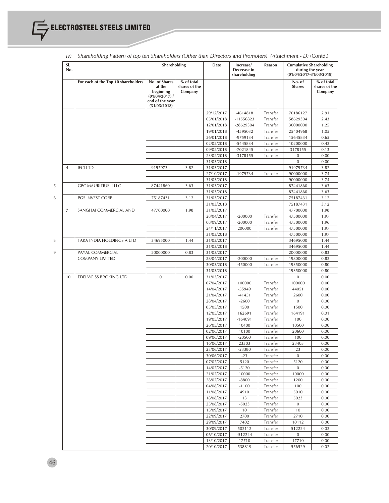| SI.<br>No.     |                                     | Shareholding                                                                                |                                        | Date                     | Increase/<br>Decrease in<br>shareholding | Reason               | <b>Cumulative Shareholding</b><br>during the year<br>$(01/04/2017 - 31/03/2018)$ |                                        |
|----------------|-------------------------------------|---------------------------------------------------------------------------------------------|----------------------------------------|--------------------------|------------------------------------------|----------------------|----------------------------------------------------------------------------------|----------------------------------------|
|                | For each of the Top 10 shareholders | No. of Shares<br>at the<br>beginning<br>$(01/04/2017)$ /<br>end of the year<br>(31/03/2018) | % of total<br>shares of the<br>Company |                          |                                          |                      | No. of<br><b>Shares</b>                                                          | % of total<br>shares of the<br>Company |
|                |                                     |                                                                                             |                                        | 29/12/2017               | -4614818                                 | Transfer             | 70186127                                                                         | 2.91                                   |
|                |                                     |                                                                                             |                                        | 05/01/2018               | $-11556823$                              | Transfer             | 58629304                                                                         | 2.43                                   |
|                |                                     |                                                                                             |                                        | 12/01/2018               | -28629304                                | Transfer             | 30000000                                                                         | 1.25                                   |
|                |                                     |                                                                                             |                                        | 19/01/2018               | -4595032                                 | Transfer             | 25404968                                                                         | 1.05                                   |
|                |                                     |                                                                                             |                                        | 26/01/2018               | -9759134                                 | Transfer             | 15645834                                                                         | 0.65                                   |
|                |                                     |                                                                                             |                                        | 02/02/2018               | -5445834<br>$-7021845$                   | Transfer             | 10200000<br>3178155                                                              | 0.42                                   |
|                |                                     |                                                                                             |                                        | 09/02/2018<br>23/02/2018 | $-3178155$                               | Transfer<br>Transfer | $\bf{0}$                                                                         | 0.13<br>0.00                           |
|                |                                     |                                                                                             |                                        | 31/03/2018               |                                          |                      | $\boldsymbol{0}$                                                                 | 0.00                                   |
| $\overline{4}$ | <b>IFCI LTD</b>                     | 91979734                                                                                    | 3.82                                   | 31/03/2017               |                                          |                      | 91979734                                                                         | 3.82                                   |
|                |                                     |                                                                                             |                                        | 27/10/2017               | -1979734                                 | Transfer             | 90000000                                                                         | 3.74                                   |
|                |                                     |                                                                                             |                                        | 31/03/2018               |                                          |                      | 90000000                                                                         | 3.74                                   |
|                | <b>GPC MAURITIUS II LLC</b>         | 87441860                                                                                    | 3.63                                   | 31/03/2017               |                                          |                      | 87441860                                                                         | 3.63                                   |
|                |                                     |                                                                                             |                                        | 31/03/2018               |                                          |                      | 87441860                                                                         | 3.63                                   |
|                | PGS INVEST CORP                     | 75187431                                                                                    | 3.12                                   | 31/03/2017               |                                          |                      | 75187431                                                                         | 3.12                                   |
|                |                                     |                                                                                             |                                        | 31/03/2018               |                                          |                      | 75187431                                                                         | 3.12                                   |
| 7              | SANGHAI COMMERCIAL AND              | 47700000                                                                                    | 1.98                                   | 31/03/2017               |                                          |                      | 47700000                                                                         | 1.98                                   |
|                |                                     |                                                                                             |                                        | 28/04/2017               | $-200000$                                | Transfer             | 47500000                                                                         | 1.97                                   |
|                |                                     |                                                                                             |                                        | 08/09/2017               | $-200000$                                | Transfer             | 47300000                                                                         | 1.96                                   |
|                |                                     |                                                                                             |                                        | 24/11/2017               | 200000                                   | Transfer             | 47500000                                                                         | 1.97                                   |
|                | TARA INDIA HOLDINGS A LTD           |                                                                                             | 1.44                                   | 31/03/2018<br>31/03/2017 |                                          |                      | 47500000<br>34695000                                                             | 1.97<br>1.44                           |
|                |                                     | 34695000                                                                                    |                                        | 31/03/2018               |                                          |                      | 34695000                                                                         | 1.44                                   |
|                | PAYAL COMMERCIAL                    | 20000000                                                                                    | 0.83                                   | 31/03/2017               |                                          |                      | 20000000                                                                         | 0.83                                   |
|                | <b>COMPANY LIMITED</b>              |                                                                                             |                                        | 28/04/2017               | $-200000$                                | Transfer             | 19800000                                                                         | 0.82                                   |
|                |                                     |                                                                                             |                                        | 30/03/2018               | -450000                                  | Transfer             | 19350000                                                                         | 0.80                                   |
|                |                                     |                                                                                             |                                        | 31/03/2018               |                                          |                      | 19350000                                                                         | 0.80                                   |
| 10             | EDELWEISS BROKING LTD               | $\mathbf{0}$                                                                                | 0.00                                   | 31/03/2017               |                                          |                      | $\mathbf{0}$                                                                     | 0.00                                   |
|                |                                     |                                                                                             |                                        | 07/04/2017               | 100000                                   | Transfer             | 100000                                                                           | 0.00                                   |
|                |                                     |                                                                                             |                                        | 14/04/2017               | -55949                                   | Transfer             | 44051                                                                            | 0.00                                   |
|                |                                     |                                                                                             |                                        | 21/04/2017               | $-41451$                                 | Transfer             | 2600                                                                             | 0.00                                   |
|                |                                     |                                                                                             |                                        | 28/04/2017               | $-2600$                                  | Transfer             | $\boldsymbol{0}$                                                                 | 0.00                                   |
|                |                                     |                                                                                             |                                        | 05/05/2017               | 1500                                     | Transfer             | 1500                                                                             | 0.00                                   |
|                |                                     |                                                                                             |                                        | 12/05/2017               | 162691                                   | Transfer             | 164191                                                                           | 0.01                                   |
|                |                                     |                                                                                             |                                        | 19/05/2017               | $-164091$                                | Transfer             | 100                                                                              | 0.00                                   |
|                |                                     |                                                                                             |                                        | 26/05/2017<br>02/06/2017 | 10400<br>10100                           | Transfer<br>Transfer | 10500<br>20600                                                                   | 0.00<br>0.00                           |
|                |                                     |                                                                                             |                                        | 09/06/2017               | $-20500$                                 | Transfer             | 100                                                                              | 0.00                                   |
|                |                                     |                                                                                             |                                        | 16/06/2017               | 23303                                    | Transfer             | 23403                                                                            | 0.00                                   |
|                |                                     |                                                                                             |                                        | 23/06/2017               | $-23380$                                 | Transfer             | 23                                                                               | 0.00                                   |
|                |                                     |                                                                                             |                                        | 30/06/2017               | $-23$                                    | Transfer             | $\boldsymbol{0}$                                                                 | 0.00                                   |
|                |                                     |                                                                                             |                                        | 07/07/2017               | 5120                                     | Transfer             | 5120                                                                             | 0.00                                   |
|                |                                     |                                                                                             |                                        | 14/07/2017               | $-5120$                                  | Transfer             | $\boldsymbol{0}$                                                                 | 0.00                                   |
|                |                                     |                                                                                             |                                        | 21/07/2017               | 10000                                    | Transfer             | 10000                                                                            | 0.00                                   |
|                |                                     |                                                                                             |                                        | 28/07/2017               | $-8800$                                  | Transfer             | 1200                                                                             | 0.00                                   |
|                |                                     |                                                                                             |                                        | 04/08/2017               | $-1100$                                  | Transfer             | 100                                                                              | 0.00                                   |
|                |                                     |                                                                                             |                                        | 11/08/2017               | 4910                                     | Transfer             | 5010                                                                             | 0.00                                   |
|                |                                     |                                                                                             |                                        | 18/08/2017               | 13                                       | Transfer             | 5023                                                                             | 0.00                                   |
|                |                                     |                                                                                             |                                        | 25/08/2017               | $-5023$                                  | Transfer             | $\mathbf{0}$                                                                     | 0.00                                   |
|                |                                     |                                                                                             |                                        | 15/09/2017               | 10                                       | Transfer             | 10                                                                               | 0.00                                   |
|                |                                     |                                                                                             |                                        | 22/09/2017               | 2700                                     | Transfer             | 2710                                                                             | 0.00                                   |
|                |                                     |                                                                                             |                                        | 29/09/2017               | 7402                                     | Transfer             | 10112                                                                            | 0.00                                   |
|                |                                     |                                                                                             |                                        | 30/09/2017<br>06/10/2017 | 502112<br>$-512224$                      | Transfer             | 512224<br>$\mathbf 0$                                                            | 0.02<br>0.00                           |
|                |                                     |                                                                                             |                                        | 13/10/2017               | 17710                                    | Transfer<br>Transfer | 17710                                                                            | 0.00                                   |
|                |                                     |                                                                                             |                                        | 20/10/2017               | 538819                                   | Transfer             | 556529                                                                           | 0.02                                   |
|                |                                     |                                                                                             |                                        |                          |                                          |                      |                                                                                  |                                        |

|  | iv) Shareholding Pattern of top ten Shareholders (Other than Directors and Promoters) (Attachment - D) (Contd.) |  |  |  |  |  |  |  |
|--|-----------------------------------------------------------------------------------------------------------------|--|--|--|--|--|--|--|
|--|-----------------------------------------------------------------------------------------------------------------|--|--|--|--|--|--|--|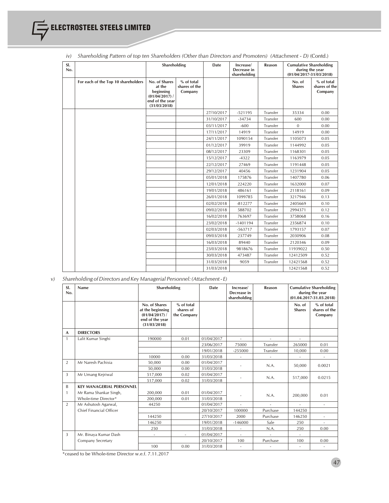| SI.<br>No. |                                     |                                                                                             | Shareholding                           |            | Increase/<br>Decrease in<br>shareholding | Reason   | <b>Cumulative Shareholding</b><br>during the year<br>$(01/04/2017 - 31/03/2018)$ |                                        |
|------------|-------------------------------------|---------------------------------------------------------------------------------------------|----------------------------------------|------------|------------------------------------------|----------|----------------------------------------------------------------------------------|----------------------------------------|
|            | For each of the Top 10 shareholders | No. of Shares<br>at the<br>beginning<br>$(01/04/2017)$ /<br>end of the year<br>(31/03/2018) | % of total<br>shares of the<br>Company |            |                                          |          | No. of<br><b>Shares</b>                                                          | % of total<br>shares of the<br>Company |
|            |                                     |                                                                                             |                                        | 27/10/2017 | $-521195$                                | Transfer | 35334                                                                            | 0.00                                   |
|            |                                     |                                                                                             |                                        | 31/10/2017 | $-34734$                                 | Transfer | 600                                                                              | 0.00                                   |
|            |                                     |                                                                                             |                                        | 03/11/2017 | $-600$                                   | Transfer | $\mathbf{0}$                                                                     | 0.00                                   |
|            |                                     |                                                                                             |                                        | 17/11/2017 | 14919                                    | Transfer | 14919                                                                            | 0.00                                   |
|            |                                     |                                                                                             |                                        | 24/11/2017 | 1090154                                  | Transfer | 1105073                                                                          | 0.05                                   |
|            |                                     |                                                                                             |                                        | 01/12/2017 | 39919                                    | Transfer | 1144992                                                                          | 0.05                                   |
|            |                                     |                                                                                             |                                        | 08/12/2017 | 23309                                    | Transfer | 1168301                                                                          | 0.05                                   |
|            |                                     |                                                                                             |                                        | 15/12/2017 | $-4322$                                  | Transfer | 1163979                                                                          | 0.05                                   |
|            |                                     |                                                                                             |                                        | 22/12/2017 | 27469                                    | Transfer | 1191448                                                                          | 0.05                                   |
|            |                                     |                                                                                             |                                        | 29/12/2017 | 40456                                    | Transfer | 1231904                                                                          | 0.05                                   |
|            |                                     |                                                                                             |                                        | 05/01/2018 | 175876                                   | Transfer | 1407780                                                                          | 0.06                                   |
|            |                                     |                                                                                             |                                        | 12/01/2018 | 224220                                   | Transfer | 1632000                                                                          | 0.07                                   |
|            |                                     |                                                                                             |                                        | 19/01/2018 | 486161                                   | Transfer | 2118161                                                                          | 0.09                                   |
|            |                                     |                                                                                             |                                        | 26/01/2018 | 1099785                                  | Transfer | 3217946                                                                          | 0.13                                   |
|            |                                     |                                                                                             |                                        | 02/02/2018 | $-812277$                                | Transfer | 2405669                                                                          | 0.10                                   |
|            |                                     |                                                                                             |                                        | 09/02/2018 | 588702                                   | Transfer | 2994371                                                                          | 0.12                                   |
|            |                                     |                                                                                             |                                        | 16/02/2018 | 763697                                   | Transfer | 3758068                                                                          | 0.16                                   |
|            |                                     |                                                                                             |                                        | 23/02/2018 | $-1401194$                               | Transfer | 2356874                                                                          | 0.10                                   |
|            |                                     |                                                                                             |                                        | 02/03/2018 | $-563717$                                | Transfer | 1793157                                                                          | 0.07                                   |
|            |                                     |                                                                                             |                                        | 09/03/2018 | 237749                                   | Transfer | 2030906                                                                          | 0.08                                   |
|            |                                     |                                                                                             |                                        | 16/03/2018 | 89440                                    | Transfer | 2120346                                                                          | 0.09                                   |
|            |                                     |                                                                                             |                                        | 23/03/2018 | 9818676                                  | Transfer | 11939022                                                                         | 0.50                                   |
|            |                                     |                                                                                             |                                        | 30/03/2018 | 473487                                   | Transfer | 12412509                                                                         | 0.52                                   |
|            |                                     |                                                                                             |                                        | 31/03/2018 | 9059                                     | Transfer | 12421568                                                                         | 0.52                                   |
|            |                                     |                                                                                             |                                        | 31/03/2018 |                                          |          | 12421568                                                                         | 0.52                                   |

*iv) Shareholding Pattern of top ten Shareholders (Other than Directors and Promoters) (Attachment - D)* (Contd.)

*v) Shareholding of Directors and Key Managerial Personnel: (Attachment - E)*

| SI.<br>No.     | Name                            | Shareholding                                                                         |                                        | Date       | Increase/<br>Decrease in<br>shareholding | Reason   |                          | <b>Cumulative Shareholding</b><br>during the year<br>$(01.04.2017 - 31.03.2018)$ |
|----------------|---------------------------------|--------------------------------------------------------------------------------------|----------------------------------------|------------|------------------------------------------|----------|--------------------------|----------------------------------------------------------------------------------|
|                |                                 | No. of Shares<br>at the beginning<br>(01/04/2017)<br>end of the year<br>(31/03/2018) | % of total<br>shares of<br>the Company |            |                                          |          | No. of<br><b>Shares</b>  | % of total<br>shares of the<br>Company                                           |
| A              | <b>DIRECTORS</b>                |                                                                                      |                                        |            |                                          |          |                          |                                                                                  |
| $\mathbf{1}$   | Lalit Kumar Singhi              | 190000                                                                               | 0.01                                   | 01/04/2017 |                                          |          |                          |                                                                                  |
|                |                                 |                                                                                      |                                        | 23/06/2017 | 75000                                    | Transfer | 265000                   | 0.01                                                                             |
|                |                                 |                                                                                      |                                        | 19/01/2018 | $-255000$                                | Transfer | 10,000                   | 0.00                                                                             |
|                |                                 | 10000                                                                                | 0.00                                   | 31/03/2018 |                                          |          |                          |                                                                                  |
| $\overline{2}$ | Mr Naresh Pachisia              | 50.000                                                                               | 0.00                                   | 01/04/2017 |                                          | N.A.     |                          |                                                                                  |
|                |                                 | 50.000                                                                               | 0.00                                   | 31/03/2018 |                                          |          | 50,000                   | 0.0021                                                                           |
| 3              | Mr Umang Kejriwal               | 517,000                                                                              | 0.02                                   | 01/04/2017 |                                          |          |                          |                                                                                  |
|                |                                 | 517,000                                                                              | 0.02                                   | 31/03/2018 |                                          | N.A.     | 517,000                  | 0.0215                                                                           |
| B              | <b>KEY MANAGERIAL PERSONNEL</b> |                                                                                      |                                        |            |                                          |          |                          |                                                                                  |
| 1              | Mr Rama Shankar Singh,          | 200,000                                                                              | 0.01                                   | 01/04/2017 |                                          |          |                          | 0.01                                                                             |
|                | Whole-time Director*            | 200,000                                                                              | 0.01                                   | 31/03/2018 |                                          | N.A.     | 200.000                  |                                                                                  |
| $\overline{2}$ | Mr Ashutosh Agarwal,            | 44250                                                                                |                                        | 01/04/2017 | ÷                                        |          | ÷.                       | $\sim$                                                                           |
|                | Chief Financial Officer         |                                                                                      |                                        | 20/10/2017 | 100000                                   | Purchase | 144250                   |                                                                                  |
|                |                                 | 144250                                                                               |                                        | 27/10/2017 | 2000                                     | Purchase | 146250                   | $\sim$                                                                           |
|                |                                 | 146250                                                                               |                                        | 19/01/2018 | $-146000$                                | Sale     | 250                      | $\sim$                                                                           |
|                |                                 | 250                                                                                  |                                        | 31/03/2018 | $\overline{\phantom{a}}$                 | N.A.     | 250                      | 0.00                                                                             |
| 3              | Mr. Binaya Kumar Dash           | $\overline{\phantom{a}}$                                                             | $\sim$                                 | 01/04/2017 |                                          |          |                          |                                                                                  |
|                | Company Secretary               |                                                                                      |                                        | 20/10/2017 | 100                                      | Purchase | 100                      | 0.00                                                                             |
|                |                                 | 100                                                                                  | 0.00                                   | 31/03/2018 | $\overline{\phantom{a}}$                 | ٠        | $\overline{\phantom{a}}$ | $\overline{\phantom{a}}$                                                         |

\*ceased to be Whole-time Director w.e.f. 7.11.2017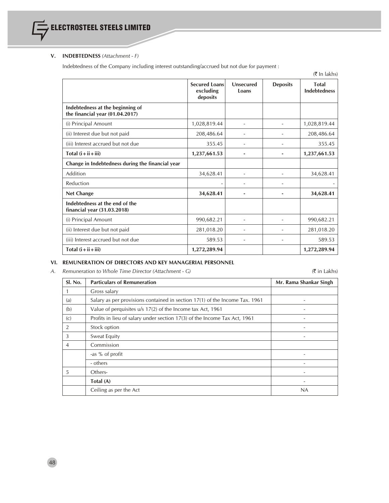

# **V. INDEBTEDNESS** *(Attachment - F)*

Indebtedness of the Company including interest outstanding/accrued but not due for payment :

|                                                                     |                                               |                           |                 | $(5 \text{ In lakhs})$              |
|---------------------------------------------------------------------|-----------------------------------------------|---------------------------|-----------------|-------------------------------------|
|                                                                     | <b>Secured Loans</b><br>excluding<br>deposits | <b>Unsecured</b><br>Loans | <b>Deposits</b> | <b>Total</b><br><b>Indebtedness</b> |
| Indebtedness at the beginning of<br>the financial year (01.04.2017) |                                               |                           |                 |                                     |
| (i) Principal Amount                                                | 1,028,819.44                                  |                           |                 | 1,028,819.44                        |
| (ii) Interest due but not paid                                      | 208,486.64                                    |                           |                 | 208,486.64                          |
| (iii) Interest accrued but not due                                  | 355.45                                        |                           |                 | 355.45                              |
| Total $(i + ii + iii)$                                              | 1,237,661.53                                  |                           |                 | 1,237,661.53                        |
| Change in Indebtedness during the financial year                    |                                               |                           |                 |                                     |
| Addition                                                            | 34,628.41                                     |                           |                 | 34,628.41                           |
| Reduction                                                           |                                               |                           |                 |                                     |
| <b>Net Change</b>                                                   | 34,628.41                                     |                           |                 | 34,628.41                           |
| Indebtedness at the end of the<br>financial year (31.03.2018)       |                                               |                           |                 |                                     |
| (i) Principal Amount                                                | 990,682.21                                    | $\overline{\phantom{a}}$  |                 | 990,682.21                          |
| (ii) Interest due but not paid                                      | 281,018.20                                    | $\overline{\phantom{a}}$  |                 | 281,018.20                          |
| (iii) Interest accrued but not due                                  | 589.53                                        | $\overline{\phantom{a}}$  |                 | 589.53                              |
| Total $(i + ii + iii)$                                              | 1,272,289.94                                  |                           |                 | 1,272,289.94                        |

# **VI. REMUNERATION OF DIRECTORS AND KEY MANAGERIAL PERSONNEL**

*A. Remuneration to Whole Time Director (Attachment - G)* (` in Lakhs)

| Sl. No.        | <b>Particulars of Remuneration</b>                                          | Mr. Rama Shankar Singh   |
|----------------|-----------------------------------------------------------------------------|--------------------------|
|                | Gross salary                                                                |                          |
| (a)            | Salary as per provisions contained in section 17(1) of the Income Tax. 1961 |                          |
| (b)            | Value of perquisites u/s 17(2) of the Income tax Act, 1961                  | $\overline{a}$           |
| (c)            | Profits in lieu of salary under section 17(3) of the Income Tax Act, 1961   | $\overline{\phantom{a}}$ |
| 2              | Stock option                                                                |                          |
| 3              | Sweat Equity                                                                |                          |
| $\overline{4}$ | Commission                                                                  |                          |
|                | -as % of profit                                                             |                          |
|                | - others                                                                    | $\overline{a}$           |
| 5              | Others-                                                                     | $\overline{a}$           |
|                | Total (A)                                                                   | $\overline{\phantom{a}}$ |
|                | Ceiling as per the Act                                                      | NA                       |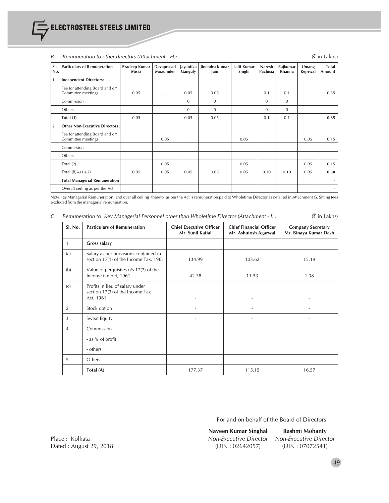|                | $\alpha$ . The matrix of the contract of $\alpha$ is the contract of $\alpha$<br>(1111111117) |                        |                          |                      |                        |                       |                    |                    |                   |                 |
|----------------|-----------------------------------------------------------------------------------------------|------------------------|--------------------------|----------------------|------------------------|-----------------------|--------------------|--------------------|-------------------|-----------------|
| SI.<br>No.     | <b>Particulars of Remuneration</b>                                                            | Pradeep Kumar<br>Misra | Devaprasad<br>Mozumder   | Jayantika<br>Ganguly | Jinendra Kumar<br>Jain | Lalit Kumar<br>Singhi | Naresh<br>Pachisia | Rajkumar<br>Khanna | Umang<br>Kejriwal | Total<br>Amount |
|                | <b>Independent Directors:</b>                                                                 |                        |                          |                      |                        |                       |                    |                    |                   |                 |
|                | Fee for attending Board and or/<br>Committee meetings                                         | 0.05                   | $\overline{\phantom{0}}$ | 0.05                 | 0.05                   |                       | 0.1                | 0.1                |                   | 0.35            |
|                | Commission                                                                                    |                        |                          | $\mathbf{0}$         | $\mathbf{0}$           |                       | $\Omega$           | $\overline{0}$     |                   |                 |
|                | Others                                                                                        |                        |                          | $\mathbf{0}$         | $\Omega$               |                       | $\Omega$           | $\overline{0}$     |                   |                 |
|                | Total (1)                                                                                     | 0.05                   |                          | 0.05                 | 0.05                   |                       | 0.1                | 0.1                |                   | 0.35            |
| $\overline{2}$ | <b>Other Non-Executive Directors:</b>                                                         |                        |                          |                      |                        |                       |                    |                    |                   |                 |
|                | Fee for attending Board and or/<br>Committee meetings                                         |                        | 0.05                     |                      |                        | 0.05                  |                    |                    | 0.05              | 0.15            |
|                | Commission                                                                                    |                        |                          |                      |                        |                       |                    |                    |                   |                 |
|                | Others                                                                                        |                        |                          |                      |                        |                       |                    |                    |                   |                 |
|                | Total $(2)$                                                                                   |                        | 0.05                     |                      |                        | 0.05                  |                    |                    | 0.05              | 0.15            |
|                | Total $(B) = (1 + 2)$                                                                         | 0.05                   | 0.05                     | 0.05                 | 0.05                   | 0.05                  | 0.10               | 0.10               | 0.05              | 0.50            |
|                | <b>Total Managerial Remuneration</b>                                                          |                        |                          |                      |                        |                       |                    |                    |                   |                 |
|                | Overall ceiling as per the Act                                                                |                        |                          |                      |                        |                       |                    |                    |                   | $\sim$          |

# *B. Remuneration to other directors (Attachment - H):* (` in Lakhs)

Note: @ Managerial Remuneration and over all ceiling thereto as per the Act is remuneration paid to Wholetime Director as detailed in Attachment G. Sitting fees excluded from the managerialremuneration.

|  |  |  |  | Remuneration to Key Managerial Personnel other than Wholetime Director (Attachment - I) : |  | $(\bar{\bar{\mathbf{\tau}}}$ in Lakhs) |
|--|--|--|--|-------------------------------------------------------------------------------------------|--|----------------------------------------|
|--|--|--|--|-------------------------------------------------------------------------------------------|--|----------------------------------------|

| Sl. No. | <b>Particulars of Remuneration</b>                                              | <b>Chief Executive Officer</b><br>Mr. Sunil Katial | <b>Chief Financial Officer</b><br>Mr. Ashutosh Agarwal | <b>Company Secretary</b><br>Mr. Binaya Kumar Dash |
|---------|---------------------------------------------------------------------------------|----------------------------------------------------|--------------------------------------------------------|---------------------------------------------------|
| 1       | <b>Gross salary</b>                                                             |                                                    |                                                        |                                                   |
| (a)     | Salary as per provisions contained in<br>section 17(1) of the Income Tax. 1961  | 134.99                                             | 103.62                                                 | 15.19                                             |
| (b)     | Value of perquisites u/s 17(2) of the<br>Income tax Act, 1961                   | 42.38                                              | 11.53                                                  | 1.38                                              |
| (c)     | Profits in lieu of salary under<br>section 17(3) of the Income Tax<br>Act, 1961 |                                                    |                                                        |                                                   |
| 2       | Stock option                                                                    | ۰                                                  | ٠                                                      |                                                   |
| 3       | Sweat Equity                                                                    |                                                    |                                                        |                                                   |
| 4       | Commission<br>- as % of profit<br>- others                                      | ٠                                                  |                                                        |                                                   |
| 5       | Others-                                                                         |                                                    |                                                        |                                                   |
|         | Total (A)                                                                       | 177.37                                             | 115.15                                                 | 16.57                                             |

For and on behalf of the Board of Directors

Place : Kolkata *Non-Executive Director Non-Executive Director*

**Naveen Kumar Singhal Rashmi Mohanty**

Dated : August 29, 2018 (DIN : 02642057) (DIN : 07072541)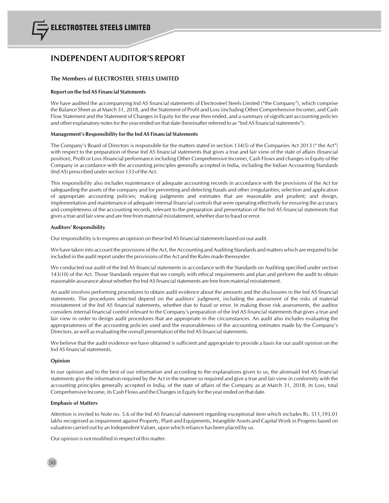# **INDEPENDENT AUDITOR'S REPORT**

## **The Members of ELECTROSTEEL STEELS LIMITED**

#### **Report on the Ind AS Financial Statements**

We have audited the accompanying Ind AS financial statements of Electrosteel Steels Limited ("the Company"), which comprise the Balance Sheet as at March 31, 2018, and the Statement of Profit and Loss(including Other Comprehensive Income), and Cash Flow Statement and the Statement of Changes in Equity for the year then ended, and a summary of significant accounting policies and other explanatory notes for the year ended on that date (hereinafter referred to as "Ind AS financial statements").

#### **Management's Responsibility forthe Ind AS Financial Statements**

The Company's Board of Directors is responsible for the matters stated in section 134(5) of the Companies Act 2013 (" the Act") with respect to the preparation of these Ind AS financial statements that gives a true and fair view of the state of affairs (financial position), Profit or Loss (financial performance including Other Comprehensive Income), Cash Flows and changes in Equity of the Company in accordance with the accounting principles generally accepted in India, including the Indian Accounting Standards (Ind AS) prescribed under section 133 of the Act.

This responsibility also includes maintenance of adequate accounting records in accordance with the provisions of the Act for safeguarding the assets of the company and for preventing and detecting frauds and other irregularities; selection and application of appropriate accounting policies; making judgments and estimates that are reasonable and prudent; and design, implementation and maintenance of adequate internal financial controlsthat were operating effectively for ensuring the accuracy and completeness of the accounting records, relevant to the preparation and presentation of the Ind AS financial statements that gives a true and fair view and are free from material misstatement, whether due to fraud or error.

#### **Auditors' Responsibility**

Our responsibility is to express an opinion on these Ind AS financial statements based on our audit.

We have taken into account the provisions of the Act, the Accounting and Auditing Standards and matters which are required to be included in the audit report under the provisions of the Act and the Rules made thereunder.

We conducted our audit of the Ind AS financial statements in accordance with the Standards on Auditing specified under section 143(10) of the Act. Those Standards require that we comply with ethical requirements and plan and perform the audit to obtain reasonable assurance about whether the Ind AS financial statements are free from material misstatement.

An audit involves performing procedures to obtain audit evidence about the amounts and the disclosures in the Ind AS financial statements. The procedures selected depend on the auditors' judgment, including the assessment of the risks of material misstatement of the Ind AS financial statements, whether due to fraud or error. In making those risk assessments, the auditor considers internal financial control relevant to the Company's preparation of the Ind AS financial statements that gives a true and fair view in order to design audit procedures that are appropriate in the circumstances. An audit also includes evaluating the appropriateness of the accounting policies used and the reasonableness of the accounting estimates made by the Company's Directors, as well as evaluating the overall presentation of the Ind AS financial statements.

We believe that the audit evidence we have obtained is sufficient and appropriate to provide a basis for our audit opinion on the Ind AS financial statements.

#### **Opinion**

In our opinion and to the best of our information and according to the explanations given to us, the aforesaid Ind AS financial statements give the information required by the Act in the manner so required and give a true and fair view in conformity with the accounting principles generally accepted in India, of the state of affairs of the Company as at March 31, 2018, its Loss, total Comprehensive Income, its Cash Flows and the Changesin Equity for the year ended on that date.

#### **Emphasis of Matters**

Attention is invited to Note no. 5.6 of the Ind AS financial statement regarding exceptional item which includes Rs. 511,193.01 lakhs recognised as impairment against Property, Plant and Equipments, Intangible Assets and Capital Work in Progress based on valuation carried out by an Independent Valuer, upon which reliance has been placed by us.

Our opinion is not modified in respect of this matter.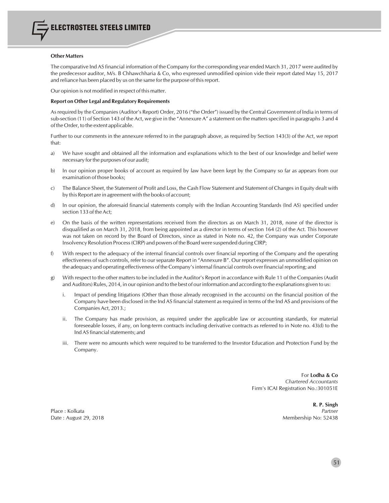#### **Other Matters**

The comparative Ind AS financial information of the Company for the corresponding year ended March 31, 2017 were audited by the predecessor auditor, M/s. B Chhawchharia & Co, who expressed unmodified opinion vide their report dated May 15, 2017 and reliance has been placed by us on the same for the purpose of this report.

Our opinion is not modified in respect of this matter.

#### **Report on Other Legal and Regulatory Requirements**

Asrequired by the Companies(Auditor's Report) Order, 2016 ("the Order") issued by the Central Government of India in terms of sub-section (11) of Section 143 of the Act, we give in the "Annexure A" a statement on the matters specified in paragraphs 3 and 4 of the Order, to the extent applicable.

Further to our comments in the annexure referred to in the paragraph above, as required by Section 143(3) of the Act, we report that:

- a) We have sought and obtained all the information and explanations which to the best of our knowledge and belief were necessary for the purposes of our audit;
- b) In our opinion proper books of account as required by law have been kept by the Company so far as appears from our examination of those books;
- c) The Balance Sheet, the Statement of Profit and Loss, the Cash Flow Statement and Statement of Changes in Equity dealt with by this Report are in agreement with the books of account;
- d) In our opinion, the aforesaid financial statements comply with the Indian Accounting Standards (Ind AS) specified under section 133 of the Act;
- e) On the basis of the written representations received from the directors as on March 31, 2018, none of the director is disqualified as on March 31, 2018, from being appointed as a director in terms of section 164 (2) of the Act. This however was not taken on record by the Board of Directors, since as stated in Note no. 42, the Company was under Corporate Insolvency Resolution Process(CIRP) and powers of the Board were suspended during CIRP;
- f) With respect to the adequacy of the internal financial controls over financial reporting of the Company and the operating effectiveness of such controls, refer to our separate Report in "Annexure B". Our report expresses an unmodified opinion on the adequacy and operating effectiveness of the Company's internal financial controls over financial reporting; and
- g) With respect to the other matters to be included in the Auditor's Report in accordance with Rule 11 of the Companies (Audit andAuditors) Rules, 2014, in our opinion and to the best of our information and according to the explanations given to us:
	- i. Impact of pending litigations (Other than those already recognised in the accounts) on the financial position of the Company have been disclosed in the Ind AS financial statement as required in terms of the Ind AS and provisions of the CompaniesAct, 2013.;
	- ii. The Company has made provision, as required under the applicable law or accounting standards, for material foreseeable losses, if any, on long-term contracts including derivative contracts as referred to in Note no. 43(d) to the Ind AS financial statements; and
	- iii. There were no amounts which were required to be transferred to the Investor Education and Protection Fund by the Company.

For **Lodha & Co** *Chartered Accountants* Firm's ICAI Registration No.:301051E

Place : Kolkata *Partner*

**R. P. Singh** Date : August 29, 2018 Membership No: 52438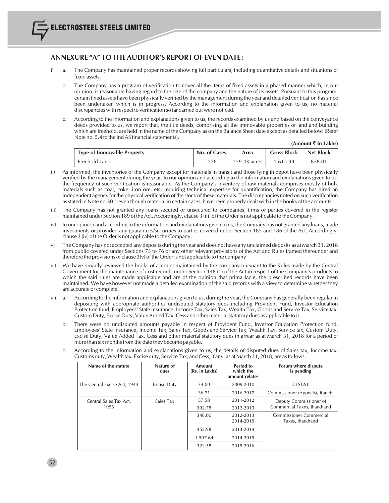# **ANNEXURE "A" TO THE AUDITOR'S REPORT OF EVEN DATE :**

- i) a. The Company has maintained proper records showing full particulars, including quantitative details and situations of fixed assets.
	- b. The Company has a program of verification to cover all the items of fixed assets in a phased manner which, in our opinion, is reasonable having regard to the size of the company and the nature of its assets. Pursuant to this program, certain fixed assets have been physically verified by the management during the year and detailed verification hassince been undertaken which is in progress. According to the information and explanation given to us, no material discrepancies with respect to verification so far carried out were noticed.
	- c. According to the information and explanations given to us, the records examined by us and based on the conveyance deeds provided to us, we report that, the title deeds, comprising all the immovable properties of land and building which are freehold, are held in the name of the Company as on the Balance Sheet date except as detailed below: (Refer Note no. 5.4 to the Ind AS financial statements).

| (Amount ₹ In Lakhs) |  |  |  |
|---------------------|--|--|--|
|---------------------|--|--|--|

| <b>Type of Immovable Property</b> | No. of Cases | Area           | <b>Gross Block</b> | Net Block |
|-----------------------------------|--------------|----------------|--------------------|-----------|
| Freehold Land                     | 226          | 229.43 acres 1 | 1.615.99           | 878.01    |

- ii) As informed, the inventories of the Company except for materials in transit and those lying in depot have been physically verified by the management during the year. In our opinion and according to the information and explanations given to us, the frequency of such verification is reasonable. As the Company's inventory of raw materials comprises mostly of bulk materials such as coal, coke, iron ore, etc. requiring technical expertise for quantification, the Company has hired an independent agency for the physical verification of the stock of these materials. The discrepancies noted on such verification asstated in Note no.30.1 even though material in certain cases, have been properly dealt with in the books of the accounts.
- iii) The Company has not granted any loans secured or unsecured to companies, firms or parties covered in the register maintained under Section 189 of the Act.Accordingly, clause 3 (iii) of the Orderis not applicable to the Company.
- iv) In our opinion and according to the information and explanations given to us, the Company has not granted any loans, made investments or provided any guarantees/securities to parties covered under Section 185 and 186 of the Act. Accordingly, clause 3 (iv) of the Orderis not applicable to the Company.
- v) The Company has not accepted any deposits during the year and does not have any unclaimed deposits as at March 31, 2018 from public covered under Sections 73 to 76 or any other relevant provisions of the Act and Rules framed thereunder and therefore the provisions of clause  $3(v)$  of the Order is not applicable to the company
- vi) We have broadly reviewed the books of account maintained by the company pursuant to the Rules made by the Central Government for the maintenance of cost records under Section 148 (1) of the Act in respect of the Company's products to which the said rules are made applicable and are of the opinion that prima facie, the prescribed records have been maintained. We have however not made a detailed examination of the said records with a view to determine whether they are accurate or complete.
- vii) a. According to the information and explanations given to us, during the year, the Company has generally been regular in depositing with appropriate authorities undisputed statutory dues including Provident Fund, Investor Education Protection fund, Employees' State Insurance, Income Tax, Sales Tax, Wealth Tax, Goods and Service Tax, Service tax, Custom Duty, Excise Duty, Value Added Tax, Cess and other material statutory dues as applicable to it.
	- b. There were no undisputed amounts payable in respect of Provident Fund, Investor Education Protection fund, Employees' State Insurance, Income Tax, Sales Tax, Goods and Service Tax, Wealth Tax, Service tax, Custom Duty, Excise Duty, Value Added Tax, Cess and other material statutory dues in arrear as at March 31, 2018 for a period of more than six months from the date they become payable.
	- c. According to the information and explanations given to us, the details of disputed dues of Sales tax, Income tax, Customs duty, Wealth tax, Excise duty, Service Tax, andCess, if any, as at March 31, 2018, are asfollows:

| Name of the statute          | Nature of<br>dues  | Amount<br>(Rs. in Lakhs) | Period to<br>which the<br>amount relates | Forum where dispute<br>is pending           |
|------------------------------|--------------------|--------------------------|------------------------------------------|---------------------------------------------|
| The Central Excise Act, 1944 | <b>Excise Duty</b> | 34.00                    | 2009-2010                                | <b>CESTAT</b>                               |
|                              |                    | 36.71                    | 2016-2017                                | Commissioner (Appeals), Ranchi              |
| Central Sales Tax Act,       | Sales Tax          | 57.58                    | 2011-2012                                | Deputy Commissioner of                      |
| 1956                         |                    | 392.78                   | 2012-2013                                | Commercial Taxes, Jharkhand                 |
|                              |                    | 348.00                   | 2012-2013<br>2014-2015                   | Commissioner Commercial<br>Taxes, Jharkhand |
|                              |                    | 452.98                   | 2013-2014                                |                                             |
|                              |                    | 1,507.64                 | 2014-2015                                |                                             |
|                              |                    | 322.58                   | 2015-2016                                |                                             |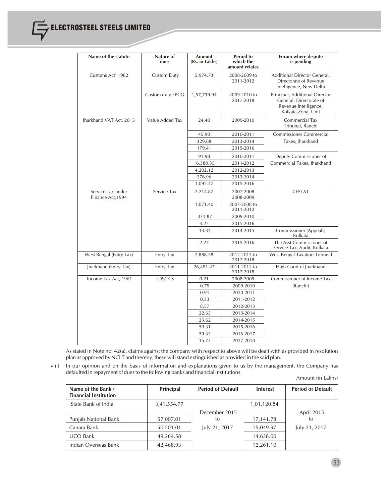| Name of the statute                    | Nature of<br>dues  | Amount<br>(Rs. in Lakhs) | <b>Period to</b><br>which the<br>amount relates | Forum where dispute<br>is pending                                                                        |
|----------------------------------------|--------------------|--------------------------|-------------------------------------------------|----------------------------------------------------------------------------------------------------------|
| Customs Act' 1962                      | <b>Custom Duty</b> | 5,974.73                 | 2008-2009 to<br>2011-2012                       | Additional Director General,<br>Directorate of Revenue<br>Intelligence, New Delhi                        |
|                                        | Custom duty-EPCG   | 1,57,739.94              | 2009-2010 to<br>2017-2018                       | Principal, Additional Director<br>General, Directorate of<br>Revenue Intelligence,<br>Kolkata Zonal Unit |
| Jharkhand VAT Act, 2015                | Value Added Tax    | 24.40                    | 2009-2010                                       | Commercial Tax<br>Tribunal, Ranchi                                                                       |
|                                        |                    | 45.90                    | 2010-2011                                       | <b>Commissioner Commercial</b>                                                                           |
|                                        |                    | 329.68                   | 2013-2014                                       | Taxes, Jharkhand                                                                                         |
|                                        |                    | 179.41                   | 2015-2016                                       |                                                                                                          |
|                                        |                    | 91.98                    | 2010-2011                                       | Deputy Commissioner of                                                                                   |
|                                        |                    | 16,380.35                | 2011-2012                                       | Commercial Taxes, Jharkhand                                                                              |
|                                        |                    | 4,202.12                 | 2012-2013                                       |                                                                                                          |
|                                        |                    | 276.96                   | 2013-2014                                       |                                                                                                          |
|                                        |                    | 1,092.47                 | 2015-2016                                       |                                                                                                          |
| Service Tax under<br>Finance Act, 1994 | Service Tax        | 2,214.87                 | 2007-2008<br>2008-2009                          | <b>CESTAT</b>                                                                                            |
|                                        |                    | 1,071.40                 | 2007-2008 to<br>2011-2012                       |                                                                                                          |
|                                        |                    | 331.87                   | 2009-2010                                       |                                                                                                          |
|                                        |                    | 3.22                     | 2015-2016                                       |                                                                                                          |
|                                        |                    | 13.34                    | 2014-2015                                       | Commissioner (Appeals)<br>Kolkata                                                                        |
|                                        |                    | 2.27                     | 2015-2016                                       | The Asst Commissioner of<br>Service Tax, Audit, Kolkata                                                  |
| West Bengal (Entry Tax)                | Entry Tax          | 2,888.58                 | 2012-2013 to<br>2017-2018                       | West Bengal Taxation Tribunal                                                                            |
| Jharkhand (Entry Tax)                  | <b>Entry Tax</b>   | 26,491.47                | 2011-2012 to<br>2017-2018                       | High Court of Jharkhand                                                                                  |
| Income Tax Act, 1961                   | <b>TDS/TCS</b>     | 0.21                     | 2008-2009                                       | Commissioner of Income Tax                                                                               |
|                                        |                    | 0.79                     | 2009-2010                                       | (Ranchi)                                                                                                 |
|                                        |                    | 0.91                     | 2010-2011                                       |                                                                                                          |
|                                        |                    | 0.33                     | 2011-2012                                       |                                                                                                          |
|                                        |                    | 8.57                     | 2012-2013                                       |                                                                                                          |
|                                        |                    | 22.63                    | 2013-2014                                       |                                                                                                          |
|                                        |                    | 23.62                    | 2014-2015                                       |                                                                                                          |
|                                        |                    | 50.31                    | 2015-2016                                       |                                                                                                          |
|                                        |                    | 59.33                    | 2016-2017                                       |                                                                                                          |
|                                        |                    | 15.73                    | 2017-2018                                       |                                                                                                          |

As stated in Note no. 42(a), claims against the company with respect to above will be dealt with as provided in resolution plan as approved by NCLT and thereby, these will stand extinguished as provided in the said plan.

viii) In our opinion and on the basis of information and explanations given to us by the management, the Company has defaulted in repayment of dues to the following banks and financial institutions:

Amount (in Lakhs)

| Name of the Bank /<br><b>Financial Institution</b> | Principal   | <b>Period of Default</b> | <b>Interest</b> | <b>Period of Default</b> |
|----------------------------------------------------|-------------|--------------------------|-----------------|--------------------------|
| State Bank of India                                | 3,41,554.77 |                          | 1,01,120.84     |                          |
|                                                    |             | December 2015            |                 | April 2015               |
| Punjab National Bank                               | 57,007.01   | to                       | 17,141.78       | tο                       |
| Canara Bank                                        | 50,501.01   | July 21, 2017            | 15,049.97       | July 21, 2017            |
| <b>UCO Bank</b>                                    | 49,264.58   |                          | 14,638.00       |                          |
| Indian Overseas Bank                               | 42,468.93   |                          | 12,261.10       |                          |

53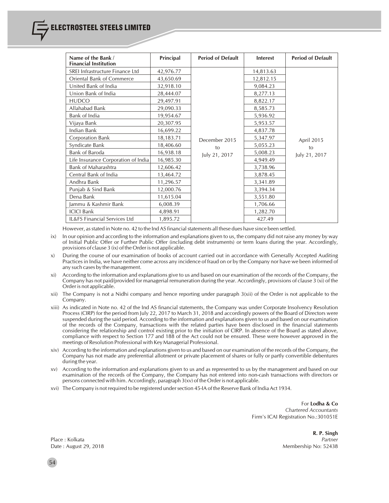| Name of the Bank /<br><b>Financial Institution</b> | Principal | <b>Period of Default</b> | <b>Interest</b> | <b>Period of Default</b> |
|----------------------------------------------------|-----------|--------------------------|-----------------|--------------------------|
| SREI Infrastructure Finance Ltd                    | 42,976.77 |                          | 14,813.63       |                          |
| Oriental Bank of Commerce                          | 43,650.69 |                          | 12,812.15       |                          |
| United Bank of India                               | 32,918.10 |                          | 9,084.23        |                          |
| Union Bank of India                                | 28,444.07 |                          | 8,277.13        |                          |
| <b>HUDCO</b>                                       | 29,497.91 |                          | 8,822.17        |                          |
| Allahabad Bank                                     | 29,090.33 |                          | 8,585.73        |                          |
| Bank of India                                      | 19,954.67 |                          | 5,936.92        |                          |
| Vijaya Bank                                        | 20,307.95 |                          | 5,953.57        |                          |
| Indian Bank                                        | 16,699.22 |                          | 4,837.78        | April 2015               |
| Corporation Bank                                   | 18,183.71 | December 2015            | 5,347.97        |                          |
| Syndicate Bank                                     | 18,406.60 | to                       | 5,055.23        | to                       |
| Bank of Baroda                                     | 16,938.18 | July 21, 2017            | 5,008.23        | July 21, 2017            |
| Life Insurance Corporation of India                | 16,985.30 |                          | 4,949.49        |                          |
| <b>Bank of Maharashtra</b>                         | 12,606.42 |                          | 3,738.96        |                          |
| Central Bank of India                              | 13,464.72 |                          | 3,878.45        |                          |
| Andhra Bank                                        | 11,296.57 |                          | 3,341.89        |                          |
| Punjab & Sind Bank                                 | 12,000.76 |                          | 3,394.34        |                          |
| Dena Bank                                          | 11,615.04 |                          | 3,551.80        |                          |
| Jammu & Kashmir Bank                               | 6,008.39  |                          | 1,706.66        |                          |
| <b>ICICI Bank</b>                                  | 4,898.91  |                          | 1,282.70        |                          |
| IL&FS Financial Services Ltd                       | 1,895.72  |                          | 427.49          |                          |

However, as stated in Note no. 42 to the Ind AS financial statements all these dues have since been settled.

ix) In our opinion and according to the information and explanations given to us, the company did not raise any money by way of Initial Public Offer or Further Public Offer (including debt instruments) or term loans during the year. Accordingly, provisions of clause 3 (ix) of the Order is not applicable.

- x) During the course of our examination of books of account carried out in accordance with Generally Accepted Auditing Practices in India, we have neither come across any incidence of fraud on or by the Company nor have we been informed of any such cases by the management.
- xi) According to the information and explanations give to us and based on our examination of the records of the Company, the Company has not paid/provided for managerial remuneration during the year. Accordingly, provisions of clause 3 (xi) of the Order is not applicable.
- xii) The Company is not a Nidhi company and hence reporting under paragraph 3(xii) of the Order is not applicable to the Company.
- xiii) As indicated in Note no. 42 of the Ind AS financial statements, the Company was under Corporate Insolvency Resolution Process (CIRP) for the period from July 22, 2017 to March 31, 2018 and accordingly powers of the Board of Directors were suspended during the said period. According to the information and explanations given to us and based on our examination of the records of the Company, transactions with the related parties have been disclosed in the financial statements considering the relationship and control existing prior to the initiation of CIRP. In absence of the Board as stated above, compliance with respect to Section 177 and 188 of the Act could not be ensured. These were however approved in the meetings of Resolution Professional with Key Managerial Professional.
- xiv) According to the information and explanations given to us and based on our examination of the records of the Company, the Company has not made any preferential allotment or private placement of shares or fully or partly convertible debentures during the year.
- xv) According to the information and explanations given to us and as represented to us by the management and based on our examination of the records of the Company, the Company has not entered into non-cash transactions with directors or persons connected with him. Accordingly, paragraph 3(xv) of the Orderis not applicable.
- xvi) TheCompany is not required to be registered undersection 45-IA of the Reserve Bank of India Act 1934.

For **Lodha & Co** *Chartered Accountants* Firm's ICAI Registration No.:301051E

**R. P. Singh** Place : Kolkata *Partner* Date : August 29, 2018 Membership No: 52438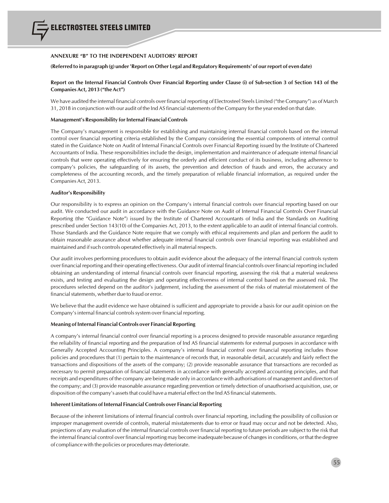

#### **ANNEXURE "B" TO THE INDEPENDENT AUDITORS' REPORT**

#### (Referred to in paragraph (g) under 'Report on Other Legal and Regulatory Requirements' of our report of even date)

### Report on the Internal Financial Controls Over Financial Reporting under Clause (i) of Sub-section 3 of Section 143 of the **Companies Act, 2013 ("the Act")**

We have audited the internal financial controls over financial reporting of Electrosteel Steels Limited ("the Company") as of March 31, 2018 in conjunction with our audit of the Ind AS financial statements of the Company for the year ended on that date.

#### **Management's Responsibility for Internal Financial Controls**

The Company's management is responsible for establishing and maintaining internal financial controls based on the internal control over financial reporting criteria established by the Company considering the essential components of internal control stated in the Guidance Note on Audit of Internal Financial Controls over Financial Reporting issued by the Institute of Chartered Accountants of India. These responsibilities include the design, implementation and maintenance of adequate internal financial controls that were operating effectively for ensuring the orderly and efficient conduct of its business, including adherence to company's policies, the safeguarding of its assets, the prevention and detection of frauds and errors, the accuracy and completeness of the accounting records, and the timely preparation of reliable financial information, as required under the Companies Act, 2013.

#### **Auditor's Responsibility**

Our responsibility is to express an opinion on the Company's internal financial controls over financial reporting based on our audit. We conducted our audit in accordance with the Guidance Note on Audit of Internal Financial Controls Over Financial Reporting (the "Guidance Note") issued by the Institute of Chartered Accountants of India and the Standards on Auditing prescribed under Section 143(10) of the Companies Act, 2013, to the extent applicable to an audit of internal financial controls. Those Standards and the Guidance Note require that we comply with ethical requirements and plan and perform the audit to obtain reasonable assurance about whether adequate internal financial controls over financial reporting was established and maintained and if such controls operated effectively in all material respects.

Our audit involves performing procedures to obtain audit evidence about the adequacy of the internal financial controls system over financial reporting and their operating effectiveness. Our audit of internal financial controls over financial reporting included obtaining an understanding of internal financial controls over financial reporting, assessing the risk that a material weakness exists, and testing and evaluating the design and operating effectiveness of internal control based on the assessed risk. The procedures selected depend on the auditor's judgement, including the assessment of the risks of material misstatement of the financial statements, whether due to fraud or error.

We believe that the audit evidence we have obtained is sufficient and appropriate to provide a basis for our audit opinion on the Company's internal financial controls system over financial reporting.

#### **Meaning ofInternal Financial Controls over Financial Reporting**

A company's internal financial control over financial reporting is a process designed to provide reasonable assurance regarding the reliability of financial reporting and the preparation of Ind AS financial statements for external purposes in accordance with Generally Accepted Accounting Principles. A company's internal financial control over financial reporting includes those policies and procedures that (1) pertain to the maintenance of records that, in reasonable detail, accurately and fairly reflect the transactions and dispositions of the assets of the company; (2) provide reasonable assurance that transactions are recorded as necessary to permit preparation of financial statements in accordance with generally accepted accounting principles, and that receipts and expenditures of the company are being made only in accordance with authorisations of management and directors of the company; and (3) provide reasonable assurance regarding prevention or timely detection of unauthorised acquisition, use, or disposition of the company's assets that could have a material effect on the Ind AS financial statements.

#### **Inherent Limitations of Internal Financial Controls over Financial Reporting**

Because of the inherent limitations of internal financial controls over financial reporting, including the possibility of collusion or improper management override of controls, material misstatements due to error or fraud may occur and not be detected. Also, projections of any evaluation of the internal financial controls over financial reporting to future periods are subject to the risk that the internal financial control over financial reporting may become inadequate because of changes in conditions, or that the degree of compliance with the policies or procedures may deteriorate.

55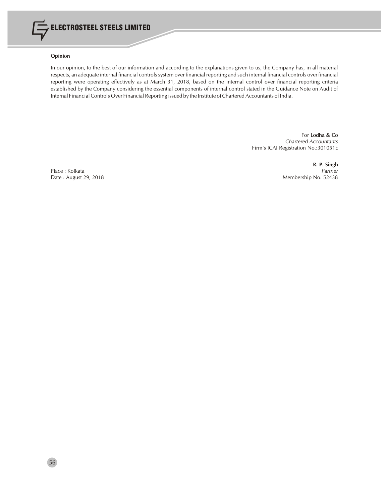

## **Opinion**

In our opinion, to the best of our information and according to the explanations given to us, the Company has, in all material respects, an adequate internal financial controlssystem over financial reporting and such internal financial controls over financial reporting were operating effectively as at March 31, 2018, based on the internal control over financial reporting criteria established by the Company considering the essential components of internal control stated in the Guidance Note on Audit of Internal Financial Controls Over Financial Reporting issued by the Institute of Chartered Accountants of India.

> For **Lodha & Co** *Chartered Accountants* Firm's ICAI Registration No.:301051E

Place : Kolkata<br>Date : August 29, 2018

**R. P. Singh** Membership No: 52438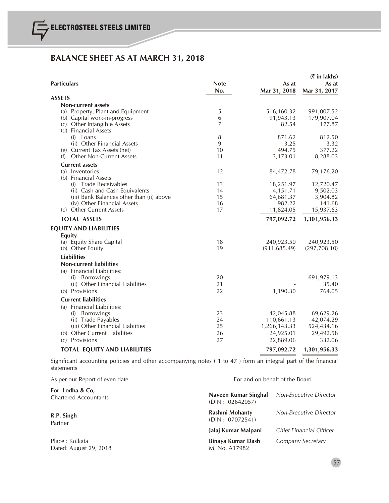# **BALANCE SHEET AS AT MARCH 31, 2018**

| <b>Particulars</b>                                      | <b>Note</b><br>No. | As at<br>Mar 31, 2018      | $(\bar{\bar{\zeta}})$ in lakhs)<br>As at<br>Mar 31, 2017 |
|---------------------------------------------------------|--------------------|----------------------------|----------------------------------------------------------|
| <b>ASSETS</b>                                           |                    |                            |                                                          |
| Non-current assets                                      |                    |                            |                                                          |
| (a) Property, Plant and Equipment                       | 5                  | 516,160.32                 | 991,007.52                                               |
| (b) Capital work-in-progress                            | 6                  | 91,943.13                  | 179,907.04                                               |
| (c) Other Intangible Assets                             | $\overline{7}$     | 82.54                      | 177.87                                                   |
| (d) Financial Assets                                    |                    |                            |                                                          |
| $(i)$ Loans<br>(ii) Other Financial Assets              | 8<br>9             | 871.62<br>3.25             | 812.50<br>3.32                                           |
| (e) Current Tax Assets (net)                            | 10                 | 494.75                     | 377.22                                                   |
| (f) Other Non-Current Assets                            | 11                 | 3,173.01                   | 8,288.03                                                 |
| <b>Current assets</b>                                   |                    |                            |                                                          |
| (a) Inventories                                         | 12                 | 84,472.78                  | 79,176.20                                                |
| (b) Financial Assets:                                   |                    |                            |                                                          |
| (i) Trade Receivables                                   | 13                 | 18,251.97                  | 12,720.47                                                |
| (ii) Cash and Cash Equivalents                          | 14                 | 4,151.71                   | 9,502.03                                                 |
| (iii) Bank Balances other than (ii) above               | 15                 | 64,681.37                  | 3,904.82                                                 |
| (iv) Other Financial Assets                             | 16                 | 982.22                     | 141.68                                                   |
| (c) Other Current Assets                                | 17                 | 11,824.05                  | 15,937.63                                                |
| <b>TOTAL ASSETS</b>                                     |                    | 797,092.72                 | 1,301,956.33                                             |
| <b>EQUITY AND LIABILITIES</b>                           |                    |                            |                                                          |
| <b>Equity</b>                                           |                    |                            |                                                          |
| (a) Equity Share Capital                                | 18                 | 240,923.50                 | 240,923.50                                               |
| (b) Other Equity                                        | 19                 | (911, 685.49)              | (297,708.10)                                             |
| <b>Liabilities</b>                                      |                    |                            |                                                          |
| <b>Non-current liabilities</b>                          |                    |                            |                                                          |
| (a) Financial Liabilities:                              |                    |                            |                                                          |
| (i) Borrowings                                          | 20                 |                            | 691,979.13                                               |
| (ii) Other Financial Liabilities                        | 21                 |                            | 35.40                                                    |
| (b) Provisions                                          | 22                 | 1,190.30                   | 764.05                                                   |
| <b>Current liabilities</b>                              |                    |                            |                                                          |
| (a) Financial Liabilities:                              |                    |                            |                                                          |
| (i) Borrowings                                          | 23<br>24           | 42,045.88                  | 69,629.26                                                |
| (ii) Trade Payables<br>(iii) Other Financial Liabiities | 25                 | 110,661.13<br>1,266,143.33 | 42,074.29<br>524,434.16                                  |
| (b) Other Current Liabilities                           | 26                 | 24,925.01                  | 29,492.58                                                |
| (c) Provisions                                          | 27                 | 22,889.06                  | 332.06                                                   |
|                                                         |                    |                            |                                                          |
| <b>TOTAL EQUITY AND LIABILITIES</b>                     |                    | 797,092.72                 | 1,301,956.33                                             |

Significant accounting policies and other accompanying notes ( 1 to 47 ) form an integral part of the financial statements

| As per our Report of even date                  | For and on behalf of the Board          |                               |  |
|-------------------------------------------------|-----------------------------------------|-------------------------------|--|
| For Lodha & Co,<br><b>Chartered Accountants</b> | Naveen Kumar Singhal<br>(DIN: 02642057) | <b>Non-Executive Director</b> |  |
| R.P. Singh<br>Partner                           | Rashmi Mohanty<br>(DIN: 07072541)       | Non-Executive Director        |  |
|                                                 | Jalai Kumar Malpani                     | Chief Financial Officer       |  |
| Place: Kolkata<br>Dated: August 29, 2018        | Binaya Kumar Dash<br>M. No. A17982      | Company Secretary             |  |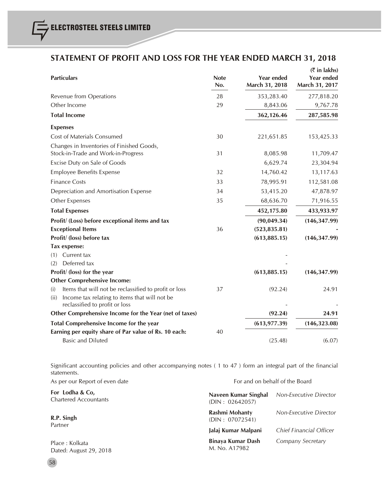# **STATEMENT OF PROFIT AND LOSS FOR THE YEAR ENDED MARCH 31, 2018**

|                                                                                                                       |                    |                                     | <b>₹</b> in lakhs)                  |
|-----------------------------------------------------------------------------------------------------------------------|--------------------|-------------------------------------|-------------------------------------|
| <b>Particulars</b>                                                                                                    | <b>Note</b><br>No. | <b>Year ended</b><br>March 31, 2018 | <b>Year ended</b><br>March 31, 2017 |
| Revenue from Operations                                                                                               | 28                 | 353,283.40                          | 277,818.20                          |
| Other Income                                                                                                          | 29                 | 8,843.06                            | 9,767.78                            |
| <b>Total Income</b>                                                                                                   |                    | 362,126.46                          | 287,585.98                          |
| <b>Expenses</b>                                                                                                       |                    |                                     |                                     |
| <b>Cost of Materials Consumed</b>                                                                                     | 30                 | 221,651.85                          | 153,425.33                          |
| Changes in Inventories of Finished Goods,<br>Stock-in-Trade and Work-in-Progress                                      | 31                 | 8,085.98                            | 11,709.47                           |
| Excise Duty on Sale of Goods                                                                                          |                    | 6,629.74                            | 23,304.94                           |
| <b>Employee Benefits Expense</b>                                                                                      | 32                 | 14,760.42                           | 13,117.63                           |
| <b>Finance Costs</b>                                                                                                  | 33                 | 78,995.91                           | 112,581.08                          |
| Depreciation and Amortisation Expense                                                                                 | 34                 | 53,415.20                           | 47,878.97                           |
| Other Expenses                                                                                                        | 35                 | 68,636.70                           | 71,916.55                           |
| <b>Total Expenses</b>                                                                                                 |                    | 452,175.80                          | 433,933.97                          |
| Profit/ (Loss) before exceptional items and tax                                                                       |                    | (90,049.34)                         | (146, 347.99)                       |
| <b>Exceptional Items</b>                                                                                              | 36                 | (523, 835.81)                       |                                     |
| Profit/ (loss) before tax                                                                                             |                    | (613, 885.15)                       | (146, 347.99)                       |
| Tax expense:                                                                                                          |                    |                                     |                                     |
| Current tax<br>(1)                                                                                                    |                    |                                     |                                     |
| Deferred tax<br>(2)                                                                                                   |                    |                                     |                                     |
| Profit/ (loss) for the year                                                                                           |                    | (613, 885.15)                       | (146, 347.99)                       |
| <b>Other Comprehensive Income:</b>                                                                                    |                    |                                     |                                     |
| Items that will not be reclassified to profit or loss<br>(i)<br>Income tax relating to items that will not be<br>(ii) | 37                 | (92.24)                             | 24.91                               |
| reclassified to profit or loss<br>Other Comprehensive Income for the Year (net of taxes)                              |                    | (92.24)                             | 24.91                               |
|                                                                                                                       |                    |                                     |                                     |
| Total Comprehensive Income for the year                                                                               |                    | (613, 977.39)                       | (146, 323.08)                       |
| Earning per equity share of Par value of Rs. 10 each:                                                                 | 40                 |                                     |                                     |
| <b>Basic and Diluted</b>                                                                                              |                    | (25.48)                             | (6.07)                              |

Significant accounting policies and other accompanying notes ( 1 to 47 ) form an integral part of the financial statements.

| As per our Report of even date                  | For and on behalf of the Board          |                               |  |
|-------------------------------------------------|-----------------------------------------|-------------------------------|--|
| For Lodha & Co,<br><b>Chartered Accountants</b> | Naveen Kumar Singhal<br>(DIN: 02642057) | <b>Non-Executive Director</b> |  |
| R.P. Singh                                      | Rashmi Mohanty<br>(DIN: 07072541)       | <b>Non-Executive Director</b> |  |
| Partner                                         | Jalaj Kumar Malpani                     | Chief Financial Officer       |  |
| Place: Kolkata<br>Dated: August 29, 2018        | Binaya Kumar Dash<br>M. No. A17982      | Company Secretary             |  |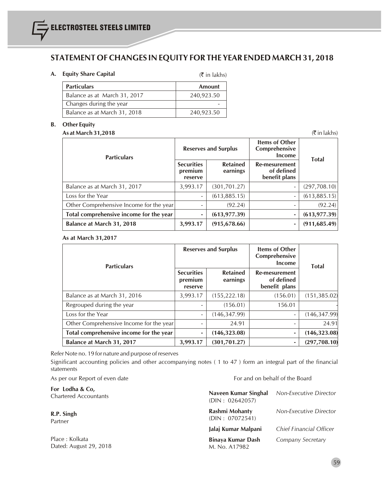# **STATEMENT OFCHANGES IN EQUITY FOR THE YEAR ENDED MARCH 31, 2018**

# **A. Equity Share Capital**

 $($ ₹ in lakhs)

| <b>Particulars</b>           | <b>Amount</b> |
|------------------------------|---------------|
| Balance as at March 31, 2017 | 240,923.50    |
| Changes during the year      |               |
| Balance as at March 31, 2018 | 240,923.50    |

# **B. Other Equity**

# **As at March 31,2018** (` in lakhs)

| <b>Particulars</b>                      | <b>Reserves and Surplus</b>             |                             | <b>Items of Other</b><br>Comprehensive<br>Income | <b>Total</b>  |
|-----------------------------------------|-----------------------------------------|-----------------------------|--------------------------------------------------|---------------|
|                                         | <b>Securities</b><br>premium<br>reserve | <b>Retained</b><br>earnings | Re-mesurement<br>of defined<br>benefit plans     |               |
| Balance as at March 31, 2017            | 3,993.17                                | (301, 701.27)               | $\overline{\phantom{a}}$                         | (297,708.10)  |
| Loss for the Year                       | $\overline{\phantom{a}}$                | (613,885.15)                | $\overline{\phantom{a}}$                         | (613,885.15)  |
| Other Comprehensive Income for the year |                                         | (92.24)                     |                                                  | (92.24)       |
| Total comprehensive income for the year | ۰                                       | (613, 977.39)               | ٠                                                | (613, 977.39) |
| Balance at March 31, 2018               | 3,993.17                                | (915, 678.66)               | ٠                                                | (911, 685.49) |

**As at March 31,2017**

| <b>Particulars</b>                      | <b>Reserves and Surplus</b>             |                             | Items of Other<br>Comprehensive<br>Income    | <b>Total</b>  |
|-----------------------------------------|-----------------------------------------|-----------------------------|----------------------------------------------|---------------|
|                                         | <b>Securities</b><br>premium<br>reserve | <b>Retained</b><br>earnings | Re-mesurement<br>of defined<br>benefit plans |               |
| Balance as at March 31, 2016            | 3,993.17                                | (155, 222.18)               | (156.01)                                     | (151, 385.02) |
| Regrouped during the year               |                                         | (156.01)                    | 156.01                                       |               |
| Loss for the Year                       | $\overline{\phantom{m}}$                | (146, 347.99)               |                                              | (146, 347.99) |
| Other Comprehensive Income for the year |                                         | 24.91                       |                                              | 24.91         |
| Total comprehensive income for the year | ٠                                       | (146, 323.08)               | ۰                                            | (146, 323.08) |
| Balance at March 31, 2017               | 3,993.17                                | (301, 701.27)               | ۰                                            | (297,708.10)  |

Refer Note no. 19 for nature and purpose of reserves

Significant accounting policies and other accompanying notes ( 1 to 47 ) form an integral part of the financial statements

| For and on behalf of the Board          |                         |  |
|-----------------------------------------|-------------------------|--|
| Naveen Kumar Singhal<br>(DIN: 02642057) | Non-Executive Director  |  |
| Rashmi Mohanty<br>(DIN: 07072541)       | Non-Executive Director  |  |
| Jalai Kumar Malpani                     | Chief Financial Officer |  |
| Binaya Kumar Dash<br>M. No. A17982      | Company Secretary       |  |
|                                         |                         |  |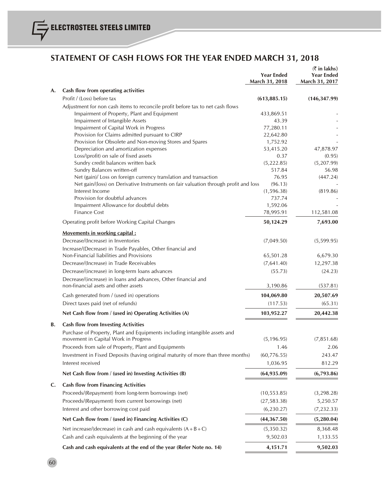# **STATEMENT OF CASH FLOWS FOR THE YEAR ENDED MARCH 31, 2018**

|    |                                                                                                                          | <b>Year Ended</b><br>March 31, 2018 | $(\bar{z}$ in lakhs)<br><b>Year Ended</b><br>March 31, 2017 |
|----|--------------------------------------------------------------------------------------------------------------------------|-------------------------------------|-------------------------------------------------------------|
| A. | Cash flow from operating activities                                                                                      |                                     |                                                             |
|    | Profit / (Loss) before tax                                                                                               | (613, 885.15)                       | (146, 347.99)                                               |
|    | Adjustment for non cash items to reconcile profit before tax to net cash flows                                           |                                     |                                                             |
|    | Impairment of Property, Plant and Equipment                                                                              | 433,869.51                          |                                                             |
|    | Impairment of Intangible Assets                                                                                          | 43.39                               |                                                             |
|    | Impairment of Capital Work in Progress                                                                                   | 77,280.11                           |                                                             |
|    | Provision for Claims admitted pursuant to CIRP                                                                           | 22,642.80                           |                                                             |
|    | Provision for Obsolete and Non-moving Stores and Spares                                                                  | 1,752.92                            |                                                             |
|    | Depreciation and amortization expenses                                                                                   | 53,415.20                           | 47,878.97                                                   |
|    | Loss/(profit) on sale of fixed assets<br>Sundry credit balances written back                                             | 0.37                                | (0.95)                                                      |
|    | Sundry Balances written-off                                                                                              | (5,222.85)<br>517.84                | (5,207.99)<br>56.98                                         |
|    | Net (gain)/ Loss on foreign currency translation and transaction                                                         | 76.95                               | (447.24)                                                    |
|    | Net gain/(loss) on Derivative Instruments on fair valuation through profit and loss                                      | (96.13)                             |                                                             |
|    | Interest Income                                                                                                          | (1, 596.38)                         | (819.86)                                                    |
|    | Provision for doubtful advances                                                                                          | 737.74                              |                                                             |
|    | Impairment Allowance for doubtful debts                                                                                  | 1,592.06                            |                                                             |
|    | <b>Finance Cost</b>                                                                                                      | 78,995.91                           | 112,581.08                                                  |
|    | Operating profit before Working Capital Changes                                                                          | 50,124.29                           | 7,693.00                                                    |
|    | <b>Movements in working capital:</b>                                                                                     |                                     |                                                             |
|    | Decrease/(Increase) in Inventories                                                                                       | (7,049.50)                          | (5,599.95)                                                  |
|    | Increase/(Decrease) in Trade Payables, Other financial and                                                               |                                     |                                                             |
|    | Non-Financial liabilities and Provisions                                                                                 | 65,501.28                           | 6,679.30                                                    |
|    | Decrease/(Increase) in Trade Receivables                                                                                 | (7,641.40)                          | 12,297.38                                                   |
|    | Decrease/(increase) in long-term loans advances                                                                          | (55.73)                             | (24.23)                                                     |
|    | Decrease/(increase) in loans and advances, Other financial and<br>non-financial asets and other assets                   | 3,190.86                            | (537.81)                                                    |
|    |                                                                                                                          |                                     |                                                             |
|    | Cash generated from / (used in) operations                                                                               | 104,069.80                          | 20,507.69                                                   |
|    | Direct taxes paid (net of refunds)                                                                                       | (117.53)                            | (65.31)                                                     |
|    | Net Cash flow from / (used in) Operating Activities (A)                                                                  | 103,952.27                          | 20,442.38                                                   |
| В. | <b>Cash flow from Investing Activities</b><br>Purchase of Property, Plant and Equipments including intangible assets and |                                     |                                                             |
|    | movement in Capital Work in Progress                                                                                     | (5, 196.95)                         | (7, 851.68)                                                 |
|    | Proceeds from sale of Property, Plant and Equipments                                                                     | 1.46                                | 2.06                                                        |
|    | Investment in Fixed Deposits (having original maturity of more than three months)                                        | (60, 776.55)                        | 243.47                                                      |
|    | Interest received                                                                                                        | 1,036.95                            | 812.29                                                      |
|    | Net Cash flow from / (used in) Investing Activities (B)                                                                  | (64, 935.09)                        | (6,793.86)                                                  |
| C. | <b>Cash flow from Financing Activities</b>                                                                               |                                     |                                                             |
|    | Proceeds/(Repayment) from long-term borrowings (net)                                                                     | (10, 553.85)                        | (3, 298.28)                                                 |
|    | Proceeds/(Repayment) from current borrowings (net)                                                                       | (27, 583.38)                        | 5,250.57                                                    |
|    | Interest and other borrowing cost paid                                                                                   | (6, 230.27)                         | (7, 232.33)                                                 |
|    | Net Cash flow from / (used in) Financing Activities (C)                                                                  | (44, 367.50)                        | (5, 280.04)                                                 |
|    | Net increase/(decrease) in cash and cash equivalents $(A + B + C)$                                                       | (5,350.32)                          | 8,368.48                                                    |
|    | Cash and cash equivalents at the beginning of the year                                                                   | 9,502.03                            | 1,133.55                                                    |
|    | Cash and cash equivalents at the end of the year (Refer Note no. 14)                                                     | 4,151.71                            | 9,502.03                                                    |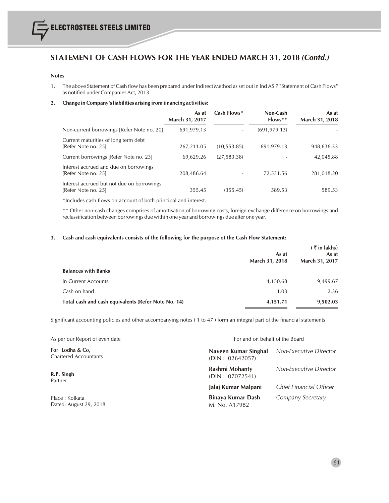# **STATEMENT OF CASH FLOWS FOR THE YEAR ENDED MARCH 31, 2018** *(Contd.)*

#### **Notes**

1. The above Statement of Cash flow has been prepared under Indirect Method asset out in Ind AS 7 "Statement of Cash Flows" as notified under Companies Act, 2013

## **2. Change in Company'sliabilities arising from financing activities:**

|                                                                   | As at<br><b>March 31, 2017</b> | Cash Flows*  | Non-Cash<br>$Flows**$ | As at<br>March 31, 2018 |
|-------------------------------------------------------------------|--------------------------------|--------------|-----------------------|-------------------------|
| Non-current borrowings [Refer Note no. 20]                        | 691,979.13                     |              | (691, 979.13)         |                         |
| Current maturities of long term debt<br>[Refer Note no. 25]       | 267,211.05                     | (10, 553.85) | 691,979.13            | 948,636.33              |
| Current borrowings [Refer Note no. 23]                            | 69,629.26                      | (27, 583.38) |                       | 42,045.88               |
| Interest accrued and due on borrowings<br>[Refer Note no. 25]     | 208,486.64                     |              | 72,531.56             | 281,018.20              |
| Interest accrued but not due on borrowings<br>[Refer Note no. 25] | 355.45                         | (355.45)     | 589.53                | 589.53                  |

\*Includes cash flows on account of both principal and interest.

\*\* Other non-cash changes comprises of amortisation of borrowing costs, foreign exchange difference on borrowings and reclassification between borrowings due within one year and borrowings due after one year.

### **3. Cash and cash equivalents consists of the following for the purpose of the Cash Flow Statement:**

|                                                     | As at<br>March 31, 2018 | $(\bar{z}$ in lakhs)<br>As at<br>March 31, 2017 |
|-----------------------------------------------------|-------------------------|-------------------------------------------------|
| <b>Balances with Banks</b>                          |                         |                                                 |
| In Current Accounts                                 | 4,150.68                | 9,499.67                                        |
| Cash on hand                                        | 1.03                    | 2.36                                            |
| Total cash and cash equivalents (Refer Note No. 14) | 4,151.71                | 9,502.03                                        |

Significant accounting policies and other accompanying notes ( 1 to 47 ) form an integral part of the financial statements

| As per our Report of even date                  |                                         | For and on behalf of the Board |  |  |
|-------------------------------------------------|-----------------------------------------|--------------------------------|--|--|
| For Lodha & Co,<br><b>Chartered Accountants</b> | Naveen Kumar Singhal<br>(DIN: 02642057) | Non-Executive Director         |  |  |
| R.P. Singh<br>Partner                           | Rashmi Mohanty<br>(DIN: 07072541)       | Non-Executive Director         |  |  |
|                                                 | Jalai Kumar Malpani                     | Chief Financial Officer        |  |  |
| Place: Kolkata<br>Dated: August 29, 2018        | Binaya Kumar Dash<br>M. No. A17982      | Company Secretary              |  |  |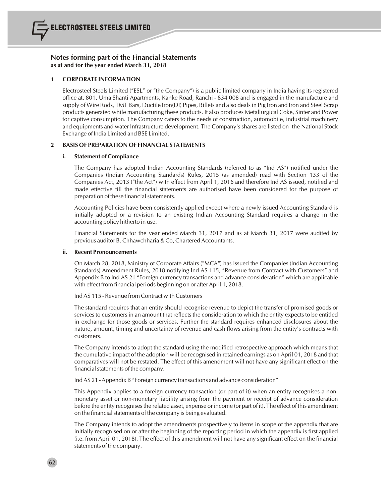# **1 CORPORATE INFORMATION**

Electrosteel Steels Limited ("ESL" or "the Company") is a public limited company in India having its registered office at, 801, Uma Shanti Apartments, Kanke Road, Ranchi - 834 008 and is engaged in the manufacture and supply of Wire Rods, TMT Bars, Ductile Iron(DI) Pipes, Billets and also dealsin Pig Iron and Iron and Steel Scrap products generated while manufacturing these products. It also produces Metallurgical Coke, Sinter and Power for captive consumption. The Company caters to the needs of construction, automobile, industrial machinery and equipments and water Infrastructure development. The Company's shares are listed on the National Stock Exchange of India Limited and BSE Limited.

# **2 BASIS OF PREPARATION OF FINANCIAL STATEMENTS**

# **i.** Statement of Compliance

The Company has adopted Indian Accounting Standards (referred to as "Ind AS") notified under the Companies (Indian Accounting Standards) Rules, 2015 (as amended) read with Section 133 of the Companies Act, 2013 ("the Act") with effect from April 1, 2016 and therefore Ind AS issued, notified and made effective till the financial statements are authorised have been considered for the purpose of preparation of these financial statements.

Accounting Policies have been consistently applied except where a newly issued Accounting Standard is initially adopted or a revision to an existing Indian Accounting Standard requires a change in the accounting policy hitherto in use.

Financial Statements for the year ended March 31, 2017 and as at March 31, 2017 were audited by previous auditor B. Chhawchharia & Co, Chartered Accountants.

# **ii. Recent Pronouncements**

62

On March 28, 2018, Ministry of Corporate Affairs ("MCA") has issued the Companies (Indian Accounting Standards) Amendment Rules, 2018 notifying Ind AS 115, "Revenue from Contract with Customers" and Appendix B to Ind AS 21 "Foreign currency transactions and advance consideration" which are applicable with effect from financial periods beginning on or after April 1, 2018.

Ind AS 115 - Revenue from Contract with Customers

The standard requires that an entity should recognise revenue to depict the transfer of promised goods or services to customers in an amount that reflects the consideration to which the entity expects to be entitled in exchange for those goods or services. Further the standard requires enhanced disclosures about the nature, amount, timing and uncertainty of revenue and cash flows arising from the entity's contracts with customers.

The Company intends to adopt the standard using the modified retrospective approach which means that the cumulative impact of the adoption will be recognised in retained earnings as on April 01, 2018 and that comparatives will not be restated. The effect of this amendment will not have any significant effect on the financial statements of the company.

Ind AS 21 - Appendix B "Foreign currency transactions and advance consideration"

This Appendix applies to a foreign currency transaction (or part of it) when an entity recognises a nonmonetary asset or non-monetary liability arising from the payment or receipt of advance consideration before the entity recognisesthe related asset, expense or income (or part of it). The effect of this amendment on the financial statements of the company is being evaluated.

The Company intends to adopt the amendments prospectively to items in scope of the appendix that are initially recognised on or after the beginning of the reporting period in which the appendix is first applied (i.e. from April 01, 2018). The effect of this amendment will not have any significant effect on the financial statements of the company.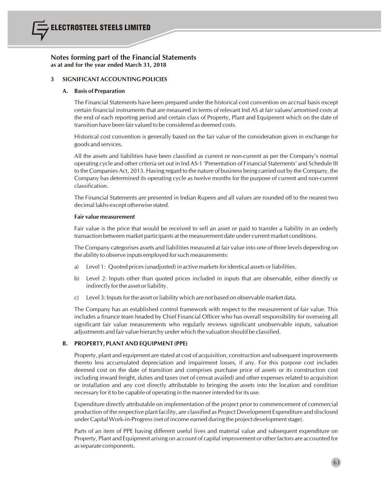# **3 SIGNIFICANT ACCOUNTING POLICIES**

# **A. Basis of Preparation**

The Financial Statements have been prepared under the historical cost convention on accrual basis except certain financial instruments that are measured in terms of relevant Ind AS at fair values/ amortised costs at the end of each reporting period and certain class of Property, Plant and Equipment which on the date of transition have been fair valued to be considered as deemed costs.

Historical cost convention is generally based on the fair value of the consideration given in exchange for goods and services.

All the assets and liabilities have been classified as current or non-current as per the Company's normal operating cycle and other criteria set out in Ind AS-1 'Presentation of Financial Statements' and Schedule III to the Companies Act, 2013. Having regard to the nature of business being carried out by the Company, the Company has determined its operating cycle as twelve months for the purpose of current and non-current classification.

The Financial Statements are presented in Indian Rupees and all values are rounded off to the nearest two decimal lakhs except otherwise stated.

## **Fair value measurement**

Fair value is the price that would be received to sell an asset or paid to transfer a liability in an orderly transaction between market participants at the measurement date under current market conditions.

The Company categorises assets and liabilities measured at fair value into one of three levels depending on the ability to observe inputs employed forsuch measurements:

- a) Level 1: Quoted prices (unadjusted) in active markets for identical assets or liabilities.
- b) Level 2: Inputs other than quoted prices included in inputs that are observable, either directly or indirectly for the asset or liability.
- c) Level 3: Inputsfor the asset orliability which are not based on observable market data.

The Company has an established control framework with respect to the measurement of fair value. This includes a finance team headed by Chief Financial Officer who has overall responsibility for overseing all significant fair value measurements who regularly reviews significant unobservable inputs, valuation adjustments and fair value hierarchy under which the valuation should be classified.

# **B. PROPERTY, PLANT AND EQUIPMENT (PPE)**

Property, plant and equipment are stated at cost of acquisition, construction and subsequent improvements thereto less accumulated depreciation and impairment losses, if any. For this purpose cost includes deemed cost on the date of transition and comprises purchase price of assets or its construction cost including inward freight, duties and taxes (net of cenvat availed) and other expenses related to acquisition or installation and any cost directly attributable to bringing the assets into the location and condition necessary for it to be capable of operating in the mannerintended for its use.

Expenditure directly attributable on implementation of the project prior to commencement of commercial production of the respective plant facility, are classified as Project Development Expenditure and disclosed under Capital Work-in-Progress (net of income earned during the project development stage).

Parts of an item of PPE having different useful lives and material value and subsequent expenditure on Property, Plant and Equipment arising on account of capital improvement or other factors are accounted for asseparate components.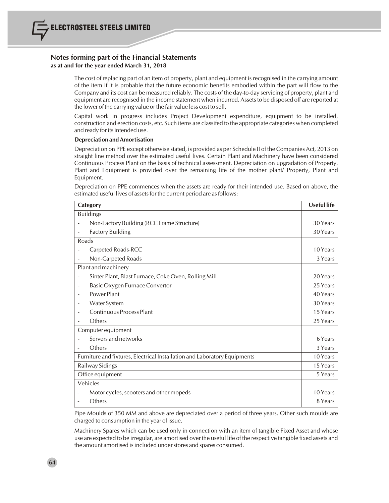The cost of replacing part of an item of property, plant and equipment is recognised in the carrying amount of the item if it is probable that the future economic benefits embodied within the part will flow to the Company and its cost can be measured reliably. The costs of the day-to-day servicing of property, plant and equipment are recognised in the income statement when incurred. Assetsto be disposed off are reported at the lower of the carrying value orthe fair value less cost to sell.

Capital work in progress includes Project Development expenditure, equipment to be installed, construction and erection costs, etc. Such items are classifed to the appropriate categories when completed and ready for its intended use.

# **Depreciation and Amortisation**

Depreciation on PPE except otherwise stated, is provided as per Schedule II of the Companies Act, 2013 on straight line method over the estimated useful lives. Certain Plant and Machinery have been considered Continuous Process Plant on the basis of technical assessment. Depreciation on upgradation of Property, Plant and Equipment is provided over the remaining life of the mother plant/ Property, Plant and Equipment.

Depreciation on PPE commences when the assets are ready for their intended use. Based on above, the estimated useful lives of assets for the current period are as follows:

|                    | Category                                                                  | <b>Useful life</b> |
|--------------------|---------------------------------------------------------------------------|--------------------|
|                    | <b>Buildings</b>                                                          |                    |
|                    | Non-Factory Building (RCC Frame Structure)                                | 30 Years           |
|                    | <b>Factory Building</b>                                                   | 30 Years           |
| Roads              |                                                                           |                    |
|                    | Carpeted Roads-RCC                                                        | 10 Years           |
|                    | Non-Carpeted Roads                                                        | 3 Years            |
|                    | Plant and machinery                                                       |                    |
|                    | Sinter Plant, Blast Furnace, Coke Oven, Rolling Mill                      | 20 Years           |
|                    | Basic Oxygen Furnace Convertor                                            | 25 Years           |
|                    | Power Plant                                                               | 40 Years           |
|                    | Water System                                                              | 30 Years           |
|                    | <b>Continuous Process Plant</b>                                           | 15 Years           |
|                    | Others                                                                    | 25 Years           |
| Computer equipment |                                                                           |                    |
|                    | Servers and networks                                                      | 6 Years            |
|                    | Others                                                                    | 3 Years            |
|                    | Furniture and fixtures, Electrical Installation and Laboratory Equipments | 10 Years           |
|                    | Railway Sidings                                                           | 15 Years           |
|                    | Office equipment                                                          | 5 Years            |
|                    | Vehicles                                                                  |                    |
|                    | Motor cycles, scooters and other mopeds                                   | 10 Years           |
|                    | Others                                                                    | 8 Years            |

Pipe Moulds of 350 MM and above are depreciated over a period of three years. Other such moulds are charged to consumption in the year of issue.

Machinery Spares which can be used only in connection with an item of tangible Fixed Asset and whose use are expected to be irregular, are amortised over the useful life of the respective tangible fixed assets and the amount amortised is included under stores and spares consumed.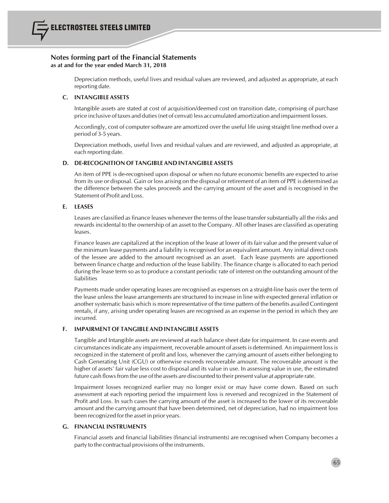Depreciation methods, useful lives and residual values are reviewed, and adjusted as appropriate, at each reporting date.

# **C. INTANGIBLE ASSETS**

Intangible assets are stated at cost of acquisition/deemed cost on transition date, comprising of purchase price inclusive of taxes and duties(net of cenvat) less accumulated amortization and impairment losses.

Accordingly, cost of computer software are amortized over the useful life using straight line method over a period of 3-5 years.

Depreciation methods, useful lives and residual values and are reviewed, and adjusted as appropriate, at each reporting date.

# **D. DE-RECOGNITION OF TANGIBLE AND INTANGIBLE ASSETS**

An item of PPE is de-recognised upon disposal or when no future economic benefits are expected to arise from its use or disposal. Gain or loss arising on the disposal or retirement of an item of PPE is determined as the difference between the sales proceeds and the carrying amount of the asset and is recognised in the Statement of Profit and Loss.

# **E. LEASES**

Leases are classified as finance leases whenever the terms of the lease transfer substantially all the risks and rewards incidental to the ownership of an asset to the Company. All other leases are classified as operating leases.

Finance leases are capitalized at the inception of the lease at lower of its fair value and the present value of the minimum lease payments and a liability is recognised for an equivalent amount. Any initial direct costs of the lessee are added to the amount recognised as an asset. Each lease payments are apportioned between finance charge and reduction of the lease liability. The finance charge is allocated to each period during the lease term so as to produce a constant periodic rate of interest on the outstanding amount of the liabilities

Payments made under operating leases are recognised as expenses on a straight-line basis over the term of the lease unless the lease arrangements are structured to increase in line with expected general inflation or another systematic basis which is more representative of the time pattern of the benefits availed Contingent rentals, if any, arising under operating leases are recognised as an expense in the period in which they are incurred.

# **F. IMPAIRMENT OF TANGIBLE AND INTANGIBLE ASSETS**

Tangible and Intangible assets are reviewed at each balance sheet date for impairment. In case events and circumstancesindicate any impairment, recoverable amount of assetsis determined. An impairment lossis recognized in the statement of profit and loss, whenever the carrying amount of assets either belonging to Cash Generating Unit (CGU) or otherwise exceeds recoverable amount. The recoverable amount is the higher of assets' fair value less cost to disposal and its value in use. In assessing value in use, the estimated future cash flows from the use of the assets are discounted to their present value at appropriate rate.

Impairment losses recognized earlier may no longer exist or may have come down. Based on such assessment at each reporting period the impairment loss is reversed and recognized in the Statement of Profit and Loss. In such cases the carrying amount of the asset is increased to the lower of its recoverable amount and the carrying amount that have been determined, net of depreciation, had no impairment loss been recognized for the asset in prior years.

# **G. FINANCIAL INSTRUMENTS**

Financial assets and financial liabilities (financial instruments) are recognised when Company becomes a party to the contractual provisions of the instruments.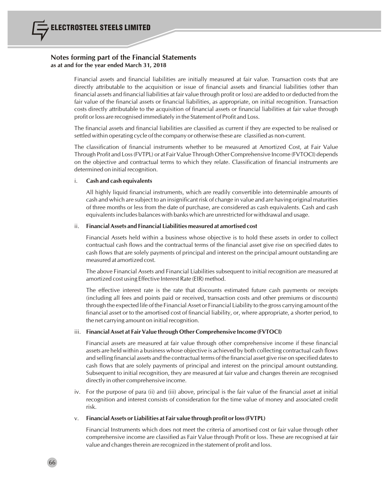Financial assets and financial liabilities are initially measured at fair value. Transaction costs that are directly attributable to the acquisition or issue of financial assets and financial liabilities (other than financial assets and financial liabilities at fair value through profit or loss) are added to or deducted from the fair value of the financial assets or financial liabilities, as appropriate, on initial recognition. Transaction costs directly attributable to the acquisition of financial assets or financial liabilities at fair value through profit or loss are recognised immediately in the Statement of Profit and Loss.

The financial assets and financial liabilities are classified as current if they are expected to be realised or settled within operating cycle of the company or otherwise these are classified as non-current.

The classification of financial instruments whether to be measured at Amortized Cost, at Fair Value Through Profit and Loss(FVTPL) or at Fair Value Through Other Comprehensive Income (FVTOCI) depends on the objective and contractual terms to which they relate. Classification of financial instruments are determined on initial recognition.

# i. **Cash and cash equivalents**

All highly liquid financial instruments, which are readily convertible into determinable amounts of cash and which are subject to an insignificant risk of change in value and are having original maturities of three months or less from the date of purchase, are considered as cash equivalents. Cash and cash equivalentsincludes balances with banks which are unrestricted for withdrawal and usage.

## ii. **Financial Assets and Financial Liabilities measured at amortised cost**

Financial Assets held within a business whose objective is to hold these assets in order to collect contractual cash flows and the contractual terms of the financial asset give rise on specified dates to cash flows that are solely payments of principal and interest on the principal amount outstanding are measured at amortized cost.

The above Financial Assets and Financial Liabilities subsequent to initial recognition are measured at amortized cost using Effective Interest Rate (EIR) method.

The effective interest rate is the rate that discounts estimated future cash payments or receipts (including all fees and points paid or received, transaction costs and other premiums or discounts) through the expected life of the Financial Asset or Financial Liability to the gross carrying amount of the financial asset or to the amortised cost of financial liability, or, where appropriate, a shorter period, to the net carrying amount on initial recognition.

# iii. **Financial Asset at Fair Value through OtherComprehensive Income (FVTOCI)**

Financial assets are measured at fair value through other comprehensive income if these financial assets are held within a business whose objective is achieved by both collecting contractual cash flows and selling financial assets and the contractual terms of the financial asset give rise on specified datesto cash flows that are solely payments of principal and interest on the principal amount outstanding. Subsequent to initial recognition, they are measured at fair value and changes therein are recognised directly in other comprehensive income.

iv. For the purpose of para (ii) and (iii) above, principal is the fair value of the financial asset at initial recognition and interest consists of consideration for the time value of money and associated credit risk.

# v. **Financial Assets or Liabilities at Fair value through profit orloss(FVTPL)**

Financial Instruments which does not meet the criteria of amortised cost or fair value through other comprehensive income are classified as Fair Value through Profit or loss. These are recognised at fair value and changes therein are recognized in the statement of profit and loss.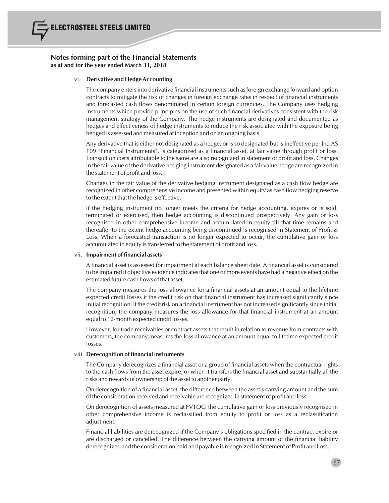# vi. **Derivative and Hedge Accounting**

The company entersinto derivative financial instrumentssuch asforeign exchange forward and option contracts to mitigate the risk of changes in foreign exchange rates in respect of financial instruments and forecasted cash flows denominated in certain foreign currencies. The Company uses hedging instruments which provide principles on the use of such financial derivatives consistent with the risk management strategy of the Company. The hedge instruments are designated and documented as hedges and effectiveness of hedge instruments to reduce the risk associated with the exposure being hedged is assessed and measured at inception and on an ongoing basis.

Any derivative that is either not designated as a hedge, or is so designated but is ineffective per Ind AS 109 "Financial Instruments", is categorized as a financial asset, at fair value through profit or loss. Transaction costs attributable to the same are also recognized in statement of profit and loss. Changes in the fair value of the derivative hedging instrument designated as a fair value hedge are recognized in the statement of profit and loss.

Changes in the fair value of the derivative hedging instrument designated as a cash flow hedge are recognized in other comprehensive income and presented within equity as cash flow hedging reserve to the extent that the hedge is effective.

If the hedging instrument no longer meets the criteria for hedge accounting, expires or is sold, terminated or exercised, then hedge accounting is discontinued prospectively. Any gain or loss recognised in other comprehensive income and accumulated in equity till that time remains and thereafter to the extent hedge accounting being discontinued is recognised in Statement of Profit & Loss. When a forecasted transaction is no longer expected to occur, the cumulative gain or loss accumulated in equity istransferred to the statement of profit and loss.

# vii. **Impairment offinancial assets**

A financial asset is assessed for impairment at each balance sheet date. A financial asset is considered to be impaired if objective evidence indicatesthat one or more events have had a negative effect on the estimated future cash flows of that asset.

The company measures the loss allowance for a financial assets at an amount equal to the lifetime expected credit losses if the credit risk on that financial instrument has increased significantly since initial recognition. If the credit risk on a financial instrument has not increased significantly since initial recognition, the company measures the loss allowance for that financial instrument at an amount equal to 12-month expected credit losses.

However, for trade receivables or contract assets that result in relation to revenue from contracts with customers, the company measures the loss allowance at an amount equal to lifetime expected credit losses.

# viii. **Derecognition offinancial instruments**

The Company derecognizes a financial asset or a group of financial assets when the contractual rights to the cash flows from the asset expire, or when it transfers the financial asset and substantially all the risks and rewards of ownership of the asset to another party.

On derecognition of a financial asset, the difference between the asset's carrying amount and the sum of the consideration received and receivable are recognized in statement of profit and loss.

On derecognition of assets measured at FVTOCI the cumulative gain or loss previously recognised in other comprehensive income is reclassified from equity to profit or loss as a reclassification adjustment.

Financial liabilities are derecognized if the Company's obligations specified in the contract expire or are discharged or cancelled. The difference between the carrying amount of the financial liability derecognized and the consideration paid and payable isrecognized in Statement of Profit and Loss.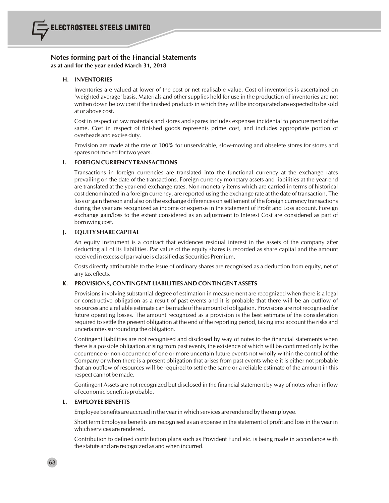

# **H. INVENTORIES**

Inventories are valued at lower of the cost or net realisable value. Cost of inventories is ascertained on 'weighted average' basis. Materials and other supplies held for use in the production of inventories are not written down below cost if the finished products in which they will be incorporated are expected to be sold at or above cost.

Cost in respect of raw materials and stores and spares includes expenses incidental to procurement of the same. Cost in respect of finished goods represents prime cost, and includes appropriate portion of overheads and excise duty.

Provision are made at the rate of 100% for unservicable, slow-moving and obselete stores for stores and spares not moved for two years.

# **I. FOREIGN CURRENCY TRANSACTIONS**

Transactions in foreign currencies are translated into the functional currency at the exchange rates prevailing on the date of the transactions. Foreign currency monetary assets and liabilities at the year-end are translated at the year-end exchange rates. Non-monetary items which are carried in terms of historical cost denominated in a foreign currency, are reported using the exchange rate at the date of transaction. The loss or gain thereon and also on the exchange differences on settlement of the foreign currency transactions during the year are recognized as income or expense in the statement of Profit and Loss account. Foreign exchange gain/loss to the extent considered as an adjustment to Interest Cost are considered as part of borrowing cost.

# **J. EQUITY SHARE CAPITAL**

An equity instrument is a contract that evidences residual interest in the assets of the company after deducting all of its liabilities. Par value of the equity shares is recorded as share capital and the amount received in excess of par value is classified as Securities Premium.

Costs directly attributable to the issue of ordinary shares are recognised as a deduction from equity, net of any tax effects.

# **K. PROVISIONS,CONTINGENT LIABILITIES AND CONTINGENT ASSETS**

Provisions involving substantial degree of estimation in measurement are recognized when there is a legal or constructive obligation as a result of past events and it is probable that there will be an outflow of resources and a reliable estimate can be made of the amount of obligation. Provisions are not recognised for future operating losses. The amount recognized as a provision is the best estimate of the consideration required to settle the present obligation at the end of the reporting period, taking into account the risks and uncertainties surrounding the obligation.

Contingent liabilities are not recognised and disclosed by way of notes to the financial statements when there is a possible obligation arising from past events, the existence of which will be confirmed only by the occurrence or non-occurrence of one or more uncertain future events not wholly within the control of the Company or when there is a present obligation that arises from past events where it is either not probable that an outflow of resources will be required to settle the same or a reliable estimate of the amount in this respect cannot be made.

Contingent Assets are not recognized but disclosed in the financial statement by way of notes when inflow of economic benefit is probable.

# **L. EMPLOYEE BENEFITS**

Employee benefits are accrued in the yearin which services are rendered by the employee.

Short term Employee benefits are recognised as an expense in the statement of profit and loss in the year in which services are rendered.

Contribution to defined contribution plans such as Provident Fund etc. is being made in accordance with the statute and are recognized as and when incurred.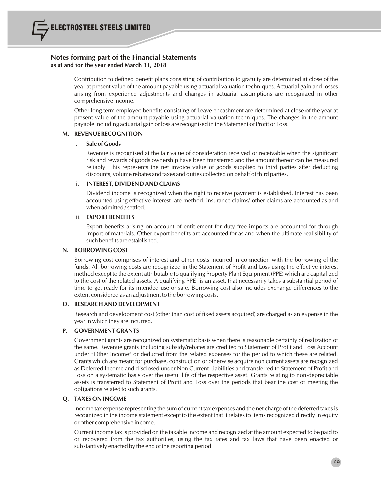

Contribution to defined benefit plans consisting of contribution to gratuity are determined at close of the year at present value of the amount payable using actuarial valuation techniques. Actuarial gain and losses arising from experience adjustments and changes in actuarial assumptions are recognized in other comprehensive income.

Other long term employee benefits consisting of Leave encashment are determined at close of the year at present value of the amount payable using actuarial valuation techniques. The changes in the amount payable including actuarial gain orloss are recognised in the Statement of Profit or Loss.

# **M. REVENUE RECOGNITION**

## i. **Sale of Goods**

Revenue is recognised at the fair value of consideration received or receivable when the significant risk and rewards of goods ownership have been transferred and the amount thereof can be measured reliably. This represents the net invoice value of goods supplied to third parties after deducting discounts, volume rebates and taxes and duties collected on behalf of third parties.

## ii. **INTEREST, DIVIDEND AND CLAIMS**

Dividend income is recognized when the right to receive payment is established. Interest has been accounted using effective interest rate method. Insurance claims/ other claims are accounted as and when admitted / settled.

## iii. **EXPORT BENEFITS**

Export benefits arising on account of entitlement for duty free imports are accounted for through import of materials. Other export benefits are accounted for as and when the ultimate realisibility of such benefits are established.

## **N. BORROWING COST**

Borrowing cost comprises of interest and other costs incurred in connection with the borrowing of the funds. All borrowing costs are recognized in the Statement of Profit and Loss using the effective interest method except to the extent attributable to qualifying Property Plant Equipment (PPE) which are capitalized to the cost of the related assets. A qualifying PPE is an asset, that necessarily takes a substantial period of time to get ready for its intended use or sale. Borrowing cost also includes exchange differences to the extent considered as an adjustment to the borrowing costs.

# **O. RESEARCH AND DEVELOPMENT**

Research and development cost (other than cost of fixed assets acquired) are charged as an expense in the yearin which they are incurred.

# **P. GOVERNMENT GRANTS**

Government grants are recognized on systematic basis when there is reasonable certainty of realization of the same. Revenue grants including subsidy/rebates are credited to Statement of Profit and Loss Account under "Other Income" or deducted from the related expenses for the period to which these are related. Grants which are meant for purchase, construction or otherwise acquire non current assets are recognized as Deferred Income and disclosed under Non Current Liabilities and transferred to Statement of Profit and Loss on a systematic basis over the useful life of the respective asset. Grants relating to non-depreciable assets is transferred to Statement of Profit and Loss over the periods that bear the cost of meeting the obligations related to such grants.

# **Q. TAXES ON INCOME**

Income tax expense representing the sum of current tax expenses and the net charge of the deferred taxesis recognized in the income statement except to the extent that it relatesto itemsrecognized directly in equity or other comprehensive income.

Current income tax is provided on the taxable income and recognized at the amount expected to be paid to or recovered from the tax authorities, using the tax rates and tax laws that have been enacted or substantively enacted by the end of the reporting period.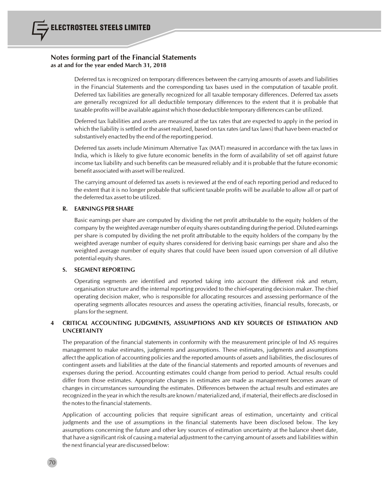

Deferred tax is recognized on temporary differences between the carrying amounts of assets and liabilities in the Financial Statements and the corresponding tax bases used in the computation of taxable profit. Deferred tax liabilities are generally recognized for all taxable temporary differences. Deferred tax assets are generally recognized for all deductible temporary differences to the extent that it is probable that taxable profits will be available against which those deductible temporary differences can be utilized.

Deferred tax liabilities and assets are measured at the tax rates that are expected to apply in the period in which the liability issettled or the asset realized, based on tax rates(and tax laws) that have been enacted or substantively enacted by the end of the reporting period.

Deferred tax assets include Minimum Alternative Tax (MAT) measured in accordance with the tax laws in India, which is likely to give future economic benefits in the form of availability of set off against future income tax liability and such benefits can be measured reliably and it is probable that the future economic benefit associated with asset will be realized.

The carrying amount of deferred tax assets is reviewed at the end of each reporting period and reduced to the extent that it is no longer probable that sufficient taxable profits will be available to allow all or part of the deferred tax asset to be utilized.

# **R. EARNINGS PER SHARE**

Basic earnings per share are computed by dividing the net profit attributable to the equity holders of the company by the weighted average number of equity shares outstanding during the period. Diluted earnings per share is computed by dividing the net profit attributable to the equity holders of the company by the weighted average number of equity shares considered for deriving basic earnings per share and also the weighted average number of equity shares that could have been issued upon conversion of all dilutive potential equity shares.

# **S. SEGMENT REPORTING**

Operating segments are identified and reported taking into account the different risk and return, organisation structure and the internal reporting provided to the chief-operating decision maker. The chief operating decision maker, who is responsible for allocating resources and assessing performance of the operating segments allocates resources and assess the operating activities, financial results, forecasts, or plansfor the segment.

# **4 CRITICAL ACCOUNTING JUDGMENTS, ASSUMPTIONS AND KEY SOURCES OF ESTIMATION AND UNCERTAINTY**

The preparation of the financial statements in conformity with the measurement principle of Ind AS requires management to make estimates, judgments and assumptions. These estimates, judgments and assumptions affect the application of accounting policies and the reported amounts of assets and liabilities, the disclosures of contingent assets and liabilities at the date of the financial statements and reported amounts of revenues and expenses during the period. Accounting estimates could change from period to period. Actual results could differ from those estimates. Appropriate changes in estimates are made as management becomes aware of changes in circumstances surrounding the estimates. Differences between the actual results and estimates are recognized in the year in which the results are known / materialized and, if material, their effects are disclosed in the notes to the financial statements.

Application of accounting policies that require significant areas of estimation, uncertainty and critical judgments and the use of assumptions in the financial statements have been disclosed below. The key assumptions concerning the future and other key sources of estimation uncertainty at the balance sheet date, that have a significant risk of causing a material adjustment to the carrying amount of assets and liabilities within the next financial year are discussed below: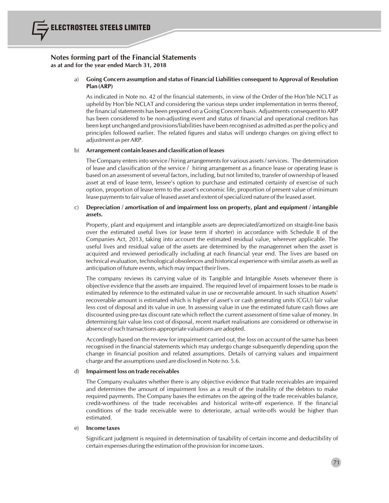# a) **Going Concern assumption and status of Financial Liabilities consequent to Approval of Resolution Plan (ARP)**

As indicated in Note no. 42 of the financial statements, in view of the Order of the Hon'ble NCLT as upheld by Hon'ble NCLAT and considering the various steps under implementation in terms thereof, the financial statements has been prepared on a Going Concern basis. Adjustments consequent to ARP has been considered to be non-adjusting event and status of financial and operational creditors has been kept unchanged and provisions/liabilities have been recognised as admitted as per the policy and principles followed earlier. The related figures and status will undergo changes on giving effect to adjustment as perARP.

## b) **Arrangement contain leases and classification ofleases**

The Company entersinto service / hiring arrangementsfor various assets/services. The determination of lease and classification of the service / hiring arrangement as a finance lease or operating lease is based on an assessment of several factors, including, but not limited to, transfer of ownership of leased asset at end of lease term, lessee's option to purchase and estimated certainty of exercise of such option, proportion of lease term to the asset's economic life, proportion of present value of minimum lease payments to fair value of leased asset and extent of specialized nature of the leased asset.

# c) **Depreciation / amortisation of and impairment loss on property, plant and equipment / intangible assets.**

Property, plant and equipment and intangible assets are depreciated/amortized on straight-line basis over the estimated useful lives (or lease term if shorter) in accordance with Schedule II of the Companies Act, 2013, taking into account the estimated residual value, wherever applicable. The useful lives and residual value of the assets are determined by the managemnet when the asset is acquired and reviewed periodically including at each financial year end. The lives are based on technical evaluation, technological obsolences and historical experience with similar assets as well as anticipation of future events, which may impact their lives.

The company reviews its carrying value of its Tangible and Intangible Assets whenever there is objective evidence that the assets are impaired. The required level of impairment losses to be made is estimated by reference to the estimated value in use or recoverable amount. In such situation Assets' recoverable amount is estimated which is higher of asset's or cash generating units (CGU) fair value less cost of disposal and its value in use. In assessing value in use the estimated future cash flows are discounted using pre-tax discount rate which reflect the current assessment of time value of money. In determining fair value less cost of disposal, recent market realisations are considered or otherwise in absence of such transactions appropriate valuations are adopted.

Accordingly based on the review for impairment carried out, the loss on account of the same has been recognised in the financial statements which may undergo change subsequently depending upon the change in financial position and related assumptions. Details of carrying values and impairment charge and the assumptions used are disclosed in Note no. 5.6.

#### d) **Impairmentloss on trade receivables**

The Company evaluates whether there is any objective evidence that trade receivables are impaired and determines the amount of impairment loss as a result of the inability of the debtors to make required payments. The Company bases the estimates on the ageing of the trade receivables balance, credit-worthiness of the trade receivables and historical write-off experience. If the financial conditions of the trade receivable were to deteriorate, actual write-offs would be higher than estimated.

#### e) **Income taxes**

Significant judgment is required in determination of taxability of certain income and deductibility of certain expenses during the estimation of the provision for income taxes.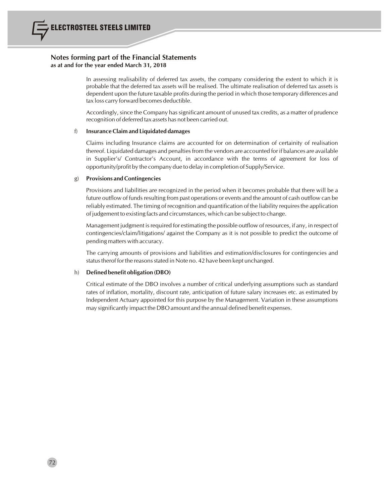

In assessing realisability of deferred tax assets, the company considering the extent to which it is probable that the deferred tax assets will be realised. The ultimate realisation of deferred tax assets is dependent upon the future taxable profits during the period in which those temporary differences and tax loss carry forward becomes deductible.

Accordingly, since the Company has significant amount of unused tax credits, as a matter of prudence recognition of deferred tax assets has not been carried out.

#### f) **Insurance Claim and Liquidated damages**

Claims including Insurance claims are accounted for on determination of certainity of realisation thereof. Liquidated damages and penaltiesfrom the vendors are accounted for if balances are available in Supplier's/ Contractor's Account, in accordance with the terms of agreement for loss of opportunity/profit by the company due to delay in completion of Supply/Service.

#### g) **Provisions and Contingencies**

Provisions and liabilities are recognized in the period when it becomes probable that there will be a future outflow of funds resulting from past operations or events and the amount of cash outflow can be reliably estimated. The timing of recognition and quantification of the liability requiresthe application of judgement to existing facts and circumstances, which can be subject to change.

Management judgment isrequired for estimating the possible outflow of resources, if any, in respect of contingencies/claim/litigations/ against the Company as it is not possible to predict the outcome of pending matters with accuracy.

The carrying amounts of provisions and liabilities and estimation/disclosures for contingencies and status therof for the reasons stated in Note no. 42 have been kept unchanged.

#### h) **Defined benefit obligation (DBO)**

Critical estimate of the DBO involves a number of critical underlying assumptions such as standard rates of inflation, mortality, discount rate, anticipation of future salary increases etc. as estimated by Independent Actuary appointed for this purpose by the Management. Variation in these assumptions may significantly impact the DBO amount and the annual defined benefit expenses.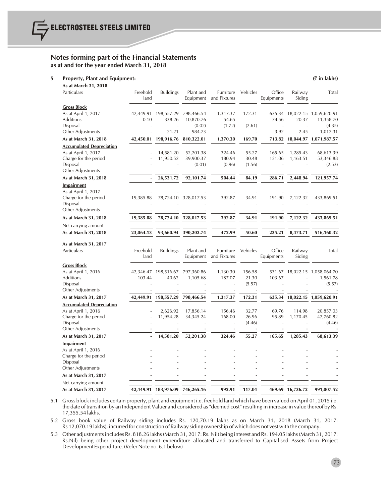#### **5 Property, Plant and Equipment: (**` **in lakhs)**

**As at March 31, 2018**

| Particulars                     | Freehold<br>land | <b>Buildings</b>     | Plant and<br>Equipment | Furniture<br>and Fixtures | Vehicles | Office<br>Equipments | Railway<br>Siding | Total                         |
|---------------------------------|------------------|----------------------|------------------------|---------------------------|----------|----------------------|-------------------|-------------------------------|
| <b>Gross Block</b>              |                  |                      |                        |                           |          |                      |                   |                               |
| As at April 1, 2017             | 42,449.91        | 198,557.29           | 798,466.54             | 1,317.37                  | 172.31   |                      |                   | 635.34 18,022.15 1,059,620.91 |
| <b>Additions</b>                | 0.10             | 338.26               | 10,870.76              | 54.65                     |          | 74.56                | 20.37             | 11,358.70                     |
| Disposal                        |                  |                      | (0.02)                 | (1.72)                    | (2.61)   |                      |                   | (4.35)                        |
| Other Adjustments               |                  | 21.21                | 984.73                 |                           | Ĭ.       | 3.92                 | 2.45              | 1,012.31                      |
| As at March 31, 2018            |                  | 42,450.01 198,916.76 | 810,322.01             | 1,370.30                  | 169.70   | 713.82               |                   | 18,044.97 1,071,987.57        |
| <b>Accumulated Depreciation</b> |                  |                      |                        |                           |          |                      |                   |                               |
| As at April 1, 2017             |                  | 14,581.20            | 52,201.38              | 324.46                    | 55.27    | 165.65               | 1,285.43          | 68,613.39                     |
| Charge for the period           |                  | 11,950.52            | 39,900.37              | 180.94                    | 30.48    | 121.06               | 1,163.51          | 53,346.88                     |
| Disposal                        |                  |                      | (0.01)                 | (0.96)                    | (1.56)   |                      |                   | (2.53)                        |
| Other Adjustments               |                  |                      |                        |                           |          |                      |                   |                               |
| As at March 31, 2018            |                  | 26,531.72            | 92,101.74              | 504.44                    | 84.19    | 286.71               | 2,448.94          | 121,957.74                    |
| <b>Impairment</b>               |                  |                      |                        |                           |          |                      |                   |                               |
| As at April 1, 2017             |                  |                      |                        |                           |          |                      |                   |                               |
| Charge for the period           | 19,385.88        | 78,724.10            | 328,017.53             | 392.87                    | 34.91    | 191.90               | 7,122.32          | 433,869.51                    |
| Disposal                        |                  |                      |                        |                           |          |                      |                   |                               |
| Other Adjustments               |                  |                      |                        |                           |          |                      |                   |                               |
| As at March 31, 2018            | 19,385.88        | 78,724.10            | 328,017.53             | 392.87                    | 34.91    | 191.90               | 7,122.32          | 433,869.51                    |
| Net carrying amount             |                  |                      |                        |                           |          |                      |                   |                               |
| As at March 31, 2018            | 23,064.13        | 93,660.94            | 390,202.74             | 472.99                    | 50.60    | 235.21               | 8,473.71          | 516,160.32                    |
| As at March 31, 2017            |                  |                      |                        |                           |          |                      |                   |                               |
| Particulars                     | Freehold         | <b>Buildings</b>     | Plant and              | Furniture                 | Vehicles | Office               | Railway           | Total                         |
|                                 | land             |                      | Equipment              | and Fixtures              |          | Equipments           | Siding            |                               |
| <b>Gross Block</b>              |                  |                      |                        |                           |          |                      |                   |                               |
| As at April 1, 2016             |                  | 42,346.47 198,516.67 | 797,360.86             | 1,130.30                  | 156.58   |                      |                   | 531.67 18,022.15 1,058,064.70 |
| Additions                       | 103.44           | 40.62                | 1,105.68               | 187.07                    | 21.30    | 103.67               |                   | 1,561.78                      |
| Disposal                        |                  |                      |                        | J.                        | (5.57)   |                      |                   | (5.57)                        |
| Other Adjustments               |                  |                      |                        |                           |          |                      |                   |                               |
| As at March 31, 2017            |                  | 42,449.91 198,557.29 | 798,466.54             | 1,317.37                  | 172.31   | 635.34               |                   | 18,022.15 1,059,620.91        |
| <b>Accumulated Depreciation</b> |                  |                      |                        |                           |          |                      |                   |                               |
| As at April 1, 2016             |                  | 2,626.92             | 17,856.14              | 156.46                    | 32.77    | 69.76                | 114.98            | 20,857.03                     |
| Charge for the period           |                  | 11,954.28            | 34,345.24              | 168.00                    | 26.96    | 95.89                | 1,170.45          | 47,760.82                     |
| Disposal                        |                  |                      |                        |                           | (4.46)   |                      |                   | (4.46)                        |
| Other Adjustments               |                  |                      |                        |                           |          |                      |                   |                               |
| As at March 31, 2017            |                  | 14,581.20            | 52,201.38              | 324.46                    | 55.27    | 165.65               | 1,285.43          | 68,613.39                     |
| Impairment                      |                  |                      |                        |                           |          |                      |                   |                               |
| As at April 1, 2016             |                  |                      |                        |                           |          |                      |                   |                               |
| Charge for the period           |                  |                      |                        |                           |          |                      |                   |                               |
| Disposal                        |                  |                      |                        |                           |          |                      |                   |                               |
| Other Adjustments               |                  |                      |                        |                           |          |                      |                   |                               |
| As at March 31, 2017            |                  |                      |                        |                           |          |                      |                   |                               |
| Net carrying amount             |                  |                      |                        |                           |          |                      |                   |                               |
| As at March 31, 2017            | 42,449.91        | 183,976.09           | 746,265.16             | 992.91                    | 117.04   |                      | 469.69 16,736.72  | 991,007.52                    |

5.1 Gross block includes certain property, plant and equipment i.e. freehold land which have been valued on April 01, 2015 i.e. the date of transition by an Independent Valuer and considered as "deemed cost" resulting in increase in value thereof by Rs. 17,355.54 lakhs.

5.2 Gross book value of Railway siding includes Rs. 120,70.19 lakhs as on March 31, 2018 (March 31, 2017: Rs 12,070.19 lakhs), incurred for construction of Railway siding ownership of which does not vest with the company.

5.3 Other adjustmentsincludes Rs. 818.26 lakhs(March 31, 2017: Rs. Nil) being interest and Rs. 194.05 lakhs(March 31, 2017: Rs.Nil) being other project development expenditure allocated and transferred to Capitalised Assets from Project Development Expenditure. (Refer Note no. 6.1 below)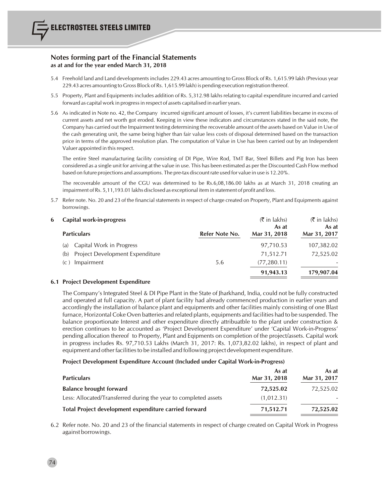- 5.4 Freehold land and Land developments includes 229.43 acres amounting to Gross Block of Rs. 1,615.99 lakh (Previous year 229.43 acres amounting to Gross Block of Rs. 1,615.99 lakh) is pending execution registration thereof.
- 5.5 Property, Plant and Equipments includes addition of Rs. 5,312.98 lakhs relating to capital expenditure incurred and carried forward as capital work in progressin respect of assets capitalised in earlier years.
- 5.6 As indicated in Note no. 42, the Company incurred significant amount of losses, it's current liabilities became in excess of current assets and net worth got eroded. Keeping in view these indicators and circumstances stated in the said note, the Company has carried out the Impairment testing determining the recoverable amount of the assets based on Value in Use of the cash generating unit, the same being higher than fair value less costs of disposal determined based on the transaction price in terms of the approved resolution plan. The computation of Value in Use has been carried out by an Independent Valuer appointed in thisrespect.

The entire Steel manufacturing facility consisting of DI Pipe, Wire Rod, TMT Bar, Steel Billets and Pig Iron has been considered as a single unit for arriving at the value in use. This has been estimated as per the Discounted Cash Flow method based on future projections and assumptions. The pre-tax discount rate used for value in use is 12.20%.

The recoverable amount of the CGU was determined to be Rs.6,08,186.00 lakhs as at March 31, 2018 creating an impairment of Rs. 5,11,193.01 lakhs disclosed as exceptional item in statement of profit and loss.

5.7 Refer note. No. 20 and 23 of the financial statements in respect of charge created on Property, Plant and Equipments against borrowings.

| 6 Capital work-in-progress             |                | $(\bar{\bar{\mathbf{\tau}}}$ in lakhs)<br>As at | $(\bar{\bar{\mathbf{x}}}$ in lakhs)<br>As at |
|----------------------------------------|----------------|-------------------------------------------------|----------------------------------------------|
| <b>Particulars</b>                     | Refer Note No. | Mar 31, 2018                                    | Mar 31, 2017                                 |
| Capital Work in Progress<br>(a)        |                | 97,710.53                                       | 107,382.02                                   |
| Project Development Expenditure<br>(b) |                | 71,512.71                                       | 72,525.02                                    |
| Impairment<br>(C)                      | 5.6            | (77, 280, 11)                                   |                                              |
|                                        |                | 91,943.13                                       | 179,907.04                                   |

# **6.1 Project Development Expenditure**

74

The Company's Integrated Steel & DI Pipe Plant in the State of Jharkhand, India, could not be fully constructed and operated at full capacity. A part of plant facility had already commenced production in earlier years and accordingly the installation of balance plant and equipments and other facilities mainly consisting of one Blast furnace, Horizontal Coke Oven batteries and related plants, equipments and facilities had to be suspended. The balance proportionate Interest and other expenditure directly attribuatble to the plant under construction & erection continues to be accounted as 'Project Development Expenditure' under 'Capital Work-in-Progress' pending allocation thereof to Property, Plant and Eqipments on completion of the project/assets. Capital work in progress includes Rs. 97,710.53 Lakhs (March 31, 2017: Rs. 1,073,82.02 lakhs), in respect of plant and equipment and other facilitiesto be installed and following project development expenditure.

#### **Project Development Expenditure Account (Included under Capital Work-in-Progress)**

| <b>Particulars</b>                                              | As at<br>Mar 31, 2018 | As at<br>Mar 31, 2017 |
|-----------------------------------------------------------------|-----------------------|-----------------------|
| <b>Balance brought forward</b>                                  | 72,525.02             | 72,525.02             |
| Less: Allocated/Transferred during the year to completed assets | (1,012.31)            |                       |
| Total Project development expenditure carried forward           | 71,512.71             | 72,525.02             |

6.2 Refer note. No. 20 and 23 of the financial statements in respect of charge created on Capital Work in Progress against borrowings.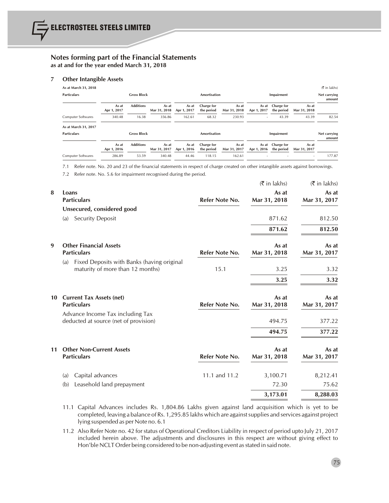#### **7 Other Intangible Assets**

| As at March 31, 2018      |                      |                    |                       |                      |                          |                       |                      |                          |                          | $(5 \in \mathsf{I} \times \mathsf{I} \times \mathsf{I} \times \mathsf{I} \times \mathsf{I} \times \mathsf{I} \times \mathsf{I} \times \mathsf{I} \times \mathsf{I} \times \mathsf{I} \times \mathsf{I} \times \mathsf{I} \times \mathsf{I} \times \mathsf{I} \times \mathsf{I} \times \mathsf{I} \times \mathsf{I} \times \mathsf{I} \times \mathsf{I} \times \mathsf{I} \times \mathsf{I} \times \mathsf{I} \times \mathsf{I} \times \mathsf{I} \times \mathsf{I} \times \mathsf{I} \times \mathsf{I} \times$ |
|---------------------------|----------------------|--------------------|-----------------------|----------------------|--------------------------|-----------------------|----------------------|--------------------------|--------------------------|----------------------------------------------------------------------------------------------------------------------------------------------------------------------------------------------------------------------------------------------------------------------------------------------------------------------------------------------------------------------------------------------------------------------------------------------------------------------------------------------------------------|
| <b>Particulars</b>        |                      | <b>Gross Block</b> |                       |                      | Amortisation             |                       |                      | Impairment               |                          | Net carrying<br>amount                                                                                                                                                                                                                                                                                                                                                                                                                                                                                         |
|                           | As at<br>Apr 1, 2017 | <b>Additions</b>   | As at<br>Mar 31, 2018 | As at<br>Apr 1, 2017 | Charge for<br>the period | As at<br>Mar 31, 2018 | As at<br>Apr 1, 2017 | Charge for<br>the period | As at<br>Mar 31, 2018    |                                                                                                                                                                                                                                                                                                                                                                                                                                                                                                                |
| <b>Computer Softwares</b> | 340.48               | 16.38              | 356.86                | 162.61               | 68.32                    | 230.93                | ۰                    | 43.39                    | 43.39                    | 82.54                                                                                                                                                                                                                                                                                                                                                                                                                                                                                                          |
| As at March 31, 2017      |                      |                    |                       |                      |                          |                       |                      |                          |                          |                                                                                                                                                                                                                                                                                                                                                                                                                                                                                                                |
| <b>Particulars</b>        |                      | <b>Gross Block</b> |                       |                      | Amortisation             |                       |                      | Impairment               |                          | Net carrying<br>amount                                                                                                                                                                                                                                                                                                                                                                                                                                                                                         |
|                           | As at<br>Apr 1, 2016 | <b>Additions</b>   | As at<br>Mar 31, 2017 | As at<br>Apr 1, 2016 | Charge for<br>the period | As at<br>Mar 31, 2017 | As at<br>Apr 1, 2016 | Charge for<br>the period | As at<br>Mar 31, 2017    |                                                                                                                                                                                                                                                                                                                                                                                                                                                                                                                |
| <b>Computer Softwares</b> | 286.89               | 53.59              | 340.48                | 44.46                | 118.15                   | 162.61                |                      |                          | $\overline{\phantom{a}}$ | 177.87                                                                                                                                                                                                                                                                                                                                                                                                                                                                                                         |

7.1 Refer note. No. 20 and 23 of the financial statements in respect of charge created on other intangible assets against borrowings.

7.2 Refer note. No. 5.6 for impairment recognised during the period.

|                                                                                       |                | $(\bar{\bar{\mathbf{x}}}$ in lakhs) | $(\bar{\bar{\mathbf{x}}}$ in lakhs) |
|---------------------------------------------------------------------------------------|----------------|-------------------------------------|-------------------------------------|
| Loans<br><b>Particulars</b>                                                           | Refer Note No. | As at<br>Mar 31, 2018               | As at<br>Mar 31, 2017               |
| Unsecured, considered good                                                            |                |                                     |                                     |
| Security Deposit<br>(a)                                                               |                | 871.62                              | 812.50                              |
|                                                                                       |                | 871.62                              | 812.50                              |
| <b>Other Financial Assets</b><br><b>Particulars</b>                                   | Refer Note No. | As at<br>Mar 31, 2018               | As at<br>Mar 31, 2017               |
| Fixed Deposits with Banks (having original<br>(a)<br>maturity of more than 12 months) | 15.1           | 3.25                                | 3.32                                |
|                                                                                       |                | 3.25                                | 3.32                                |
| <b>Current Tax Assets (net)</b><br><b>Particulars</b>                                 | Refer Note No. | As at<br>Mar 31, 2018               | As at<br>Mar 31, 2017               |
| Advance Income Tax including Tax<br>deducted at source (net of provision)             |                | 494.75                              | 377.22                              |
|                                                                                       |                | 494.75                              | 377.22                              |
| <b>Other Non-Current Assets</b><br><b>Particulars</b>                                 | Refer Note No. | As at<br>Mar 31, 2018               | As at<br>Mar 31, 2017               |
| Capital advances<br>(a)                                                               | 11.1 and 11.2  | 3,100.71                            | 8,212.41                            |
| Leasehold land prepayment<br>(b)                                                      |                | 72.30                               | 75.62                               |
|                                                                                       |                | 3,173.01                            | 8,288.03                            |
|                                                                                       |                |                                     |                                     |

- 11.1 Capital Advances includes Rs. 1,804.86 Lakhs given against land acquisition which is yet to be completed, leaving a balance of Rs. 1,295.85 lakhs which are againstsupplies and services against project lying suspended as per Note no. 6.1
- 11.2 Also Refer Note no. 42 for status of Operational Creditors Liability in respect of period upto July 21, 2017 included herein above. The adjustments and disclosures in this respect are without giving effect to Hon'ble NCLT Order being considered to be non-adjusting event as stated in said note.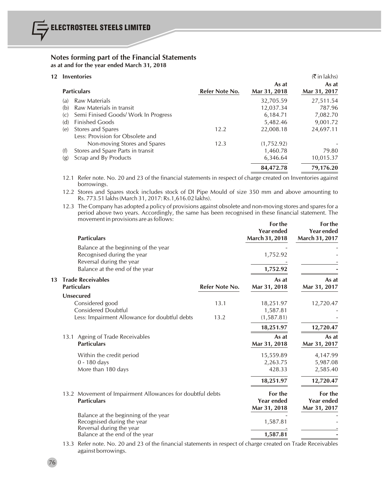| 12 |                             | <b>Inventories</b>                                    |                |                       | $(\bar{\bar{\mathbf{x}}}$ in lakhs) |
|----|-----------------------------|-------------------------------------------------------|----------------|-----------------------|-------------------------------------|
|    | <b>Particulars</b>          |                                                       | Refer Note No. | As at<br>Mar 31, 2018 | As at<br>Mar 31, 2017               |
|    | (a)                         | Raw Materials                                         |                | 32,705.59             | 27,511.54                           |
|    | (b)                         | Raw Materials in transit                              |                | 12,037.34             | 787.96                              |
|    | $\left( \mathrm{C} \right)$ | Semi Finised Goods/ Work In Progress                  |                | 6,184.71              | 7,082.70                            |
|    | (d)                         | <b>Finished Goods</b>                                 |                | 5,482.46              | 9,001.72                            |
|    | (e)                         | Stores and Spares<br>Less: Provision for Obsolete and | 12.2           | 22,008.18             | 24,697.11                           |
|    |                             | Non-moving Stores and Spares                          | 12.3           | (1,752.92)            |                                     |
|    | (f)                         | Stores and Spare Parts in transit                     |                | 1,460.78              | 79.80                               |
|    | (g)                         | Scrap and By Products                                 |                | 6,346.64              | 10,015.37                           |
|    |                             |                                                       |                | 84,472.78             | 79,176.20                           |

12.1 Refer note. No. 20 and 23 of the financial statements in respect of charge created on Inventories against borrowings.

12.2 Stores and Spares stock includes stock of DI Pipe Mould of size 350 mm and above amounting to Rs. 773.51 lakhs(March 31, 2017: Rs.1,616.02 lakhs).

12.3 The Company has adopted a policy of provisions against obsolete and non-moving stores and spares for a period above two years. Accordingly, the same has been recognised in these financial statement. The movement in provisions are as follows:

|    |                                                | <b>Particulars</b>                                                                                                               |                | For the<br><b>Year ended</b><br>March 31, 2018 | For the<br><b>Year ended</b><br>March 31, 2017 |
|----|------------------------------------------------|----------------------------------------------------------------------------------------------------------------------------------|----------------|------------------------------------------------|------------------------------------------------|
|    |                                                | Balance at the beginning of the year<br>Recognised during the year<br>Reversal during the year<br>Balance at the end of the year |                | 1,752.92<br>1,752.92                           |                                                |
| 13 | <b>Trade Receivables</b><br><b>Particulars</b> |                                                                                                                                  | Refer Note No. | As at<br>Mar 31, 2018                          | As at<br>Mar 31, 2017                          |
|    | Unsecured                                      | Considered good<br><b>Considered Doubtful</b>                                                                                    | 13.1           | 18,251.97<br>1,587.81                          | 12,720.47                                      |
|    |                                                | Less: Impairment Allowance for doubtful debts                                                                                    | 13.2           | (1,587.81)<br>18,251.97                        | 12,720.47                                      |
|    |                                                | 13.1 Ageing of Trade Receivables<br><b>Particulars</b>                                                                           |                | As at<br>Mar 31, 2018                          | As at<br>Mar 31, 2017                          |
|    |                                                | Within the credit period<br>$0 - 180$ days<br>More than 180 days                                                                 |                | 15,559.89<br>2,263.75<br>428.33                | 4,147.99<br>5,987.08<br>2,585.40               |
|    |                                                |                                                                                                                                  |                | 18,251.97                                      | 12,720.47                                      |
|    |                                                | 13.2 Movement of Impairment Allowances for doubtful debts<br><b>Particulars</b>                                                  |                | For the<br><b>Year ended</b><br>Mar 31, 2018   | For the<br>Year ended<br>Mar 31, 2017          |
|    |                                                | Balance at the beginning of the year<br>Recognised during the year<br>Reversal during the year                                   |                | 1,587.81                                       |                                                |
|    |                                                | Balance at the end of the year                                                                                                   |                | 1,587.81                                       |                                                |

13.3 Refer note. No. 20 and 23 of the financial statements in respect of charge created on Trade Receivables against borrowings.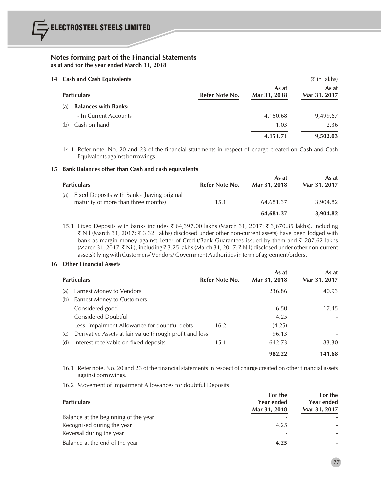| 14 Cash and Cash Equivalents | $(\bar{\bar{\mathbf{x}}}$ in lakhs) |                |                       |                       |
|------------------------------|-------------------------------------|----------------|-----------------------|-----------------------|
|                              | <b>Particulars</b>                  | Refer Note No. | As at<br>Mar 31, 2018 | As at<br>Mar 31, 2017 |
| (a)                          | <b>Balances with Banks:</b>         |                |                       |                       |
|                              | - In Current Accounts               |                | 4,150.68              | 9,499.67              |
| (b)                          | Cash on hand                        |                | 1.03                  | 2.36                  |
|                              |                                     |                | 4,151.71              | 9,502.03              |

14.1 Refer note. No. 20 and 23 of the financial statements in respect of charge created on Cash and Cash Equivalents against borrowings.

#### **15 Bank Balances other than Cash and cash equivalents**

| <b>Particulars</b>                                                                       | Refer Note No. | As at<br>Mar 31, 2018 | As at<br>Mar 31, 2017 |
|------------------------------------------------------------------------------------------|----------------|-----------------------|-----------------------|
| Fixed Deposits with Banks (having original<br>(a)<br>maturity of more than three months) | 15.1           | 64,681.37             | 3.904.82              |
|                                                                                          |                | 64,681.37             | 3,904.82              |

15.1 Fixed Deposits with banks includes ₹ 64,397.00 lakhs (March 31, 2017: ₹ 3,670.35 lakhs), including ` Nil (March 31, 2017: ` 3.32 Lakhs) disclosed under other non-current assets) have been lodged with bank as margin money against Letter of Credit/Bank Guarantees issued by them and  $\bar{\tau}$  287.62 lakhs (March 31, 2017: ₹ Nil), including ₹ 3.25 lakhs (March 31, 2017: ₹ Nil) disclosed under other non-current assets)) lying with Customers/ Vendors/ Government Authoritiesin term of agreement/orders.

#### **16 Other Financial Assets**

|     | <b>Particulars</b>                                      | Refer Note No. | As at<br>Mar 31, 2018 | As at<br>Mar 31, 2017 |
|-----|---------------------------------------------------------|----------------|-----------------------|-----------------------|
| (a) | Earnest Money to Vendors                                |                | 236.86                | 40.93                 |
| (b) | Earnest Money to Customers                              |                |                       |                       |
|     | Considered good                                         |                | 6.50                  | 17.45                 |
|     | Considered Doubtful                                     |                | 4.25                  |                       |
|     | Less: Impairment Allowance for doubtful debts           | 16.2           | (4.25)                |                       |
| (C) | Derivative Assets at fair value through profit and loss |                | 96.13                 |                       |
| (d) | Interest receivable on fixed deposits                   | 15.1           | 642.73                | 83.30                 |
|     |                                                         |                | 982.22                | 141.68                |

16.1 Refer note. No. 20 and 23 of the financial statements in respect of charge created on other financial assets against borrowings.

16.2 Movement of Impairment Allowances for doubtful Deposits

| <b>Particulars</b>                   | For the<br>Year ended<br>Mar 31, 2018 | For the<br>Year ended<br>Mar 31, 2017 |
|--------------------------------------|---------------------------------------|---------------------------------------|
| Balance at the beginning of the year |                                       |                                       |
| Recognised during the year           | 4.25                                  |                                       |
| Reversal during the year             | $\overline{\phantom{a}}$              |                                       |
| Balance at the end of the year       | 4.25                                  |                                       |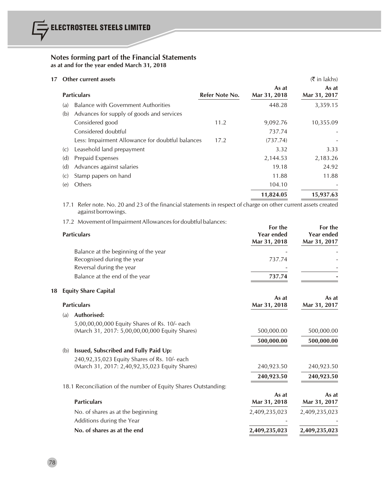# **17 Other current assets** (₹ in lakhs)

| $\sigma$ unci current assets               |                    |                                                                    | $\left\langle \right\rangle$ in junior |
|--------------------------------------------|--------------------|--------------------------------------------------------------------|----------------------------------------|
|                                            |                    | As at<br>Mar 31, 2018                                              | As at<br>Mar 31, 2017                  |
| <b>Balance with Government Authorities</b> |                    | 448.28                                                             | 3,359.15                               |
| Advances for supply of goods and services  |                    |                                                                    |                                        |
| Considered good                            | 11.2               | 9,092.76                                                           | 10,355.09                              |
| Considered doubtful                        |                    | 737.74                                                             |                                        |
|                                            | 17.2               | (737.74)                                                           |                                        |
| Leasehold land prepayment                  |                    | 3.32                                                               | 3.33                                   |
| Prepaid Expenses                           |                    | 2,144.53                                                           | 2,183.26                               |
| Advances against salaries                  |                    | 19.18                                                              | 24.92                                  |
| Stamp papers on hand                       |                    | 11.88                                                              | 11.88                                  |
| Others                                     |                    | 104.10                                                             |                                        |
|                                            |                    | 11,824.05                                                          | 15,937.63                              |
|                                            | <b>Particulars</b> | Refer Note No.<br>Less: Impairment Allowance for doubtful balances |                                        |

17.1 Refer note. No. 20 and 23 of the financial statements in respect of charge on other current assets created against borrowings.

<sup>17.2</sup> Movement of Impairment Allowances for doubtful balances:

|    |     | <b>Particulars</b>                                              | For the<br><b>Year ended</b><br>Mar 31, 2018 | For the<br><b>Year ended</b><br>Mar 31, 2017 |
|----|-----|-----------------------------------------------------------------|----------------------------------------------|----------------------------------------------|
|    |     | Balance at the beginning of the year                            |                                              |                                              |
|    |     | Recognised during the year                                      | 737.74                                       |                                              |
|    |     | Reversal during the year                                        |                                              |                                              |
|    |     | Balance at the end of the year                                  | 737.74                                       |                                              |
| 18 |     | <b>Equity Share Capital</b>                                     |                                              |                                              |
|    |     |                                                                 | As at                                        | As at                                        |
|    |     | <b>Particulars</b>                                              | Mar 31, 2018                                 | Mar 31, 2017                                 |
|    | (a) | Authorised:                                                     |                                              |                                              |
|    |     | 5,00,00,00,000 Equity Shares of Rs. 10/- each                   |                                              |                                              |
|    |     | (March 31, 2017: 5,00,00,00,000 Equity Shares)                  | 500,000.00                                   | 500,000.00                                   |
|    |     |                                                                 | 500,000.00                                   | 500,000.00                                   |
|    | (b) | Issued, Subscribed and Fully Paid Up:                           |                                              |                                              |
|    |     | 240,92,35,023 Equity Shares of Rs. 10/- each                    |                                              |                                              |
|    |     | (March 31, 2017: 2,40,92,35,023 Equity Shares)                  | 240,923.50                                   | 240,923.50                                   |
|    |     |                                                                 | 240,923.50                                   | 240,923.50                                   |
|    |     | 18.1 Reconciliation of the number of Equity Shares Outstanding: |                                              |                                              |
|    |     |                                                                 | As at                                        | As at                                        |
|    |     | <b>Particulars</b>                                              | Mar 31, 2018                                 | Mar 31, 2017                                 |
|    |     | No. of shares as at the beginning                               | 2,409,235,023                                | 2,409,235,023                                |
|    |     | Additions during the Year                                       |                                              |                                              |
|    |     | No. of shares as at the end                                     | 2,409,235,023                                | 2,409,235,023                                |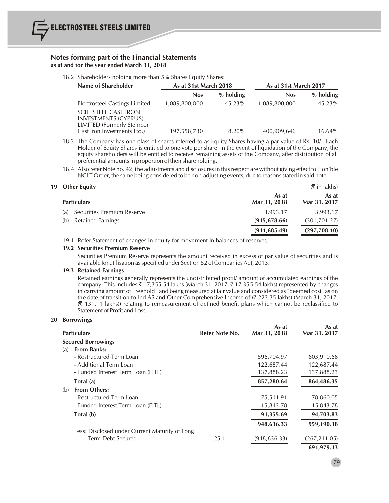18.2 Shareholders holding more than 5% Shares Equity Shares:

| Name of Shareholder                                                                             | As at 31st March 2018 |             | As at 31st March 2017 |             |
|-------------------------------------------------------------------------------------------------|-----------------------|-------------|-----------------------|-------------|
|                                                                                                 | <b>Nos</b>            | $%$ holding | <b>Nos</b>            | $%$ holding |
| Electrosteel Castings Limited                                                                   | 1,089,800,000         | 45.23%      | 1,089,800,000         | 45.23%      |
| <b>SCIIL STEEL CAST IRON</b><br><b>INVESTMENTS (CYPRUS)</b><br><b>LIMITED (Formerly Stemcor</b> |                       |             |                       |             |
| Cast Iron Investments Ltd.)                                                                     | 197,558,730           | $8.20\%$    | 400,909,646           | $16.64\%$   |

- 18.3 The Company has one class of shares referred to as Equity Shares having a par value of Rs. 10/-. Each Holder of Equity Shares is entitled to one vote per share. In the event of liquidation of the Company, the equity shareholders will be entitled to receive remaining assets of the Company, after distribution of all preferential amounts in proportion of their shareholding.
- 18.4 Also refer Note no. 42, the adjustments and disclosuresin thisrespect are without giving effect to Hon'ble NCLT Order, the same being considered to be non-adjusting events, due to reasons stated in said note.

| 19 Other Equity                   |                       | $(\bar{\bar{\mathbf{x}}}$ in lakhs) |
|-----------------------------------|-----------------------|-------------------------------------|
| <b>Particulars</b>                | As at<br>Mar 31, 2018 | As at<br>Mar 31, 2017               |
| Securities Premium Reserve<br>(a) | 3,993.17              | 3,993.17                            |
| Retained Earnings<br>(b)          | (915, 678, 66)        | (301, 701.27)                       |
|                                   | (911, 685.49)         | (297,708.10)                        |

19.1 Refer Statement of changes in equity for movement in balances of reserves.

#### **19.2 Securities Premium Reserve**

Securities Premium Reserve represents the amount received in excess of par value of securities and is available for utilisation as specified under Section 52 of Companies Act, 2013.

#### **19.3 Retained Earnings**

Retained earnings generally represents the undistributed profit/ amount of accumulated earnings of the company. This includes  $\bar{\tau}$  17,355.54 lakhs (March 31, 2017:  $\bar{\tau}$  17,355.54 lakhs) represented by changes in carrying amount of Freehold Land being measured at fair value and considered as "deemed cost" as on the date of transition to Ind AS and Other Comprehensive Income of  $(3 \overline{2} 23.35)$  lakhs) (March 31, 2017:  $($  $($   $\bar{z}$  131.11 lakhs)) relating to remeasurement of defined benefit plans which cannot be reclassified to Statement of Profit and Loss.

#### **20 Borrowings**

| <b>Particulars</b>                             | Refer Note No. | As at<br>Mar 31, 2018 | As at<br>Mar 31, 2017 |
|------------------------------------------------|----------------|-----------------------|-----------------------|
| <b>Secured Borrowings</b>                      |                |                       |                       |
| <b>From Banks:</b><br>(a)                      |                |                       |                       |
| - Restructured Term Loan                       |                | 596,704.97            | 603,910.68            |
| - Additional Term Loan                         |                | 122,687.44            | 122,687.44            |
| - Funded Interest Term Loan (FITL)             |                | 137,888.23            | 137,888.23            |
| Total (a)                                      |                | 857,280.64            | 864,486.35            |
| <b>From Others:</b><br>(b)                     |                |                       |                       |
| - Restructured Term Loan                       |                | 75,511.91             | 78,860.05             |
| - Funded Interest Term Loan (FITL)             |                | 15,843.78             | 15,843.78             |
| Total (b)                                      |                | 91,355.69             | 94,703.83             |
|                                                |                | 948,636.33            | 959,190.18            |
| Less: Disclosed under Current Maturity of Long |                |                       |                       |
| Term Debt-Secured                              | 25.1           | (948, 636.33)         | (267, 211.05)         |
|                                                |                |                       | 691,979.13            |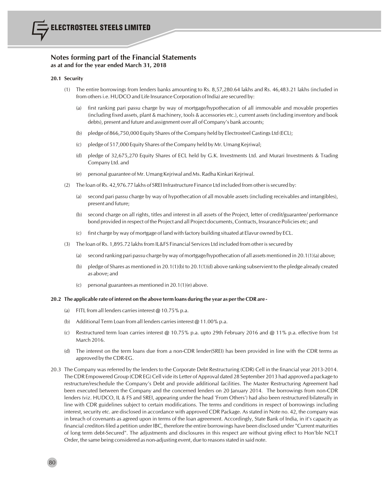#### **20.1 Security**

80

- (1) The entire borrowings from lenders banks amounting to Rs. 8,57,280.64 lakhs and Rs. 46,483.21 lakhs (included in from others i.e. HUDCO and Life Insurance Corporation of India) are secured by:
	- (a) first ranking pari passu charge by way of mortgage/hypothecation of all immovable and movable properties (including fixed assets, plant & machinery, tools & accessories etc.), current assets(including inventory and book debts), present and future and assignment over all of Company's bank accounts;
	- (b) pledge of 866,750,000 Equity Shares of the Company held by Electrosteel Castings Ltd (ECL);
	- (c) pledge of 517,000 Equity Shares of the Company held by Mr. Umang Kejriwal;
	- (d) pledge of 32,675,270 Equity Shares of ECL held by G.K. Investments Ltd. and Murari Investments & Trading Company Ltd. and
	- (e) personal guarantee of Mr. Umang Kejriwal and Ms. Radha Kinkari Kejriwal.
- (2) The loan of Rs. 42,976.77 lakhs of SREI Infrastructure Finance Ltd included from other issecured by:
	- (a) second pari passu charge by way of hypothecation of all movable assets (including receivables and intangibles), present and future;
	- (b) second charge on all rights, titles and interest in all assets of the Project, letter of credit/guarantee/ performance bond provided in respect of the Project and all Project documents, Contracts, Insurance Policies etc; and
	- (c) first charge by way of mortgage of land with factory building situated at Elavur owned by ECL.
- (3) The loan of Rs. 1,895.72 lakhsfrom IL&FS Financial Services Ltd included from other issecured by
	- (a) second ranking pari passu charge by way of mortgage/hypothecation of all assets mentioned in 20.1(1)(a) above;
	- (b) pledge of Shares as mentioned in 20.1(1)(b) to 20.1(1)(d) above ranking subservient to the pledge already created as above; and
	- (c) personal guarantees as mentioned in 20.1(1)(e) above.

#### **20.2 The applicable rate ofinterest on the above term loans during the year as pertheCDR are -**

- (a) FITL from all lenders carries interest  $@10.75\%$  p.a.
- (b) Additional Term Loan from all lenders carries interest @ 11.00% p.a.
- (c) Restructured term loan carries interest @ 10.75% p.a. upto 29th February 2016 and @ 11% p.a. effective from 1st March 2016.
- (d) The interest on the term loans due from a non-CDR lender(SREI) has been provided in line with the CDR terms as approved by the CDR-EG.
- 20.3 The Company was referred by the lenders to the Corporate Debt Restructuring (CDR) Cell in the financial year 2013-2014. The CDR Empowered Group (CDR EG) Cell vide its Letter of Approval dated 28 September 2013 had approved a package to restructure/reschedule the Company's Debt and provide additional facilities. The Master Restructuring Agreement had been executed between the Company and the concerned lenders on 20 January 2014. The borrowings from non-CDR lenders (viz. HUDCO, IL & FS and SREI, appearing under the head 'From Others') had also been restructured bilaterally in line with CDR guidelines subject to certain modifications. The terms and conditions in respect of borrowings including interest, security etc. are disclosed in accordance with approved CDR Package. As stated in Note no. 42, the company was in breach of covenants as agreed upon in terms of the loan agreement. Accordingly, State Bank of India, in it's capacity as financial creditors filed a petition under IBC, therefore the entire borrowings have been disclosed under "Current maturities of long term debt-Secured". The adjustments and disclosures in this respect are without giving effect to Hon'ble NCLT Order, the same being considered as non-adjusting event, due to reasons stated in said note.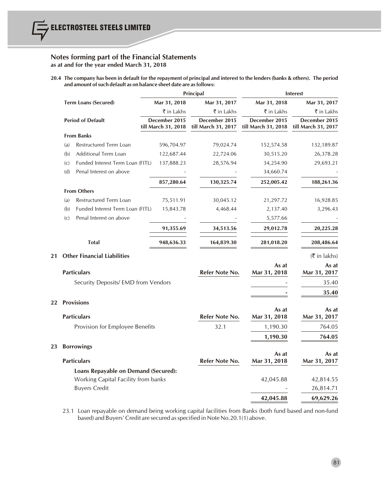20.4 The company has been in default for the repayment of principal and interest to the lenders (banks & others). The period **and amount ofsuch default as on balance sheet date are asfollows:**

|    |                                              |                                      | Principal                            |                                      | <b>Interest</b>                       |
|----|----------------------------------------------|--------------------------------------|--------------------------------------|--------------------------------------|---------------------------------------|
|    | <b>Term Loans (Secured)</b>                  | Mar 31, 2018                         | Mar 31, 2017                         | Mar 31, 2018                         | Mar 31, 2017                          |
|    |                                              | ₹ in Lakhs                           | ₹ in Lakhs                           | ₹ in Lakhs                           | ₹ in Lakhs                            |
|    | <b>Period of Default</b>                     | December 2015<br>till March 31, 2018 | December 2015<br>till March 31, 2017 | December 2015<br>till March 31, 2018 | December 2015<br>till March 31, 2017  |
|    | <b>From Banks</b>                            |                                      |                                      |                                      |                                       |
|    | Restructured Term Loan<br>(a)                | 596,704.97                           | 79,024.74                            | 152,574.58                           | 132,189.87                            |
|    | Additional Term Loan<br>(b)                  | 122,687.44                           | 22,724.06                            | 30,515.20                            | 26,378.28                             |
|    | Funded Interest Term Loan (FITL)<br>(c)      | 137,888.23                           | 28,576.94                            | 34,254.90                            | 29,693.21                             |
|    | (d)<br>Penal Interest on above               |                                      |                                      | 34,660.74                            |                                       |
|    |                                              | 857,280.64                           | 130,325.74                           | 252,005.42                           | 188,261.36                            |
|    | <b>From Others</b>                           |                                      |                                      |                                      |                                       |
|    | Restructured Term Loan<br>(a)                | 75,511.91                            | 30,045.12                            | 21,297.72                            | 16,928.85                             |
|    | Funded Interest Term Loan (FITL)<br>(b)      | 15,843.78                            | 4,468.44                             | 2,137.40                             | 3,296.43                              |
|    | Penal Interest on above<br>$\left( c\right)$ |                                      |                                      | 5,577.66                             |                                       |
|    |                                              | 91,355.69                            | 34,513.56                            | 29,012.78                            | 20,225.28                             |
|    | <b>Total</b>                                 | 948,636.33                           | 164,839.30                           | 281,018.20                           | 208,486.64                            |
| 21 | <b>Other Financial Liabilities</b>           |                                      |                                      |                                      | $(\overline{\mathfrak{k}})$ in lakhs) |
|    | <b>Particulars</b>                           |                                      | Refer Note No.                       | As at<br>Mar 31, 2018                | As at<br>Mar 31, 2017                 |
|    | Security Deposits/ EMD from Vendors          |                                      |                                      |                                      | 35.40                                 |
|    |                                              |                                      |                                      |                                      |                                       |
| 22 | <b>Provisions</b>                            |                                      |                                      |                                      | 35.40                                 |
|    | <b>Particulars</b>                           |                                      | Refer Note No.                       | As at<br>Mar 31, 2018                | As at<br>Mar 31, 2017                 |
|    | Provision for Employee Benefits              |                                      | 32.1                                 | 1,190.30                             | 764.05                                |
|    |                                              |                                      |                                      |                                      | 764.05                                |
|    |                                              |                                      |                                      | 1,190.30                             |                                       |
| 23 | <b>Borrowings</b><br><b>Particulars</b>      |                                      | Refer Note No.                       | As at<br>Mar 31, 2018                | As at<br>Mar 31, 2017                 |
|    | Loans Repayable on Demand (Secured):         |                                      |                                      |                                      |                                       |
|    | Working Capital Facility from banks          |                                      |                                      | 42,045.88                            | 42,814.55                             |
|    | <b>Buyers Credit</b>                         |                                      |                                      |                                      | 26,814.71                             |
|    |                                              |                                      |                                      | 42,045.88                            | 69,629.26                             |

23.1 Loan repayable on demand being working capital facilities from Banks (both fund based and non-fund based) and Buyers' Credit are secured asspecified in Note No.20.1(1) above.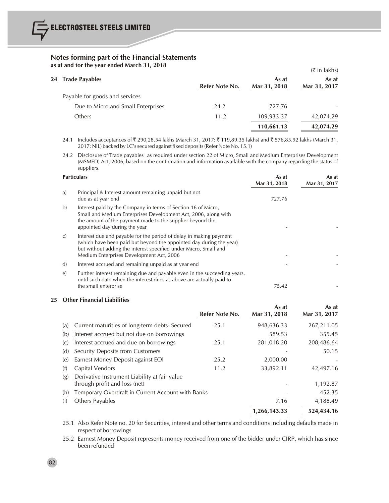|                                    |                |              | $(\bar{\bar{\mathbf{x}}}$ in lakhs) |
|------------------------------------|----------------|--------------|-------------------------------------|
| 24 Trade Payables                  |                | As at        | As at                               |
|                                    | Refer Note No. | Mar 31, 2018 | Mar 31, 2017                        |
| Payable for goods and services     |                |              |                                     |
| Due to Micro and Small Enterprises | 24.2           | 727.76       |                                     |
| Others                             | 11.2           | 109,933.37   | 42,074.29                           |
|                                    |                | 110,661.13   | 42,074.29                           |
|                                    |                |              |                                     |

24.1 Includes acceptances of ₹ 290,28.54 lakhs (March 31, 2017: ₹ 119,89.35 lakhs) and ₹ 576,85.92 lakhs (March 31, 2017: NIL) backed by LC's secured against fixed deposits (Refer Note No. 15.1)

24.2 Disclosure of Trade payables as required under section 22 of Micro, Small and Medium Enterprises Development (MSMED) Act, 2006, based on the confirmation and information available with the company regarding the status of suppliers.

|              | <b>Particulars</b>                                                                                                                                                                                                                                        |        | As at<br>Mar 31, 2017 |
|--------------|-----------------------------------------------------------------------------------------------------------------------------------------------------------------------------------------------------------------------------------------------------------|--------|-----------------------|
| a)           | Principal & Interest amount remaining unpaid but not<br>due as at year end                                                                                                                                                                                | 727.76 |                       |
| b)           | Interest paid by the Company in terms of Section 16 of Micro,<br>Small and Medium Enterprises Development Act, 2006, along with<br>the amount of the payment made to the supplier beyond the<br>appointed day during the year                             |        |                       |
| C)           | Interest due and payable for the period of delay in making payment<br>(which have been paid but beyond the appointed day during the year)<br>but without adding the interest specified under Micro, Small and<br>Medium Enterprises Development Act, 2006 |        |                       |
| $\mathbf{d}$ | Interest accrued and remaining unpaid as at year end                                                                                                                                                                                                      |        |                       |
| $\epsilon$   | Further interest remaining due and payable even in the succeeding years,<br>until such date when the interest dues as above are actually paid to<br>the small enterprise                                                                                  | 75.42  |                       |

#### **25 Other Financial Liabilities**

|     |                                                                                | Refer Note No. | As at<br>Mar 31, 2018 | As at<br>Mar 31, 2017 |
|-----|--------------------------------------------------------------------------------|----------------|-----------------------|-----------------------|
| (a) | Current maturities of long-term debts- Secured                                 | 25.1           | 948,636.33            | 267,211.05            |
| (b) | Interest accrued but not due on borrowings                                     |                | 589.53                | 355.45                |
| (C) | Interest accrued and due on borrowings                                         | 25.1           | 281,018.20            | 208,486.64            |
| (d) | Security Deposits from Customers                                               |                |                       | 50.15                 |
| (e) | Earnest Money Deposit against EOI                                              | 25.2           | 2,000.00              |                       |
| (f) | Capital Vendors                                                                | 11.2           | 33,892.11             | 42,497.16             |
| (g) | Derivative Instrument Liability at fair value<br>through profit and loss (net) |                |                       | 1,192.87              |
| (h) | Temporary Overdraft in Current Account with Banks                              |                |                       | 452.35                |
| (i) | Others Payables                                                                |                | 7.16                  | 4,188.49              |
|     |                                                                                |                | 1,266,143.33          | 524,434.16            |
|     |                                                                                |                |                       |                       |

25.1 Also Refer Note no. 20 for Securities, interest and other terms and conditions including defaults made in respect of borrowings

25.2 Earnest Money Deposit represents money received from one of the bidder under CIRP, which has since been refunded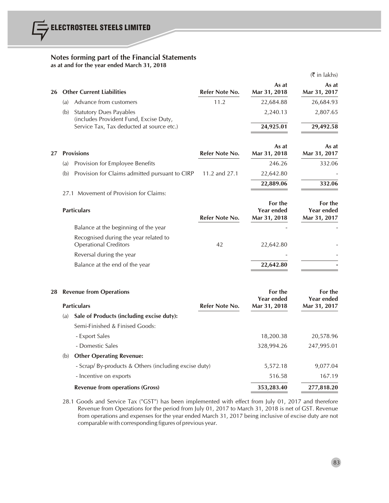|    |     |                                                                                     |                |                                       | $(\bar{\bar{\zeta}})$ in lakhs)              |
|----|-----|-------------------------------------------------------------------------------------|----------------|---------------------------------------|----------------------------------------------|
| 26 |     | <b>Other Current Liabilities</b>                                                    | Refer Note No. | As at<br>Mar 31, 2018                 | As at<br>Mar 31, 2017                        |
|    | (a) | Advance from customers                                                              | 11.2           | 22,684.88                             | 26,684.93                                    |
|    | (b) | <b>Statutory Dues Payables</b>                                                      |                | 2,240.13                              | 2,807.65                                     |
|    |     | (includes Provident Fund, Excise Duty,<br>Service Tax, Tax deducted at source etc.) |                | 24,925.01                             | 29,492.58                                    |
| 27 |     | <b>Provisions</b>                                                                   | Refer Note No. | As at<br>Mar 31, 2018                 | As at<br>Mar 31, 2017                        |
|    | (a) | Provision for Employee Benefits                                                     |                | 246.26                                | 332.06                                       |
|    | (b) | Provision for Claims admitted pursuant to CIRP                                      | 11.2 and 27.1  | 22,642.80                             |                                              |
|    |     |                                                                                     |                | 22,889.06                             | 332.06                                       |
|    |     | 27.1 Movement of Provision for Claims:                                              |                |                                       |                                              |
|    |     | <b>Particulars</b>                                                                  | Refer Note No. | For the<br>Year ended<br>Mar 31, 2018 | For the<br><b>Year ended</b><br>Mar 31, 2017 |
|    |     | Balance at the beginning of the year                                                |                |                                       |                                              |
|    |     | Recognised during the year related to<br><b>Operational Creditors</b>               | 42             | 22,642.80                             |                                              |
|    |     | Reversal during the year                                                            |                |                                       |                                              |
|    |     | Balance at the end of the year                                                      |                | 22,642.80                             |                                              |
| 28 |     | <b>Revenue from Operations</b>                                                      |                | For the<br>Year ended                 | For the<br><b>Year ended</b>                 |
|    |     | <b>Particulars</b>                                                                  | Refer Note No. | Mar 31, 2018                          | Mar 31, 2017                                 |
|    | (a) | Sale of Products (including excise duty):                                           |                |                                       |                                              |
|    |     | Semi-Finished & Finised Goods:                                                      |                |                                       |                                              |
|    |     | - Export Sales                                                                      |                | 18,200.38                             | 20,578.96                                    |
|    |     | - Domestic Sales                                                                    |                | 328,994.26                            | 247,995.01                                   |
|    | (b) | <b>Other Operating Revenue:</b>                                                     |                |                                       |                                              |
|    |     | - Scrap/ By-products & Others (including excise duty)                               |                | 5,572.18                              | 9,077.04                                     |
|    |     | - Incentive on exports                                                              |                | 516.58                                | 167.19                                       |
|    |     | <b>Revenue from operations (Gross)</b>                                              |                | 353,283.40                            | 277,818.20                                   |

28.1 Goods and Service Tax ("GST") has been implemented with effect from July 01, 2017 and therefore Revenue from Operations for the period from July 01, 2017 to March 31, 2018 is net of GST. Revenue from operations and expenses for the year ended March 31, 2017 being inclusive of excise duty are not comparable with corresponding figures of previous year.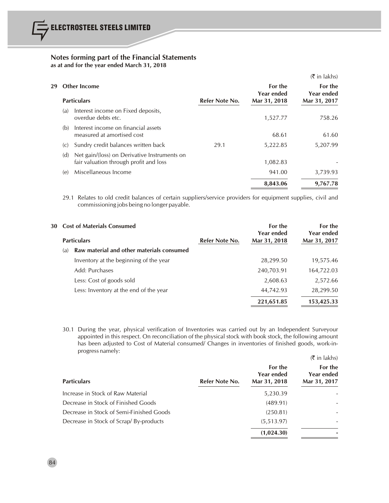|     |                                                                                        |                                                                                 |                       | $(5 \in \mathsf{In} \; \mathsf{lakhs})$ |
|-----|----------------------------------------------------------------------------------------|---------------------------------------------------------------------------------|-----------------------|-----------------------------------------|
|     |                                                                                        |                                                                                 | For the<br>Year ended | For the<br>Year ended<br>Mar 31, 2017   |
|     |                                                                                        |                                                                                 |                       |                                         |
|     | overdue debts etc.                                                                     |                                                                                 | 1,527.77              | 758.26                                  |
| (b) | Interest income on financial assets<br>measured at amortised cost                      |                                                                                 | 68.61                 | 61.60                                   |
| (C) | Sundry credit balances written back                                                    | 29.1                                                                            | 5,222.85              | 5,207.99                                |
| (d) | Net gain/(loss) on Derivative Instruments on<br>fair valuation through profit and loss |                                                                                 | 1,082.83              |                                         |
| (e) | Miscellaneous Income                                                                   |                                                                                 | 941.00                | 3,739.93                                |
|     |                                                                                        |                                                                                 | 8,843.06              | 9,767.78                                |
|     | (a)                                                                                    | <b>Other Income</b><br><b>Particulars</b><br>Interest income on Fixed deposits, | Refer Note No.        | Mar 31, 2018                            |

29.1 Relates to old credit balances of certain suppliers/service providers for equipment supplies, civil and commissioning jobs being no longer payable.

|     | 30 Cost of Materials Consumed             |                | For the<br>Year ended | For the<br><b>Year ended</b> |
|-----|-------------------------------------------|----------------|-----------------------|------------------------------|
|     | <b>Particulars</b>                        | Refer Note No. | Mar 31, 2018          | Mar 31, 2017                 |
| (a) | Raw material and other materials consumed |                |                       |                              |
|     | Inventory at the beginning of the year    |                | 28,299.50             | 19,575.46                    |
|     | Add: Purchases                            |                | 240,703.91            | 164,722.03                   |
|     | Less: Cost of goods sold                  |                | 2,608.63              | 2,572.66                     |
|     | Less: Inventory at the end of the year    |                | 44,742.93             | 28,299.50                    |
|     |                                           |                | 221,651.85            | 153,425.33                   |

30.1 During the year, physical verification of Inventories was carried out by an Independent Surveyour appointed in this respect. On reconciliation of the physical stock with book stock, the following amount has been adjusted to Cost of Material consumed/ Changes in inventories of finished goods, work-inprogress namely:

|                                          |                |                                       | $($ ₹ in lakhs)                       |
|------------------------------------------|----------------|---------------------------------------|---------------------------------------|
| <b>Particulars</b>                       | Refer Note No. | For the<br>Year ended<br>Mar 31, 2018 | For the<br>Year ended<br>Mar 31, 2017 |
| Increase in Stock of Raw Material        |                | 5,230.39                              |                                       |
| Decrease in Stock of Finished Goods      |                | (489.91)                              |                                       |
| Decrease in Stock of Semi-Finished Goods |                | (250.81)                              |                                       |
| Decrease in Stock of Scrap/By-products   |                | (5, 513.97)                           |                                       |
|                                          |                | (1,024.30)                            |                                       |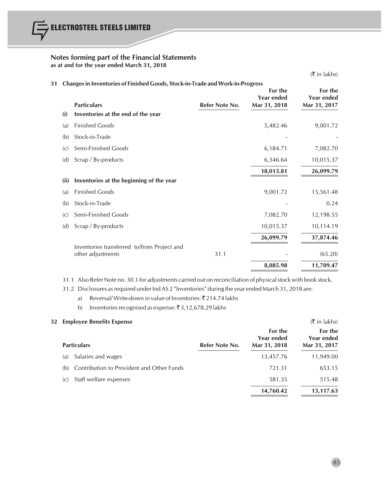$($ ₹ in lakhs) **31 Changesin Inventories of Finished Goods, Stock-in-Trade and Work-in-Progress For the For the For the Year ended Pear ended Year ended Year ended Particulars Refer Note No. Mar 31, 2018 Mar 31, 2017 (i) Inventories at the end of the year** (a) Finished Goods 5,482.46 9,001.72 (b) Stock-in-Trade (c) Semi-Finished Goods 6,184.71 7,082.70 (d) Scrap / By-products 6,346.64 10,015.37 **18,013.81 26,099.79 (ii) Inventories at the beginning of the year** (a) Finished Goods 9,001.72 15,561.48 (b) Stock-in-Trade - 0.24 (c) Semi-Finished Goods 7,082.70 12,198.55 (d) Scrap / By-products 10,015.37 10,114.19 **26,099.79 37,874.46** Inventories transferred to/from Project and other adjustments 65.20 and  $\overline{31.1}$  (65.20) **8,085.98 11,709.47**

31.1 Also Refer Note no. 30.1 for adjustments carried out on reconciliation of physicalstock with book stock.

31.2 Disclosures asrequired under Ind AS 2 "Inventories" during the year ended March 31, 2018 are:

- a) Reversal/Write-down in value of Inventories:  $\bar{\tau}$  214.74 lakhs
- b) Inventories recognised as expense:  $\bar{\bar{\xi}}$  3,12,678.29 lakhs

#### **32 Employee Benefits Expense** (` in lakhs)

| <b>Particulars</b>                               | Refer Note No. | For the<br>Year ended<br>Mar 31, 2018 | For the<br><b>Year ended</b><br>Mar 31, 2017 |
|--------------------------------------------------|----------------|---------------------------------------|----------------------------------------------|
| Salaries and wages<br>(a)                        |                | 13,457.76                             | 11,949.00                                    |
| Contribution to Provident and Other Funds<br>(b) |                | 721.31                                | 653.15                                       |
| Staff welfare expenses<br>(C)                    |                | 581.35                                | 515.48                                       |
|                                                  |                | 14,760.42                             | 13,117.63                                    |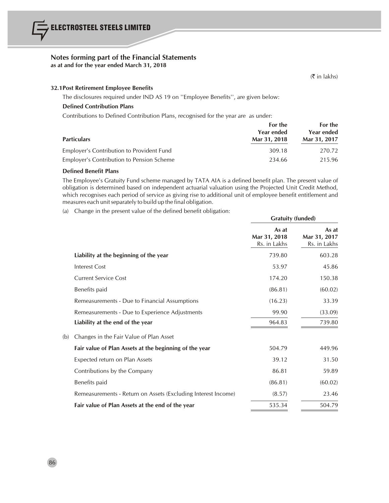# **Notes forming part of the Financial Statements**

**as at and for the year ended March 31, 2018**

(` in lakhs)

# **32.1Post Retirement Employee Benefits**

The disclosures required under IND AS 19 on ''Employee Benefits'', are given below:

# **Defined Contribution Plans**

Contributions to Defined Contribution Plans, recognised for the year are as under:

|                                           | For the<br>Year ended | For the<br>Year ended |
|-------------------------------------------|-----------------------|-----------------------|
| <b>Particulars</b>                        | Mar 31, 2018          | Mar 31, 2017          |
| Employer's Contribution to Provident Fund | 309.18                | 270.72                |
| Employer's Contribution to Pension Scheme | 234.66                | 215.96                |

# **Defined Benefit Plans**

The Employee's Gratuity Fund scheme managed by TATA AIA is a defined benefit plan. The present value of obligation is determined based on independent actuarial valuation using the Projected Unit Credit Method, which recognises each period of service as giving rise to additional unit of employee benefit entitlement and measures each unit separately to build up the final obligation.

(a) Change in the present value of the defined benefit obligation:

|     |                                                               | <b>Gratuity (funded)</b>              |                                       |
|-----|---------------------------------------------------------------|---------------------------------------|---------------------------------------|
|     |                                                               | As at<br>Mar 31, 2018<br>Rs. in Lakhs | As at<br>Mar 31, 2017<br>Rs. in Lakhs |
|     | Liability at the beginning of the year                        | 739.80                                | 603.28                                |
|     | <b>Interest Cost</b>                                          | 53.97                                 | 45.86                                 |
|     | <b>Current Service Cost</b>                                   | 174.20                                | 150.38                                |
|     | Benefits paid                                                 | (86.81)                               | (60.02)                               |
|     | Remeasurements - Due to Financial Assumptions                 | (16.23)                               | 33.39                                 |
|     | Remeasurements - Due to Experience Adjustments                | 99.90                                 | (33.09)                               |
|     | Liability at the end of the year                              | 964.83                                | 739.80                                |
| (b) | Changes in the Fair Value of Plan Asset                       |                                       |                                       |
|     | Fair value of Plan Assets at the beginning of the year        | 504.79                                | 449.96                                |
|     | Expected return on Plan Assets                                | 39.12                                 | 31.50                                 |
|     | Contributions by the Company                                  | 86.81                                 | 59.89                                 |
|     | Benefits paid                                                 | (86.81)                               | (60.02)                               |
|     | Remeasurements - Return on Assets (Excluding Interest Income) | (8.57)                                | 23.46                                 |
|     | Fair value of Plan Assets at the end of the year              | 535.34                                | 504.79                                |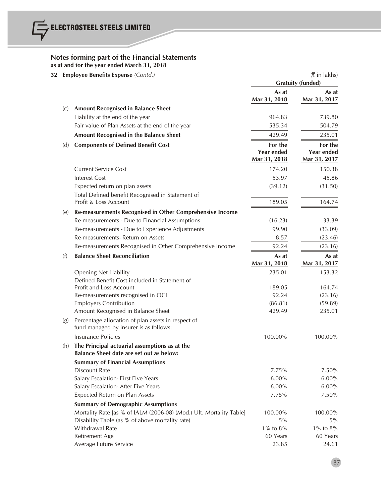| 32 | <b>Employee Benefits Expense (Contd.)</b> |                                                                                              | $(\bar{\bar{\mathbf{x}}}$ in lakhs)<br><b>Gratuity (funded)</b> |                                   |
|----|-------------------------------------------|----------------------------------------------------------------------------------------------|-----------------------------------------------------------------|-----------------------------------|
|    |                                           |                                                                                              | As at<br>Mar 31, 2018                                           | As at<br>Mar 31, 2017             |
|    | (C)                                       | <b>Amount Recognised in Balance Sheet</b>                                                    |                                                                 |                                   |
|    |                                           | Liability at the end of the year                                                             | 964.83                                                          | 739.80                            |
|    |                                           | Fair value of Plan Assets at the end of the year                                             | 535.34                                                          | 504.79                            |
|    |                                           | Amount Recognised in the Balance Sheet                                                       | 429.49                                                          | 235.01                            |
|    | (d)                                       | <b>Components of Defined Benefit Cost</b>                                                    | For the                                                         | For the                           |
|    |                                           |                                                                                              | <b>Year ended</b><br>Mar 31, 2018                               | <b>Year ended</b><br>Mar 31, 2017 |
|    |                                           | <b>Current Service Cost</b>                                                                  | 174.20                                                          | 150.38                            |
|    |                                           | <b>Interest Cost</b>                                                                         | 53.97                                                           | 45.86                             |
|    |                                           | Expected return on plan assets                                                               | (39.12)                                                         | (31.50)                           |
|    |                                           | Total Defined benefit Recognised in Statement of                                             |                                                                 |                                   |
|    |                                           | Profit & Loss Account                                                                        | 189.05                                                          | 164.74                            |
|    | (e)                                       | Re-measurements Recognised in Other Comprehensive Income                                     |                                                                 |                                   |
|    |                                           | Re-measurements - Due to Financial Assumptions                                               | (16.23)                                                         | 33.39                             |
|    |                                           | Re-measurements - Due to Experience Adjustments                                              | 99.90                                                           | (33.09)                           |
|    |                                           | Re-measurements- Return on Assets                                                            | 8.57                                                            | (23.46)                           |
|    |                                           | Re-measurements Recognised in Other Comprehensive Income                                     | 92.24                                                           | (23.16)                           |
|    | (f)                                       | <b>Balance Sheet Reconciliation</b>                                                          | As at                                                           | As at                             |
|    |                                           |                                                                                              | Mar 31, 2018                                                    | Mar 31, 2017                      |
|    |                                           | <b>Opening Net Liability</b>                                                                 | 235.01                                                          | 153.32                            |
|    |                                           | Defined Benefit Cost included in Statement of                                                |                                                                 |                                   |
|    |                                           | Profit and Loss Account                                                                      | 189.05                                                          | 164.74                            |
|    |                                           | Re-measurements recognised in OCI                                                            | 92.24                                                           | (23.16)                           |
|    |                                           | <b>Employers Contribution</b>                                                                | (86.81)                                                         | (59.89)                           |
|    |                                           | Amount Recognised in Balance Sheet                                                           | 429.49                                                          | 235.01                            |
|    | (g)                                       | Percentage allocation of plan assets in respect of<br>fund managed by insurer is as follows: |                                                                 |                                   |
|    |                                           | Insurance Policies                                                                           | 100.00%                                                         | 100.00%                           |
|    | (h)                                       | The Principal actuarial assumptions as at the<br>Balance Sheet date are set out as below:    |                                                                 |                                   |
|    |                                           | <b>Summary of Financial Assumptions</b>                                                      |                                                                 |                                   |
|    |                                           | <b>Discount Rate</b>                                                                         | 7.75%                                                           | 7.50%                             |
|    |                                           | Salary Escalation- First Five Years                                                          | 6.00%                                                           | $6.00\%$                          |
|    |                                           | Salary Escalation- After Five Years                                                          | 6.00%                                                           | 6.00%                             |
|    |                                           | Expected Return on Plan Assets                                                               | 7.75%                                                           | 7.50%                             |
|    |                                           | <b>Summary of Demographic Assumptions</b>                                                    |                                                                 |                                   |
|    |                                           | Mortality Rate [as % of IALM (2006-08) (Mod.) Ult. Mortality Table]                          | 100.00%                                                         | 100.00%                           |
|    |                                           | Disability Table (as % of above mortality rate)                                              | 5%                                                              | $5\%$                             |
|    |                                           | Withdrawal Rate                                                                              | $1\%$ to $8\%$                                                  | $1\%$ to $8\%$                    |
|    |                                           | Retirement Age                                                                               | 60 Years                                                        | 60 Years                          |
|    |                                           | Average Future Service                                                                       | 23.85                                                           | 24.61                             |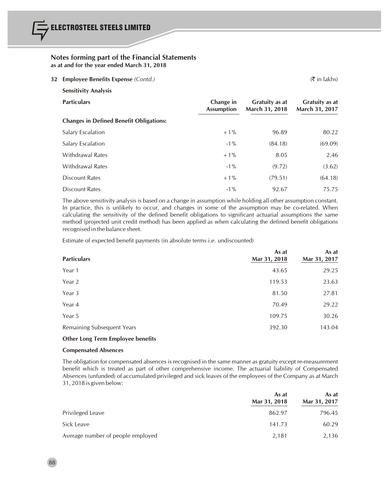| <b>Employee Benefits Expense</b> (Contd.)      |                                |                                         | $(\bar{\bar{\mathbf{\tau}}}$ in lakhs)  |
|------------------------------------------------|--------------------------------|-----------------------------------------|-----------------------------------------|
| <b>Sensitivity Analysis</b>                    |                                |                                         |                                         |
| <b>Particulars</b>                             | Change in<br><b>Assumption</b> | <b>Gratuity as at</b><br>March 31, 2018 | <b>Gratuity as at</b><br>March 31, 2017 |
| <b>Changes in Defined Benefit Obligations:</b> |                                |                                         |                                         |
| Salary Escalation                              | $+1\%$                         | 96.89                                   | 80.22                                   |
| Salary Escalation                              | $-1\%$                         | (84.18)                                 | (69.09)                                 |
| <b>Withdrawal Rates</b>                        | $+1\%$                         | 8.05                                    | 2.46                                    |
| <b>Withdrawal Rates</b>                        | $-1\%$                         | (9.72)                                  | (3.62)                                  |
| <b>Discount Rates</b>                          | $+1\%$                         | (79.51)                                 | (64.18)                                 |
| <b>Discount Rates</b>                          | $-1\%$                         | 92.67                                   | 75.75                                   |
|                                                | 32                             |                                         |                                         |

The above sensitivity analysis is based on a change in assumption while holding all other assumption constant. In practice, this is unlikely to occur, and changes in some of the assumption may be co-related. When calculating the sensitivity of the defined benefit obligations to significant actuarial assumptions the same method (projected unit credit method) has been applied as when calculating the defined benefit obligations recognised in the balance sheet.

Estimate of expected benefit payments (in absolute terms i.e. undiscounted)

| <b>Particulars</b>         | As at<br>Mar 31, 2018 | As at<br>Mar 31, 2017 |
|----------------------------|-----------------------|-----------------------|
| Year 1                     | 43.65                 | 29.25                 |
| Year 2                     | 119.53                | 23.63                 |
| Year 3                     | 81.50                 | 27.81                 |
| Year 4                     | 70.49                 | 29.22                 |
| Year 5                     | 109.75                | 30.26                 |
| Remaining Subsequent Years | 392.30                | 143.04                |

# **Other Long Term Employee benefits**

#### **Compensated Absences**

The obligation for compensated absences is recognised in the same manner as gratuity except re-measurement benefit which is treated as part of other comprehensive income. The actuarial liability of Compensated Absences (unfunded) of accumulated privileged and sick leaves of the employees of the Company as at March 31, 2018 is given below:

|                                   | As at<br>Mar 31, 2018 | As at<br>Mar 31, 2017 |
|-----------------------------------|-----------------------|-----------------------|
| Privileged Leave                  | 862.97                | 796.45                |
| Sick Leave                        | 141.73                | 60.29                 |
| Average number of people employed | 2.181                 | 2,136                 |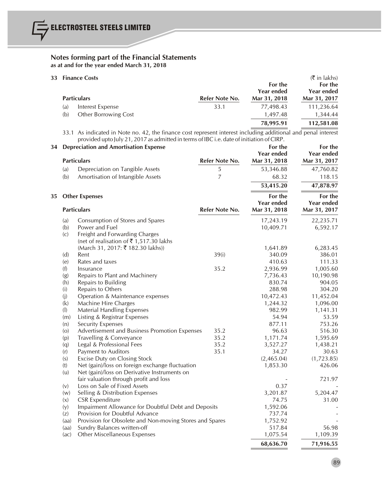|     | 33 Finance Costs            |                | For the                    | $(\bar{\bar{\zeta}})$ in lakhs)<br>For the |
|-----|-----------------------------|----------------|----------------------------|--------------------------------------------|
|     | <b>Particulars</b>          | Refer Note No. | Year ended<br>Mar 31, 2018 | Year ended<br>Mar 31, 2017                 |
| (a) | Interest Expense            | 33.1           | 77,498.43                  | 111,236.64                                 |
| (b) | <b>Other Borrowing Cost</b> |                | 1,497.48                   | 1,344.44                                   |
|     |                             |                | 78,995.91                  | 112,581.08                                 |

33.1 As indicated in Note no. 42, the finance cost represent interest including additional and penal interest provided upto July 21, 2017 as admitted in terms of IBC i.e. date of initiation of CIRP.

| 34 |                   | <b>Depreciation and Amortisation Expense</b><br><b>Particulars</b> | Refer Note No. | For the<br>Year ended<br>Mar 31, 2018 | For the<br>Year ended<br>Mar 31, 2017 |
|----|-------------------|--------------------------------------------------------------------|----------------|---------------------------------------|---------------------------------------|
|    | (a)               | Depreciation on Tangible Assets                                    | 5              | 53,346.88                             | 47,760.82                             |
|    | (b)               | Amortisation of Intangible Assets                                  | $\overline{7}$ | 68.32                                 | 118.15                                |
|    |                   |                                                                    |                | 53,415.20                             | 47,878.97                             |
| 35 |                   | <b>Other Expenses</b>                                              |                | For the                               | For the                               |
|    |                   | <b>Particulars</b>                                                 | Refer Note No. | <b>Year ended</b><br>Mar 31, 2018     | <b>Year ended</b><br>Mar 31, 2017     |
|    | (a)               | Consumption of Stores and Spares                                   |                | 17,243.19                             | 22,235.71                             |
|    | (b)               | Power and Fuel                                                     |                | 10,409.71                             | 6,592.17                              |
|    | $\left( c\right)$ | Freight and Forwarding Charges                                     |                |                                       |                                       |
|    |                   | (net of realisation of ₹1,517.30 lakhs                             |                |                                       |                                       |
|    |                   | (March 31, 2017: ₹ 182.30 lakhs))                                  |                | 1,641.89                              | 6,283.45                              |
|    | (d)               | Rent                                                               | 39(i)          | 340.09                                | 386.01                                |
|    | (e)               | Rates and taxes                                                    |                | 410.63                                | 111.33                                |
|    | (f)               | Insurance                                                          | 35.2           | 2,936.99                              | 1,005.60                              |
|    | (g)               | Repairs to Plant and Machinery                                     |                | 7,736.43                              | 10,190.98                             |
|    | (h)               | Repairs to Building                                                |                | 830.74                                | 904.05                                |
|    | (i)               | Repairs to Others                                                  |                | 288.98                                | 304.20                                |
|    | (i)               | Operation & Maintenance expenses                                   |                | 10,472.43                             | 11,452.04                             |
|    | (k)               | Machine Hire Charges                                               |                | 1,244.32                              | 1,096.00                              |
|    | (I)               | <b>Material Handling Expenses</b>                                  |                | 982.99                                | 1,141.31                              |
|    | (m)               | Listing & Registrar Expenses                                       |                | 54.94                                 | 53.59                                 |
|    | (n)               | <b>Security Expenses</b>                                           |                | 877.11                                | 753.26                                |
|    | (0)               | Advertisement and Business Promotion Expenses                      | 35.2           | 96.63                                 | 516.30                                |
|    | (p)               | Travelling & Conveyance                                            | 35.2           | 1,171.74                              | 1,595.69                              |
|    | (q)               | Legal & Professional Fees                                          | 35.2           | 3,527.27                              | 1,438.21                              |
|    | (r)               | Payment to Auditors                                                | 35.1           | 34.27                                 | 30.63                                 |
|    | (s)               | <b>Excise Duty on Closing Stock</b>                                |                | (2,465.04)                            | (1,723.85)                            |
|    | (t)               | Net (gain)/loss on foreign exchange fluctuation                    |                | 1,853.30                              | 426.06                                |
|    | (u)               | Net (gain)/loss on Derivative Instruments on                       |                |                                       |                                       |
|    |                   | fair valuation through profit and loss                             |                |                                       | 721.97                                |
|    | (v)               | Loss on Sale of Fixed Assets                                       |                | 0.37                                  |                                       |
|    | (w)               | Selling & Distribution Expenses                                    |                | 3,201.87                              | 5,204.47                              |
|    | (x)               | <b>CSR Expenditure</b>                                             |                | 74.75                                 | 31.00                                 |
|    | (y)               | Impairment Allowance for Doubtful Debt and Deposits                |                | 1,592.06                              |                                       |
|    | (z)               | Provision for Doubtful Advance                                     |                | 737.74                                |                                       |
|    | (aa)              | Provision for Obsolete and Non-moving Stores and Spares            |                | 1,752.92                              |                                       |
|    | (aa)              | Sundry Balances written-off                                        |                | 517.84                                | 56.98                                 |
|    | (ac)              | Other Miscellaneous Expenses                                       |                | 1,075.54                              | 1,109.39                              |
|    |                   |                                                                    |                | 68,636.70                             | 71,916.55                             |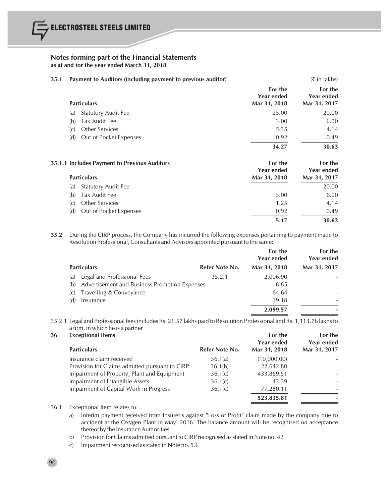### **35.1 Payment to Auditors (including payment to previous auditor)** (` in lakhs)

| <b>Particulars</b>                | For the<br>Year ended<br>Mar 31, 2018 | For the<br><b>Year ended</b><br>Mar 31, 2017 |
|-----------------------------------|---------------------------------------|----------------------------------------------|
| <b>Statutory Audit Fee</b><br>(a) | 25.00                                 | 20.00                                        |
| Tax Audit Fee<br>(b)              | 3.00                                  | 6.00                                         |
| <b>Other Services</b><br>(C)      | 5.35                                  | 4.14                                         |
| Out of Pocket Expenses<br>(d)     | 0.92                                  | 0.49                                         |
|                                   | 34.27                                 | 30.63                                        |

| 35.1.1 Includes Payment to Previous Auditors | For the<br><b>Year ended</b> | For the<br><b>Year ended</b> |
|----------------------------------------------|------------------------------|------------------------------|
| <b>Particulars</b>                           | Mar 31, 2018                 | Mar 31, 2017                 |
| <b>Statutory Audit Fee</b><br>(a)            |                              | 20.00                        |
| Tax Audit Fee<br>(b)                         | 3.00                         | 6.00                         |
| <b>Other Services</b><br>(C)                 | 1.25                         | 4.14                         |
| Out of Pocket Expenses<br>(d)                | 0.92                         | 0.49                         |
|                                              | 5.17                         | 30.63                        |

**35.2** During the CIRP process, the Company has incurred the following expenses pertaining to payment made to Resolution Professional, Consultants and Advisors appointed pursuant to the same:

|                                                      |                | For the<br>Year ended | For the<br>Year ended |
|------------------------------------------------------|----------------|-----------------------|-----------------------|
| <b>Particulars</b>                                   | Refer Note No. | Mar 31, 2018          | Mar 31, 2017          |
| Legal and Professional Fees<br>(a)                   | 35.2.1         | 2,006.90              |                       |
| Advertisement and Business Promotion Expenses<br>(b) |                | 8.85                  |                       |
| Travelling & Conveyance<br>(C)                       |                | 64.64                 |                       |
| (d)<br>Insurance                                     |                | 19.18                 |                       |
|                                                      |                | 2,099.57              |                       |

35.2.1 Legal and Professional feesincludes Rs. 21.57 lakhs paid to Resolution Professional and Rs. 1,113.76 lakhsto a firm, in which he is a partner

| 36 | <b>Exceptional Items</b><br><b>Particulars</b> | Refer Note No. | For the<br><b>Year ended</b><br>Mar 31, 2018 | For the<br><b>Year ended</b><br>Mar 31, 2017 |
|----|------------------------------------------------|----------------|----------------------------------------------|----------------------------------------------|
|    | Insurance claim received                       | 36.1(a)        | (10,000.00)                                  |                                              |
|    | Provision for Claims admitted pursuant to CIRP | 36.1(b)        | 22,642.80                                    |                                              |
|    | Impairment of Property, Plant and Equipment    | 36.1(c)        | 433,869.51                                   |                                              |
|    | Impairment of Intangible Assets                | 36.1(c)        | 43.39                                        |                                              |
|    | Impairment of Capital Work in Progress         | 36.1(c)        | 77,280.11                                    | ۰                                            |
|    |                                                |                | 523,835.81                                   |                                              |

36.1 Exceptional Item relates to:

a) Interim payment received from Insurer's against "Loss of Profit" claim made by the company due to accident at the Oxygen Plant in May' 2016. The balance amount will be recognised on acceptance thereof by the Insurance Authorities.

b) Provision for Claims admitted pursuant to CIRP recognised as stated in Note no. 42

c) Impairment recognised as stated in Note no. 5.6

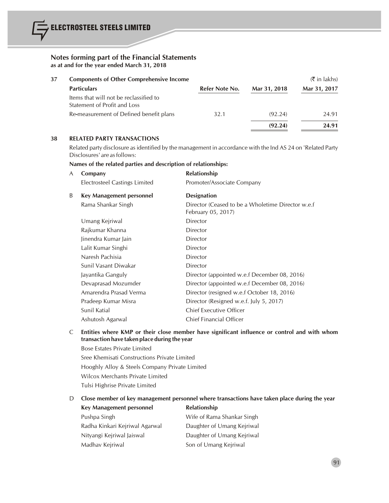| 37 | <b>Components of Other Comprehensive Income</b>                        |                |              | $(5 \in \mathsf{In} \; \mathsf{lakhs})$ |
|----|------------------------------------------------------------------------|----------------|--------------|-----------------------------------------|
|    | <b>Particulars</b>                                                     | Refer Note No. | Mar 31, 2018 | Mar 31, 2017                            |
|    | Items that will not be reclassified to<br>Statement of Profit and Loss |                |              |                                         |
|    | Re-measurement of Defined benefit plans                                | 32.1           | (92.24)      | 24.91                                   |
|    |                                                                        |                | (92.24)      | 24.91                                   |

# **38 RELATED PARTY TRANSACTIONS**

Related party disclosure as identified by the management in accordance with the Ind AS 24 on 'Related Party Disclosures' are asfollows:

### **Names of the related parties and description of relationships:**

| A | Company                              | <b>Relationship</b>                                                     |
|---|--------------------------------------|-------------------------------------------------------------------------|
|   | <b>Electrosteel Castings Limited</b> | Promoter/Associate Company                                              |
| B | Key Management personnel             | <b>Designation</b>                                                      |
|   | Rama Shankar Singh                   | Director (Ceased to be a Wholetime Director w.e.f<br>February 05, 2017) |
|   | Umang Kejriwal                       | Director                                                                |
|   | Rajkumar Khanna                      | Director                                                                |
|   | Jinendra Kumar Jain                  | Director                                                                |
|   | Lalit Kumar Singhi                   | Director                                                                |
|   | Naresh Pachisia                      | Director                                                                |
|   | Sunil Vasant Diwakar                 | Director                                                                |
|   | Jayantika Ganguly                    | Director (appointed w.e.f December 08, 2016)                            |
|   | Devaprasad Mozumder                  | Director (appointed w.e.f December 08, 2016)                            |
|   | Amarendra Prasad Verma               | Director (resigned w.e.f October 18, 2016)                              |
|   | Pradeep Kumar Misra                  | Director (Resigned w.e.f. July 5, 2017)                                 |
|   | Sunil Katial                         | <b>Chief Executive Officer</b>                                          |
|   | Ashutosh Agarwal                     | Chief Financial Officer                                                 |

C **Entities where KMP or their close member have significant influence or control and with whom transaction have taken place during the year**

Bose Estates Private Limited Sree Khemisati Constructions Private Limited Hooghly Alloy & Steels Company Private Limited Wilcox Merchants Private Limited Tulsi Highrise Private Limited

# D **Close member of key management personnel where transactions have taken place during the year Key Management personnel Relationship**

| Pushpa Singh                   | Wife of Rama Shankar Singh |
|--------------------------------|----------------------------|
| Radha Kinkari Kejriwal Agarwal | Daughter of Umang Kejriwal |
| Nityangi Kejriwal Jaiswal      | Daughter of Umang Kejriwal |
| Madhav Kejriwal                | Son of Umang Kejriwal      |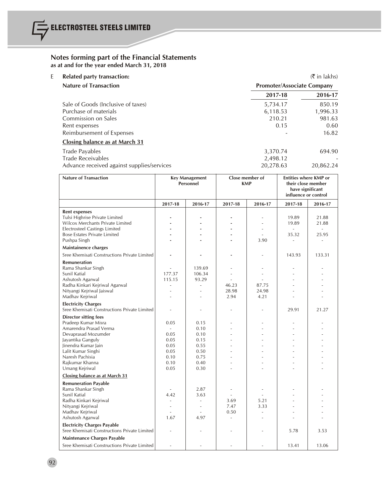| E<br><b>Related party transaction:</b> |                                            |                                   | $(\bar{\bar{\mathbf{x}}}$ in lakhs) |  |
|----------------------------------------|--------------------------------------------|-----------------------------------|-------------------------------------|--|
| <b>Nature of Transaction</b>           |                                            | <b>Promoter/Associate Company</b> |                                     |  |
|                                        |                                            | 2017-18                           | 2016-17                             |  |
| Sale of Goods (Inclusive of taxes)     |                                            | 5,734.17                          | 850.19                              |  |
| Purchase of materials                  |                                            | 6,118.53                          | 1,996.33                            |  |
| Commission on Sales                    |                                            | 210.21                            | 981.63                              |  |
| Rent expenses                          |                                            | 0.15                              | 0.60                                |  |
| Reimbursement of Expenses              |                                            |                                   | 16.82                               |  |
| <b>Closing balance as at March 31</b>  |                                            |                                   |                                     |  |
| Trade Payables                         |                                            | 3,370.74                          | 694.90                              |  |
| <b>Trade Receivables</b>               |                                            | 2,498.12                          |                                     |  |
|                                        | Advance received against supplies/services | 20,278.63                         | 20.862.24                           |  |

| <b>Nature of Transaction</b>                                                       | Close member of<br><b>Key Management</b><br>Personnel<br><b>KMP</b> |                          |                          | <b>Entities where KMP or</b><br>their close member<br>have significant<br>influence or control |                |                |
|------------------------------------------------------------------------------------|---------------------------------------------------------------------|--------------------------|--------------------------|------------------------------------------------------------------------------------------------|----------------|----------------|
|                                                                                    | 2017-18                                                             | 2016-17                  | 2017-18                  | 2016-17                                                                                        | 2017-18        | 2016-17        |
| <b>Rent expenses</b>                                                               |                                                                     |                          |                          |                                                                                                |                |                |
| Tulsi Highrise Private Limited<br>Wilcox Merchants Private Limited                 |                                                                     |                          |                          | ÷                                                                                              | 19.89<br>19.89 | 21.88<br>21.88 |
| <b>Electrosteel Castings Limited</b>                                               |                                                                     |                          |                          |                                                                                                | $\sim$         | $\sim$         |
| <b>Bose Estates Private Limited</b>                                                |                                                                     |                          |                          |                                                                                                | 35.32          | 25.95          |
| Pushpa Singh                                                                       |                                                                     |                          |                          | 3.90                                                                                           |                | ÷.             |
| Maintainence charges                                                               |                                                                     |                          |                          |                                                                                                |                |                |
| Sree Khemisati Constructions Private Limited                                       |                                                                     |                          |                          |                                                                                                | 143.93         | 133.31         |
| <b>Remuneration</b>                                                                |                                                                     |                          |                          |                                                                                                |                |                |
| Rama Shankar Singh                                                                 |                                                                     | 139.69                   |                          |                                                                                                |                |                |
| Sunil Katial                                                                       | 177.37                                                              | 106.34                   |                          | $\overline{\phantom{a}}$                                                                       | L,             | ä,             |
| Ashutosh Agarwal                                                                   | 115.15                                                              | 93.29                    |                          |                                                                                                |                | $\overline{a}$ |
| Radha Kinkari Kejriwal Agarwal                                                     | ÷,                                                                  | ÷,                       | 46.23                    | 87.75                                                                                          |                | ÷,             |
| Nityangi Kejriwal Jaiswal                                                          |                                                                     |                          | 28.98                    | 24.98                                                                                          |                |                |
| Madhav Kejriwal                                                                    | ÷.                                                                  | ÷.                       | 2.94                     | 4.21                                                                                           | ٠              |                |
| <b>Electricity Charges</b><br>Sree Khemisati Constructions Private Limited         | ä,                                                                  | $\overline{\phantom{a}}$ |                          | ٠                                                                                              | 29.91          | 21.27          |
| <b>Director sitting fees</b>                                                       |                                                                     |                          |                          |                                                                                                |                |                |
| Pradeep Kumar Misra                                                                | 0.05                                                                | 0.15                     |                          |                                                                                                | Ĭ.             | L,             |
| Amarendra Prasad Verma                                                             | ÷.                                                                  | 0.10                     |                          |                                                                                                |                |                |
| Devaprasad Mozumder                                                                | 0.05                                                                | 0.10                     |                          |                                                                                                |                |                |
| Jayantika Ganguly                                                                  | 0.05                                                                | 0.15                     |                          |                                                                                                |                | ÷.             |
| Jinendra Kumar Jain                                                                | 0.05                                                                | 0.55                     |                          |                                                                                                | ä,             |                |
| Lalit Kumar Singhi                                                                 | 0.05                                                                | 0.50                     |                          |                                                                                                |                | L.             |
| Naresh Pachisia                                                                    | 0.10                                                                | 0.75                     |                          |                                                                                                |                |                |
| Rajkumar Khanna<br>Umang Kejriwal                                                  | 0.10<br>0.05                                                        | 0.40<br>0.30             |                          |                                                                                                |                | ٠              |
| Closing balance as at March 31                                                     |                                                                     |                          |                          |                                                                                                |                |                |
|                                                                                    |                                                                     |                          |                          |                                                                                                |                |                |
| <b>Remuneration Payable</b>                                                        |                                                                     |                          |                          |                                                                                                |                |                |
| Rama Shankar Singh                                                                 | $\sim$                                                              | 2.87                     | $\overline{\phantom{a}}$ | $\overline{\phantom{a}}$                                                                       |                | ä,             |
| Sunil Katial                                                                       | 4.42                                                                | 3.63<br>÷.               |                          | 5.21                                                                                           |                | ä,             |
| Radha Kinkari Kejriwal<br>Nityangi Kejriwal                                        | ÷.                                                                  | $\sim$                   | 3.69<br>7.47             | 3.33                                                                                           |                |                |
| Madhav Kejriwal                                                                    |                                                                     |                          | 0.50                     | L.                                                                                             |                | L.             |
| Ashutosh Agarwal                                                                   | 1.67                                                                | 4.97                     | ÷.                       | ٠                                                                                              | ä,             | ä,             |
|                                                                                    |                                                                     |                          |                          |                                                                                                |                |                |
| <b>Electricity Charges Payable</b><br>Sree Khemisati Constructions Private Limited |                                                                     |                          |                          |                                                                                                | 5.78           | 3.53           |
| Maintenance Charges Payable                                                        |                                                                     |                          |                          |                                                                                                |                |                |
| Sree Khemisati Constructions Private Limited                                       |                                                                     |                          |                          |                                                                                                | 13.41          | 13.06          |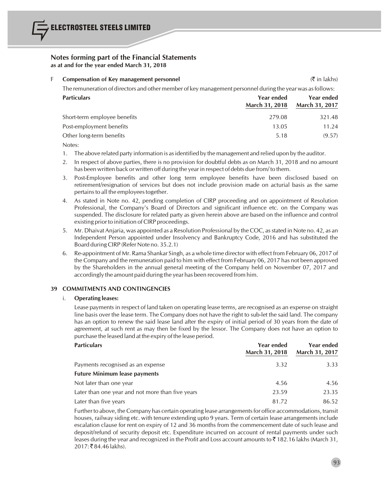

#### F **Compensation of Key management personnel** (` in lakhs)

The remuneration of directors and other member of key management personnel during the year was asfollows:

| <b>Particulars</b>           | Year ended<br><b>March 31, 2018</b> | Year ended<br><b>March 31, 2017</b> |
|------------------------------|-------------------------------------|-------------------------------------|
| Short-term employee benefits | 279.08                              | 321.48                              |
| Post-employment benefits     | 13.05                               | 11.24                               |
| Other long-term benefits     | 5.18                                | (9.57)                              |

Notes:

- 1. The above related party information is asidentified by the management and relied upon by the auditor.
- 2. In respect of above parties, there is no provision for doubtful debts as on March 31, 2018 and no amount has been written back or written off during the year in respect of debts due from/ to them.
- 3. Post-Employee benefits and other long term employee benefits have been disclosed based on retirement/resignation of services but does not include provision made on acturial basis as the same pertains to all the employees together.
- 4. As stated in Note no. 42, pending completion of CIRP proceeding and on appointment of Resolution Professional, the Company's Board of Directors and significant influence etc. on the Company was suspended. The disclosure for related party as given herein above are based on the influence and control existing prior to initiation of CIRP proceedings.
- 5. Mr. Dhaivat Anjaria, was appointed as a Resolution Professional by the COC, asstated in Note no. 42, as an Independent Person appointed under Insolvency and Bankruptcy Code, 2016 and has substituted the Board during CIRP (Refer Note no. 35.2.1)
- 6. Re-appointment of Mr. Rama Shankar Singh, as a whole time director with effect from February 06, 2017 of the Company and the remuneration paid to him with effect from February 06, 2017 has not been approved by the Shareholders in the annual general meeting of the Company held on November 07, 2017 and accordingly the amount paid during the year has been recovered from him.

# **39 COMMITMENTS AND CONTINGENCIES**

#### i. **Operating leases:**

Lease payments in respect of land taken on operating lease terms, are recognised as an expense on straight line basis over the lease term. The Company does not have the right to sub-let the said land. The company has an option to renew the said lease land after the expiry of initial period of 30 years from the date of agreement, at such rent as may then be fixed by the lessor. The Company does not have an option to purchase the leased land at the expiry of the lease period.

| <b>Particulars</b>                               | Year ended<br>March 31, 2018 | Year ended<br>March 31, 2017 |
|--------------------------------------------------|------------------------------|------------------------------|
| Payments recognised as an expense                | 3.32                         | 3.33                         |
| <b>Future Minimum lease payments</b>             |                              |                              |
| Not later than one year                          | 4.56                         | 4.56                         |
| Later than one year and not more than five years | 23.59                        | 23.35                        |
| Later than five years                            | 81.72                        | 86.52                        |

Further to above, the Company has certain operating lease arrangements for office accommodations, transit houses, railway siding etc. with tenure extending upto 9 years. Term of certain lease arrangements include escalation clause for rent on expiry of 12 and 36 months from the commencement date of such lease and deposit/refund of security deposit etc. Expenditure incurred on account of rental payments under such leases during the year and recognized in the Profit and Loss account amounts to  $\bar{z}$  182.16 lakhs (March 31, 2017: ₹84.46 lakhs).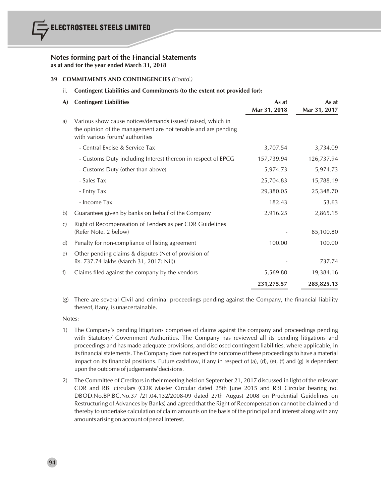# **39 COMMITMENTS AND CONTINGENCIES** *(Contd.)*

# ii. **Contingent Liabilities and Commitments (to the extent not provided for):**

| A)            | <b>Contingent Liabilities</b>                                                                                                                                  | As at<br>Mar 31, 2018 | As at<br>Mar 31, 2017 |
|---------------|----------------------------------------------------------------------------------------------------------------------------------------------------------------|-----------------------|-----------------------|
| a)            | Various show cause notices/demands issued/raised, which in<br>the opinion of the management are not tenable and are pending<br>with various forum/ authorities |                       |                       |
|               | - Central Excise & Service Tax                                                                                                                                 | 3,707.54              | 3,734.09              |
|               | - Customs Duty including Interest thereon in respect of EPCG                                                                                                   | 157,739.94            | 126,737.94            |
|               | - Customs Duty (other than above)                                                                                                                              | 5,974.73              | 5,974.73              |
|               | - Sales Tax                                                                                                                                                    | 25,704.83             | 15,788.19             |
|               | - Entry Tax                                                                                                                                                    | 29,380.05             | 25,348.70             |
|               | - Income Tax                                                                                                                                                   | 182.43                | 53.63                 |
| $\mathbf{b}$  | Guarantees given by banks on behalf of the Company                                                                                                             | 2,916.25              | 2,865.15              |
| $\mathcal{C}$ | Right of Recompensation of Lenders as per CDR Guidelines<br>(Refer Note. 2 below)                                                                              |                       | 85,100.80             |
| $\mathbf{d}$  | Penalty for non-compliance of listing agreement                                                                                                                | 100.00                | 100.00                |
| $\epsilon$    | Other pending claims & disputes (Net of provision of<br>Rs. 737.74 lakhs (March 31, 2017: Nil))                                                                |                       | 737.74                |
| f)            | Claims filed against the company by the vendors                                                                                                                | 5,569.80              | 19,384.16             |
|               |                                                                                                                                                                | 231,275.57            | 285,825.13            |

(g) There are several Civil and criminal proceedings pending against the Company, the financial liability thereof, if any, is unascertainable.

Notes:

- 1) The Company's pending litigations comprises of claims against the company and proceedings pending with Statutory/ Government Authorities. The Company has reviewed all its pending litigations and proceedings and has made adequate provisions, and disclosed contingent liabilities, where applicable, in its financial statements. The Company does not expect the outcome of these proceedings to have a material impact on its financial positions. Future cashflow, if any in respect of (a), (d), (e), (f) and (g) is dependent upon the outcome of judgements/ decisions.
- 2) The Committee of Creditors in their meeting held on September 21, 2017 discussed in light of the relevant CDR and RBI circulars (CDR Master Circular dated 25th June 2015 and RBI Circular bearing no. DBOD.No.BP.BC.No.37 /21.04.132/2008-09 dated 27th August 2008 on Prudential Guidelines on Restructuring of Advances by Banks) and agreed that the Right of Recompensation cannot be claimed and thereby to undertake calculation of claim amounts on the basis of the principal and interest along with any amounts arising on account of penal interest.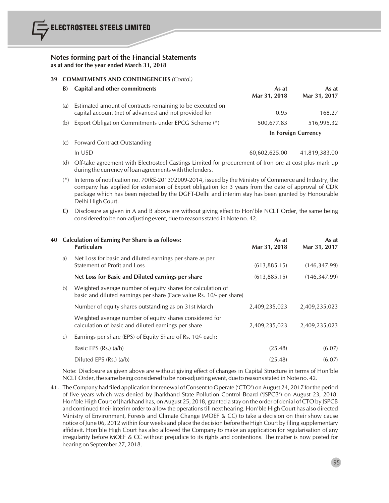### **39 COMMITMENTS AND CONTINGENCIES** *(Contd.)*

| B)  | Capital and other commitments                                                                                                                                                                                                                                                                                      | As at<br>Mar 31, 2018 | As at<br>Mar 31, 2017 |
|-----|--------------------------------------------------------------------------------------------------------------------------------------------------------------------------------------------------------------------------------------------------------------------------------------------------------------------|-----------------------|-----------------------|
| (a) | Estimated amount of contracts remaining to be executed on<br>capital account (net of advances) and not provided for                                                                                                                                                                                                | 0.95                  | 168.27                |
| (b) | Export Obligation Commitments under EPCG Scheme (*)                                                                                                                                                                                                                                                                | 500,677.83            | 516,995.32            |
|     |                                                                                                                                                                                                                                                                                                                    |                       | In Foreign Currency   |
|     | $\sqrt{2}$ $\sqrt{2}$ $\sqrt{2}$ $\sqrt{2}$ $\sqrt{2}$ $\sqrt{2}$ $\sqrt{2}$ $\sqrt{2}$ $\sqrt{2}$ $\sqrt{2}$ $\sqrt{2}$ $\sqrt{2}$ $\sqrt{2}$ $\sqrt{2}$ $\sqrt{2}$ $\sqrt{2}$ $\sqrt{2}$ $\sqrt{2}$ $\sqrt{2}$ $\sqrt{2}$ $\sqrt{2}$ $\sqrt{2}$ $\sqrt{2}$ $\sqrt{2}$ $\sqrt{2}$ $\sqrt{2}$ $\sqrt{2}$ $\sqrt{2$ |                       |                       |

(c) Forward Contract Outstanding

- In USD 60,602,625.00 41,819,383.00
- (d) Off-take agreement with Electrosteel Castings Limited for procurement of Iron ore at cost plus mark up during the currency of loan agreements with the lenders.
- (\*) In terms of notification no. 70(RE-2013)/2009-2014, issued by the Ministry of Commerce and Industry, the company has applied for extension of Export obligation for 3 years from the date of approval of CDR package which has been rejected by the DGFT-Delhi and interim stay has been granted by Honourable Delhi High Court.
- **C)** Disclosure as given in A and B above are without giving effect to Hon'ble NCLT Order, the same being considered to be non-adjusting event, due to reasons stated in Note no. 42.

|               | 40 Calculation of Earning Per Share is as follows:<br><b>Particulars</b>                                                            | As at<br>Mar 31, 2018 | As at<br>Mar 31, 2017 |
|---------------|-------------------------------------------------------------------------------------------------------------------------------------|-----------------------|-----------------------|
| a)            | Net Loss for basic and diluted earnings per share as per<br>Statement of Profit and Loss                                            | (613, 885, 15)        | (146, 347, 99)        |
|               | Net Loss for Basic and Diluted earnings per share                                                                                   | (613, 885.15)         | (146, 347.99)         |
| b)            | Weighted average number of equity shares for calculation of<br>basic and diluted earnings per share (Face value Rs. 10/- per share) |                       |                       |
|               | Number of equity shares outstanding as on 31st March                                                                                | 2,409,235,023         | 2,409,235,023         |
|               | Weighted average number of equity shares considered for<br>calculation of basic and diluted earnings per share                      | 2,409,235,023         | 2,409,235,023         |
| $\mathcal{C}$ | Earnings per share (EPS) of Equity Share of Rs. 10/- each:                                                                          |                       |                       |
|               | Basic EPS $(Rs.)$ $(a/b)$                                                                                                           | (25.48)               | (6.07)                |
|               | Diluted EPS (Rs.) (a/b)                                                                                                             | (25.48)               | (6.07)                |

Note: Disclosure as given above are without giving effect of changes in Capital Structure in terms of Hon'ble NCLT Order, the same being considered to be non-adjusting event, due to reasons stated in Note no. 42.

**41.** The Company had filed application for renewal of Consent to Operate ('CTO') on August 24, 2017 for the period of five years which was denied by Jharkhand State Pollution Control Board ('JSPCB') on August 23, 2018. Hon'ble High Court of Jharkhand has, on August 25, 2018, granted a stay on the order of denial of CTO by JSPCB and continued their interim order to allow the operationstill next hearing. Hon'ble High Court has also directed Ministry of Environment, Forests and Climate Change (MOEF & CC) to take a decision on their show cause notice of June 06, 2012 within four weeks and place the decision before the High Court by filing supplementary affidavit. Hon'ble High Court has also allowed the Company to make an application for regularisation of any irregularity before MOEF & CC without prejudice to its rights and contentions. The matter is now posted for hearing on September 27, 2018.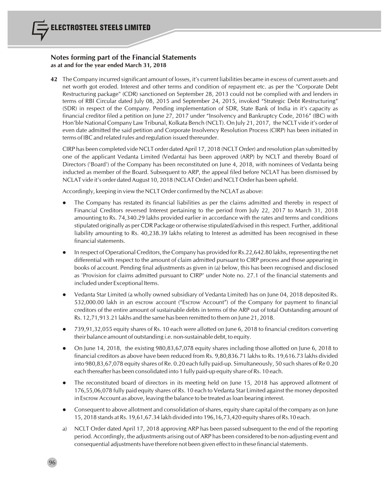**42** The Company incurred significant amount of losses, it's current liabilities became in excess of current assets and net worth got eroded. Interest and other terms and condition of repayment etc. as per the "Corporate Debt Restructuring package" (CDR) sanctioned on September 28, 2013 could not be complied with and lenders in terms of RBI Circular dated July 08, 2015 and September 24, 2015, invoked "Strategic Debt Restructuring" (SDR) in respect of the Company. Pending implementation of SDR, State Bank of India in it's capacity as financial creditor filed a petition on June 27, 2017 under "Insolvency and Bankruptcy Code, 2016" (IBC) with Hon'ble National Company Law Tribunal, Kolkata Bench (NCLT). On July 21, 2017, the NCLT vide it's order of even date admitted the said petition and Corporate Insolvency Resolution Process (CIRP) has been initiated in terms of IBC and related rules and regulation issued thereunder.

CIRP has been completed vide NCLT order dated April 17, 2018 (NCLT Order) and resolution plan submitted by one of the applicant Vedanta Limited (Vedanta) has been approved (ARP) by NCLT and thereby Board of Directors ('Board') of the Company has been reconstituted on June 4, 2018, with nominees of Vedanta being inducted as member of the Board. Subsequent to ARP, the appeal filed before NCLAT has been dismissed by NCLAT vide it's order dated August 10, 2018 (NCLAT Order) and NCLT Order has been upheld.

Accordingly, keeping in view the NCLT Order confirmed by the NCLAT as above:

- The Company has restated its financial liabilities as per the claims admitted and thereby in respect of Financial Creditors reversed Interest pertaining to the period from July 22, 2017 to March 31, 2018 amounting to Rs. 74,340.29 lakhs provided earlier in accordance with the rates and terms and conditions stipulated originally as per CDR Package or otherwise stipulated/advised in thisrespect. Further, additional liability amounting to Rs. 40,238.39 lakhs relating to Interest as admitted has been recognised in these financial statements.
- In respect of Operational Creditors, the Company has provided for Rs.22,642.80 lakhs, representing the net differential with respect to the amount of claim admitted pursuant to CIRP process and those appearing in books of account. Pending final adjustments as given in (a) below, this has been recognised and disclosed as 'Provision for claims admitted pursuant to CIRP' under Note no. 27.1 of the financial statements and included under Exceptional Items.
- l Vedanta Star Limited (a wholly owned subsidiary of Vedanta Limited) has on June 04, 2018 deposited Rs. 532,000.00 lakh in an escrow account ("Escrow Account") of the Company for payment to financial creditors of the entire amount of sustainable debts in terms of the ARP out of total Outstanding amount of Rs. 12,71,913.21 lakhs and the same has been remitted to them on June 21, 2018.
- l 739,91,32,055 equity shares of Rs. 10 each were allotted on June 6, 2018 to financial creditors converting their balance amount of outstanding i.e. non-sustainable debt, to equity.
- l On June 14, 2018, the existing 980,83,67,078 equity shares including those allotted on June 6, 2018 to financial creditors as above have been reduced from Rs. 9,80,836.71 lakhs to Rs. 19,616.73 lakhs divided into 980,83,67,078 equity shares of Re. 0.20 each fully paid-up. Simultaneously, 50 such shares of Re 0.20 each thereafter has been consolidated into 1 fully paid-up equity share of Rs. 10 each.
- The reconstituted board of directors in its meeting held on June 15, 2018 has approved allotment of 176,55,06,078 fully paid equity shares of Rs. 10 each to Vedanta Star Limited against the money deposited in Escrow Account as above, leaving the balance to be treated asloan bearing interest.
- Consequent to above allotment and consolidation of shares, equity share capital of the company as on June 15, 2018 stands at Rs. 19,61,67.34 lakh divided into 196,16,73,420 equity shares of Rs.10 each.
- a) NCLT Order dated April 17, 2018 approving ARP has been passed subsequent to the end of the reporting period. Accordingly, the adjustments arising out of ARP has been considered to be non-adjusting event and consequential adjustments have therefore not been given effect to in these financial statements.

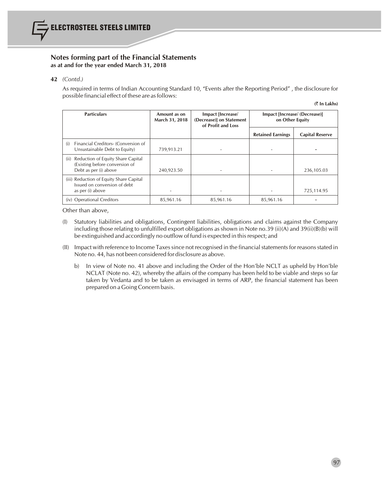

#### **42** *(Contd.)*

As required in terms of Indian Accounting Standard 10, "Events after the Reporting Period" , the disclosure for possible financial effect of these are as follows:

| (₹ In Lakhs) |  |
|--------------|--|
|--------------|--|

| <b>Particulars</b>                                                                                   | Amount as on<br>March 31, 2018 | Impact [Increase/<br>(Decrease)] on Statement<br>of Profit and Loss | Impact [Increase/ (Decrease)]<br>on Other Equity |                        |
|------------------------------------------------------------------------------------------------------|--------------------------------|---------------------------------------------------------------------|--------------------------------------------------|------------------------|
|                                                                                                      |                                |                                                                     | <b>Retained Earnings</b>                         | <b>Capital Reserve</b> |
| Financial Creditors- (Conversion of<br>(i)<br>Unsustainable Debt to Equity)                          | 739,913.21                     |                                                                     |                                                  |                        |
| Reduction of Equity Share Capital<br>(ii)<br>(Existing before conversion of<br>Debt as per (i) above | 240,923.50                     |                                                                     |                                                  | 236,105.03             |
| (iii) Reduction of Equity Share Capital<br>Issued on conversion of debt<br>as per (i) above          |                                |                                                                     |                                                  | 725,114.95             |
| (iv) Operational Creditors                                                                           | 85,961.16                      | 85,961.16                                                           | 85,961.16                                        |                        |

Other than above,

- (I) Statutory liabilities and obligations, Contingent liabilities, obligations and claims against the Company including those relating to unfulfilled export obligations as shown in Note no.39 (ii)(A) and 39(ii)(B)(b) will be extinguished and accordingly no outflow of fund is expected in thisrespect; and
- (II) Impact with reference to Income Taxessince not recognised in the financialstatementsfor reasonsstated in Note no. 44, has not been considered for disclosure as above.
	- b) In view of Note no. 41 above and including the Order of the Hon'ble NCLT as upheld by Hon'ble NCLAT (Note no. 42), whereby the affairs of the company has been held to be viable and steps so far taken by Vedanta and to be taken as envisaged in terms of ARP, the financial statement has been prepared on a Going Concern basis.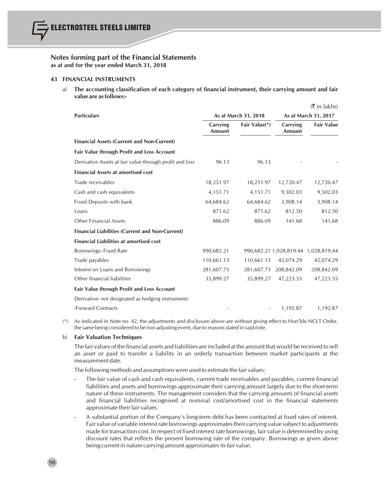#### **43 FINANCIAL INSTRUMENTS**

a) **The accounting classification of each category of financial instrument, their carrying amount and fair value are asfollows:-**

 $\approx$  in lake

|                                                         |                           |               |                    | k in lakhs)                          |
|---------------------------------------------------------|---------------------------|---------------|--------------------|--------------------------------------|
| <b>Particulars</b>                                      | As at March 31, 2018      |               |                    | As at March 31, 2017                 |
|                                                         | Carrying<br><b>Amount</b> | Fair Value(*) | Carrying<br>Amount | <b>Fair Value</b>                    |
| <b>Financial Assets (Current and Non-Current)</b>       |                           |               |                    |                                      |
| Fair Value through Profit and Loss Account              |                           |               |                    |                                      |
| Derivative Assets at fair value through profit and loss | 96.13                     | 96.13         |                    |                                      |
| <b>Financial Assets at amortised cost</b>               |                           |               |                    |                                      |
| Trade receivables                                       | 18,251.97                 | 18,251.97     | 12,720.47          | 12,720.47                            |
| Cash and cash equivalents                               | 4,151.71                  | 4,151.71      | 9,502.03           | 9,502.03                             |
| Fixed Deposits with bank                                | 64,684.62                 | 64,684.62     | 3,908.14           | 3,908.14                             |
| Loans                                                   | 871.62                    | 871.62        | 812.50             | 812.50                               |
| <b>Other Financial Assets</b>                           | 886.09                    | 886.09        | 141.68             | 141.68                               |
| <b>Financial Liabilities (Current and Non-Current)</b>  |                           |               |                    |                                      |
| <b>Financial Liabilities at amortised cost</b>          |                           |               |                    |                                      |
| Borrowings-Fixed Rate                                   | 990,682.21                |               |                    | 990,682.21 1,028,819.44 1,028,819.44 |
| Trade payables                                          | 110,661.13                | 110,661.13    | 42,074.29          | 42,074.29                            |
| Interest on Loans and Borrowings                        | 281,607.73                | 281,607.73    | 208,842.09         | 208,842.09                           |
| Other financial liabilities                             | 35,899.27                 | 35,899.27     | 47,223.55          | 47,223.55                            |
| Fair Value through Profit and Loss Account              |                           |               |                    |                                      |
| Derivative- not designated as hedging instruments       |                           |               |                    |                                      |
| -Forward Contracts                                      |                           |               | 1,192.87           | 1,192.87                             |

(\*) As indicated in Note no. 42, the adjustments and disclosure above are without giving effect to Hon'ble NCLT Order, the same being considered to be non adjusting event, due to reasons stated in said note.

#### b) **Fair Valuation Techniques**

98

The fair values of the financial assets and liabilities are included at the amount that would be received to sell an asset or paid to transfer a liability in an orderly transaction between market participants at the measurement date.

The following methods and assumptions were used to estimate the fair values:

- The fair value of cash and cash equivalents, current trade receivables and payables, current financial liabilities and assets and borrowings approximate their carrying amount largely due to the short-term nature of these instruments. The management considers that the carrying amounts of financial assets and financial liabilities recognised at nominal cost/amortised cost in the financial statements approximate their fair values.
- A substantial portion of the Company's long-term debt has been contracted at fixed rates of interest. Fair value of variable interest rate borrowings approximatestheir carrying value subject to adjustments made for transaction cost. In respect of fixed interest rate borrowings, fair value is determined by using discount rates that reflects the present borrowing rate of the company. Borrowings as given above being current in nature carrying amount approximatesitsfair value.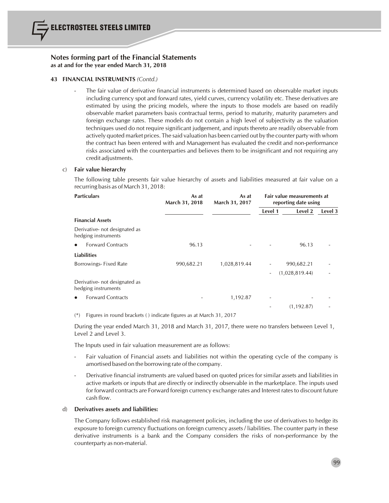

#### **43 FINANCIAL INSTRUMENTS** *(Contd.)*

The fair value of derivative financial instruments is determined based on observable market inputs including currency spot and forward rates, yield curves, currency volatility etc. These derivatives are estimated by using the pricing models, where the inputs to those models are based on readily observable market parameters basis contractual terms, period to maturity, maturity parameters and foreign exchange rates. These models do not contain a high level of subjectivity as the valuation techniques used do not require significant judgement, and inputs thereto are readily observable from actively quoted market prices. The said valuation has been carried out by the counter party with whom the contract has been entered with and Management has evaluated the credit and non-performance risks associated with the counterparties and believes them to be insignificant and not requiring any credit adjustments.

#### c) **Fair value hierarchy**

The following table presents fair value hierarchy of assets and liabilities measured at fair value on a recurring basis as of March 31, 2018:

| <b>Particulars</b>                                   | As at<br>March 31, 2018 | As at<br>March 31, 2017 |                          | Fair value measurements at<br>reporting date using |         |  |  |
|------------------------------------------------------|-------------------------|-------------------------|--------------------------|----------------------------------------------------|---------|--|--|
|                                                      |                         |                         | Level 1                  | Level 2                                            | Level 3 |  |  |
| <b>Financial Assets</b>                              |                         |                         |                          |                                                    |         |  |  |
| Derivative- not designated as<br>hedging instruments |                         |                         |                          |                                                    |         |  |  |
| <b>Forward Contracts</b><br>$\bullet$                | 96.13                   |                         |                          | 96.13                                              |         |  |  |
| <b>Liabilities</b>                                   |                         |                         |                          |                                                    |         |  |  |
| Borrowings-Fixed Rate                                | 990,682.21              | 1,028,819.44            |                          | 990,682.21                                         |         |  |  |
|                                                      |                         |                         | $\overline{\phantom{a}}$ | (1,028,819.44)                                     |         |  |  |
| Derivative- not designated as<br>hedging instruments |                         |                         |                          |                                                    |         |  |  |
| <b>Forward Contracts</b><br>$\bullet$                |                         | 1,192.87                | ۰                        |                                                    |         |  |  |
|                                                      |                         |                         |                          | (1, 192.87)                                        |         |  |  |
|                                                      |                         |                         |                          |                                                    |         |  |  |

(\*) Figures in round brackets ( ) indicate figures as at March 31, 2017

During the year ended March 31, 2018 and March 31, 2017, there were no transfers between Level 1, Level 2 and Level 3.

The Inputs used in fair valuation measurement are as follows:

- Fair valuation of Financial assets and liabilities not within the operating cycle of the company is amortised based on the borrowing rate of the company.
- Derivative financial instruments are valued based on quoted prices for similar assets and liabilities in active markets or inputs that are directly or indirectly observable in the marketplace. The inputs used for forward contracts are Forward foreign currency exchange rates and Interest rates to discount future cash flow.

#### d) **Derivatives assets and liabilities:**

The Company follows established risk management policies, including the use of derivatives to hedge its exposure to foreign currency fluctuations on foreign currency assets / liabilities. The counter party in these derivative instruments is a bank and the Company considers the risks of non-performance by the counterparty as non-material.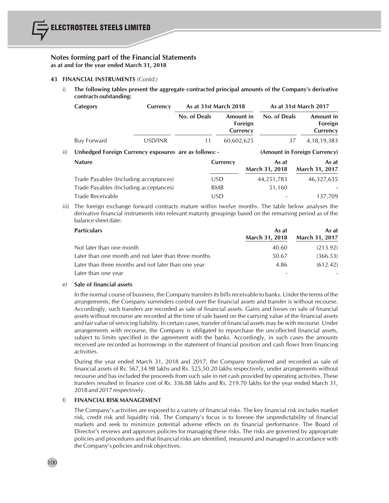#### **43 FINANCIAL INSTRUMENTS** *(Contd.)*

i) **The following tables present the aggregate contracted principal amounts of the Company's derivative contracts outstanding:**

|     | Category                                              | Currency | As at 31st March 2018 |            |                     |                         | As at 31st March 2017 |                                  |
|-----|-------------------------------------------------------|----------|-----------------------|------------|---------------------|-------------------------|-----------------------|----------------------------------|
|     |                                                       |          | No. of Deals          | Amount in  | Foreign<br>Currency | No. of Deals            |                       | Amount in<br>Foreign<br>Currency |
|     | Buy Forward                                           | USD/INR  | 11                    | 60,602,625 |                     |                         | 37                    | 4, 18, 19, 383                   |
| ii) | Unhedged Foreign Currency exposures are as follows: - |          |                       |            |                     |                         |                       | (Amount in Foreign Currency)     |
|     | <b>Nature</b>                                         |          |                       | Currency   |                     | As at<br>March 31, 2018 |                       | As at<br>March 31, 2017          |
|     | Trade Payables (Including acceptances)                |          |                       | <b>USD</b> |                     | 44,251,783              |                       | 46,327,635                       |
|     | Trade Payables (Including acceptances)                |          |                       | <b>RMB</b> |                     | 51,160                  |                       |                                  |
|     | Trade Receivable                                      |          |                       | <b>USD</b> |                     |                         |                       | 137.709                          |

iii) The foreign exchange forward contracts mature within twelve months. The table below analyses the derivative financial instruments into relevant maturity groupings based on the remaining period as of the balance sheet date:

| <b>Particulars</b>                                   | As at                 | As at                 |
|------------------------------------------------------|-----------------------|-----------------------|
|                                                      | <b>March 31, 2018</b> | <b>March 31, 2017</b> |
| Not later than one month                             | 40.60                 | (213.92)              |
| Later than one month and not later than three months | 50.67                 | (366.53)              |
| Later than three months and not later than one year  | 4.86                  | (612.42)              |
| Later than one year                                  |                       |                       |

# e) **Sale of financial assets**

In the normal course of business, the Company transfersits billsreceivable to banks. Under the terms of the arrangements, the Company surrenders control over the financial assets and transfer is without recourse. Accordingly, such transfers are recorded as sale of financial assets. Gains and losses on sale of financial assets without recourse are recorded at the time of sale based on the carrying value of the financial assets and fair value ofservicing liability. In certain cases, transfer of financial assets may be with recourse. Under arrangements with recourse, the Company is obligated to repurchase the uncollected financial assets, subject to limits specified in the agreement with the banks. Accordingly, in such cases the amounts received are recorded as borrowings in the statement of financial position and cash flows from financing activities.

During the year ended March 31, 2018 and 2017, the Company transferred and recorded as sale of financial assets of Rs. 567,34.98 lakhs and Rs. 525,50.20 lakhs respectively, under arrangements without recourse and has included the proceeds from such sale in net cash provided by operating activities. These transfers resulted in finance cost of Rs. 336.88 lakhs and Rs. 219.70 lakhs for the year ended March 31, 2018 and 2017 respectively.

# f) **FINANCIAL RISK MANAGEMENT**

The Company's activities are exposed to a variety of financial risks. The key financial risk includes market risk, credit risk and liquidity risk. The Company's focus is to foresee the unpredictability of financial markets and seek to minimize potential adverse effects on its financial performance. The Board of Director's reviews and approves policies for managing these risks. The risks are governed by appropriate policies and procedures and that financial risks are identified, measured and managed in accordance with the Company's policies and risk objectives.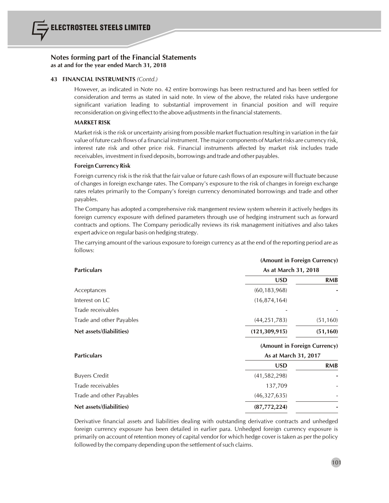

#### **43 FINANCIAL INSTRUMENTS** *(Contd.)*

However, as indicated in Note no. 42 entire borrowings has been restructured and has been settled for consideration and terms as stated in said note. In view of the above, the related risks have undergone significant variation leading to substantial improvement in financial position and will require reconsideration on giving effect to the above adjustments in the financial statements.

#### **MARKET RISK**

Market risk isthe risk or uncertainty arising from possible market fluctuation resulting in variation in the fair value of future cash flows of a financial instrument. The major components of Market risks are currency risk, interest rate risk and other price risk. Financial instruments affected by market risk includes trade receivables, investment in fixed deposits, borrowings and trade and other payables.

#### **Foreign Currency Risk**

Foreign currency risk is the risk that the fair value or future cash flows of an exposure will fluctuate because of changes in foreign exchange rates. The Company's exposure to the risk of changes in foreign exchange rates relates primarily to the Company's foreign currency denominated borrowings and trade and other payables.

The Company has adopted a comprehensive risk mangement review system wherein it actively hedges its foreign currency exposure with defined parameters through use of hedging instrument such as forward contracts and options. The Company periodically reviews its risk management initiatives and also takes expert advice on regular basis on hedging strategy.

The carrying amount of the various exposure to foreign currency as at the end of the reporting period are as follows:

|                          | (Amount in Foreign Currency) |            |  |  |
|--------------------------|------------------------------|------------|--|--|
| <b>Particulars</b>       | As at March 31, 2018         |            |  |  |
|                          | <b>USD</b>                   | <b>RMB</b> |  |  |
| Acceptances              | (60, 183, 968)               |            |  |  |
| Interest on LC           | (16, 874, 164)               |            |  |  |
| Trade receivables        |                              |            |  |  |
| Trade and other Payables | (44, 251, 783)               | (51, 160)  |  |  |
| Net assets/(liabilities) | (121, 309, 915)              | (51, 160)  |  |  |
|                          | (Amount in Foreign Currency) |            |  |  |
| <b>Particulars</b>       | As at March 31, 2017         |            |  |  |
|                          | <b>USD</b>                   | <b>RMB</b> |  |  |
| <b>Buyers Credit</b>     | (41, 582, 298)               |            |  |  |
| Trade receivables        | 137,709                      |            |  |  |
| Trade and other Payables | (46,327,635)                 |            |  |  |
| Net assets/(liabilities) | (87,772,224)                 |            |  |  |

Derivative financial assets and liabilities dealing with outstanding derivative contracts and unhedged foreign currency exposure has been detailed in earlier para. Unhedged foreign currency exposure is primarily on account of retention money of capital vendor for which hedge cover is taken as per the policy followed by the company depending upon the settlement of such claims.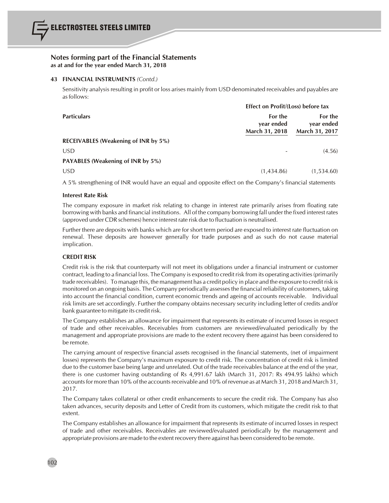

#### **43 FINANCIAL INSTRUMENTS** *(Contd.)*

Sensitivity analysis resulting in profit or loss arises mainly from USD denominated receivables and payables are asfollows:

|                                             | Effect on Profit/(Loss) before tax      |                                         |  |  |
|---------------------------------------------|-----------------------------------------|-----------------------------------------|--|--|
| <b>Particulars</b>                          | For the<br>year ended<br>March 31, 2018 | For the<br>year ended<br>March 31, 2017 |  |  |
| <b>RECEIVABLES (Weakening of INR by 5%)</b> |                                         |                                         |  |  |
| <b>USD</b>                                  |                                         | (4.56)                                  |  |  |
| <b>PAYABLES (Weakening of INR by 5%)</b>    |                                         |                                         |  |  |
| <b>USD</b>                                  | (1,434.86)                              | (1,534.60)                              |  |  |

A 5% strengthening of INR would have an equal and opposite effect on the Company's financial statements

#### **Interest Rate Risk**

The company exposure in market risk relating to change in interest rate primarily arises from floating rate borrowing with banks and financial institutions. All of the company borrowing fall under the fixed interest rates (approved under CDR schemes) hence interest rate risk due to fluctuation is neutralised.

Further there are deposits with banks which are for short term period are exposed to interest rate fluctuation on renewal. These deposits are however generally for trade purposes and as such do not cause material implication.

# **CREDIT RISK**

Credit risk is the risk that counterparty will not meet its obligations under a financial instrument or customer contract, leading to a financial loss. The Company is exposed to credit risk from its operating activities(primarily trade receivables). To manage this, the management has a credit policy in place and the exposure to credit risk is monitored on an ongoing basis. The Company periodically assessesthe financial reliability of customers, taking into account the financial condition, current economic trends and ageing of accounts receivable. Individual risk limits are set accordingly. Further the company obtains necessary security including letter of credits and/or bank guarantee to mitigate its credit risk.

The Company establishes an allowance for impairment that represents its estimate of incurred losses in respect of trade and other receivables. Receivables from customers are reviewed/evaluated periodically by the management and appropriate provisions are made to the extent recovery there against has been considered to be remote.

The carrying amount of respective financial assets recognised in the financial statements, (net of impairment losses) represents the Company's maximum exposure to credit risk. The concentration of credit risk is limited due to the customer base being large and unrelated. Out of the trade receivables balance at the end of the year, there is one customer having outstanding of Rs 4,991.67 lakh (March 31, 2017: Rs 494.95 lakhs) which accounts for more than 10% of the accounts receivable and 10% of revenue as at March 31, 2018 and March 31, 2017.

The Company takes collateral or other credit enhancements to secure the credit risk. The Company has also taken advances, security deposits and Letter of Credit from its customers, which mitigate the credit risk to that extent.

The Company establishes an allowance for impairment that represents its estimate of incurred losses in respect of trade and other receivables. Receivables are reviewed/evaluated periodically by the management and appropriate provisions are made to the extent recovery there against has been considered to be remote.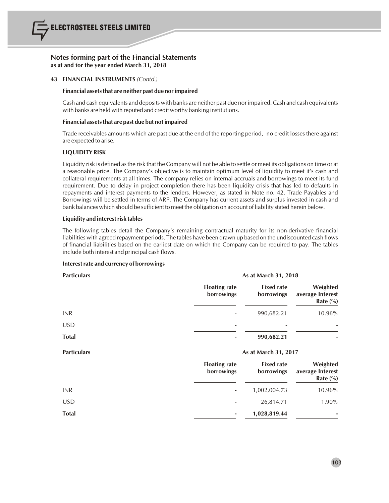

#### **43 FINANCIAL INSTRUMENTS** *(Contd.)*

#### **Financial assetsthat are neither past due norimpaired**

Cash and cash equivalents and deposits with banks are neither past due nor impaired. Cash and cash equivalents with banks are held with reputed and credit worthy banking institutions.

#### **Financial assetsthat are past due but not impaired**

Trade receivables amounts which are past due at the end of the reporting period, no credit losses there against are expected to arise.

# **LIQUIDITY RISK**

Liquidity risk is defined asthe risk that the Company will not be able to settle or meet its obligations on time or at a reasonable price. The Company's objective is to maintain optimum level of liquidity to meet it's cash and collateral requirements at all times. The company relies on internal accruals and borrowings to meet its fund requirement. Due to delay in project completion there has been liquidity crisis that has led to defaults in repayments and interest payments to the lenders. However, as stated in Note no. 42, Trade Payables and Borrowings will be settled in terms of ARP. The Company has current assets and surplus invested in cash and bank balances which should be sufficient to meet the obligation on account of liability stated herein below.

### **Liquidity and interestrisk tables**

The following tables detail the Company's remaining contractual maturity for its non-derivative financial liabilities with agreed repayment periods. The tables have been drawn up based on the undiscounted cash flows of financial liabilities based on the earliest date on which the Company can be required to pay. The tables include both interest and principal cash flows.

#### **Interestrate and currency of borrowings**

| <b>Particulars</b> | As at March 31, 2018               |                                 |                                             |  |  |
|--------------------|------------------------------------|---------------------------------|---------------------------------------------|--|--|
|                    | <b>Floating rate</b><br>borrowings | <b>Fixed rate</b><br>borrowings | Weighted<br>average Interest<br>Rate $(\%)$ |  |  |
| <b>INR</b>         |                                    | 990,682.21                      | 10.96%                                      |  |  |
| <b>USD</b>         |                                    |                                 |                                             |  |  |
| <b>Total</b>       |                                    | 990,682.21                      |                                             |  |  |
|                    | As at March 31, 2017               |                                 |                                             |  |  |
| <b>Particulars</b> |                                    |                                 |                                             |  |  |
|                    | <b>Floating rate</b><br>borrowings | <b>Fixed rate</b><br>borrowings | Weighted<br>average Interest<br>Rate $(\%)$ |  |  |
| <b>INR</b>         |                                    | 1,002,004.73                    | 10.96%                                      |  |  |
| <b>USD</b>         |                                    | 26,814.71                       | 1.90%                                       |  |  |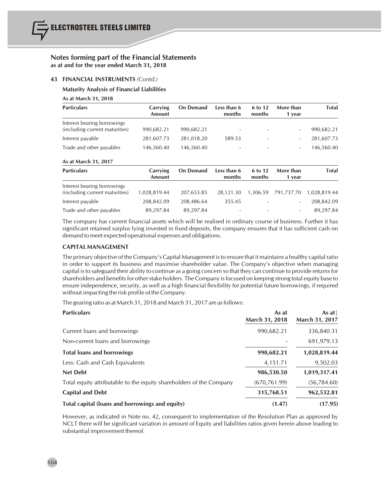#### **43 FINANCIAL INSTRUMENTS** *(Contd.)*

#### **Maturity Analysis of Financial Liabilities**

#### **As at March 31, 2018**

| <b>Particulars</b>                                            | Carrying<br>Amount | <b>On Demand</b> | Less than 6<br>months    | 6 to 12<br>months        | More than<br>1 vear      | <b>Total</b> |
|---------------------------------------------------------------|--------------------|------------------|--------------------------|--------------------------|--------------------------|--------------|
| Interest bearing borrowings<br>(including current maturities) | 990,682.21         | 990,682.21       | $\overline{\phantom{0}}$ | $\overline{\phantom{0}}$ | $\overline{\phantom{0}}$ | 990,682.21   |
| Interest payable                                              | 281,607.73         | 281,018.20       | 589.53                   | ۰                        |                          | 281,607.73   |
| Trade and other payables                                      | 146,560.40         | 146,560.40       | $\overline{\phantom{0}}$ | $\overline{\phantom{0}}$ | $\overline{\phantom{a}}$ | 146,560.40   |

#### **As at March 31, 2017**

| <b>Particulars</b>                                            | <b>Carrying</b><br>Amount | <b>On Demand</b> | Less than 6<br>months    | 6 to 12<br>months        | More than<br>1 vear      | <b>Total</b> |
|---------------------------------------------------------------|---------------------------|------------------|--------------------------|--------------------------|--------------------------|--------------|
| Interest bearing borrowings<br>(including current maturities) | 1,028,819.44              | 207.653.85       | 28.121.30                |                          | 1,306.59 791,737.70      | 1.028.819.44 |
| Interest payable                                              | 208,842.09                | 208.486.64       | 355.45                   | $\overline{\phantom{0}}$ | $\overline{\phantom{0}}$ | 208,842.09   |
| Trade and other payables                                      | 89,297.84                 | 89,297.84        | $\overline{\phantom{a}}$ | $\overline{\phantom{a}}$ | $\overline{\phantom{a}}$ | 89,297.84    |

The company has current financial assets which will be realised in ordinary course of business. Further it has significant retained surplus lying invested in fixed deposits, the company ensures that it has sufficient cash on demand to meet expected operational expenses and obligations.

### **CAPITAL MANAGEMENT**

The primary objective of the Company's Capital Management isto ensure that it maintains a healthy capital ratio in order to support its business and maximise shareholder value. The Company's objective when managing capital isto safeguard their ability to continue as a going concern so that they can continue to provide returnsfor shareholders and benefits for other stake holders. The Company is focused on keeping strong total equity base to ensure independence, security, as well as a high financial flexibility for potential future borrowings, if required without impacting the risk profile of the Company.

The gearing ratio as at March 31, 2018 and March 31, 2017 are asfollows:

| <b>Particulars</b>                                                  | As at<br>March 31, 2018 | As at $ $<br>March 31, 2017 |
|---------------------------------------------------------------------|-------------------------|-----------------------------|
| Current loans and borrowings                                        | 990,682.21              | 336,840.31                  |
| Non-current loans and borrowings                                    |                         | 691,979.13                  |
| <b>Total loans and borrowings</b>                                   | 990,682.21              | 1,028,819.44                |
| Less: Cash and Cash Equivalents                                     | 4,151.71                | 9,502.03                    |
| <b>Net Debt</b>                                                     | 986,530.50              | 1,019,317.41                |
| Total equity attributable to the equity shareholders of the Company | (670, 761.99)           | (56, 784.60)                |
| <b>Capital and Debt</b>                                             | 315,768.51              | 962,532.81                  |
| Total capital (loans and borrowings and equity)                     | (1.47)                  | (17.95)                     |

However, as indicated in Note no. 42, consequent to implementation of the Resolution Plan as approved by NCLT there will be significant variation in amount of Equity and liabilities ratios given herein above leading to substantial improvement thereof.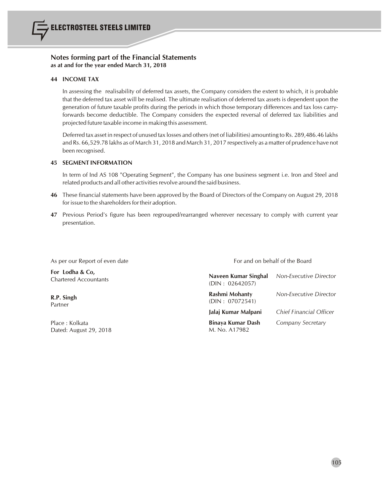

#### **44 INCOME TAX**

In assessing the realisability of deferred tax assets, the Company considers the extent to which, it is probable that the deferred tax asset will be realised. The ultimate realisation of deferred tax assets is dependent upon the generation of future taxable profits during the periods in which those temporary differences and tax loss carryforwards become deductible. The Company considers the expected reversal of deferred tax liabilities and projected future taxable income in making this assessment.

Deferred tax asset in respect of unused tax losses and others(net of liabilities) amounting to Rs. 289,486.46 lakhs and Rs. 66,529.78 lakhs as of March 31, 2018 and March 31, 2017 respectively as a matter of prudence have not been recognised.

### **45 SEGMENT INFORMATION**

In term of Ind AS 108 "Operating Segment", the Company has one business segment i.e. Iron and Steel and related products and all other activities revolve around the said business.

- **46** These financial statements have been approved by the Board of Directors of the Company on August 29, 2018 for issue to the shareholders for their adoption.
- **47** Previous Period's figure has been regrouped/rearranged wherever necessary to comply with current year presentation.

As per our Report of even date For and on behalf of the Board

| For Lodha & Co,<br><b>Chartered Accountants</b> | Naveen Kumar Singhal<br>(DIN: 02642057) | Non-Executive Director  |
|-------------------------------------------------|-----------------------------------------|-------------------------|
| R.P. Singh<br>Partner                           | Rashmi Mohanty<br>(DIN: 07072541)       | Non-Executive Director  |
|                                                 | Jalai Kumar Malpani                     | Chief Financial Officer |
| Place: Kolkata<br>Dated: August 29, 2018        | Binaya Kumar Dash<br>M. No. A17982      | Company Secretary       |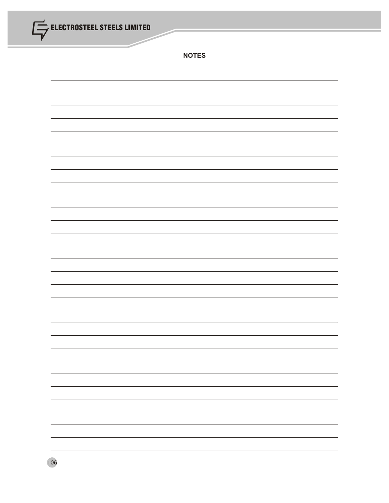| ELECTROSTEEL STEELS LIMITED<br>$\overline{\phantom{a}}$ |              |  |  |
|---------------------------------------------------------|--------------|--|--|
|                                                         | <b>NOTES</b> |  |  |
|                                                         |              |  |  |
|                                                         |              |  |  |
|                                                         |              |  |  |
|                                                         |              |  |  |
|                                                         |              |  |  |
|                                                         |              |  |  |
|                                                         |              |  |  |
|                                                         |              |  |  |
|                                                         |              |  |  |
|                                                         |              |  |  |
|                                                         |              |  |  |
|                                                         |              |  |  |
|                                                         |              |  |  |
|                                                         |              |  |  |
|                                                         |              |  |  |
|                                                         |              |  |  |
| 106                                                     |              |  |  |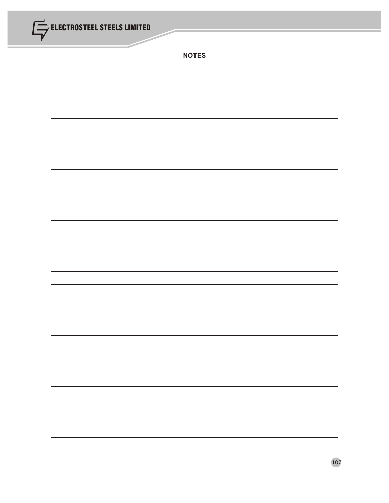| ELECTROSTEEL STEELS LIMITED<br>$\overline{\phantom{a}}$ |                          |  |  |  |
|---------------------------------------------------------|--------------------------|--|--|--|
|                                                         | <b>NOTES</b>             |  |  |  |
|                                                         |                          |  |  |  |
|                                                         |                          |  |  |  |
|                                                         |                          |  |  |  |
|                                                         |                          |  |  |  |
|                                                         |                          |  |  |  |
|                                                         |                          |  |  |  |
|                                                         |                          |  |  |  |
|                                                         |                          |  |  |  |
|                                                         |                          |  |  |  |
|                                                         |                          |  |  |  |
|                                                         |                          |  |  |  |
|                                                         |                          |  |  |  |
|                                                         |                          |  |  |  |
|                                                         |                          |  |  |  |
|                                                         |                          |  |  |  |
|                                                         |                          |  |  |  |
|                                                         |                          |  |  |  |
|                                                         | $\overline{\phantom{0}}$ |  |  |  |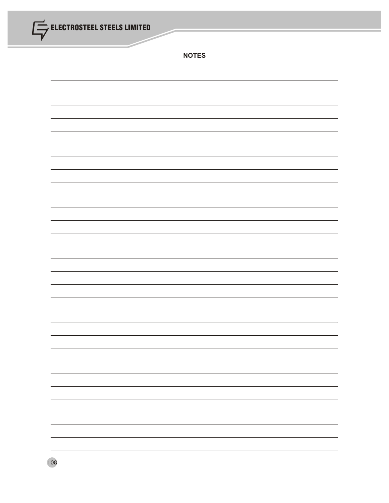| ELECTROSTEEL STEELS LIMITED<br>$\overline{\phantom{a}}$ |              |  |
|---------------------------------------------------------|--------------|--|
|                                                         | <b>NOTES</b> |  |
|                                                         |              |  |
|                                                         |              |  |
|                                                         |              |  |
|                                                         |              |  |
|                                                         |              |  |
|                                                         |              |  |
|                                                         |              |  |
|                                                         |              |  |
|                                                         |              |  |
|                                                         |              |  |
|                                                         |              |  |
|                                                         |              |  |
|                                                         |              |  |
|                                                         |              |  |
|                                                         |              |  |
|                                                         |              |  |
| 108                                                     |              |  |